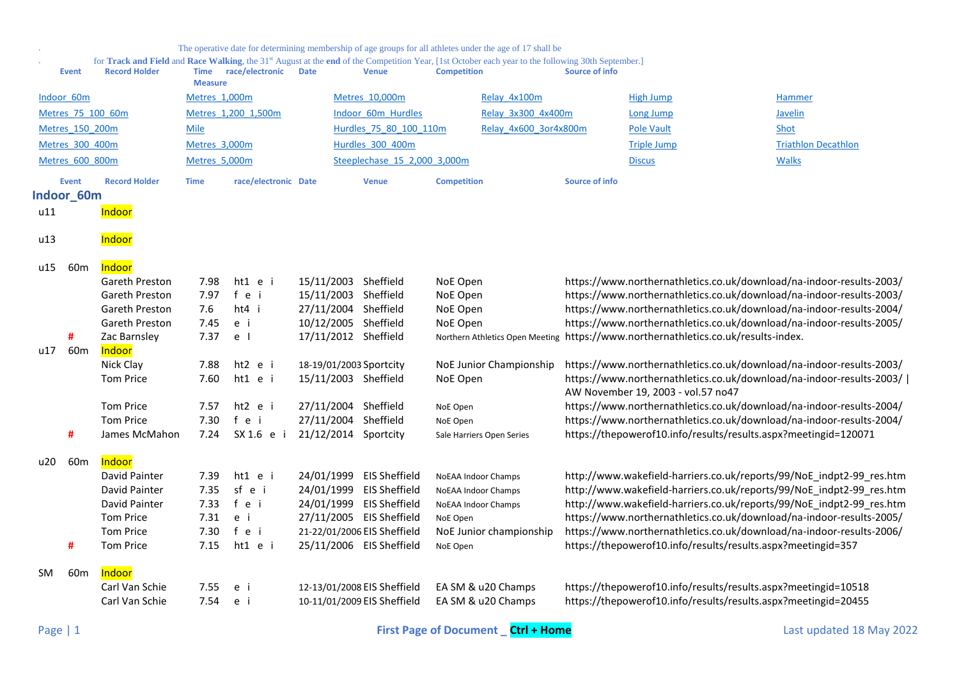<span id="page-0-0"></span>

|            |                                         |                                                                                                                                                                                        |                                              |                                                      |                                                                                                                                                 |                                                                                                                                                                     |                                                                    | The operative date for determining membership of age groups for all athletes under the age of 17 shall be |                       |                                                                                                                                                                                                                                                                                                                                                                                                                                      |                            |
|------------|-----------------------------------------|----------------------------------------------------------------------------------------------------------------------------------------------------------------------------------------|----------------------------------------------|------------------------------------------------------|-------------------------------------------------------------------------------------------------------------------------------------------------|---------------------------------------------------------------------------------------------------------------------------------------------------------------------|--------------------------------------------------------------------|-----------------------------------------------------------------------------------------------------------|-----------------------|--------------------------------------------------------------------------------------------------------------------------------------------------------------------------------------------------------------------------------------------------------------------------------------------------------------------------------------------------------------------------------------------------------------------------------------|----------------------------|
|            | <b>Event</b>                            | for Track and Field and Race Walking, the 31 <sup>st</sup> August at the end of the Competition Year, [1st October each year to the following 30th September.]<br><b>Record Holder</b> | <b>Time</b><br><b>Measure</b>                | race/electronic                                      | <b>Date</b>                                                                                                                                     | <b>Venue</b>                                                                                                                                                        | <b>Competition</b>                                                 |                                                                                                           | <b>Source of info</b> |                                                                                                                                                                                                                                                                                                                                                                                                                                      |                            |
|            | Indoor 60m                              |                                                                                                                                                                                        | Metres 1,000m                                |                                                      |                                                                                                                                                 | Metres 10,000m                                                                                                                                                      |                                                                    | Relay 4x100m                                                                                              |                       | High Jump                                                                                                                                                                                                                                                                                                                                                                                                                            | <b>Hammer</b>              |
|            | Metres 75 100 60m                       |                                                                                                                                                                                        |                                              | Metres 1,200 1,500m                                  |                                                                                                                                                 | Indoor 60m Hurdles                                                                                                                                                  |                                                                    | Relay 3x300 4x400m                                                                                        |                       | <b>Long Jump</b>                                                                                                                                                                                                                                                                                                                                                                                                                     | Javelin                    |
|            | Metres 150 200m                         |                                                                                                                                                                                        | Mile                                         |                                                      |                                                                                                                                                 | Hurdles 75 80 100 110m                                                                                                                                              |                                                                    | Relay 4x600 3or4x800m                                                                                     |                       | <b>Pole Vault</b>                                                                                                                                                                                                                                                                                                                                                                                                                    | Shot                       |
|            | Metres 300 400m                         |                                                                                                                                                                                        | Metres 3,000m                                |                                                      | Hurdles 300 400m                                                                                                                                |                                                                                                                                                                     |                                                                    |                                                                                                           |                       | <b>Triple Jump</b>                                                                                                                                                                                                                                                                                                                                                                                                                   | <b>Triathlon Decathlon</b> |
|            | Metres 600 800m                         |                                                                                                                                                                                        | Metres 5,000m                                |                                                      |                                                                                                                                                 | Steeplechase 15 2,000 3,000m                                                                                                                                        |                                                                    |                                                                                                           |                       | <b>Discus</b>                                                                                                                                                                                                                                                                                                                                                                                                                        | <b>Walks</b>               |
|            | <b>Event</b>                            | <b>Record Holder</b>                                                                                                                                                                   | <b>Time</b>                                  | race/electronic Date                                 |                                                                                                                                                 | <b>Venue</b>                                                                                                                                                        | <b>Competition</b>                                                 |                                                                                                           | <b>Source of info</b> |                                                                                                                                                                                                                                                                                                                                                                                                                                      |                            |
|            | Indoor 60m                              |                                                                                                                                                                                        |                                              |                                                      |                                                                                                                                                 |                                                                                                                                                                     |                                                                    |                                                                                                           |                       |                                                                                                                                                                                                                                                                                                                                                                                                                                      |                            |
| u11        |                                         | Indoor                                                                                                                                                                                 |                                              |                                                      |                                                                                                                                                 |                                                                                                                                                                     |                                                                    |                                                                                                           |                       |                                                                                                                                                                                                                                                                                                                                                                                                                                      |                            |
| u13        |                                         | Indoor                                                                                                                                                                                 |                                              |                                                      |                                                                                                                                                 |                                                                                                                                                                     |                                                                    |                                                                                                           |                       |                                                                                                                                                                                                                                                                                                                                                                                                                                      |                            |
| u15<br>u17 | 60 <sub>m</sub><br>#<br>60 <sub>m</sub> | Indoor<br>Gareth Preston<br>Gareth Preston<br>Gareth Preston<br>Gareth Preston<br>Zac Barnsley<br>Indoor<br>Nick Clay                                                                  | 7.98<br>7.97<br>7.6<br>7.45<br>7.37<br>7.88  | $ht1$ e i<br>fei<br>ht4 i<br>e i<br>e l<br>$ht2$ e i | 15/11/2003 Sheffield<br>15/11/2003 Sheffield<br>27/11/2004 Sheffield<br>10/12/2005 Sheffield<br>17/11/2012 Sheffield<br>18-19/01/2003 Sportcity |                                                                                                                                                                     | NoE Open<br>NoE Open<br>NoE Open<br>NoE Open                       | Northern Athletics Open Meeting<br>NoE Junior Championship                                                |                       | https://www.northernathletics.co.uk/download/na-indoor-results-2003/<br>https://www.northernathletics.co.uk/download/na-indoor-results-2003/<br>https://www.northernathletics.co.uk/download/na-indoor-results-2004/<br>https://www.northernathletics.co.uk/download/na-indoor-results-2005/<br>https://www.northernathletics.co.uk/results-index.<br>https://www.northernathletics.co.uk/download/na-indoor-results-2003/           |                            |
|            |                                         | <b>Tom Price</b>                                                                                                                                                                       | 7.60                                         | ht1 e i                                              | 15/11/2003 Sheffield                                                                                                                            |                                                                                                                                                                     | NoE Open                                                           |                                                                                                           |                       | https://www.northernathletics.co.uk/download/na-indoor-results-2003/  <br>AW November 19, 2003 - vol.57 no47                                                                                                                                                                                                                                                                                                                         |                            |
|            | #                                       | <b>Tom Price</b><br><b>Tom Price</b><br>James McMahon                                                                                                                                  | 7.57<br>7.30<br>7.24                         | ht2 e i<br>fei<br>SX 1.6 e i                         | 27/11/2004 Sheffield<br>27/11/2004 Sheffield<br>21/12/2014 Sportcity                                                                            |                                                                                                                                                                     | NoE Open<br>NoE Open                                               | Sale Harriers Open Series                                                                                 |                       | https://www.northernathletics.co.uk/download/na-indoor-results-2004/<br>https://www.northernathletics.co.uk/download/na-indoor-results-2004/<br>https://thepowerof10.info/results/results.aspx?meetingid=120071                                                                                                                                                                                                                      |                            |
|            |                                         |                                                                                                                                                                                        |                                              |                                                      |                                                                                                                                                 |                                                                                                                                                                     |                                                                    |                                                                                                           |                       |                                                                                                                                                                                                                                                                                                                                                                                                                                      |                            |
| u20        | 60 <sub>m</sub><br>#                    | Indoor<br>David Painter<br>David Painter<br>David Painter<br><b>Tom Price</b><br><b>Tom Price</b><br><b>Tom Price</b>                                                                  | 7.39<br>7.35<br>7.33<br>7.31<br>7.30<br>7.15 | $ht1$ e i<br>sf e i<br>fei<br>e i<br>fei<br>ht1 e i  | 24/01/1999                                                                                                                                      | 24/01/1999 EIS Sheffield<br>24/01/1999 EIS Sheffield<br><b>EIS Sheffield</b><br>27/11/2005 EIS Sheffield<br>21-22/01/2006 EIS Sheffield<br>25/11/2006 EIS Sheffield | NoEAA Indoor Champs<br>NoEAA Indoor Champs<br>NoE Open<br>NoE Open | NoEAA Indoor Champs<br>NoE Junior championship                                                            |                       | http://www.wakefield-harriers.co.uk/reports/99/NoE_indpt2-99_res.htm<br>http://www.wakefield-harriers.co.uk/reports/99/NoE_indpt2-99_res.htm<br>http://www.wakefield-harriers.co.uk/reports/99/NoE_indpt2-99_res.htm<br>https://www.northernathletics.co.uk/download/na-indoor-results-2005/<br>https://www.northernathletics.co.uk/download/na-indoor-results-2006/<br>https://thepowerof10.info/results/results.aspx?meetingid=357 |                            |
| SM.        | 60 <sub>m</sub>                         | Indoor<br>Carl Van Schie<br>Carl Van Schie                                                                                                                                             | 7.55<br>7.54                                 | e i<br>e i                                           |                                                                                                                                                 | 12-13/01/2008 EIS Sheffield<br>10-11/01/2009 EIS Sheffield                                                                                                          |                                                                    | EA SM & u20 Champs<br>EA SM & u20 Champs                                                                  |                       | https://thepowerof10.info/results/results.aspx?meetingid=10518<br>https://thepowerof10.info/results/results.aspx?meetingid=20455                                                                                                                                                                                                                                                                                                     |                            |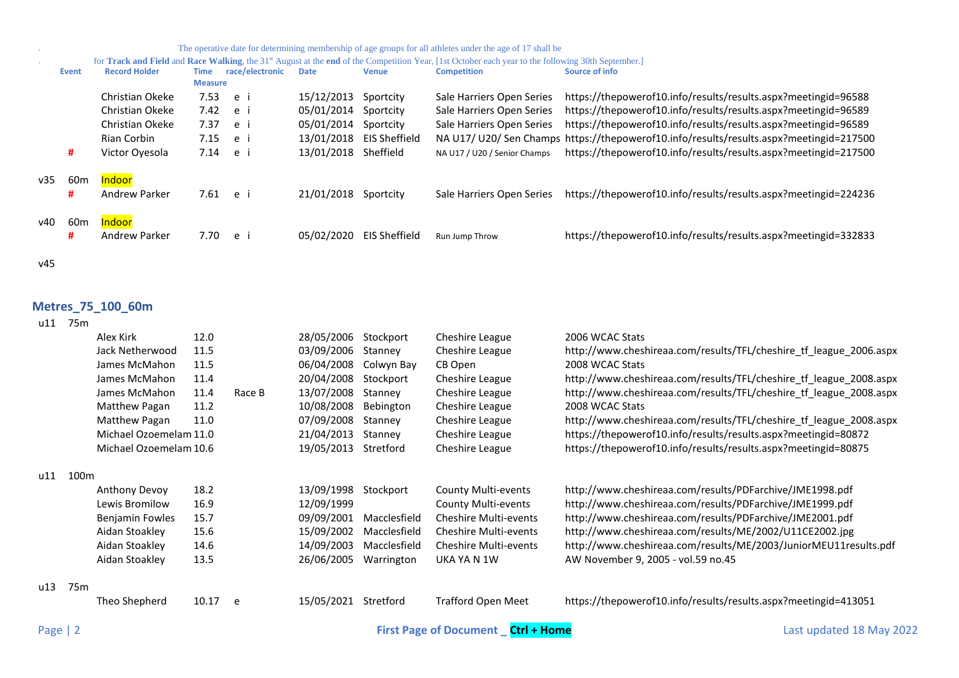| The operative date for determining membership of age groups for all athletes under the age of 17 shall be                                                      |                                                                                       |
|----------------------------------------------------------------------------------------------------------------------------------------------------------------|---------------------------------------------------------------------------------------|
| for Track and Field and Race Walking, the 31 <sup>st</sup> August at the end of the Competition Year, [1st October each year to the following 30th September.] |                                                                                       |
| <b>Competition</b><br><b>Venue</b>                                                                                                                             | Source of info                                                                        |
|                                                                                                                                                                |                                                                                       |
| Sale Harriers Open Series<br>Sportcity                                                                                                                         | https://thepowerof10.info/results/results.aspx?meetingid=96588                        |
| Sale Harriers Open Series<br>Sportcity                                                                                                                         | https://thepowerof10.info/results/results.aspx?meetingid=96589                        |
| Sale Harriers Open Series<br>Sportcity                                                                                                                         | https://thepowerof10.info/results/results.aspx?meetingid=96589                        |
| EIS Sheffield                                                                                                                                                  | NA U17/U20/Sen Champs https://thepowerof10.info/results/results.aspx?meetingid=217500 |
| Sheffield<br>NA U17 / U20 / Senior Champs                                                                                                                      | https://thepowerof10.info/results/results.aspx?meetingid=217500                       |
|                                                                                                                                                                |                                                                                       |
| Sportcity<br>Sale Harriers Open Series                                                                                                                         | https://thepowerof10.info/results/results.aspx?meetingid=224236                       |
|                                                                                                                                                                |                                                                                       |
|                                                                                                                                                                |                                                                                       |
|                                                                                                                                                                | https://thepowerof10.info/results/results.aspx?meetingid=332833                       |
|                                                                                                                                                                |                                                                                       |
|                                                                                                                                                                | EIS Sheffield<br>Run Jump Throw                                                       |

# <span id="page-1-0"></span>**Metres\_75\_100\_60m**

| u11 | 75 <sub>m</sub>  |                        |       |        |            |              |                              |                                                                    |
|-----|------------------|------------------------|-------|--------|------------|--------------|------------------------------|--------------------------------------------------------------------|
|     |                  | Alex Kirk              | 12.0  |        | 28/05/2006 | Stockport    | Cheshire League              | 2006 WCAC Stats                                                    |
|     |                  | Jack Netherwood        | 11.5  |        | 03/09/2006 | Stanney      | Cheshire League              | http://www.cheshireaa.com/results/TFL/cheshire_tf_league_2006.aspx |
|     |                  | James McMahon          | 11.5  |        | 06/04/2008 | Colwyn Bay   | CB Open                      | 2008 WCAC Stats                                                    |
|     |                  | James McMahon          | 11.4  |        | 20/04/2008 | Stockport    | Cheshire League              | http://www.cheshireaa.com/results/TFL/cheshire_tf_league_2008.aspx |
|     |                  | James McMahon          | 11.4  | Race B | 13/07/2008 | Stanney      | Cheshire League              | http://www.cheshireaa.com/results/TFL/cheshire tf league 2008.aspx |
|     |                  | Matthew Pagan          | 11.2  |        | 10/08/2008 | Bebington    | Cheshire League              | 2008 WCAC Stats                                                    |
|     |                  | Matthew Pagan          | 11.0  |        | 07/09/2008 | Stanney      | Cheshire League              | http://www.cheshireaa.com/results/TFL/cheshire_tf_league_2008.aspx |
|     |                  | Michael Ozoemelam 11.0 |       |        | 21/04/2013 | Stanney      | Cheshire League              | https://thepowerof10.info/results/results.aspx?meetingid=80872     |
|     |                  | Michael Ozoemelam 10.6 |       |        | 19/05/2013 | Stretford    | Cheshire League              | https://thepowerof10.info/results/results.aspx?meetingid=80875     |
| u11 | 100 <sub>m</sub> |                        |       |        |            |              |                              |                                                                    |
|     |                  | Anthony Devoy          | 18.2  |        | 13/09/1998 | Stockport    | County Multi-events          | http://www.cheshireaa.com/results/PDFarchive/JME1998.pdf           |
|     |                  | Lewis Bromilow         | 16.9  |        | 12/09/1999 |              | County Multi-events          | http://www.cheshireaa.com/results/PDFarchive/JME1999.pdf           |
|     |                  | Benjamin Fowles        | 15.7  |        | 09/09/2001 | Macclesfield | <b>Cheshire Multi-events</b> | http://www.cheshireaa.com/results/PDFarchive/JME2001.pdf           |
|     |                  | Aidan Stoakley         | 15.6  |        | 15/09/2002 | Macclesfield | <b>Cheshire Multi-events</b> | http://www.cheshireaa.com/results/ME/2002/U11CE2002.jpg            |
|     |                  | Aidan Stoakley         | 14.6  |        | 14/09/2003 | Macclesfield | <b>Cheshire Multi-events</b> | http://www.cheshireaa.com/results/ME/2003/JuniorMEU11results.pdf   |
|     |                  | Aidan Stoakley         | 13.5  |        | 26/06/2005 | Warrington   | UKA YA N 1W                  | AW November 9, 2005 - vol.59 no.45                                 |
| u13 | 75 <sub>m</sub>  |                        |       |        |            |              |                              |                                                                    |
|     |                  | Theo Shepherd          | 10.17 | e      | 15/05/2021 | Stretford    | Trafford Open Meet           | https://thepowerof10.info/results/results.aspx?meetingid=413051    |
|     |                  |                        |       |        |            |              |                              |                                                                    |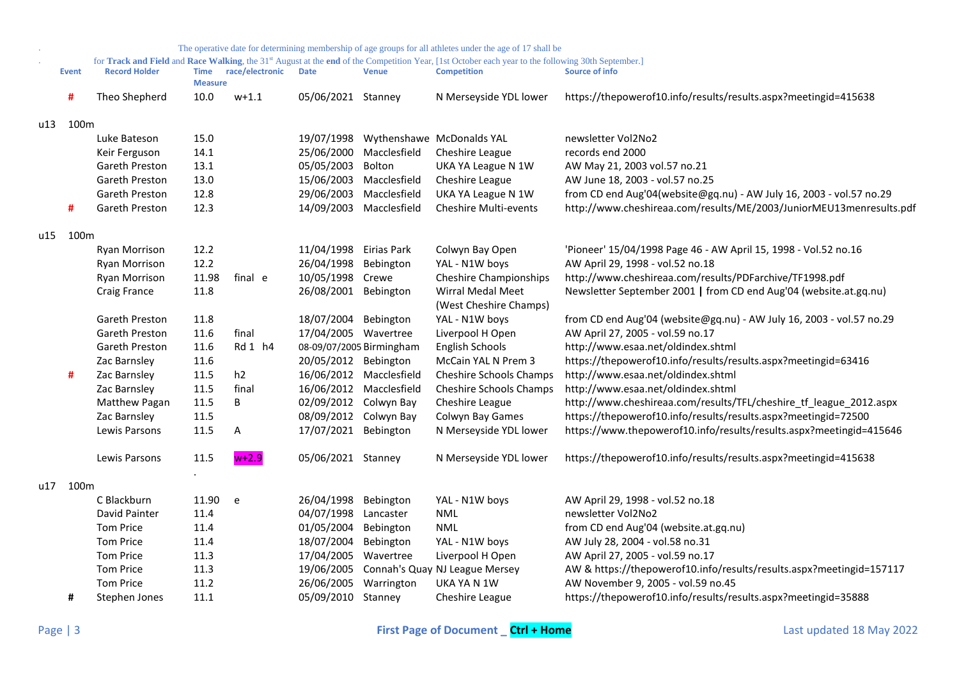|     |                  |                      |                               |                 |                          |                         | The operative date for determining membership of age groups for all athletes under the age of 17 shall be                                                                            |                                                                      |
|-----|------------------|----------------------|-------------------------------|-----------------|--------------------------|-------------------------|--------------------------------------------------------------------------------------------------------------------------------------------------------------------------------------|----------------------------------------------------------------------|
|     | <b>Event</b>     | <b>Record Holder</b> | <b>Time</b><br><b>Measure</b> | race/electronic | <b>Date</b>              | <b>Venue</b>            | for Track and Field and Race Walking, the 31 <sup>st</sup> August at the end of the Competition Year, [1st October each year to the following 30th September.]<br><b>Competition</b> | <b>Source of info</b>                                                |
|     | #                | Theo Shepherd        | 10.0                          | $w+1.1$         | 05/06/2021 Stanney       |                         | N Merseyside YDL lower                                                                                                                                                               | https://thepowerof10.info/results/results.aspx?meetingid=415638      |
| u13 | 100 <sub>m</sub> |                      |                               |                 |                          |                         |                                                                                                                                                                                      |                                                                      |
|     |                  | Luke Bateson         | 15.0                          |                 | 19/07/1998               |                         | Wythenshawe McDonalds YAL                                                                                                                                                            | newsletter Vol2No2                                                   |
|     |                  | Keir Ferguson        | 14.1                          |                 |                          | 25/06/2000 Macclesfield | Cheshire League                                                                                                                                                                      | records end 2000                                                     |
|     |                  | Gareth Preston       | 13.1                          |                 | 05/05/2003               | Bolton                  | UKA YA League N 1W                                                                                                                                                                   | AW May 21, 2003 vol.57 no.21                                         |
|     |                  | Gareth Preston       | 13.0                          |                 |                          | 15/06/2003 Macclesfield | Cheshire League                                                                                                                                                                      | AW June 18, 2003 - vol.57 no.25                                      |
|     |                  | Gareth Preston       | 12.8                          |                 |                          | 29/06/2003 Macclesfield | UKA YA League N 1W                                                                                                                                                                   | from CD end Aug'04(website@gq.nu) - AW July 16, 2003 - vol.57 no.29  |
|     | #                | Gareth Preston       | 12.3                          |                 |                          | 14/09/2003 Macclesfield | <b>Cheshire Multi-events</b>                                                                                                                                                         | http://www.cheshireaa.com/results/ME/2003/JuniorMEU13menresults.pdf  |
|     | u15 100m         |                      |                               |                 |                          |                         |                                                                                                                                                                                      |                                                                      |
|     |                  | <b>Ryan Morrison</b> | 12.2                          |                 | 11/04/1998 Eirias Park   |                         | Colwyn Bay Open                                                                                                                                                                      | 'Pioneer' 15/04/1998 Page 46 - AW April 15, 1998 - Vol.52 no.16      |
|     |                  | <b>Ryan Morrison</b> | 12.2                          |                 | 26/04/1998 Bebington     |                         | YAL - N1W boys                                                                                                                                                                       | AW April 29, 1998 - vol.52 no.18                                     |
|     |                  | Ryan Morrison        | 11.98                         | final e         | 10/05/1998 Crewe         |                         | <b>Cheshire Championships</b>                                                                                                                                                        | http://www.cheshireaa.com/results/PDFarchive/TF1998.pdf              |
|     |                  | Craig France         | 11.8                          |                 | 26/08/2001 Bebington     |                         | Wirral Medal Meet<br>(West Cheshire Champs)                                                                                                                                          | Newsletter September 2001   from CD end Aug'04 (website.at.gq.nu)    |
|     |                  | Gareth Preston       | 11.8                          |                 | 18/07/2004 Bebington     |                         | YAL - N1W boys                                                                                                                                                                       | from CD end Aug'04 (website@gq.nu) - AW July 16, 2003 - vol.57 no.29 |
|     |                  | Gareth Preston       | 11.6                          | final           | 17/04/2005 Wavertree     |                         | Liverpool H Open                                                                                                                                                                     | AW April 27, 2005 - vol.59 no.17                                     |
|     |                  | Gareth Preston       | 11.6                          | Rd 1 h4         | 08-09/07/2005 Birmingham |                         | English Schools                                                                                                                                                                      | http://www.esaa.net/oldindex.shtml                                   |
|     |                  | Zac Barnsley         | 11.6                          |                 | 20/05/2012 Bebington     |                         | McCain YAL N Prem 3                                                                                                                                                                  | https://thepowerof10.info/results/results.aspx?meetingid=63416       |
|     | #                | Zac Barnsley         | 11.5                          | h2              |                          | 16/06/2012 Macclesfield | <b>Cheshire Schools Champs</b>                                                                                                                                                       | http://www.esaa.net/oldindex.shtml                                   |
|     |                  | Zac Barnsley         | 11.5                          | final           |                          | 16/06/2012 Macclesfield | <b>Cheshire Schools Champs</b>                                                                                                                                                       | http://www.esaa.net/oldindex.shtml                                   |
|     |                  | Matthew Pagan        | 11.5                          | В               | 02/09/2012 Colwyn Bay    |                         | Cheshire League                                                                                                                                                                      | http://www.cheshireaa.com/results/TFL/cheshire_tf_league_2012.aspx   |
|     |                  | Zac Barnsley         | 11.5                          |                 | 08/09/2012 Colwyn Bay    |                         | Colwyn Bay Games                                                                                                                                                                     | https://thepowerof10.info/results/results.aspx?meetingid=72500       |
|     |                  | Lewis Parsons        | 11.5                          | Α               | 17/07/2021 Bebington     |                         | N Merseyside YDL lower                                                                                                                                                               | https://www.thepowerof10.info/results/results.aspx?meetingid=415646  |
|     |                  | Lewis Parsons        | 11.5                          | $w+2.9$         | 05/06/2021 Stanney       |                         | N Merseyside YDL lower                                                                                                                                                               | https://thepowerof10.info/results/results.aspx?meetingid=415638      |
| u17 | 100 <sub>m</sub> |                      |                               |                 |                          |                         |                                                                                                                                                                                      |                                                                      |
|     |                  | C Blackburn          | 11.90                         | e               | 26/04/1998 Bebington     |                         | YAL - N1W boys                                                                                                                                                                       | AW April 29, 1998 - vol.52 no.18                                     |
|     |                  | David Painter        | 11.4                          |                 | 04/07/1998 Lancaster     |                         | <b>NML</b>                                                                                                                                                                           | newsletter Vol2No2                                                   |
|     |                  | <b>Tom Price</b>     | 11.4                          |                 | 01/05/2004               | Bebington               | <b>NML</b>                                                                                                                                                                           | from CD end Aug'04 (website.at.gq.nu)                                |
|     |                  | <b>Tom Price</b>     | 11.4                          |                 | 18/07/2004               | Bebington               | YAL - N1W boys                                                                                                                                                                       | AW July 28, 2004 - vol.58 no.31                                      |
|     |                  | <b>Tom Price</b>     | 11.3                          |                 | 17/04/2005 Wavertree     |                         | Liverpool H Open                                                                                                                                                                     | AW April 27, 2005 - vol.59 no.17                                     |
|     |                  | <b>Tom Price</b>     | 11.3                          |                 | 19/06/2005               |                         | Connah's Quay NJ League Mersey                                                                                                                                                       | AW & https://thepowerof10.info/results/results.aspx?meetingid=157117 |
|     |                  | <b>Tom Price</b>     | 11.2                          |                 | 26/06/2005               | Warrington              | UKA YA N 1W                                                                                                                                                                          | AW November 9, 2005 - vol.59 no.45                                   |
|     | #                | Stephen Jones        | 11.1                          |                 | 05/09/2010 Stanney       |                         | Cheshire League                                                                                                                                                                      | https://thepowerof10.info/results/results.aspx?meetingid=35888       |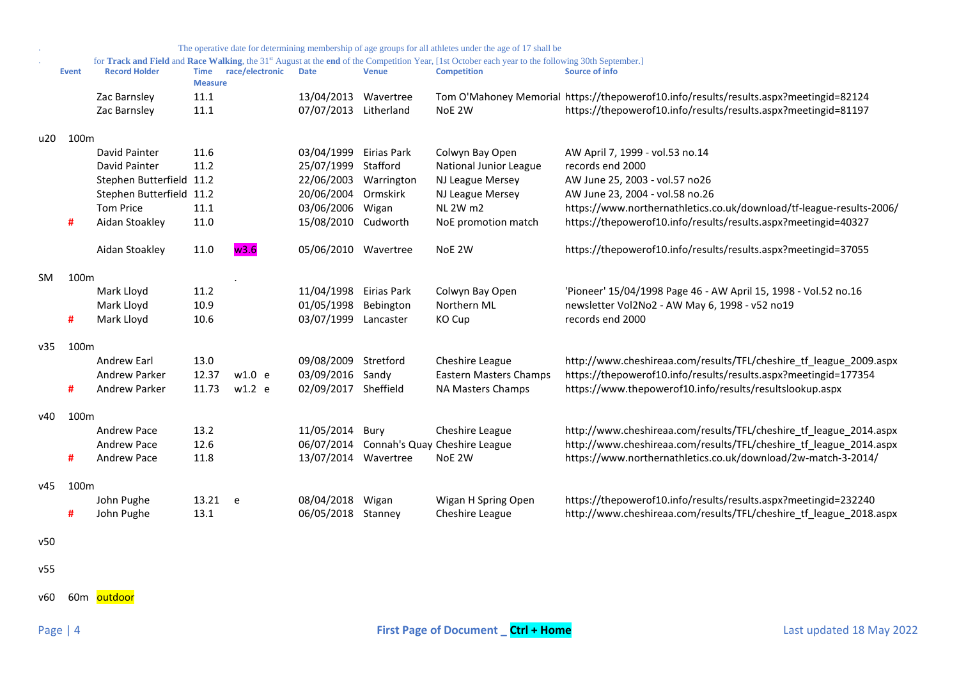|     |                  |                          |                               |                 |                      |              | The operative date for determining membership of age groups for all athletes under the age of 17 shall be                                          |                                                                                       |
|-----|------------------|--------------------------|-------------------------------|-----------------|----------------------|--------------|----------------------------------------------------------------------------------------------------------------------------------------------------|---------------------------------------------------------------------------------------|
|     |                  |                          |                               |                 |                      |              | for Track and Field and Race Walking, the 31st August at the end of the Competition Year, [1st October each year to the following 30th September.] |                                                                                       |
|     | <b>Event</b>     | <b>Record Holder</b>     | <b>Time</b><br><b>Measure</b> | race/electronic | <b>Date</b>          | <b>Venue</b> | <b>Competition</b>                                                                                                                                 | Source of info                                                                        |
|     |                  | Zac Barnsley             | 11.1                          |                 | 13/04/2013           | Wavertree    |                                                                                                                                                    | Tom O'Mahoney Memorial https://thepowerof10.info/results/results.aspx?meetingid=82124 |
|     |                  | Zac Barnsley             | 11.1                          |                 | 07/07/2013           | Litherland   | NoE 2W                                                                                                                                             | https://thepowerof10.info/results/results.aspx?meetingid=81197                        |
|     |                  |                          |                               |                 |                      |              |                                                                                                                                                    |                                                                                       |
| u20 | 100m             |                          |                               |                 |                      |              |                                                                                                                                                    |                                                                                       |
|     |                  | David Painter            | 11.6                          |                 | 03/04/1999           | Eirias Park  | Colwyn Bay Open                                                                                                                                    | AW April 7, 1999 - vol.53 no.14                                                       |
|     |                  | David Painter            | 11.2                          |                 | 25/07/1999           | Stafford     | National Junior League                                                                                                                             | records end 2000                                                                      |
|     |                  | Stephen Butterfield 11.2 |                               |                 | 22/06/2003           | Warrington   | NJ League Mersey                                                                                                                                   | AW June 25, 2003 - vol.57 no26                                                        |
|     |                  | Stephen Butterfield 11.2 |                               |                 | 20/06/2004           | Ormskirk     | NJ League Mersey                                                                                                                                   | AW June 23, 2004 - vol.58 no.26                                                       |
|     |                  | <b>Tom Price</b>         | 11.1                          |                 | 03/06/2006           | Wigan        | <b>NL 2W m2</b>                                                                                                                                    | https://www.northernathletics.co.uk/download/tf-league-results-2006/                  |
|     | #                | Aidan Stoakley           | 11.0                          |                 | 15/08/2010           | Cudworth     | NoE promotion match                                                                                                                                | https://thepowerof10.info/results/results.aspx?meetingid=40327                        |
|     |                  |                          |                               |                 |                      |              |                                                                                                                                                    |                                                                                       |
|     |                  | Aidan Stoakley           | 11.0                          | w3.6            | 05/06/2010 Wavertree |              | NoE 2W                                                                                                                                             | https://thepowerof10.info/results/results.aspx?meetingid=37055                        |
| SM. | 100 <sub>m</sub> |                          |                               |                 |                      |              |                                                                                                                                                    |                                                                                       |
|     |                  | Mark Lloyd               | 11.2                          |                 | 11/04/1998           | Eirias Park  | Colwyn Bay Open                                                                                                                                    | 'Pioneer' 15/04/1998 Page 46 - AW April 15, 1998 - Vol.52 no.16                       |
|     |                  | Mark Lloyd               | 10.9                          |                 | 01/05/1998           | Bebington    | Northern ML                                                                                                                                        | newsletter Vol2No2 - AW May 6, 1998 - v52 no19                                        |
|     | #                | Mark Lloyd               | 10.6                          |                 | 03/07/1999 Lancaster |              | KO Cup                                                                                                                                             | records end 2000                                                                      |
|     |                  |                          |                               |                 |                      |              |                                                                                                                                                    |                                                                                       |
| v35 | 100 <sub>m</sub> |                          |                               |                 |                      |              |                                                                                                                                                    |                                                                                       |
|     |                  | <b>Andrew Earl</b>       | 13.0                          |                 | 09/08/2009           | Stretford    | Cheshire League                                                                                                                                    | http://www.cheshireaa.com/results/TFL/cheshire tf league 2009.aspx                    |
|     |                  | Andrew Parker            | 12.37                         | w1.0 e          | 03/09/2016 Sandy     |              | <b>Eastern Masters Champs</b>                                                                                                                      | https://thepowerof10.info/results/results.aspx?meetingid=177354                       |
|     | #                | Andrew Parker            | 11.73                         | $w1.2$ e        | 02/09/2017 Sheffield |              | NA Masters Champs                                                                                                                                  | https://www.thepowerof10.info/results/resultslookup.aspx                              |
|     |                  |                          |                               |                 |                      |              |                                                                                                                                                    |                                                                                       |
| v40 | 100 <sub>m</sub> |                          |                               |                 |                      |              |                                                                                                                                                    |                                                                                       |
|     |                  | Andrew Pace              | 13.2                          |                 | 11/05/2014           | Bury         | Cheshire League                                                                                                                                    | http://www.cheshireaa.com/results/TFL/cheshire_tf_league_2014.aspx                    |
|     |                  | Andrew Pace              | 12.6                          |                 | 06/07/2014           |              | Connah's Quay Cheshire League                                                                                                                      | http://www.cheshireaa.com/results/TFL/cheshire_tf_league_2014.aspx                    |
|     | #                | Andrew Pace              | 11.8                          |                 | 13/07/2014 Wavertree |              | NoE 2W                                                                                                                                             | https://www.northernathletics.co.uk/download/2w-match-3-2014/                         |
| v45 | 100m             |                          |                               |                 |                      |              |                                                                                                                                                    |                                                                                       |
|     |                  | John Pughe               | 13.21                         | e               | 08/04/2018           | Wigan        | Wigan H Spring Open                                                                                                                                | https://thepowerof10.info/results/results.aspx?meetingid=232240                       |
|     | #                | John Pughe               | 13.1                          |                 | 06/05/2018 Stanney   |              | Cheshire League                                                                                                                                    | http://www.cheshireaa.com/results/TFL/cheshire tf league 2018.aspx                    |
|     |                  |                          |                               |                 |                      |              |                                                                                                                                                    |                                                                                       |
| v50 |                  |                          |                               |                 |                      |              |                                                                                                                                                    |                                                                                       |
|     |                  |                          |                               |                 |                      |              |                                                                                                                                                    |                                                                                       |

v55

v60 60m <mark>outdoor</mark>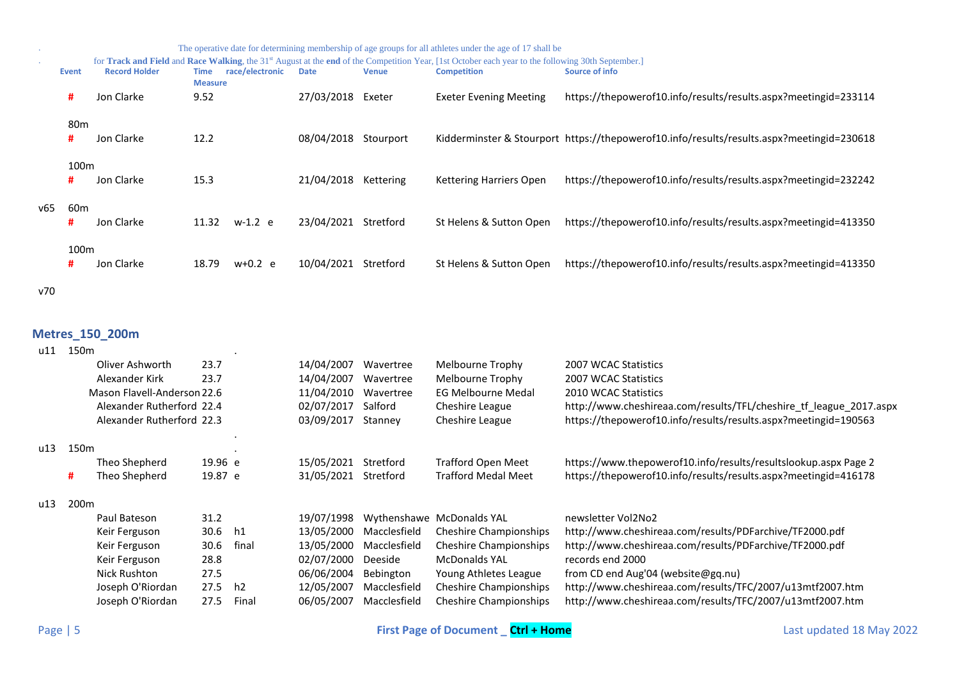|     |                  |                      |                               |                 |             |              | The operative date for determining membership of age groups for all athletes under the age of 17 shall be                                                      |                                                                                           |
|-----|------------------|----------------------|-------------------------------|-----------------|-------------|--------------|----------------------------------------------------------------------------------------------------------------------------------------------------------------|-------------------------------------------------------------------------------------------|
|     |                  |                      |                               |                 |             |              | for Track and Field and Race Walking, the 31 <sup>st</sup> August at the end of the Competition Year, [1st October each year to the following 30th September.] |                                                                                           |
|     | Event            | <b>Record Holder</b> | <b>Time</b><br><b>Measure</b> | race/electronic | <b>Date</b> | <b>Venue</b> | <b>Competition</b>                                                                                                                                             | Source of info                                                                            |
|     | #                | Jon Clarke           | 9.52                          |                 | 27/03/2018  | Exeter       | <b>Exeter Evening Meeting</b>                                                                                                                                  | https://thepowerof10.info/results/results.aspx?meetingid=233114                           |
|     | 80m              |                      |                               |                 |             |              |                                                                                                                                                                |                                                                                           |
|     | #                | Jon Clarke           | 12.2                          |                 | 08/04/2018  | Stourport    |                                                                                                                                                                | Kidderminster & Stourport https://thepowerof10.info/results/results.aspx?meetingid=230618 |
|     | 100 <sub>m</sub> |                      |                               |                 |             |              |                                                                                                                                                                |                                                                                           |
|     | #                | Jon Clarke           | 15.3                          |                 | 21/04/2018  | Kettering    | <b>Kettering Harriers Open</b>                                                                                                                                 | https://thepowerof10.info/results/results.aspx?meetingid=232242                           |
| v65 | 60 <sub>m</sub>  |                      |                               |                 |             |              |                                                                                                                                                                |                                                                                           |
|     | #                | Jon Clarke           | 11.32                         | $w-1.2$ e       | 23/04/2021  | Stretford    | St Helens & Sutton Open                                                                                                                                        | https://thepowerof10.info/results/results.aspx?meetingid=413350                           |
|     | 100 <sub>m</sub> |                      |                               |                 |             |              |                                                                                                                                                                |                                                                                           |
|     | #                | Jon Clarke           | 18.79                         | $w+0.2$ e       | 10/04/2021  | Stretford    | St Helens & Sutton Open                                                                                                                                        | https://thepowerof10.info/results/results.aspx?meetingid=413350                           |
| v70 |                  |                      |                               |                 |             |              |                                                                                                                                                                |                                                                                           |

## <span id="page-4-0"></span>**Metres\_150\_200m**

| u11 | 150 <sub>m</sub>          |                             |         |                |            |                 |                                                                    |                                                                 |
|-----|---------------------------|-----------------------------|---------|----------------|------------|-----------------|--------------------------------------------------------------------|-----------------------------------------------------------------|
|     |                           | Oliver Ashworth             | 23.7    |                | 14/04/2007 | Wavertree       | Melbourne Trophy                                                   | 2007 WCAC Statistics                                            |
|     |                           | Alexander Kirk              | 23.7    |                | 14/04/2007 | Wavertree       | Melbourne Trophy                                                   | 2007 WCAC Statistics                                            |
|     |                           | Mason Flavell-Anderson 22.6 |         |                | 11/04/2010 | Wavertree       | <b>EG Melbourne Medal</b>                                          | 2010 WCAC Statistics                                            |
|     | Alexander Rutherford 22.4 |                             |         | 02/07/2017     | Salford    | Cheshire League | http://www.cheshireaa.com/results/TFL/cheshire_tf_league_2017.aspx |                                                                 |
|     |                           | Alexander Rutherford 22.3   |         |                | 03/09/2017 | Stanney         | Cheshire League                                                    | https://thepowerof10.info/results/results.aspx?meetingid=190563 |
| u13 | 150 <sub>m</sub>          |                             |         |                |            |                 |                                                                    |                                                                 |
|     |                           | Theo Shepherd               | 19.96 e |                | 15/05/2021 | Stretford       | Trafford Open Meet                                                 | https://www.thepowerof10.info/results/resultslookup.aspx Page 2 |
|     | #                         | Theo Shepherd               | 19.87 e |                | 31/05/2021 | Stretford       | <b>Trafford Medal Meet</b>                                         | https://thepowerof10.info/results/results.aspx?meetingid=416178 |
| u13 | 200 <sub>m</sub>          |                             |         |                |            |                 |                                                                    |                                                                 |
|     |                           | Paul Bateson                | 31.2    |                | 19/07/1998 | Wythenshawe     | <b>McDonalds YAL</b>                                               | newsletter Vol2No2                                              |
|     |                           | Keir Ferguson               | 30.6    | h1             | 13/05/2000 | Macclesfield    | Cheshire Championships                                             | http://www.cheshireaa.com/results/PDFarchive/TF2000.pdf         |
|     |                           | Keir Ferguson               | 30.6    | final          | 13/05/2000 | Macclesfield    | Cheshire Championships                                             | http://www.cheshireaa.com/results/PDFarchive/TF2000.pdf         |
|     |                           | Keir Ferguson               | 28.8    |                | 02/07/2000 | Deeside         | <b>McDonalds YAL</b>                                               | records end 2000                                                |
|     |                           | Nick Rushton                | 27.5    |                | 06/06/2004 | Bebington       | Young Athletes League                                              | from CD end Aug'04 (website@gq.nu)                              |
|     |                           | Joseph O'Riordan            | 27.5    | h <sub>2</sub> | 12/05/2007 | Macclesfield    | Cheshire Championships                                             | http://www.cheshireaa.com/results/TFC/2007/u13mtf2007.htm       |
|     |                           | Joseph O'Riordan            | 27.5    | Final          | 06/05/2007 | Macclesfield    | Cheshire Championships                                             | http://www.cheshireaa.com/results/TFC/2007/u13mtf2007.htm       |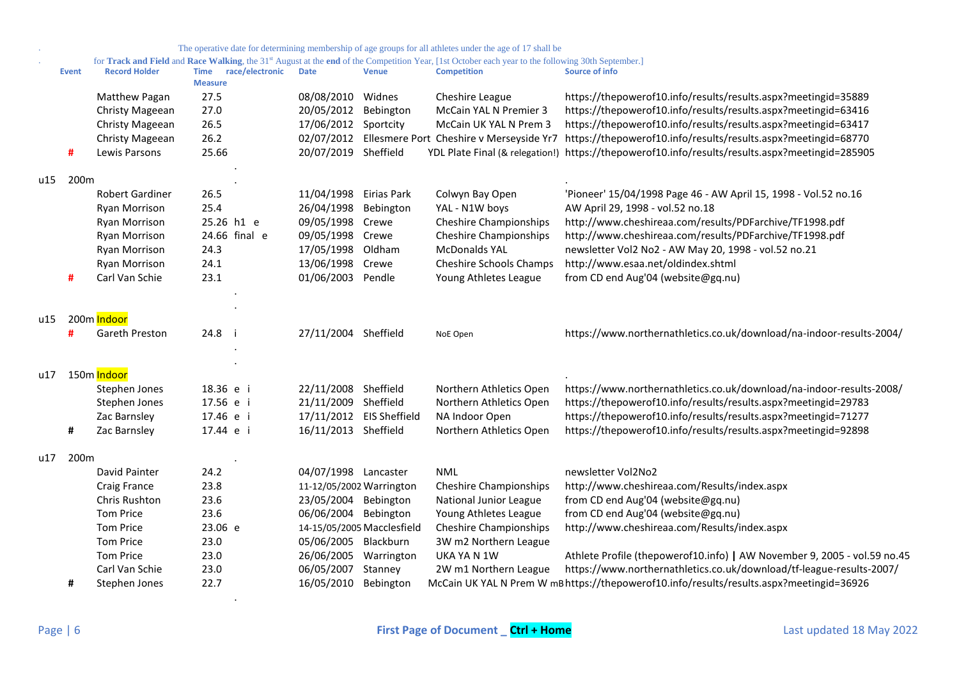|  |  | The operative date for determining membership of age groups for all athletes under the age of 17 shall be |  |
|--|--|-----------------------------------------------------------------------------------------------------------|--|
|  |  |                                                                                                           |  |

#### . for **Track and Field** and **Race Walking**, the 31st August at the **end** of the Competition Year, [1st October each year to the following 30th September.]

|     | <b>Event</b> | <b>Record Holder</b>     | race/electronic<br><b>Time</b><br><b>Measure</b> | <b>Date</b>              | <b>Venue</b>               | <b>Competition</b>                       | Source of info                                                                                  |
|-----|--------------|--------------------------|--------------------------------------------------|--------------------------|----------------------------|------------------------------------------|-------------------------------------------------------------------------------------------------|
|     |              | Matthew Pagan            | 27.5                                             | 08/08/2010               | Widnes                     | Cheshire League                          | https://thepowerof10.info/results/results.aspx?meetingid=35889                                  |
|     |              | Christy Mageean          | 27.0                                             | 20/05/2012               | Bebington                  | McCain YAL N Premier 3                   | https://thepowerof10.info/results/results.aspx?meetingid=63416                                  |
|     |              | Christy Mageean          | 26.5                                             | 17/06/2012               | Sportcity                  | McCain UK YAL N Prem 3                   | https://thepowerof10.info/results/results.aspx?meetingid=63417                                  |
|     |              | Christy Mageean          | 26.2                                             | 02/07/2012               |                            | Ellesmere Port Cheshire v Merseyside Yr7 | https://thepowerof10.info/results/results.aspx?meetingid=68770                                  |
|     | Ħ            | Lewis Parsons            | 25.66                                            | 20/07/2019 Sheffield     |                            |                                          | YDL Plate Final (& relegation!) https://thepowerof10.info/results/results.aspx?meetingid=285905 |
| u15 | 200m         |                          |                                                  |                          |                            |                                          |                                                                                                 |
|     |              | <b>Robert Gardiner</b>   | 26.5                                             | 11/04/1998 Eirias Park   |                            | Colwyn Bay Open                          | 'Pioneer' 15/04/1998 Page 46 - AW April 15, 1998 - Vol.52 no.16                                 |
|     |              | Ryan Morrison            | 25.4                                             | 26/04/1998               | Bebington                  | YAL - N1W boys                           | AW April 29, 1998 - vol.52 no.18                                                                |
|     |              | <b>Ryan Morrison</b>     | 25.26 h1 e                                       | 09/05/1998               | Crewe                      | <b>Cheshire Championships</b>            | http://www.cheshireaa.com/results/PDFarchive/TF1998.pdf                                         |
|     |              | Ryan Morrison            | 24.66 final e                                    | 09/05/1998               | Crewe                      | <b>Cheshire Championships</b>            | http://www.cheshireaa.com/results/PDFarchive/TF1998.pdf                                         |
|     |              | Ryan Morrison            | 24.3                                             | 17/05/1998               | Oldham                     | <b>McDonalds YAL</b>                     | newsletter Vol2 No2 - AW May 20, 1998 - vol.52 no.21                                            |
|     |              | Ryan Morrison            | 24.1                                             | 13/06/1998               | Crewe                      | <b>Cheshire Schools Champs</b>           | http://www.esaa.net/oldindex.shtml                                                              |
|     | Ħ            | Carl Van Schie           | 23.1                                             | 01/06/2003               | Pendle                     | Young Athletes League                    | from CD end Aug'04 (website@gq.nu)                                                              |
|     |              |                          |                                                  |                          |                            |                                          |                                                                                                 |
| u15 |              | 200m Indoor              |                                                  |                          |                            |                                          |                                                                                                 |
|     | Ħ            | Gareth Preston           | 24.8 i                                           | 27/11/2004 Sheffield     |                            | NoE Open                                 | https://www.northernathletics.co.uk/download/na-indoor-results-2004/                            |
| u17 |              | 150m <mark>Indoor</mark> |                                                  |                          |                            |                                          |                                                                                                 |
|     |              | Stephen Jones            | 18.36 e i                                        | 22/11/2008 Sheffield     |                            | Northern Athletics Open                  | https://www.northernathletics.co.uk/download/na-indoor-results-2008/                            |
|     |              | Stephen Jones            | 17.56 e i                                        | 21/11/2009               | Sheffield                  | Northern Athletics Open                  | https://thepowerof10.info/results/results.aspx?meetingid=29783                                  |
|     |              | Zac Barnsley             | 17.46 e i                                        | 17/11/2012               | <b>EIS Sheffield</b>       | NA Indoor Open                           | https://thepowerof10.info/results/results.aspx?meetingid=71277                                  |
|     | #            | Zac Barnsley             | 17.44 e i                                        | 16/11/2013 Sheffield     |                            | Northern Athletics Open                  | https://thepowerof10.info/results/results.aspx?meetingid=92898                                  |
| u17 | 200m         |                          |                                                  |                          |                            |                                          |                                                                                                 |
|     |              | David Painter            | 24.2                                             | 04/07/1998 Lancaster     |                            | <b>NML</b>                               | newsletter Vol2No2                                                                              |
|     |              | Craig France             | 23.8                                             | 11-12/05/2002 Warrington |                            | <b>Cheshire Championships</b>            | http://www.cheshireaa.com/Results/index.aspx                                                    |
|     |              | Chris Rushton            | 23.6                                             | 23/05/2004 Bebington     |                            | National Junior League                   | from CD end Aug'04 (website@gq.nu)                                                              |
|     |              | <b>Tom Price</b>         | 23.6                                             | 06/06/2004 Bebington     |                            | Young Athletes League                    | from CD end Aug'04 (website@gq.nu)                                                              |
|     |              | <b>Tom Price</b>         | 23.06 e                                          |                          | 14-15/05/2005 Macclesfield | <b>Cheshire Championships</b>            | http://www.cheshireaa.com/Results/index.aspx                                                    |
|     |              | <b>Tom Price</b>         | 23.0                                             | 05/06/2005 Blackburn     |                            | 3W m2 Northern League                    |                                                                                                 |
|     |              | <b>Tom Price</b>         | 23.0                                             | 26/06/2005               | Warrington                 | UKA YA N 1W                              | Athlete Profile (thepowerof10.info)   AW November 9, 2005 - vol.59 no.45                        |
|     |              | Carl Van Schie           | 23.0                                             | 06/05/2007               | Stanney                    | 2W m1 Northern League                    | https://www.northernathletics.co.uk/download/tf-league-results-2007/                            |
|     | #            | Stephen Jones            | 22.7                                             | 16/05/2010               | Bebington                  |                                          | McCain UK YAL N Prem W mB https://thepowerof10.info/results/results.aspx?meetingid=36926        |

.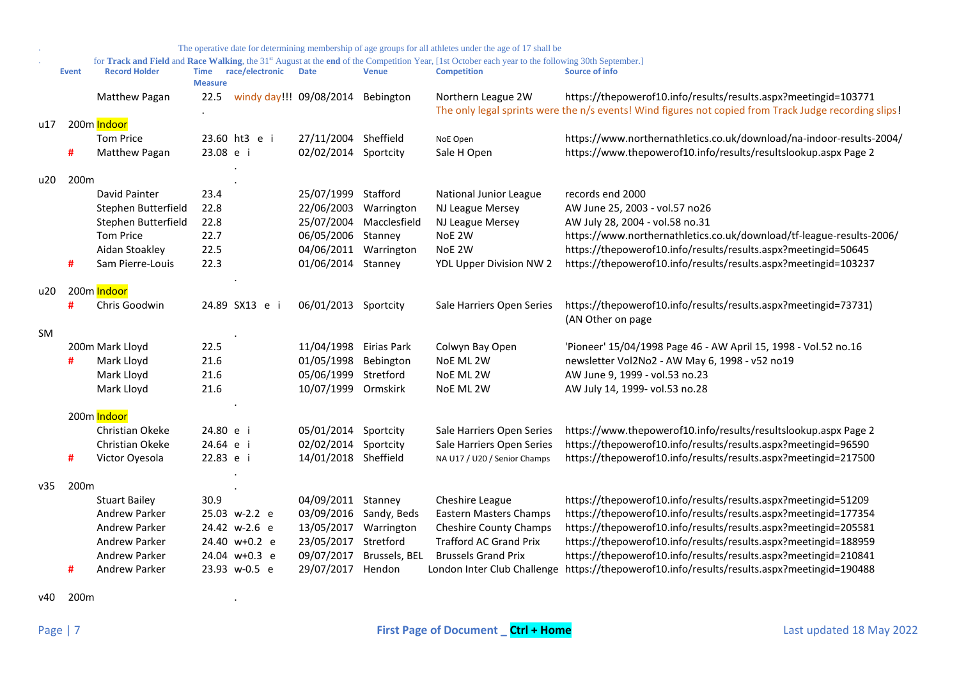|           |                  |                                   |                               |                 |                                   |                        | The operative date for determining membership of age groups for all athletes under the age of 17 shall be                                                                |                                                                                                                                                                          |
|-----------|------------------|-----------------------------------|-------------------------------|-----------------|-----------------------------------|------------------------|--------------------------------------------------------------------------------------------------------------------------------------------------------------------------|--------------------------------------------------------------------------------------------------------------------------------------------------------------------------|
|           | <b>Event</b>     | <b>Record Holder</b>              | <b>Time</b><br><b>Measure</b> | race/electronic | <b>Date</b>                       | <b>Venue</b>           | for Track and Field and Race Walking, the 31st August at the end of the Competition Year, [1st October each year to the following 30th September.]<br><b>Competition</b> | <b>Source of info</b>                                                                                                                                                    |
|           |                  | Matthew Pagan                     | 22.5                          |                 | windy day!!! 09/08/2014           | Bebington              | Northern League 2W                                                                                                                                                       | https://thepowerof10.info/results/results.aspx?meetingid=103771<br>The only legal sprints were the n/s events! Wind figures not copied from Track Judge recording slips! |
| u17       |                  | 200m Indoor                       |                               |                 |                                   |                        |                                                                                                                                                                          |                                                                                                                                                                          |
|           | #                | <b>Tom Price</b><br>Matthew Pagan | 23.08 e i                     | 23.60 ht3 e i   | 27/11/2004<br>02/02/2014          | Sheffield<br>Sportcity | NoE Open<br>Sale H Open                                                                                                                                                  | https://www.northernathletics.co.uk/download/na-indoor-results-2004/<br>https://www.thepowerof10.info/results/resultslookup.aspx Page 2                                  |
| u20       | 200m             |                                   |                               |                 |                                   |                        |                                                                                                                                                                          |                                                                                                                                                                          |
|           |                  | David Painter                     | 23.4                          |                 | 25/07/1999                        | Stafford               | National Junior League                                                                                                                                                   | records end 2000                                                                                                                                                         |
|           |                  | Stephen Butterfield               | 22.8                          |                 | 22/06/2003                        | Warrington             | NJ League Mersey                                                                                                                                                         | AW June 25, 2003 - vol.57 no26                                                                                                                                           |
|           |                  | Stephen Butterfield               | 22.8                          |                 | 25/07/2004                        | Macclesfield           | NJ League Mersey                                                                                                                                                         | AW July 28, 2004 - vol.58 no.31                                                                                                                                          |
|           |                  | <b>Tom Price</b>                  | 22.7                          |                 | 06/05/2006                        | Stanney                | NoE 2W                                                                                                                                                                   | https://www.northernathletics.co.uk/download/tf-league-results-2006/                                                                                                     |
|           |                  | Aidan Stoakley                    | 22.5                          |                 | 04/06/2011                        | Warrington             | NoE 2W                                                                                                                                                                   | https://thepowerof10.info/results/results.aspx?meetingid=50645                                                                                                           |
|           | #                | Sam Pierre-Louis                  | 22.3                          |                 | 01/06/2014                        | Stanney                | YDL Upper Division NW 2                                                                                                                                                  | https://thepowerof10.info/results/results.aspx?meetingid=103237                                                                                                          |
| u20       |                  | 200m Indoor                       |                               |                 |                                   |                        |                                                                                                                                                                          |                                                                                                                                                                          |
|           | #                | Chris Goodwin                     |                               | 24.89 SX13 e i  | 06/01/2013 Sportcity              |                        | Sale Harriers Open Series                                                                                                                                                | https://thepowerof10.info/results/results.aspx?meetingid=73731)<br>(AN Other on page                                                                                     |
| <b>SM</b> |                  |                                   |                               |                 |                                   |                        |                                                                                                                                                                          |                                                                                                                                                                          |
|           |                  | 200m Mark Lloyd                   | 22.5                          |                 | 11/04/1998                        | Eirias Park            | Colwyn Bay Open                                                                                                                                                          | 'Pioneer' 15/04/1998 Page 46 - AW April 15, 1998 - Vol.52 no.16                                                                                                          |
|           | #                | Mark Lloyd                        | 21.6                          |                 | 01/05/1998                        | Bebington              | NoE ML 2W                                                                                                                                                                | newsletter Vol2No2 - AW May 6, 1998 - v52 no19                                                                                                                           |
|           |                  | Mark Lloyd                        | 21.6<br>21.6                  |                 | 05/06/1999<br>10/07/1999 Ormskirk | Stretford              | NoE ML 2W                                                                                                                                                                | AW June 9, 1999 - vol.53 no.23<br>AW July 14, 1999- vol.53 no.28                                                                                                         |
|           |                  | Mark Lloyd                        |                               |                 |                                   |                        | NoE ML 2W                                                                                                                                                                |                                                                                                                                                                          |
|           |                  | 200m Indoor                       |                               |                 |                                   |                        |                                                                                                                                                                          |                                                                                                                                                                          |
|           |                  | Christian Okeke                   | 24.80 e i                     |                 | 05/01/2014                        | Sportcity              | Sale Harriers Open Series                                                                                                                                                | https://www.thepowerof10.info/results/resultslookup.aspx Page 2                                                                                                          |
|           |                  | Christian Okeke                   | 24.64 e i                     |                 | 02/02/2014                        | Sportcity              | Sale Harriers Open Series                                                                                                                                                | https://thepowerof10.info/results/results.aspx?meetingid=96590                                                                                                           |
|           | #                | Victor Oyesola                    | 22.83 e i                     |                 | 14/01/2018 Sheffield              |                        | NA U17 / U20 / Senior Champs                                                                                                                                             | https://thepowerof10.info/results/results.aspx?meetingid=217500                                                                                                          |
| v35       | 200 <sub>m</sub> |                                   |                               |                 |                                   |                        |                                                                                                                                                                          |                                                                                                                                                                          |
|           |                  | <b>Stuart Bailey</b>              | 30.9                          |                 | 04/09/2011                        | Stanney                | Cheshire League                                                                                                                                                          | https://thepowerof10.info/results/results.aspx?meetingid=51209                                                                                                           |
|           |                  | Andrew Parker                     |                               | 25.03 w-2.2 e   | 03/09/2016                        | Sandy, Beds            | <b>Eastern Masters Champs</b>                                                                                                                                            | https://thepowerof10.info/results/results.aspx?meetingid=177354                                                                                                          |
|           |                  | Andrew Parker                     |                               | 24.42 w-2.6 e   | 13/05/2017                        | Warrington             | <b>Cheshire County Champs</b>                                                                                                                                            | https://thepowerof10.info/results/results.aspx?meetingid=205581                                                                                                          |
|           |                  | Andrew Parker                     |                               | 24.40 w+0.2 e   | 23/05/2017                        | Stretford              | <b>Trafford AC Grand Prix</b>                                                                                                                                            | https://thepowerof10.info/results/results.aspx?meetingid=188959                                                                                                          |
|           |                  | Andrew Parker                     |                               | 24.04 w+0.3 e   | 09/07/2017                        | Brussels, BEL          | <b>Brussels Grand Prix</b>                                                                                                                                               | https://thepowerof10.info/results/results.aspx?meetingid=210841                                                                                                          |
|           | #                | <b>Andrew Parker</b>              |                               | 23.93 w-0.5 e   | 29/07/2017                        | Hendon                 |                                                                                                                                                                          | London Inter Club Challenge https://thepowerof10.info/results/results.aspx?meetingid=190488                                                                              |

v40 200m .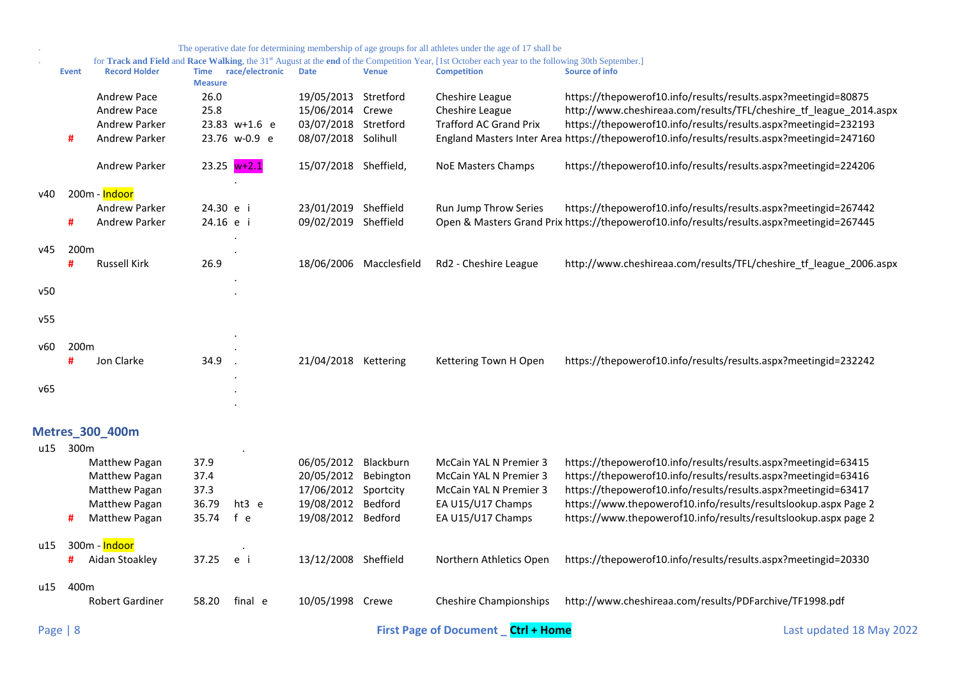<span id="page-7-0"></span>

|            |                       |                                                                                   |                                        |                                |                                                                                                |                         | The operative date for determining membership of age groups for all athletes under the age of 17 shall be                                                                            |                                                                                                                                                                                                                                                                                                                                          |  |
|------------|-----------------------|-----------------------------------------------------------------------------------|----------------------------------------|--------------------------------|------------------------------------------------------------------------------------------------|-------------------------|--------------------------------------------------------------------------------------------------------------------------------------------------------------------------------------|------------------------------------------------------------------------------------------------------------------------------------------------------------------------------------------------------------------------------------------------------------------------------------------------------------------------------------------|--|
|            | <b>Event</b>          | <b>Record Holder</b>                                                              | <b>Measure</b>                         | Time race/electronic           | <b>Date</b>                                                                                    | <b>Venue</b>            | for Track and Field and Race Walking, the 31 <sup>st</sup> August at the end of the Competition Year, [1st October each year to the following 30th September.]<br><b>Competition</b> | Source of info                                                                                                                                                                                                                                                                                                                           |  |
|            | #                     | <b>Andrew Pace</b><br>Andrew Pace<br><b>Andrew Parker</b><br><b>Andrew Parker</b> | 26.0<br>25.8                           | 23.83 w+1.6 e<br>23.76 w-0.9 e | 19/05/2013 Stretford<br>15/06/2014 Crewe<br>03/07/2018 Stretford<br>08/07/2018 Solihull        |                         | Cheshire League<br>Cheshire League<br><b>Trafford AC Grand Prix</b>                                                                                                                  | https://thepowerof10.info/results/results.aspx?meetingid=80875<br>http://www.cheshireaa.com/results/TFL/cheshire_tf_league_2014.aspx<br>https://thepowerof10.info/results/results.aspx?meetingid=232193<br>England Masters Inter Area https://thepowerof10.info/results/results.aspx?meetingid=247160                                    |  |
|            |                       | Andrew Parker                                                                     |                                        | $23.25 w+2.1$                  | 15/07/2018 Sheffield,                                                                          |                         | <b>NoE Masters Champs</b>                                                                                                                                                            | https://thepowerof10.info/results/results.aspx?meetingid=224206                                                                                                                                                                                                                                                                          |  |
| v40        | #                     | 200m - Indoor<br>Andrew Parker<br><b>Andrew Parker</b>                            | 24.30 e i<br>24.16 e i                 |                                | 23/01/2019 Sheffield<br>09/02/2019 Sheffield                                                   |                         | Run Jump Throw Series                                                                                                                                                                | https://thepowerof10.info/results/results.aspx?meetingid=267442<br>Open & Masters Grand Prix https://thepowerof10.info/results/results.aspx?meetingid=267445                                                                                                                                                                             |  |
| v45        | 200m<br>#             | <b>Russell Kirk</b>                                                               | 26.9                                   |                                |                                                                                                | 18/06/2006 Macclesfield | Rd2 - Cheshire League                                                                                                                                                                | http://www.cheshireaa.com/results/TFL/cheshire tf league 2006.aspx                                                                                                                                                                                                                                                                       |  |
| v50        |                       |                                                                                   |                                        |                                |                                                                                                |                         |                                                                                                                                                                                      |                                                                                                                                                                                                                                                                                                                                          |  |
| v55        |                       |                                                                                   |                                        |                                |                                                                                                |                         |                                                                                                                                                                                      |                                                                                                                                                                                                                                                                                                                                          |  |
| v60<br>v65 | 200 <sub>m</sub><br># | Jon Clarke                                                                        | 34.9                                   |                                | 21/04/2018 Kettering                                                                           |                         | Kettering Town H Open                                                                                                                                                                | https://thepowerof10.info/results/results.aspx?meetingid=232242                                                                                                                                                                                                                                                                          |  |
|            |                       | Metres_300_400m                                                                   |                                        |                                |                                                                                                |                         |                                                                                                                                                                                      |                                                                                                                                                                                                                                                                                                                                          |  |
| u15 300m   | #                     | Matthew Pagan<br>Matthew Pagan<br>Matthew Pagan<br>Matthew Pagan<br>Matthew Pagan | 37.9<br>37.4<br>37.3<br>36.79<br>35.74 | ht3 e<br>f e                   | 06/05/2012 Blackburn<br>20/05/2012 Bebington<br>17/06/2012<br>19/08/2012<br>19/08/2012 Bedford | Sportcity<br>Bedford    | McCain YAL N Premier 3<br>McCain YAL N Premier 3<br>McCain YAL N Premier 3<br>EA U15/U17 Champs<br>EA U15/U17 Champs                                                                 | https://thepowerof10.info/results/results.aspx?meetingid=63415<br>https://thepowerof10.info/results/results.aspx?meetingid=63416<br>https://thepowerof10.info/results/results.aspx?meetingid=63417<br>https://www.thepowerof10.info/results/resultslookup.aspx Page 2<br>https://www.thepowerof10.info/results/resultslookup.aspx page 2 |  |
| u15        | #                     | 300m - Indoor<br>Aidan Stoakley                                                   | 37.25                                  | e i                            | 13/12/2008 Sheffield                                                                           |                         | Northern Athletics Open                                                                                                                                                              | https://thepowerof10.info/results/results.aspx?meetingid=20330                                                                                                                                                                                                                                                                           |  |
| u15        | 400m                  | <b>Robert Gardiner</b>                                                            | 58.20                                  | final e                        | 10/05/1998 Crewe                                                                               |                         | <b>Cheshire Championships</b>                                                                                                                                                        | http://www.cheshireaa.com/results/PDFarchive/TF1998.pdf                                                                                                                                                                                                                                                                                  |  |
| Page $ 8$  |                       |                                                                                   |                                        |                                |                                                                                                |                         | <b>First Page of Document</b> Ctrl + Home                                                                                                                                            | Last updated 18 May 2022                                                                                                                                                                                                                                                                                                                 |  |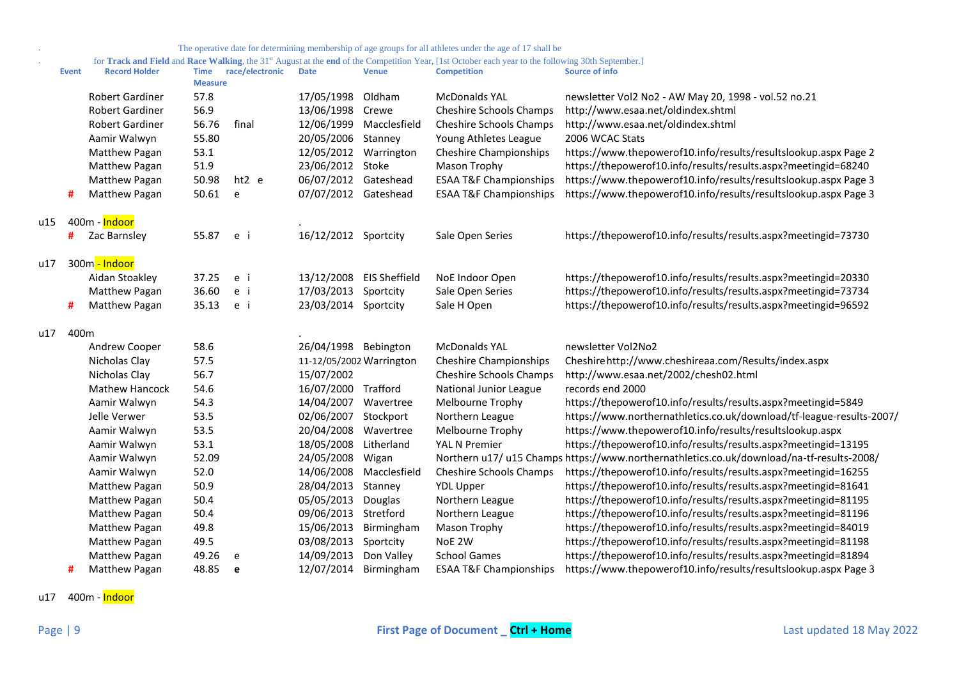#### . for **Track and Field** and **Race Walking**, the 31st August at the **end** of the Competition Year, [1st October each year to the following 30th September.]

|     | <b>Event</b> | <b>Record Holder</b>   | <b>Time</b><br><b>Measure</b> | race/electronic | <b>Date</b>              | <b>Venue</b>             | <b>Competition</b>                | Source of info                                                                            |
|-----|--------------|------------------------|-------------------------------|-----------------|--------------------------|--------------------------|-----------------------------------|-------------------------------------------------------------------------------------------|
|     |              | <b>Robert Gardiner</b> | 57.8                          |                 | 17/05/1998               | Oldham                   | <b>McDonalds YAL</b>              | newsletter Vol2 No2 - AW May 20, 1998 - vol.52 no.21                                      |
|     |              | <b>Robert Gardiner</b> | 56.9                          |                 | 13/06/1998               | Crewe                    | Cheshire Schools Champs           | http://www.esaa.net/oldindex.shtml                                                        |
|     |              | <b>Robert Gardiner</b> | 56.76                         | final           | 12/06/1999               | Macclesfield             | <b>Cheshire Schools Champs</b>    | http://www.esaa.net/oldindex.shtml                                                        |
|     |              | Aamir Walwyn           | 55.80                         |                 | 20/05/2006               | Stanney                  | Young Athletes League             | 2006 WCAC Stats                                                                           |
|     |              | Matthew Pagan          | 53.1                          |                 | 12/05/2012               | Warrington               | <b>Cheshire Championships</b>     | https://www.thepowerof10.info/results/resultslookup.aspx Page 2                           |
|     |              | Matthew Pagan          | 51.9                          |                 | 23/06/2012               | Stoke                    | Mason Trophy                      | https://thepowerof10.info/results/results.aspx?meetingid=68240                            |
|     |              | Matthew Pagan          | 50.98                         | ht2 e           | 06/07/2012 Gateshead     |                          | <b>ESAA T&amp;F Championships</b> | https://www.thepowerof10.info/results/resultslookup.aspx Page 3                           |
|     | #            | Matthew Pagan          | 50.61                         | e               | 07/07/2012 Gateshead     |                          | <b>ESAA T&amp;F Championships</b> | https://www.thepowerof10.info/results/resultslookup.aspx Page 3                           |
| u15 |              | 400m - Indoor          |                               |                 |                          |                          |                                   |                                                                                           |
|     |              | Zac Barnsley           | 55.87                         | e i             | 16/12/2012               | Sportcity                | Sale Open Series                  | https://thepowerof10.info/results/results.aspx?meetingid=73730                            |
| u17 |              | 300m - Indoor          |                               |                 |                          |                          |                                   |                                                                                           |
|     |              | Aidan Stoakley         | 37.25                         | e i             |                          | 13/12/2008 EIS Sheffield | NoE Indoor Open                   | https://thepowerof10.info/results/results.aspx?meetingid=20330                            |
|     |              | Matthew Pagan          | 36.60                         | e i             | 17/03/2013               | Sportcity                | Sale Open Series                  | https://thepowerof10.info/results/results.aspx?meetingid=73734                            |
|     | #            | Matthew Pagan          | 35.13                         | e i             | 23/03/2014 Sportcity     |                          | Sale H Open                       | https://thepowerof10.info/results/results.aspx?meetingid=96592                            |
| u17 | 400m         |                        |                               |                 |                          |                          |                                   |                                                                                           |
|     |              | Andrew Cooper          | 58.6                          |                 | 26/04/1998 Bebington     |                          | <b>McDonalds YAL</b>              | newsletter Vol2No2                                                                        |
|     |              | Nicholas Clay          | 57.5                          |                 | 11-12/05/2002 Warrington |                          | <b>Cheshire Championships</b>     | Cheshirehttp://www.cheshireaa.com/Results/index.aspx                                      |
|     |              | Nicholas Clay          | 56.7                          |                 | 15/07/2002               |                          | <b>Cheshire Schools Champs</b>    | http://www.esaa.net/2002/chesh02.html                                                     |
|     |              | <b>Mathew Hancock</b>  | 54.6                          |                 | 16/07/2000 Trafford      |                          | National Junior League            | records end 2000                                                                          |
|     |              | Aamir Walwyn           | 54.3                          |                 | 14/04/2007               | Wavertree                | Melbourne Trophy                  | https://thepowerof10.info/results/results.aspx?meetingid=5849                             |
|     |              | Jelle Verwer           | 53.5                          |                 | 02/06/2007               | Stockport                | Northern League                   | https://www.northernathletics.co.uk/download/tf-league-results-2007/                      |
|     |              | Aamir Walwyn           | 53.5                          |                 | 20/04/2008               | Wavertree                | Melbourne Trophy                  | https://www.thepowerof10.info/results/resultslookup.aspx                                  |
|     |              | Aamir Walwyn           | 53.1                          |                 | 18/05/2008               | Litherland               | <b>YAL N Premier</b>              | https://thepowerof10.info/results/results.aspx?meetingid=13195                            |
|     |              | Aamir Walwyn           | 52.09                         |                 | 24/05/2008               | Wigan                    |                                   | Northern u17/ u15 Champs https://www.northernathletics.co.uk/download/na-tf-results-2008/ |
|     |              | Aamir Walwyn           | 52.0                          |                 | 14/06/2008               | Macclesfield             | <b>Cheshire Schools Champs</b>    | https://thepowerof10.info/results/results.aspx?meetingid=16255                            |
|     |              | Matthew Pagan          | 50.9                          |                 | 28/04/2013               | Stanney                  | <b>YDL Upper</b>                  | https://thepowerof10.info/results/results.aspx?meetingid=81641                            |
|     |              | Matthew Pagan          | 50.4                          |                 | 05/05/2013               | Douglas                  | Northern League                   | https://thepowerof10.info/results/results.aspx?meetingid=81195                            |
|     |              | Matthew Pagan          | 50.4                          |                 | 09/06/2013               | Stretford                | Northern League                   | https://thepowerof10.info/results/results.aspx?meetingid=81196                            |
|     |              | <b>Matthew Pagan</b>   | 49.8                          |                 | 15/06/2013               | Birmingham               | <b>Mason Trophy</b>               | https://thepowerof10.info/results/results.aspx?meetingid=84019                            |
|     |              | Matthew Pagan          | 49.5                          |                 | 03/08/2013               | Sportcity                | NoE 2W                            | https://thepowerof10.info/results/results.aspx?meetingid=81198                            |
|     |              | Matthew Pagan          | 49.26                         | e               | 14/09/2013               | Don Valley               | <b>School Games</b>               | https://thepowerof10.info/results/results.aspx?meetingid=81894                            |
|     |              | <b>Matthew Pagan</b>   | 48.85                         | e               |                          | 12/07/2014 Birmingham    | <b>ESAA T&amp;F Championships</b> | https://www.thepowerof10.info/results/resultslookup.aspx Page 3                           |

u17 400m - Indoor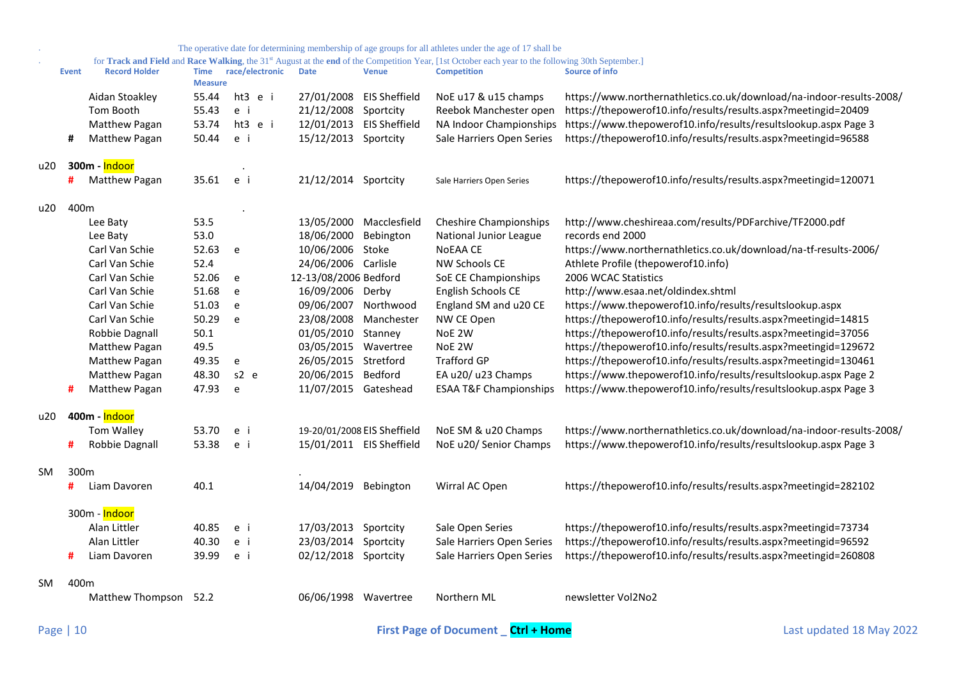|     |                  |                      |                               |                 |                             |               | The operative date for determining membership of age groups for all athletes under the age of 17 shall be                                                                            |                                                                      |
|-----|------------------|----------------------|-------------------------------|-----------------|-----------------------------|---------------|--------------------------------------------------------------------------------------------------------------------------------------------------------------------------------------|----------------------------------------------------------------------|
|     | <b>Event</b>     | <b>Record Holder</b> | <b>Time</b><br><b>Measure</b> | race/electronic | <b>Date</b>                 | <b>Venue</b>  | for Track and Field and Race Walking, the 31 <sup>st</sup> August at the end of the Competition Year, [1st October each year to the following 30th September.]<br><b>Competition</b> | <b>Source of info</b>                                                |
|     |                  | Aidan Stoakley       | 55.44                         | ht3 e i         | 27/01/2008                  | EIS Sheffield | NoE u17 & u15 champs                                                                                                                                                                 | https://www.northernathletics.co.uk/download/na-indoor-results-2008/ |
|     |                  | Tom Booth            | 55.43                         | e i             | 21/12/2008                  | Sportcity     | Reebok Manchester open                                                                                                                                                               | https://thepowerof10.info/results/results.aspx?meetingid=20409       |
|     |                  | Matthew Pagan        | 53.74                         | ht3 e i         | 12/01/2013 EIS Sheffield    |               | NA Indoor Championships                                                                                                                                                              | https://www.thepowerof10.info/results/resultslookup.aspx Page 3      |
|     | #                | Matthew Pagan        | 50.44                         | e i             | 15/12/2013 Sportcity        |               | Sale Harriers Open Series                                                                                                                                                            | https://thepowerof10.info/results/results.aspx?meetingid=96588       |
| u20 |                  | 300m - Indoor        |                               |                 |                             |               |                                                                                                                                                                                      |                                                                      |
|     | #                | Matthew Pagan        | 35.61                         | e i             | 21/12/2014 Sportcity        |               | Sale Harriers Open Series                                                                                                                                                            | https://thepowerof10.info/results/results.aspx?meetingid=120071      |
| u20 | 400m             |                      |                               |                 |                             |               |                                                                                                                                                                                      |                                                                      |
|     |                  | Lee Baty             | 53.5                          |                 | 13/05/2000                  | Macclesfield  | <b>Cheshire Championships</b>                                                                                                                                                        | http://www.cheshireaa.com/results/PDFarchive/TF2000.pdf              |
|     |                  | Lee Baty             | 53.0                          |                 | 18/06/2000                  | Bebington     | National Junior League                                                                                                                                                               | records end 2000                                                     |
|     |                  | Carl Van Schie       | 52.63                         | e               | 10/06/2006 Stoke            |               | <b>NOEAA CE</b>                                                                                                                                                                      | https://www.northernathletics.co.uk/download/na-tf-results-2006/     |
|     |                  | Carl Van Schie       | 52.4                          |                 | 24/06/2006 Carlisle         |               | <b>NW Schools CE</b>                                                                                                                                                                 | Athlete Profile (thepowerof10.info)                                  |
|     |                  | Carl Van Schie       | 52.06                         | e               | 12-13/08/2006 Bedford       |               | SoE CE Championships                                                                                                                                                                 | 2006 WCAC Statistics                                                 |
|     |                  | Carl Van Schie       | 51.68                         | e               | 16/09/2006 Derby            |               | English Schools CE                                                                                                                                                                   | http://www.esaa.net/oldindex.shtml                                   |
|     |                  | Carl Van Schie       | 51.03                         | e               | 09/06/2007 Northwood        |               | England SM and u20 CE                                                                                                                                                                | https://www.thepowerof10.info/results/resultslookup.aspx             |
|     |                  | Carl Van Schie       | 50.29                         | e               | 23/08/2008 Manchester       |               | NW CE Open                                                                                                                                                                           | https://thepowerof10.info/results/results.aspx?meetingid=14815       |
|     |                  | Robbie Dagnall       | 50.1                          |                 | 01/05/2010 Stanney          |               | NoE 2W                                                                                                                                                                               | https://thepowerof10.info/results/results.aspx?meetingid=37056       |
|     |                  | Matthew Pagan        | 49.5                          |                 | 03/05/2015 Wavertree        |               | NoE 2W                                                                                                                                                                               | https://thepowerof10.info/results/results.aspx?meetingid=129672      |
|     |                  | Matthew Pagan        | 49.35                         | e               | 26/05/2015 Stretford        |               | <b>Trafford GP</b>                                                                                                                                                                   | https://thepowerof10.info/results/results.aspx?meetingid=130461      |
|     |                  | Matthew Pagan        | 48.30                         | $s2$ e          | 20/06/2015                  | Bedford       | EA u20/ u23 Champs                                                                                                                                                                   | https://www.thepowerof10.info/results/resultslookup.aspx Page 2      |
|     | #                | Matthew Pagan        | 47.93                         | e               | 11/07/2015 Gateshead        |               | <b>ESAA T&amp;F Championships</b>                                                                                                                                                    | https://www.thepowerof10.info/results/resultslookup.aspx Page 3      |
| u20 |                  | 400m - Indoor        |                               |                 |                             |               |                                                                                                                                                                                      |                                                                      |
|     |                  | Tom Walley           | 53.70                         | e i             | 19-20/01/2008 EIS Sheffield |               | NoE SM & u20 Champs                                                                                                                                                                  | https://www.northernathletics.co.uk/download/na-indoor-results-2008/ |
|     | #                | Robbie Dagnall       | 53.38                         | e i             | 15/01/2011 EIS Sheffield    |               | NoE u20/ Senior Champs                                                                                                                                                               | https://www.thepowerof10.info/results/resultslookup.aspx Page 3      |
| SM. | 300 <sub>m</sub> |                      |                               |                 |                             |               |                                                                                                                                                                                      |                                                                      |
|     | #                | Liam Davoren         | 40.1                          |                 | 14/04/2019 Bebington        |               | Wirral AC Open                                                                                                                                                                       | https://thepowerof10.info/results/results.aspx?meetingid=282102      |
|     |                  | 300m - Indoor        |                               |                 |                             |               |                                                                                                                                                                                      |                                                                      |
|     |                  | Alan Littler         | 40.85                         | e i             | 17/03/2013 Sportcity        |               | Sale Open Series                                                                                                                                                                     | https://thepowerof10.info/results/results.aspx?meetingid=73734       |
|     |                  | Alan Littler         | 40.30                         | e i             | 23/03/2014 Sportcity        |               | Sale Harriers Open Series                                                                                                                                                            | https://thepowerof10.info/results/results.aspx?meetingid=96592       |
|     | #                | Liam Davoren         | 39.99                         | e i             | 02/12/2018 Sportcity        |               | Sale Harriers Open Series                                                                                                                                                            | https://thepowerof10.info/results/results.aspx?meetingid=260808      |
| SM  | 400m             |                      |                               |                 |                             |               |                                                                                                                                                                                      |                                                                      |
|     |                  | Matthew Thompson     | 52.2                          |                 | 06/06/1998 Wavertree        |               | Northern ML                                                                                                                                                                          | newsletter Vol2No2                                                   |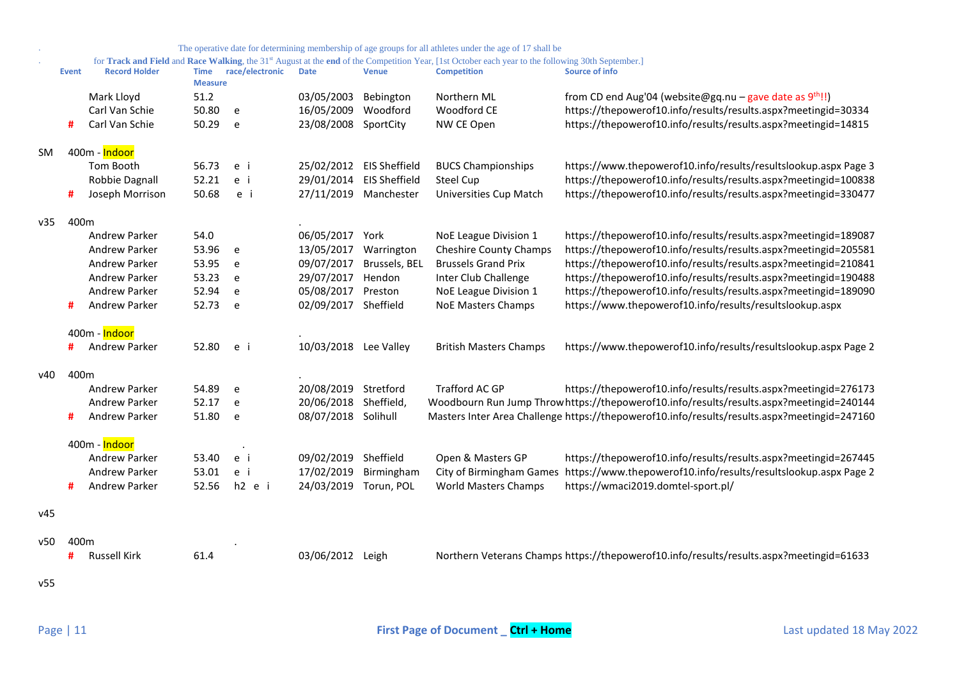|           |              |                      |                               |                 |                          |                      | The operative date for determining membership of age groups for all athletes under the age of 17 shall be                                          |                                                                                              |
|-----------|--------------|----------------------|-------------------------------|-----------------|--------------------------|----------------------|----------------------------------------------------------------------------------------------------------------------------------------------------|----------------------------------------------------------------------------------------------|
|           |              |                      |                               |                 |                          |                      | for Track and Field and Race Walking, the 31st August at the end of the Competition Year, [1st October each year to the following 30th September.] |                                                                                              |
|           | <b>Event</b> | <b>Record Holder</b> | <b>Time</b><br><b>Measure</b> | race/electronic | <b>Date</b>              | <b>Venue</b>         | <b>Competition</b>                                                                                                                                 | <b>Source of info</b>                                                                        |
|           |              | Mark Lloyd           | 51.2                          |                 | 03/05/2003               | Bebington            | Northern ML                                                                                                                                        | from CD end Aug'04 (website@gq.nu – gave date as $9^{th}$ !!)                                |
|           |              | Carl Van Schie       | 50.80                         | e               | 16/05/2009               | Woodford             | Woodford CE                                                                                                                                        | https://thepowerof10.info/results/results.aspx?meetingid=30334                               |
|           | #            | Carl Van Schie       | 50.29                         | e               | 23/08/2008               | SportCity            | NW CE Open                                                                                                                                         | https://thepowerof10.info/results/results.aspx?meetingid=14815                               |
| <b>SM</b> |              | 400m - Indoor        |                               |                 |                          |                      |                                                                                                                                                    |                                                                                              |
|           |              | Tom Booth            | 56.73                         | e i             | 25/02/2012 EIS Sheffield |                      | <b>BUCS Championships</b>                                                                                                                          | https://www.thepowerof10.info/results/resultslookup.aspx Page 3                              |
|           |              | Robbie Dagnall       | 52.21                         | e i             | 29/01/2014               | <b>EIS Sheffield</b> | <b>Steel Cup</b>                                                                                                                                   | https://thepowerof10.info/results/results.aspx?meetingid=100838                              |
|           | #            | Joseph Morrison      | 50.68                         | e i             | 27/11/2019 Manchester    |                      | Universities Cup Match                                                                                                                             | https://thepowerof10.info/results/results.aspx?meetingid=330477                              |
| v35       | 400m         |                      |                               |                 |                          |                      |                                                                                                                                                    |                                                                                              |
|           |              | <b>Andrew Parker</b> | 54.0                          |                 | 06/05/2017               | York                 | NoE League Division 1                                                                                                                              | https://thepowerof10.info/results/results.aspx?meetingid=189087                              |
|           |              | Andrew Parker        | 53.96                         | e               | 13/05/2017               | Warrington           | <b>Cheshire County Champs</b>                                                                                                                      | https://thepowerof10.info/results/results.aspx?meetingid=205581                              |
|           |              | <b>Andrew Parker</b> | 53.95                         | e               | 09/07/2017               | Brussels, BEL        | <b>Brussels Grand Prix</b>                                                                                                                         | https://thepowerof10.info/results/results.aspx?meetingid=210841                              |
|           |              | Andrew Parker        | 53.23                         | e               | 29/07/2017               | Hendon               | Inter Club Challenge                                                                                                                               | https://thepowerof10.info/results/results.aspx?meetingid=190488                              |
|           |              | <b>Andrew Parker</b> | 52.94                         | e               | 05/08/2017               | Preston              | NoE League Division 1                                                                                                                              | https://thepowerof10.info/results/results.aspx?meetingid=189090                              |
|           | #            | Andrew Parker        | 52.73                         | e               | 02/09/2017               | Sheffield            | <b>NoE Masters Champs</b>                                                                                                                          | https://www.thepowerof10.info/results/resultslookup.aspx                                     |
|           |              | 400m - Indoor        |                               |                 |                          |                      |                                                                                                                                                    |                                                                                              |
|           | #            | Andrew Parker        | 52.80                         | e i             | 10/03/2018 Lee Valley    |                      | <b>British Masters Champs</b>                                                                                                                      | https://www.thepowerof10.info/results/resultslookup.aspx Page 2                              |
| v40       | 400m         |                      |                               |                 |                          |                      |                                                                                                                                                    |                                                                                              |
|           |              | <b>Andrew Parker</b> | 54.89                         | e               | 20/08/2019               | Stretford            | Trafford AC GP                                                                                                                                     | https://thepowerof10.info/results/results.aspx?meetingid=276173                              |
|           |              | <b>Andrew Parker</b> | 52.17                         | e               | 20/06/2018               | Sheffield,           |                                                                                                                                                    | Woodbourn Run Jump Throw https://thepowerof10.info/results/results.aspx?meetingid=240144     |
|           | #            | Andrew Parker        | 51.80                         | e               | 08/07/2018 Solihull      |                      |                                                                                                                                                    | Masters Inter Area Challenge https://thepowerof10.info/results/results.aspx?meetingid=247160 |
|           |              | 400m - Indoor        |                               |                 |                          |                      |                                                                                                                                                    |                                                                                              |
|           |              | Andrew Parker        | 53.40                         | e i             | 09/02/2019               | Sheffield            | Open & Masters GP                                                                                                                                  | https://thepowerof10.info/results/results.aspx?meetingid=267445                              |
|           |              | <b>Andrew Parker</b> | 53.01                         | e i             | 17/02/2019               | Birmingham           | City of Birmingham Games                                                                                                                           | https://www.thepowerof10.info/results/resultslookup.aspx Page 2                              |
|           | #            | <b>Andrew Parker</b> | 52.56                         | h2 e i          | 24/03/2019               | Torun, POL           | <b>World Masters Champs</b>                                                                                                                        | https://wmaci2019.domtel-sport.pl/                                                           |
| v45       |              |                      |                               |                 |                          |                      |                                                                                                                                                    |                                                                                              |
|           |              |                      |                               |                 |                          |                      |                                                                                                                                                    |                                                                                              |
| v50       | 400m         | <b>Russell Kirk</b>  | 61.4                          |                 |                          |                      |                                                                                                                                                    | Northern Veterans Champs https://thepowerof10.info/results/results.aspx?meetingid=61633      |
|           | #            |                      |                               |                 | 03/06/2012 Leigh         |                      |                                                                                                                                                    |                                                                                              |
| v55       |              |                      |                               |                 |                          |                      |                                                                                                                                                    |                                                                                              |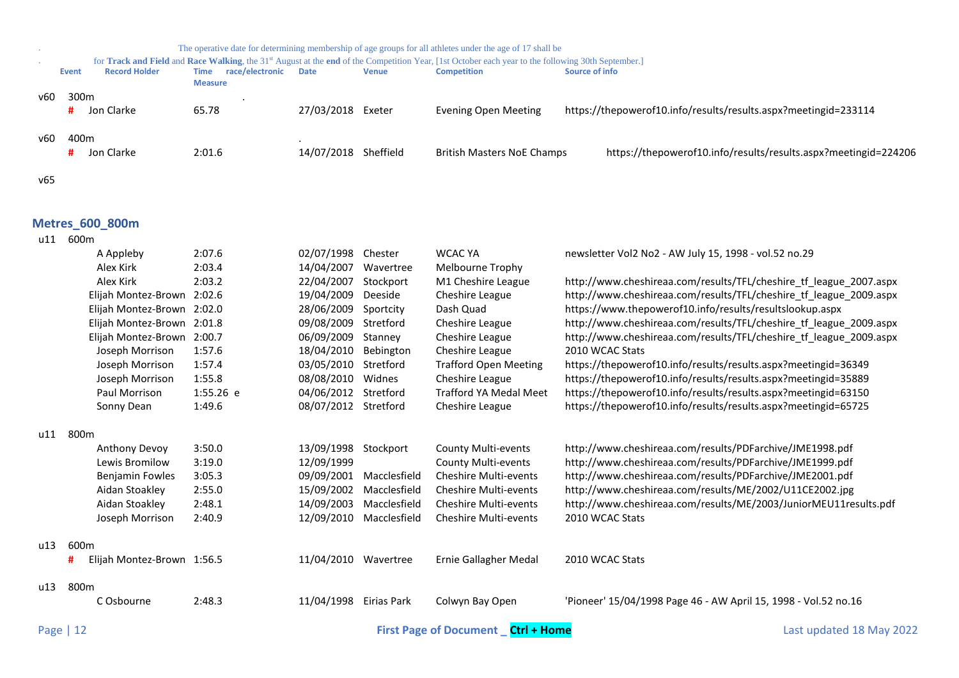|     | The operative date for determining membership of age groups for all athletes under the age of 17 shall be |                      |                                           |                      |              |                                                                                                                                                                |                                                                 |  |  |  |  |  |
|-----|-----------------------------------------------------------------------------------------------------------|----------------------|-------------------------------------------|----------------------|--------------|----------------------------------------------------------------------------------------------------------------------------------------------------------------|-----------------------------------------------------------------|--|--|--|--|--|
|     |                                                                                                           |                      |                                           |                      |              | for Track and Field and Race Walking, the 31 <sup>st</sup> August at the end of the Competition Year, [1st October each year to the following 30th September.] |                                                                 |  |  |  |  |  |
|     | Event                                                                                                     | <b>Record Holder</b> | race/electronic<br>Time<br><b>Measure</b> | Date                 | <b>Venue</b> | <b>Competition</b>                                                                                                                                             | Source of info                                                  |  |  |  |  |  |
| ν60 | 300 <sub>m</sub>                                                                                          |                      |                                           |                      |              |                                                                                                                                                                |                                                                 |  |  |  |  |  |
|     | #                                                                                                         | Jon Clarke           | 65.78                                     | 27/03/2018 Exeter    |              | Evening Open Meeting                                                                                                                                           | https://thepowerof10.info/results/results.aspx?meetingid=233114 |  |  |  |  |  |
| ν60 | 400m                                                                                                      |                      |                                           |                      |              |                                                                                                                                                                |                                                                 |  |  |  |  |  |
|     | #                                                                                                         | Jon Clarke           | 2:01.6                                    | 14/07/2018 Sheffield |              | <b>British Masters NoE Champs</b>                                                                                                                              | https://thepowerof10.info/results/results.aspx?meetingid=224206 |  |  |  |  |  |
| v65 |                                                                                                           |                      |                                           |                      |              |                                                                                                                                                                |                                                                 |  |  |  |  |  |

# <span id="page-11-0"></span>**Metres\_600\_800m**

| u11 | 600m                            |             |            |              |                                           |                                                                    |
|-----|---------------------------------|-------------|------------|--------------|-------------------------------------------|--------------------------------------------------------------------|
|     | A Appleby                       | 2:07.6      | 02/07/1998 | Chester      | <b>WCAC YA</b>                            | newsletter Vol2 No2 - AW July 15, 1998 - vol.52 no.29              |
|     | Alex Kirk                       | 2:03.4      | 14/04/2007 | Wavertree    | Melbourne Trophy                          |                                                                    |
|     | Alex Kirk                       | 2:03.2      | 22/04/2007 | Stockport    | M1 Cheshire League                        | http://www.cheshireaa.com/results/TFL/cheshire_tf_league_2007.aspx |
|     | Elijah Montez-Brown             | 2:02.6      | 19/04/2009 | Deeside      | Cheshire League                           | http://www.cheshireaa.com/results/TFL/cheshire_tf_league_2009.aspx |
|     | Elijah Montez-Brown             | 2:02.0      |            | Sportcity    | Dash Quad                                 | https://www.thepowerof10.info/results/resultslookup.aspx           |
|     | Elijah Montez-Brown 2:01.8      |             | 09/08/2009 | Stretford    | Cheshire League                           | http://www.cheshireaa.com/results/TFL/cheshire_tf_league_2009.aspx |
|     | Elijah Montez-Brown             | 2:00.7      | 06/09/2009 | Stanney      | Cheshire League                           | http://www.cheshireaa.com/results/TFL/cheshire tf league 2009.aspx |
|     | Joseph Morrison                 | 1:57.6      | 18/04/2010 | Bebington    | Cheshire League                           | 2010 WCAC Stats                                                    |
|     | Joseph Morrison                 | 1:57.4      | 03/05/2010 | Stretford    | <b>Trafford Open Meeting</b>              | https://thepowerof10.info/results/results.aspx?meetingid=36349     |
|     | Joseph Morrison                 | 1:55.8      | 08/08/2010 | Widnes       | Cheshire League                           | https://thepowerof10.info/results/results.aspx?meetingid=35889     |
|     | Paul Morrison                   | $1:55.26$ e | 04/06/2012 | Stretford    | <b>Trafford YA Medal Meet</b>             | https://thepowerof10.info/results/results.aspx?meetingid=63150     |
|     | Sonny Dean                      | 1:49.6      | 08/07/2012 | Stretford    | Cheshire League                           | https://thepowerof10.info/results/results.aspx?meetingid=65725     |
| u11 | 800m                            |             |            |              |                                           |                                                                    |
|     | Anthony Devoy                   | 3:50.0      | 13/09/1998 | Stockport    | <b>County Multi-events</b>                | http://www.cheshireaa.com/results/PDFarchive/JME1998.pdf           |
|     | Lewis Bromilow                  | 3:19.0      | 12/09/1999 |              | <b>County Multi-events</b>                | http://www.cheshireaa.com/results/PDFarchive/JME1999.pdf           |
|     | <b>Benjamin Fowles</b>          | 3:05.3      | 09/09/2001 | Macclesfield | <b>Cheshire Multi-events</b>              | http://www.cheshireaa.com/results/PDFarchive/JME2001.pdf           |
|     | Aidan Stoakley                  | 2:55.0      | 15/09/2002 | Macclesfield | Cheshire Multi-events                     | http://www.cheshireaa.com/results/ME/2002/U11CE2002.jpg            |
|     | Aidan Stoakley                  | 2:48.1      | 14/09/2003 | Macclesfield | <b>Cheshire Multi-events</b>              | http://www.cheshireaa.com/results/ME/2003/JuniorMEU11results.pdf   |
|     | Joseph Morrison                 | 2:40.9      | 12/09/2010 | Macclesfield | <b>Cheshire Multi-events</b>              | 2010 WCAC Stats                                                    |
| u13 | 600m                            |             |            |              |                                           |                                                                    |
|     | #<br>Elijah Montez-Brown 1:56.5 |             | 11/04/2010 | Wavertree    | Ernie Gallagher Medal                     | 2010 WCAC Stats                                                    |
| u13 | 800 <sub>m</sub>                |             |            |              |                                           |                                                                    |
|     | C Osbourne                      | 2:48.3      | 11/04/1998 | Eirias Park  | Colwyn Bay Open                           | 'Pioneer' 15/04/1998 Page 46 - AW April 15, 1998 - Vol.52 no.16    |
|     | Page   $12$                     |             |            |              | <b>First Page of Document</b> Ctrl + Home | Last updated 18 May 2022                                           |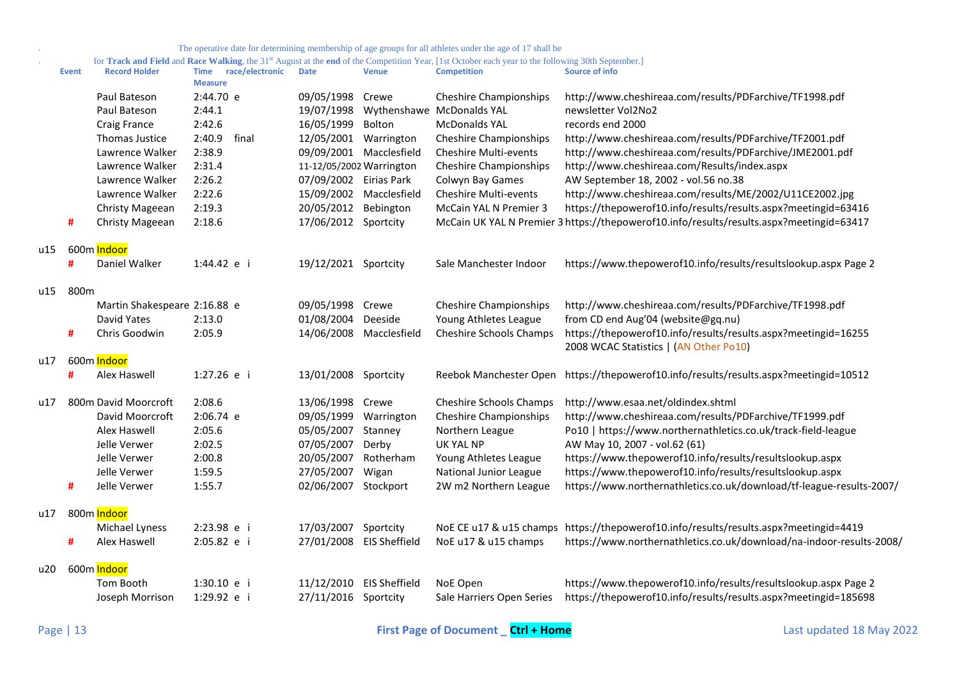for **Track and Field** and **Race Walking**, the 31<sup>st</sup> August at the **end** of the Competition Year, [1st October each year to the following 30th September.]

|     | <b>Event</b> | <b>Record Holder</b>         | race/electronic<br>Time<br><b>Measure</b> | <b>Date</b>              | <b>Venue</b> | <b>Competition</b>            | Source of info                                                                                           |
|-----|--------------|------------------------------|-------------------------------------------|--------------------------|--------------|-------------------------------|----------------------------------------------------------------------------------------------------------|
|     |              | Paul Bateson                 | 2:44.70 e                                 | 09/05/1998 Crewe         |              | <b>Cheshire Championships</b> | http://www.cheshireaa.com/results/PDFarchive/TF1998.pdf                                                  |
|     |              | Paul Bateson                 | 2:44.1                                    | 19/07/1998               |              | Wythenshawe McDonalds YAL     | newsletter Vol2No2                                                                                       |
|     |              | Craig France                 | 2:42.6                                    | 16/05/1999               | Bolton       | <b>McDonalds YAL</b>          | records end 2000                                                                                         |
|     |              | Thomas Justice               | 2:40.9<br>final                           | 12/05/2001 Warrington    |              | <b>Cheshire Championships</b> | http://www.cheshireaa.com/results/PDFarchive/TF2001.pdf                                                  |
|     |              | Lawrence Walker              | 2:38.9                                    | 09/09/2001 Macclesfield  |              | Cheshire Multi-events         | http://www.cheshireaa.com/results/PDFarchive/JME2001.pdf                                                 |
|     |              | Lawrence Walker              | 2:31.4                                    | 11-12/05/2002 Warrington |              | <b>Cheshire Championships</b> | http://www.cheshireaa.com/Results/index.aspx                                                             |
|     |              | Lawrence Walker              | 2:26.2                                    | 07/09/2002 Eirias Park   |              | Colwyn Bay Games              | AW September 18, 2002 - vol.56 no.38                                                                     |
|     |              | Lawrence Walker              | 2:22.6                                    | 15/09/2002               | Macclesfield | <b>Cheshire Multi-events</b>  | http://www.cheshireaa.com/results/ME/2002/U11CE2002.jpg                                                  |
|     |              | Christy Mageean              | 2:19.3                                    | 20/05/2012               | Bebington    | McCain YAL N Premier 3        | https://thepowerof10.info/results/results.aspx?meetingid=63416                                           |
|     | #            | Christy Mageean              | 2:18.6                                    | 17/06/2012 Sportcity     |              |                               | McCain UK YAL N Premier 3 https://thepowerof10.info/results/results.aspx?meetingid=63417                 |
| u15 |              | 600m Indoor                  |                                           |                          |              |                               |                                                                                                          |
|     |              | Daniel Walker                | 1:44.42 e i                               | 19/12/2021 Sportcity     |              | Sale Manchester Indoor        | https://www.thepowerof10.info/results/resultslookup.aspx Page 2                                          |
| u15 | 800m         |                              |                                           |                          |              |                               |                                                                                                          |
|     |              | Martin Shakespeare 2:16.88 e |                                           | 09/05/1998 Crewe         |              | <b>Cheshire Championships</b> | http://www.cheshireaa.com/results/PDFarchive/TF1998.pdf                                                  |
|     |              | David Yates                  | 2:13.0                                    | 01/08/2004               | Deeside      | Young Athletes League         | from CD end Aug'04 (website@gq.nu)                                                                       |
|     | #            | Chris Goodwin                | 2:05.9                                    | 14/06/2008               | Macclesfield | Cheshire Schools Champs       | https://thepowerof10.info/results/results.aspx?meetingid=16255<br>2008 WCAC Statistics   (AN Other Po10) |
| u17 |              | 600m Indoor                  |                                           |                          |              |                               |                                                                                                          |
|     | #            | Alex Haswell                 | 1:27.26 e i                               | 13/01/2008 Sportcity     |              | Reebok Manchester Open        | https://thepowerof10.info/results/results.aspx?meetingid=10512                                           |
| u17 |              | 800m David Moorcroft         | 2:08.6                                    | 13/06/1998               | Crewe        | Cheshire Schools Champs       | http://www.esaa.net/oldindex.shtml                                                                       |
|     |              | David Moorcroft              | 2:06.74 e                                 | 09/05/1999               | Warrington   | <b>Cheshire Championships</b> | http://www.cheshireaa.com/results/PDFarchive/TF1999.pdf                                                  |
|     |              | Alex Haswell                 | 2:05.6                                    | 05/05/2007 Stanney       |              | Northern League               | Po10   https://www.northernathletics.co.uk/track-field-league                                            |
|     |              | Jelle Verwer                 | 2:02.5                                    | 07/05/2007               | Derby        | <b>UK YAL NP</b>              | AW May 10, 2007 - vol.62 (61)                                                                            |
|     |              | Jelle Verwer                 | 2:00.8                                    | 20/05/2007               | Rotherham    | Young Athletes League         | https://www.thepowerof10.info/results/resultslookup.aspx                                                 |
|     |              | Jelle Verwer                 | 1:59.5                                    | 27/05/2007               | Wigan        | National Junior League        | https://www.thepowerof10.info/results/resultslookup.aspx                                                 |
|     | #            | Jelle Verwer                 | 1:55.7                                    | 02/06/2007 Stockport     |              | 2W m2 Northern League         | https://www.northernathletics.co.uk/download/tf-league-results-2007/                                     |
| u17 |              | 800m Indoor                  |                                           |                          |              |                               |                                                                                                          |
|     |              | Michael Lyness               | 2:23.98 e i                               | 17/03/2007               | Sportcity    | NoE CE u17 & u15 champs       | https://thepowerof10.info/results/results.aspx?meetingid=4419                                            |
|     | #            | Alex Haswell                 | 2:05.82 e i                               | 27/01/2008 EIS Sheffield |              | NoE u17 & u15 champs          | https://www.northernathletics.co.uk/download/na-indoor-results-2008/                                     |
| u20 |              | 600m Indoor                  |                                           |                          |              |                               |                                                                                                          |
|     |              | Tom Booth                    | 1:30.10 e i                               | 11/12/2010 EIS Sheffield |              | NoE Open                      | https://www.thepowerof10.info/results/resultslookup.aspx Page 2                                          |
|     |              | Joseph Morrison              | 1:29.92 e i                               | 27/11/2016 Sportcity     |              | Sale Harriers Open Series     | https://thepowerof10.info/results/results.aspx?meetingid=185698                                          |
|     |              |                              |                                           |                          |              |                               |                                                                                                          |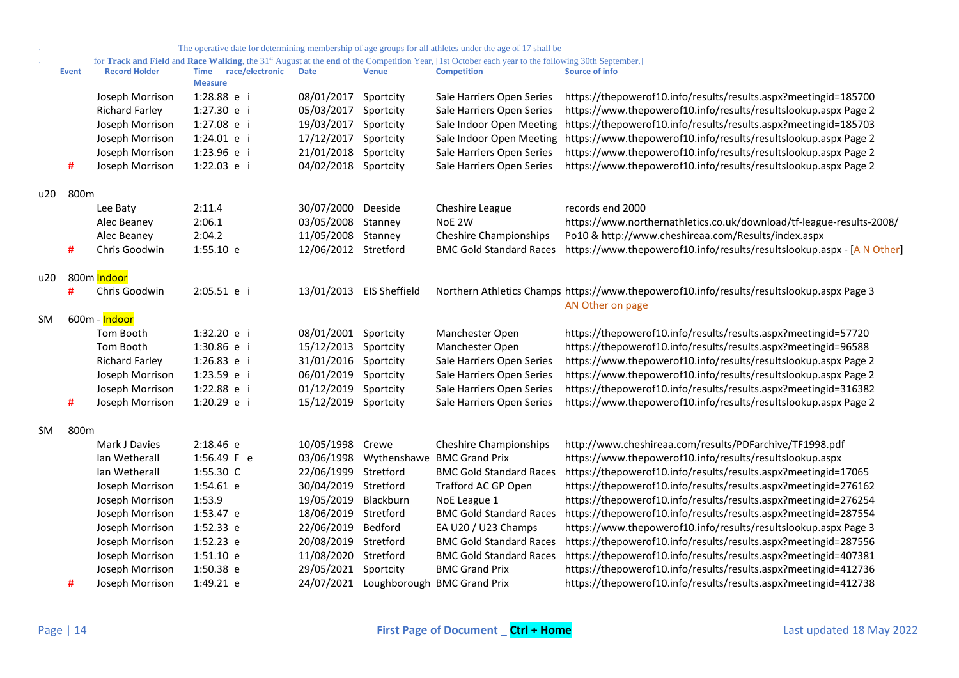|     |       |                          |                                        |                      |                          | The operative date for determining membership of age groups for all athletes under the age of 17 shall be                                                      |                                                                                           |
|-----|-------|--------------------------|----------------------------------------|----------------------|--------------------------|----------------------------------------------------------------------------------------------------------------------------------------------------------------|-------------------------------------------------------------------------------------------|
|     |       |                          |                                        |                      |                          | for Track and Field and Race Walking, the 31 <sup>st</sup> August at the end of the Competition Year, [1st October each year to the following 30th September.] |                                                                                           |
|     | Event | <b>Record Holder</b>     | Time race/electronic<br><b>Measure</b> | <b>Date</b>          | <b>Venue</b>             | <b>Competition</b>                                                                                                                                             | Source of info                                                                            |
|     |       | Joseph Morrison          | 1:28.88 e i                            | 08/01/2017           | Sportcity                | Sale Harriers Open Series                                                                                                                                      | https://thepowerof10.info/results/results.aspx?meetingid=185700                           |
|     |       | <b>Richard Farley</b>    | 1:27.30 e i                            | 05/03/2017           | Sportcity                | Sale Harriers Open Series                                                                                                                                      | https://www.thepowerof10.info/results/resultslookup.aspx Page 2                           |
|     |       | Joseph Morrison          | 1:27.08 e i                            | 19/03/2017           | Sportcity                | Sale Indoor Open Meeting                                                                                                                                       | https://thepowerof10.info/results/results.aspx?meetingid=185703                           |
|     |       | Joseph Morrison          | 1:24.01 e i                            | 17/12/2017           | Sportcity                | Sale Indoor Open Meeting                                                                                                                                       | https://www.thepowerof10.info/results/resultslookup.aspx Page 2                           |
|     |       | Joseph Morrison          | 1:23.96 e i                            | 21/01/2018           | Sportcity                | Sale Harriers Open Series                                                                                                                                      | https://www.thepowerof10.info/results/resultslookup.aspx Page 2                           |
|     | #     | Joseph Morrison          | 1:22.03 e i                            | 04/02/2018           | Sportcity                | Sale Harriers Open Series                                                                                                                                      | https://www.thepowerof10.info/results/resultslookup.aspx Page 2                           |
| u20 | 800m  |                          |                                        |                      |                          |                                                                                                                                                                |                                                                                           |
|     |       | Lee Baty                 | 2:11.4                                 | 30/07/2000           | Deeside                  | Cheshire League                                                                                                                                                | records end 2000                                                                          |
|     |       | Alec Beaney              | 2:06.1                                 | 03/05/2008           | Stanney                  | NoE 2W                                                                                                                                                         | https://www.northernathletics.co.uk/download/tf-league-results-2008/                      |
|     |       | Alec Beaney              | 2:04.2                                 | 11/05/2008           | Stanney                  | <b>Cheshire Championships</b>                                                                                                                                  | Po10 & http://www.cheshireaa.com/Results/index.aspx                                       |
|     | #     | Chris Goodwin            | $1:55.10$ e                            | 12/06/2012 Stretford |                          | <b>BMC Gold Standard Races</b>                                                                                                                                 | https://www.thepowerof10.info/results/resultslookup.aspx - [A N Other]                    |
| u20 |       | 800m <mark>Indoor</mark> |                                        |                      |                          |                                                                                                                                                                |                                                                                           |
|     | #     | Chris Goodwin            | 2:05.51 e i                            |                      | 13/01/2013 EIS Sheffield |                                                                                                                                                                | Northern Athletics Champs https://www.thepowerof10.info/results/resultslookup.aspx Page 3 |
|     |       |                          |                                        |                      |                          |                                                                                                                                                                | AN Other on page                                                                          |
| SM  |       | 600m - Indoor            |                                        |                      |                          |                                                                                                                                                                |                                                                                           |
|     |       | Tom Booth                | 1:32.20 e i                            | 08/01/2001           | Sportcity                | Manchester Open                                                                                                                                                | https://thepowerof10.info/results/results.aspx?meetingid=57720                            |
|     |       | Tom Booth                | 1:30.86 e i                            | 15/12/2013           | Sportcity                | Manchester Open                                                                                                                                                | https://thepowerof10.info/results/results.aspx?meetingid=96588                            |
|     |       | <b>Richard Farley</b>    | 1:26.83 e i                            | 31/01/2016           | Sportcity                | Sale Harriers Open Series                                                                                                                                      | https://www.thepowerof10.info/results/resultslookup.aspx Page 2                           |
|     |       | Joseph Morrison          | 1:23.59 e i                            | 06/01/2019           | Sportcity                | Sale Harriers Open Series                                                                                                                                      | https://www.thepowerof10.info/results/resultslookup.aspx Page 2                           |
|     |       | Joseph Morrison          | 1:22.88 e i                            | 01/12/2019           | Sportcity                | Sale Harriers Open Series                                                                                                                                      | https://thepowerof10.info/results/results.aspx?meetingid=316382                           |
|     | #     | Joseph Morrison          | 1:20.29 e i                            | 15/12/2019           | Sportcity                | Sale Harriers Open Series                                                                                                                                      | https://www.thepowerof10.info/results/resultslookup.aspx Page 2                           |
|     |       |                          |                                        |                      |                          |                                                                                                                                                                |                                                                                           |
| SM  | 800m  |                          |                                        |                      |                          |                                                                                                                                                                |                                                                                           |
|     |       | Mark J Davies            | 2:18.46 e                              | 10/05/1998           | Crewe                    | <b>Cheshire Championships</b>                                                                                                                                  | http://www.cheshireaa.com/results/PDFarchive/TF1998.pdf                                   |
|     |       | Ian Wetherall            | 1:56.49 F e                            | 03/06/1998           | Wythenshawe              | <b>BMC Grand Prix</b>                                                                                                                                          | https://www.thepowerof10.info/results/resultslookup.aspx                                  |
|     |       | Ian Wetherall            | 1:55.30 C                              | 22/06/1999           | Stretford                | <b>BMC Gold Standard Races</b>                                                                                                                                 | https://thepowerof10.info/results/results.aspx?meetingid=17065                            |
|     |       | Joseph Morrison          | 1:54.61 e                              | 30/04/2019           | Stretford                | Trafford AC GP Open                                                                                                                                            | https://thepowerof10.info/results/results.aspx?meetingid=276162                           |
|     |       | Joseph Morrison          | 1:53.9                                 | 19/05/2019           | Blackburn                | NoE League 1                                                                                                                                                   | https://thepowerof10.info/results/results.aspx?meetingid=276254                           |
|     |       | Joseph Morrison          | 1:53.47 e                              | 18/06/2019           | Stretford                | <b>BMC Gold Standard Races</b>                                                                                                                                 | https://thepowerof10.info/results/results.aspx?meetingid=287554                           |
|     |       | Joseph Morrison          | 1:52.33 e                              | 22/06/2019           | Bedford                  | EA U20 / U23 Champs                                                                                                                                            | https://www.thepowerof10.info/results/resultslookup.aspx Page 3                           |
|     |       | Joseph Morrison          | 1:52.23 e                              | 20/08/2019           | Stretford                | <b>BMC Gold Standard Races</b>                                                                                                                                 | https://thepowerof10.info/results/results.aspx?meetingid=287556                           |
|     |       | Joseph Morrison          | 1:51.10 e                              | 11/08/2020           | Stretford                | <b>BMC Gold Standard Races</b>                                                                                                                                 | https://thepowerof10.info/results/results.aspx?meetingid=407381                           |
|     |       | Joseph Morrison          | 1:50.38 e                              | 29/05/2021           | Sportcity                | <b>BMC Grand Prix</b>                                                                                                                                          | https://thepowerof10.info/results/results.aspx?meetingid=412736                           |
|     | #     | Joseph Morrison          | 1:49.21 e                              |                      | 24/07/2021 Loughborough  | <b>BMC Grand Prix</b>                                                                                                                                          | https://thepowerof10.info/results/results.aspx?meetingid=412738                           |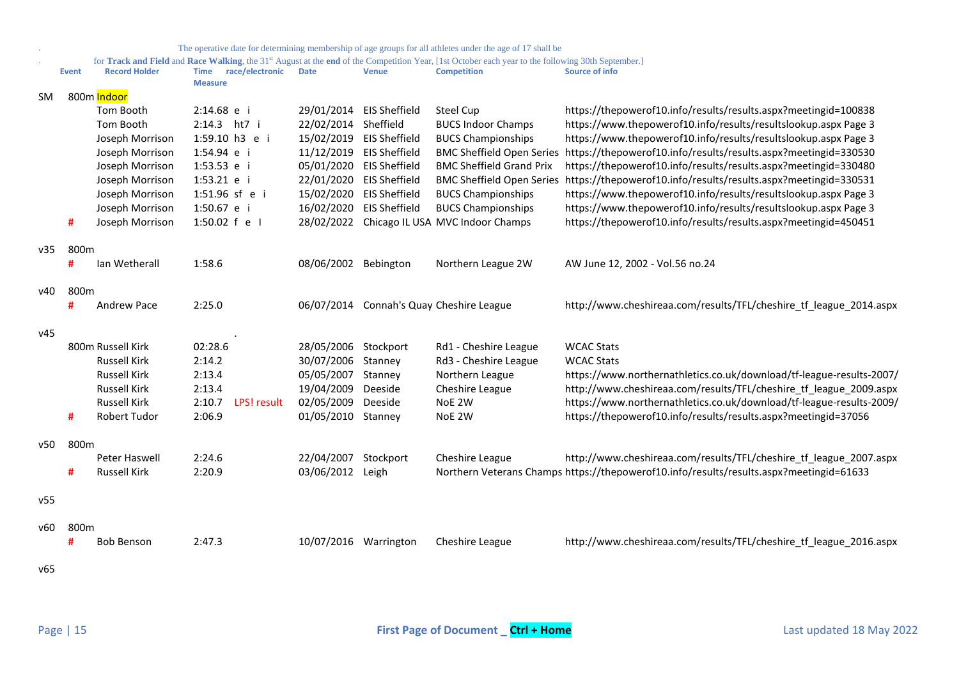|     |              |                      |                                           |                       |                          | The operative date for determining membership of age groups for all athletes under the age of 17 shall be                                                                            |                                                                                         |
|-----|--------------|----------------------|-------------------------------------------|-----------------------|--------------------------|--------------------------------------------------------------------------------------------------------------------------------------------------------------------------------------|-----------------------------------------------------------------------------------------|
|     | <b>Event</b> | <b>Record Holder</b> | race/electronic<br>Time<br><b>Measure</b> | <b>Date</b>           | <b>Venue</b>             | for Track and Field and Race Walking, the 31 <sup>st</sup> August at the end of the Competition Year, [1st October each year to the following 30th September.]<br><b>Competition</b> | Source of info                                                                          |
| SM  |              | 800m Indoor          |                                           |                       |                          |                                                                                                                                                                                      |                                                                                         |
|     |              | Tom Booth            | 2:14.68 e i                               | 29/01/2014            | <b>EIS Sheffield</b>     | <b>Steel Cup</b>                                                                                                                                                                     | https://thepowerof10.info/results/results.aspx?meetingid=100838                         |
|     |              | Tom Booth            | 2:14.3 ht7 i                              | 22/02/2014            | Sheffield                | <b>BUCS Indoor Champs</b>                                                                                                                                                            | https://www.thepowerof10.info/results/resultslookup.aspx Page 3                         |
|     |              | Joseph Morrison      | 1:59.10 h3 e i                            |                       | 15/02/2019 EIS Sheffield | <b>BUCS Championships</b>                                                                                                                                                            | https://www.thepowerof10.info/results/resultslookup.aspx Page 3                         |
|     |              | Joseph Morrison      | 1:54.94 e i                               |                       | 11/12/2019 EIS Sheffield | <b>BMC Sheffield Open Series</b>                                                                                                                                                     | https://thepowerof10.info/results/results.aspx?meetingid=330530                         |
|     |              | Joseph Morrison      | 1:53.53 e i                               |                       | 05/01/2020 EIS Sheffield | <b>BMC Sheffield Grand Prix</b>                                                                                                                                                      | https://thepowerof10.info/results/results.aspx?meetingid=330480                         |
|     |              | Joseph Morrison      | 1:53.21 e i                               |                       | 22/01/2020 EIS Sheffield | <b>BMC Sheffield Open Series</b>                                                                                                                                                     | https://thepowerof10.info/results/results.aspx?meetingid=330531                         |
|     |              | Joseph Morrison      | 1:51.96 sf e i                            |                       | 15/02/2020 EIS Sheffield | <b>BUCS Championships</b>                                                                                                                                                            | https://www.thepowerof10.info/results/resultslookup.aspx Page 3                         |
|     |              | Joseph Morrison      | 1:50.67 e i                               |                       | 16/02/2020 EIS Sheffield | <b>BUCS Championships</b>                                                                                                                                                            | https://www.thepowerof10.info/results/resultslookup.aspx Page 3                         |
|     | #            | Joseph Morrison      | 1:50.02 f e I                             |                       |                          | 28/02/2022 Chicago IL USA MVC Indoor Champs                                                                                                                                          | https://thepowerof10.info/results/results.aspx?meetingid=450451                         |
| v35 | 800m         |                      |                                           |                       |                          |                                                                                                                                                                                      |                                                                                         |
|     | #            | lan Wetherall        | 1:58.6                                    | 08/06/2002 Bebington  |                          | Northern League 2W                                                                                                                                                                   | AW June 12, 2002 - Vol.56 no.24                                                         |
| v40 | 800m         |                      |                                           |                       |                          |                                                                                                                                                                                      |                                                                                         |
|     | #            | <b>Andrew Pace</b>   | 2:25.0                                    | 06/07/2014            |                          | Connah's Quay Cheshire League                                                                                                                                                        | http://www.cheshireaa.com/results/TFL/cheshire_tf_league_2014.aspx                      |
| v45 |              |                      |                                           |                       |                          |                                                                                                                                                                                      |                                                                                         |
|     |              | 800m Russell Kirk    | 02:28.6                                   | 28/05/2006            | Stockport                | Rd1 - Cheshire League                                                                                                                                                                | <b>WCAC Stats</b>                                                                       |
|     |              | <b>Russell Kirk</b>  | 2:14.2                                    | 30/07/2006            | Stanney                  | Rd3 - Cheshire League                                                                                                                                                                | <b>WCAC Stats</b>                                                                       |
|     |              | <b>Russell Kirk</b>  | 2:13.4                                    | 05/05/2007            | Stanney                  | Northern League                                                                                                                                                                      | https://www.northernathletics.co.uk/download/tf-league-results-2007/                    |
|     |              | <b>Russell Kirk</b>  | 2:13.4                                    | 19/04/2009            | Deeside                  | Cheshire League                                                                                                                                                                      | http://www.cheshireaa.com/results/TFL/cheshire tf league 2009.aspx                      |
|     |              | <b>Russell Kirk</b>  | 2:10.7<br>LPS! result                     | 02/05/2009            | Deeside                  | NoE 2W                                                                                                                                                                               | https://www.northernathletics.co.uk/download/tf-league-results-2009/                    |
|     | #            | Robert Tudor         | 2:06.9                                    | 01/05/2010            | Stanney                  | NoE 2W                                                                                                                                                                               | https://thepowerof10.info/results/results.aspx?meetingid=37056                          |
| v50 | 800m         |                      |                                           |                       |                          |                                                                                                                                                                                      |                                                                                         |
|     |              | Peter Haswell        | 2:24.6                                    | 22/04/2007            | Stockport                | Cheshire League                                                                                                                                                                      | http://www.cheshireaa.com/results/TFL/cheshire_tf_league_2007.aspx                      |
|     | #            | <b>Russell Kirk</b>  | 2:20.9                                    | 03/06/2012            | Leigh                    |                                                                                                                                                                                      | Northern Veterans Champs https://thepowerof10.info/results/results.aspx?meetingid=61633 |
| v55 |              |                      |                                           |                       |                          |                                                                                                                                                                                      |                                                                                         |
| v60 | 800m         |                      |                                           |                       |                          |                                                                                                                                                                                      |                                                                                         |
|     | #            | <b>Bob Benson</b>    | 2:47.3                                    | 10/07/2016 Warrington |                          | Cheshire League                                                                                                                                                                      | http://www.cheshireaa.com/results/TFL/cheshire_tf_league_2016.aspx                      |
|     |              |                      |                                           |                       |                          |                                                                                                                                                                                      |                                                                                         |
| v65 |              |                      |                                           |                       |                          |                                                                                                                                                                                      |                                                                                         |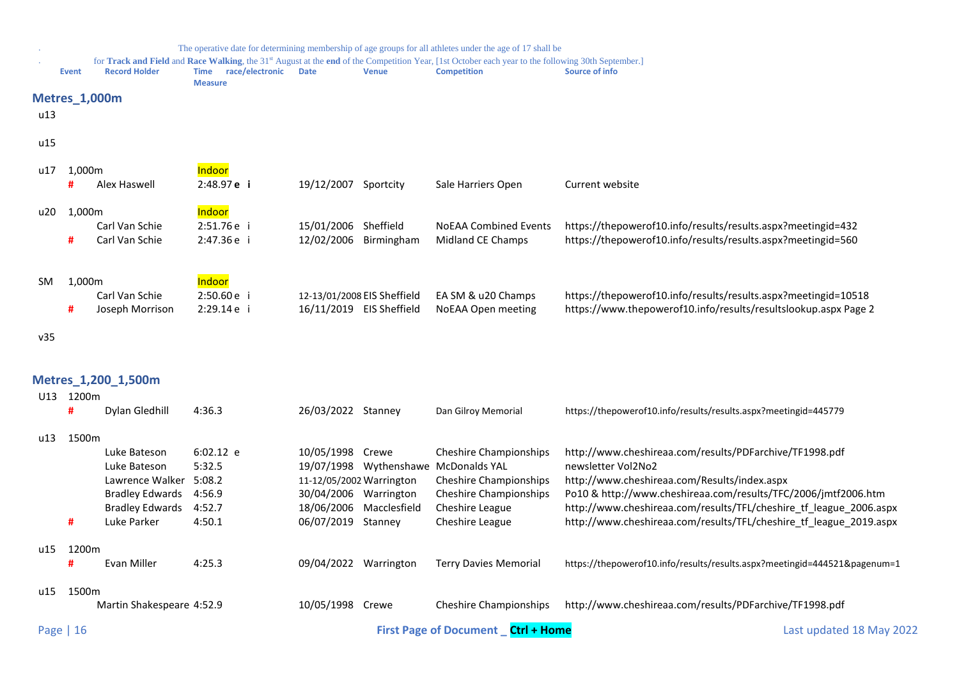<span id="page-15-1"></span><span id="page-15-0"></span>

|     |            |                           |                                                  |                             |              | The operative date for determining membership of age groups for all athletes under the age of 17 shall be                                                                            |                                                                           |
|-----|------------|---------------------------|--------------------------------------------------|-----------------------------|--------------|--------------------------------------------------------------------------------------------------------------------------------------------------------------------------------------|---------------------------------------------------------------------------|
|     | Event      | <b>Record Holder</b>      | race/electronic<br><b>Time</b><br><b>Measure</b> | <b>Date</b>                 | <b>Venue</b> | for Track and Field and Race Walking, the 31 <sup>st</sup> August at the end of the Competition Year, [1st October each year to the following 30th September.]<br><b>Competition</b> | Source of info                                                            |
|     |            | <b>Metres_1,000m</b>      |                                                  |                             |              |                                                                                                                                                                                      |                                                                           |
| u13 |            |                           |                                                  |                             |              |                                                                                                                                                                                      |                                                                           |
|     |            |                           |                                                  |                             |              |                                                                                                                                                                                      |                                                                           |
| u15 |            |                           |                                                  |                             |              |                                                                                                                                                                                      |                                                                           |
|     |            |                           | Indoor                                           |                             |              |                                                                                                                                                                                      |                                                                           |
| u17 | 1,000m     | Alex Haswell              | 2:48.97 e i                                      | 19/12/2007 Sportcity        |              | Sale Harriers Open                                                                                                                                                                   | Current website                                                           |
|     |            |                           |                                                  |                             |              |                                                                                                                                                                                      |                                                                           |
| u20 | 1,000m     |                           | Indoor                                           |                             |              |                                                                                                                                                                                      |                                                                           |
|     |            | Carl Van Schie            | 2:51.76e i                                       | 15/01/2006 Sheffield        |              | <b>NoEAA Combined Events</b>                                                                                                                                                         | https://thepowerof10.info/results/results.aspx?meetingid=432              |
|     | #          | Carl Van Schie            | 2:47.36 e i                                      | 12/02/2006 Birmingham       |              | Midland CE Champs                                                                                                                                                                    | https://thepowerof10.info/results/results.aspx?meetingid=560              |
|     |            |                           |                                                  |                             |              |                                                                                                                                                                                      |                                                                           |
|     |            |                           | Indoor                                           |                             |              |                                                                                                                                                                                      |                                                                           |
| SM. | 1,000m     | Carl Van Schie            | 2:50.60 e i                                      | 12-13/01/2008 EIS Sheffield |              | EA SM & u20 Champs                                                                                                                                                                   | https://thepowerof10.info/results/results.aspx?meetingid=10518            |
|     | #          | Joseph Morrison           | 2:29.14 e i                                      | 16/11/2019 EIS Sheffield    |              | NoEAA Open meeting                                                                                                                                                                   | https://www.thepowerof10.info/results/resultslookup.aspx Page 2           |
|     |            |                           |                                                  |                             |              |                                                                                                                                                                                      |                                                                           |
| v35 |            |                           |                                                  |                             |              |                                                                                                                                                                                      |                                                                           |
|     |            |                           |                                                  |                             |              |                                                                                                                                                                                      |                                                                           |
|     |            |                           |                                                  |                             |              |                                                                                                                                                                                      |                                                                           |
|     |            | Metres_1,200_1,500m       |                                                  |                             |              |                                                                                                                                                                                      |                                                                           |
|     | U13 1200m  |                           |                                                  |                             |              |                                                                                                                                                                                      |                                                                           |
|     | #          | Dylan Gledhill            | 4:36.3                                           | 26/03/2022 Stanney          |              | Dan Gilroy Memorial                                                                                                                                                                  | https://thepowerof10.info/results/results.aspx?meetingid=445779           |
|     | u13 1500m  |                           |                                                  |                             |              |                                                                                                                                                                                      |                                                                           |
|     |            | Luke Bateson              | $6:02.12$ e                                      | 10/05/1998 Crewe            |              | <b>Cheshire Championships</b>                                                                                                                                                        | http://www.cheshireaa.com/results/PDFarchive/TF1998.pdf                   |
|     |            | Luke Bateson              | 5:32.5                                           |                             |              | 19/07/1998 Wythenshawe McDonalds YAL                                                                                                                                                 | newsletter Vol2No2                                                        |
|     |            | Lawrence Walker           | 5:08.2                                           | 11-12/05/2002 Warrington    |              | <b>Cheshire Championships</b>                                                                                                                                                        | http://www.cheshireaa.com/Results/index.aspx                              |
|     |            | <b>Bradley Edwards</b>    | 4:56.9                                           | 30/04/2006 Warrington       |              | <b>Cheshire Championships</b>                                                                                                                                                        | Po10 & http://www.cheshireaa.com/results/TFC/2006/jmtf2006.htm            |
|     |            | <b>Bradley Edwards</b>    | 4:52.7                                           | 18/06/2006 Macclesfield     |              | Cheshire League                                                                                                                                                                      | http://www.cheshireaa.com/results/TFL/cheshire tf league 2006.aspx        |
|     | #          | Luke Parker               | 4:50.1                                           | 06/07/2019 Stanney          |              | Cheshire League                                                                                                                                                                      | http://www.cheshireaa.com/results/TFL/cheshire_tf_league_2019.aspx        |
|     |            |                           |                                                  |                             |              |                                                                                                                                                                                      |                                                                           |
| u15 | 1200m<br>Ħ | Evan Miller               | 4:25.3                                           | 09/04/2022 Warrington       |              | <b>Terry Davies Memorial</b>                                                                                                                                                         | https://thepowerof10.info/results/results.aspx?meetingid=444521&pagenum=1 |
|     |            |                           |                                                  |                             |              |                                                                                                                                                                                      |                                                                           |
| u15 | 1500m      |                           |                                                  |                             |              |                                                                                                                                                                                      |                                                                           |
|     |            | Martin Shakespeare 4:52.9 |                                                  | 10/05/1998 Crewe            |              | Cheshire Championships                                                                                                                                                               | http://www.cheshireaa.com/results/PDFarchive/TF1998.pdf                   |
|     |            |                           |                                                  |                             |              |                                                                                                                                                                                      |                                                                           |
|     | Page   16  |                           |                                                  |                             |              | <b>First Page of Document</b> Ctrl + Home                                                                                                                                            | Last updated 18 May 2022                                                  |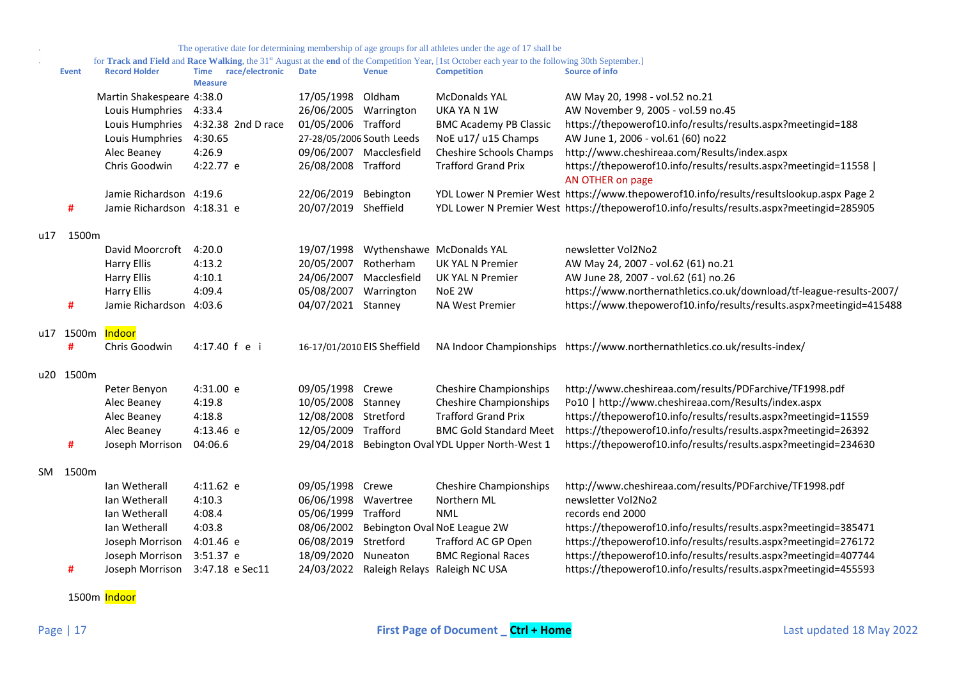| for Track and Field and Race Walking, the 31 <sup>st</sup> August at the end of the Competition Year, [1st October each year to the following 30th September.] |  |  |  |
|----------------------------------------------------------------------------------------------------------------------------------------------------------------|--|--|--|
|                                                                                                                                                                |  |  |  |

|     | <b>Event</b> | <b>Record Holder</b>       | race/electronic<br><b>Time</b><br><b>Measure</b> | <b>Date</b>                 | <b>Venue</b>            | <b>Competition</b>                       | <b>Source of info</b>                                                                    |
|-----|--------------|----------------------------|--------------------------------------------------|-----------------------------|-------------------------|------------------------------------------|------------------------------------------------------------------------------------------|
|     |              | Martin Shakespeare 4:38.0  |                                                  | 17/05/1998                  | Oldham                  | <b>McDonalds YAL</b>                     | AW May 20, 1998 - vol.52 no.21                                                           |
|     |              | Louis Humphries            | 4:33.4                                           | 26/06/2005 Warrington       |                         | UKA YA N 1W                              | AW November 9, 2005 - vol.59 no.45                                                       |
|     |              | Louis Humphries            | 4:32.38 2nd D race                               | 01/05/2006 Trafford         |                         | <b>BMC Academy PB Classic</b>            | https://thepowerof10.info/results/results.aspx?meetingid=188                             |
|     |              | Louis Humphries            | 4:30.65                                          | 27-28/05/2006 South Leeds   |                         | NoE u17/ u15 Champs                      | AW June 1, 2006 - vol.61 (60) no22                                                       |
|     |              | Alec Beaney                | 4:26.9                                           |                             | 09/06/2007 Macclesfield | <b>Cheshire Schools Champs</b>           | http://www.cheshireaa.com/Results/index.aspx                                             |
|     |              | Chris Goodwin              | 4:22.77 e                                        | 26/08/2008 Trafford         |                         | <b>Trafford Grand Prix</b>               | https://thepowerof10.info/results/results.aspx?meetingid=11558  <br>AN OTHER on page     |
|     |              | Jamie Richardson 4:19.6    |                                                  | 22/06/2019                  | Bebington               |                                          | YDL Lower N Premier West https://www.thepowerof10.info/results/resultslookup.aspx Page 2 |
|     | #            | Jamie Richardson 4:18.31 e |                                                  | 20/07/2019 Sheffield        |                         |                                          | YDL Lower N Premier West https://thepowerof10.info/results/results.aspx?meetingid=285905 |
| u17 | 1500m        |                            |                                                  |                             |                         |                                          |                                                                                          |
|     |              | David Moorcroft            | 4:20.0                                           | 19/07/1998                  |                         | Wythenshawe McDonalds YAL                | newsletter Vol2No2                                                                       |
|     |              | <b>Harry Ellis</b>         | 4:13.2                                           | 20/05/2007                  | Rotherham               | <b>UK YAL N Premier</b>                  | AW May 24, 2007 - vol.62 (61) no.21                                                      |
|     |              | <b>Harry Ellis</b>         | 4:10.1                                           | 24/06/2007                  | Macclesfield            | UK YAL N Premier                         | AW June 28, 2007 - vol.62 (61) no.26                                                     |
|     |              | <b>Harry Ellis</b>         | 4:09.4                                           | 05/08/2007                  | Warrington              | NoE 2W                                   | https://www.northernathletics.co.uk/download/tf-league-results-2007/                     |
|     | #            | Jamie Richardson 4:03.6    |                                                  | 04/07/2021 Stanney          |                         | NA West Premier                          | https://www.thepowerof10.info/results/results.aspx?meetingid=415488                      |
|     | u17 1500m    | Indoor                     |                                                  |                             |                         |                                          |                                                                                          |
|     | #            | Chris Goodwin              | 4:17.40 f e i                                    | 16-17/01/2010 EIS Sheffield |                         |                                          | NA Indoor Championships https://www.northernathletics.co.uk/results-index/               |
|     | u20 1500m    |                            |                                                  |                             |                         |                                          |                                                                                          |
|     |              | Peter Benyon               | 4:31.00 e                                        | 09/05/1998 Crewe            |                         | <b>Cheshire Championships</b>            | http://www.cheshireaa.com/results/PDFarchive/TF1998.pdf                                  |
|     |              | Alec Beaney                | 4:19.8                                           | 10/05/2008 Stanney          |                         | <b>Cheshire Championships</b>            | Po10   http://www.cheshireaa.com/Results/index.aspx                                      |
|     |              | Alec Beaney                | 4:18.8                                           | 12/08/2008 Stretford        |                         | <b>Trafford Grand Prix</b>               | https://thepowerof10.info/results/results.aspx?meetingid=11559                           |
|     |              | Alec Beaney                | 4:13.46 e                                        | 12/05/2009                  | Trafford                | <b>BMC Gold Standard Meet</b>            | https://thepowerof10.info/results/results.aspx?meetingid=26392                           |
|     | #            | Joseph Morrison            | 04:06.6                                          | 29/04/2018                  |                         | Bebington Oval YDL Upper North-West 1    | https://thepowerof10.info/results/results.aspx?meetingid=234630                          |
|     | SM 1500m     |                            |                                                  |                             |                         |                                          |                                                                                          |
|     |              | Ian Wetherall              | 4:11.62 e                                        | 09/05/1998                  | Crewe                   | <b>Cheshire Championships</b>            | http://www.cheshireaa.com/results/PDFarchive/TF1998.pdf                                  |
|     |              | Ian Wetherall              | 4:10.3                                           | 06/06/1998                  | Wavertree               | Northern ML                              | newsletter Vol2No2                                                                       |
|     |              | Ian Wetherall              | 4:08.4                                           | 05/06/1999                  | Trafford                | <b>NML</b>                               | records end 2000                                                                         |
|     |              | Ian Wetherall              | 4:03.8                                           | 08/06/2002                  |                         | Bebington Oval NoE League 2W             | https://thepowerof10.info/results/results.aspx?meetingid=385471                          |
|     |              | Joseph Morrison            | 4:01.46 e                                        | 06/08/2019                  | Stretford               | Trafford AC GP Open                      | https://thepowerof10.info/results/results.aspx?meetingid=276172                          |
|     |              | Joseph Morrison            | 3:51.37 e                                        | 18/09/2020                  | Nuneaton                | <b>BMC Regional Races</b>                | https://thepowerof10.info/results/results.aspx?meetingid=407744                          |
|     | #            | Joseph Morrison            | 3:47.18 e Sec11                                  |                             |                         | 24/03/2022 Raleigh Relays Raleigh NC USA | https://thepowerof10.info/results/results.aspx?meetingid=455593                          |

1500m Indoor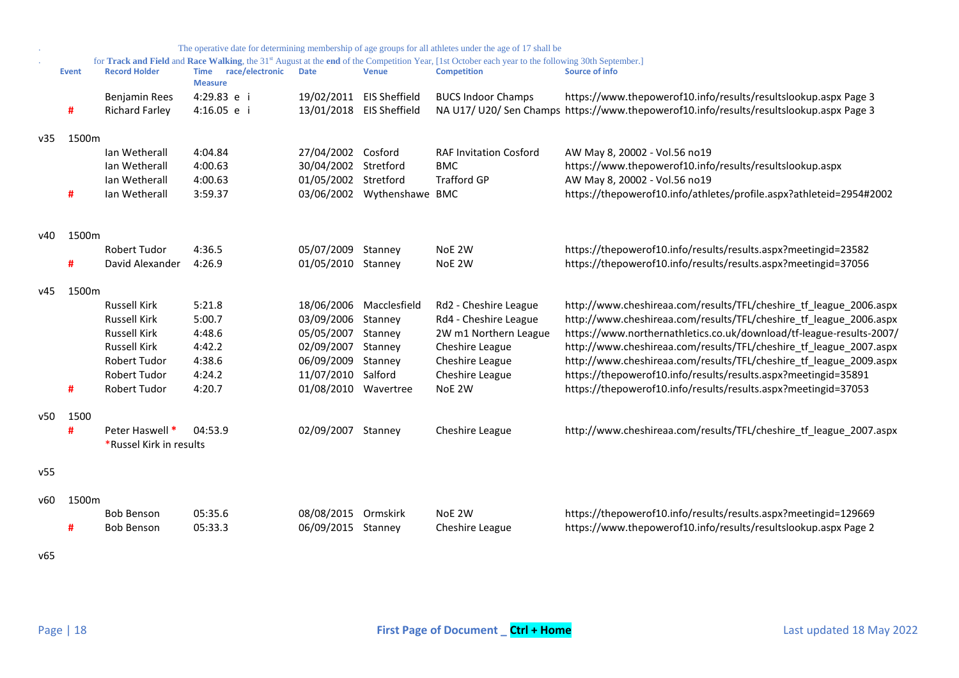|      |              |                         |                                                  |                      |                            | The operative date for determining membership of age groups for all athletes under the age of 17 shall be                                                                |                                                                                         |
|------|--------------|-------------------------|--------------------------------------------------|----------------------|----------------------------|--------------------------------------------------------------------------------------------------------------------------------------------------------------------------|-----------------------------------------------------------------------------------------|
|      | <b>Event</b> | <b>Record Holder</b>    | race/electronic<br><b>Time</b><br><b>Measure</b> | <b>Date</b>          | <b>Venue</b>               | for Track and Field and Race Walking, the 31st August at the end of the Competition Year, [1st October each year to the following 30th September.]<br><b>Competition</b> | Source of info                                                                          |
|      |              | <b>Benjamin Rees</b>    | 4:29.83 e i                                      |                      | 19/02/2011 EIS Sheffield   | <b>BUCS Indoor Champs</b>                                                                                                                                                | https://www.thepowerof10.info/results/resultslookup.aspx Page 3                         |
|      | #            | <b>Richard Farley</b>   | 4:16.05 e i                                      |                      | 13/01/2018 EIS Sheffield   |                                                                                                                                                                          | NA U17/ U20/ Sen Champs https://www.thepowerof10.info/results/resultslookup.aspx Page 3 |
| v35  | 1500m        |                         |                                                  |                      |                            |                                                                                                                                                                          |                                                                                         |
|      |              | Ian Wetherall           | 4:04.84                                          | 27/04/2002 Cosford   |                            | <b>RAF Invitation Cosford</b>                                                                                                                                            | AW May 8, 20002 - Vol.56 no19                                                           |
|      |              | Ian Wetherall           | 4:00.63                                          | 30/04/2002           | Stretford                  | <b>BMC</b>                                                                                                                                                               | https://www.thepowerof10.info/results/resultslookup.aspx                                |
|      |              | Ian Wetherall           | 4:00.63                                          | 01/05/2002 Stretford |                            | <b>Trafford GP</b>                                                                                                                                                       | AW May 8, 20002 - Vol.56 no19                                                           |
|      | #            | Ian Wetherall           | 3:59.37                                          |                      | 03/06/2002 Wythenshawe BMC |                                                                                                                                                                          | https://thepowerof10.info/athletes/profile.aspx?athleteid=2954#2002                     |
|      |              |                         |                                                  |                      |                            |                                                                                                                                                                          |                                                                                         |
| v40  | 1500m        |                         |                                                  |                      |                            |                                                                                                                                                                          |                                                                                         |
|      |              | <b>Robert Tudor</b>     | 4:36.5                                           | 05/07/2009 Stanney   |                            | NoE 2W                                                                                                                                                                   | https://thepowerof10.info/results/results.aspx?meetingid=23582                          |
|      | #            | David Alexander         | 4:26.9                                           | 01/05/2010 Stanney   |                            | NoE 2W                                                                                                                                                                   | https://thepowerof10.info/results/results.aspx?meetingid=37056                          |
| v45  | 1500m        |                         |                                                  |                      |                            |                                                                                                                                                                          |                                                                                         |
|      |              | <b>Russell Kirk</b>     | 5:21.8                                           |                      | 18/06/2006 Macclesfield    | Rd2 - Cheshire League                                                                                                                                                    | http://www.cheshireaa.com/results/TFL/cheshire tf league 2006.aspx                      |
|      |              | <b>Russell Kirk</b>     | 5:00.7                                           | 03/09/2006 Stanney   |                            | Rd4 - Cheshire League                                                                                                                                                    | http://www.cheshireaa.com/results/TFL/cheshire_tf_league_2006.aspx                      |
|      |              | <b>Russell Kirk</b>     | 4:48.6                                           | 05/05/2007 Stanney   |                            | 2W m1 Northern League                                                                                                                                                    | https://www.northernathletics.co.uk/download/tf-league-results-2007/                    |
|      |              | <b>Russell Kirk</b>     | 4:42.2                                           | 02/09/2007           | Stanney                    | Cheshire League                                                                                                                                                          | http://www.cheshireaa.com/results/TFL/cheshire tf league 2007.aspx                      |
|      |              | Robert Tudor            | 4:38.6                                           | 06/09/2009           | Stanney                    | Cheshire League                                                                                                                                                          | http://www.cheshireaa.com/results/TFL/cheshire_tf_league_2009.aspx                      |
|      |              | <b>Robert Tudor</b>     | 4:24.2                                           | 11/07/2010 Salford   |                            | Cheshire League                                                                                                                                                          | https://thepowerof10.info/results/results.aspx?meetingid=35891                          |
|      | #            | Robert Tudor            | 4:20.7                                           | 01/08/2010           | Wavertree                  | NoE 2W                                                                                                                                                                   | https://thepowerof10.info/results/results.aspx?meetingid=37053                          |
| v50  | 1500         |                         |                                                  |                      |                            |                                                                                                                                                                          |                                                                                         |
|      | #            | Peter Haswell *         | 04:53.9                                          | 02/09/2007 Stanney   |                            | Cheshire League                                                                                                                                                          | http://www.cheshireaa.com/results/TFL/cheshire_tf_league_2007.aspx                      |
|      |              | *Russel Kirk in results |                                                  |                      |                            |                                                                                                                                                                          |                                                                                         |
| v55  |              |                         |                                                  |                      |                            |                                                                                                                                                                          |                                                                                         |
| v60. | 1500m        |                         |                                                  |                      |                            |                                                                                                                                                                          |                                                                                         |
|      |              | <b>Bob Benson</b>       | 05:35.6                                          | 08/08/2015 Ormskirk  |                            | NoE 2W                                                                                                                                                                   | https://thepowerof10.info/results/results.aspx?meetingid=129669                         |
|      | #            | <b>Bob Benson</b>       | 05:33.3                                          | 06/09/2015 Stanney   |                            | Cheshire League                                                                                                                                                          | https://www.thepowerof10.info/results/resultslookup.aspx Page 2                         |
| v65  |              |                         |                                                  |                      |                            |                                                                                                                                                                          |                                                                                         |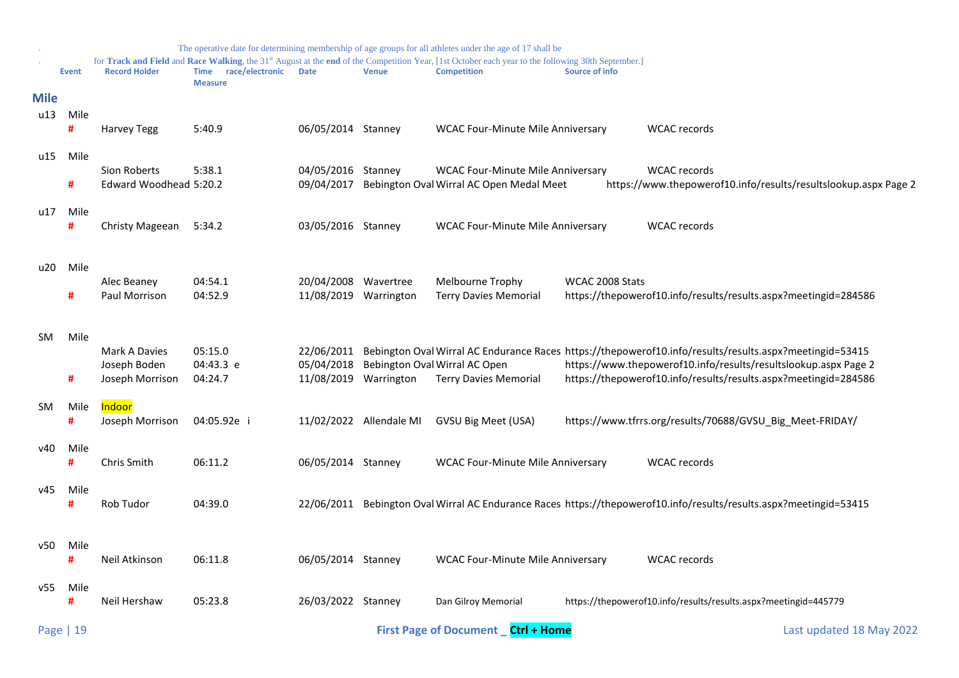<span id="page-18-0"></span>

|             |              |                                 |                                        |                          |                         | The operative date for determining membership of age groups for all athletes under the age of 17 shall be                                                                            |                 |                                                                                                                                    |                                                                 |
|-------------|--------------|---------------------------------|----------------------------------------|--------------------------|-------------------------|--------------------------------------------------------------------------------------------------------------------------------------------------------------------------------------|-----------------|------------------------------------------------------------------------------------------------------------------------------------|-----------------------------------------------------------------|
|             | <b>Event</b> | <b>Record Holder</b>            | Time race/electronic<br><b>Measure</b> | <b>Date</b>              | <b>Venue</b>            | for Track and Field and Race Walking, the 31 <sup>st</sup> August at the end of the Competition Year, [1st October each year to the following 30th September.]<br><b>Competition</b> | Source of info  |                                                                                                                                    |                                                                 |
| <b>Mile</b> |              |                                 |                                        |                          |                         |                                                                                                                                                                                      |                 |                                                                                                                                    |                                                                 |
| u13         | Mile<br>#    | <b>Harvey Tegg</b>              | 5:40.9                                 | 06/05/2014 Stanney       |                         | <b>WCAC Four-Minute Mile Anniversary</b>                                                                                                                                             |                 | <b>WCAC</b> records                                                                                                                |                                                                 |
| u15         | Mile         |                                 |                                        |                          |                         |                                                                                                                                                                                      |                 |                                                                                                                                    |                                                                 |
|             |              | Sion Roberts                    | 5:38.1                                 | 04/05/2016               | Stanney                 | <b>WCAC Four-Minute Mile Anniversary</b>                                                                                                                                             |                 | <b>WCAC</b> records                                                                                                                |                                                                 |
|             | #            | Edward Woodhead 5:20.2          |                                        | 09/04/2017               |                         | Bebington Oval Wirral AC Open Medal Meet                                                                                                                                             |                 |                                                                                                                                    | https://www.thepowerof10.info/results/resultslookup.aspx Page 2 |
| u17         | Mile<br>#    | Christy Mageean                 | 5:34.2                                 | 03/05/2016 Stanney       |                         | <b>WCAC Four-Minute Mile Anniversary</b>                                                                                                                                             |                 | <b>WCAC</b> records                                                                                                                |                                                                 |
|             |              |                                 |                                        |                          |                         |                                                                                                                                                                                      |                 |                                                                                                                                    |                                                                 |
| u20         | Mile         | Alec Beaney                     | 04:54.1                                | 20/04/2008               | Wavertree               | Melbourne Trophy                                                                                                                                                                     | WCAC 2008 Stats |                                                                                                                                    |                                                                 |
|             | #            | Paul Morrison                   | 04:52.9                                | 11/08/2019 Warrington    |                         | <b>Terry Davies Memorial</b>                                                                                                                                                         |                 | https://thepowerof10.info/results/results.aspx?meetingid=284586                                                                    |                                                                 |
|             |              |                                 |                                        |                          |                         |                                                                                                                                                                                      |                 |                                                                                                                                    |                                                                 |
| <b>SM</b>   | Mile         |                                 |                                        |                          |                         |                                                                                                                                                                                      |                 |                                                                                                                                    |                                                                 |
|             |              | Mark A Davies                   | 05:15.0                                | 22/06/2011               |                         |                                                                                                                                                                                      |                 | Bebington Oval Wirral AC Endurance Races https://thepowerof10.info/results/results.aspx?meetingid=53415                            |                                                                 |
|             | #            | Joseph Boden<br>Joseph Morrison | 04:43.3 e<br>04:24.7                   | 05/04/2018<br>11/08/2019 | Warrington              | Bebington Oval Wirral AC Open<br><b>Terry Davies Memorial</b>                                                                                                                        |                 | https://www.thepowerof10.info/results/resultslookup.aspx Page 2<br>https://thepowerof10.info/results/results.aspx?meetingid=284586 |                                                                 |
|             |              |                                 |                                        |                          |                         |                                                                                                                                                                                      |                 |                                                                                                                                    |                                                                 |
| <b>SM</b>   | Mile<br>#    | Indoor<br>Joseph Morrison       | 04:05.92e i                            |                          | 11/02/2022 Allendale MI | GVSU Big Meet (USA)                                                                                                                                                                  |                 | https://www.tfrrs.org/results/70688/GVSU_Big_Meet-FRIDAY/                                                                          |                                                                 |
|             |              |                                 |                                        |                          |                         |                                                                                                                                                                                      |                 |                                                                                                                                    |                                                                 |
| v40         | Mile         |                                 |                                        |                          |                         |                                                                                                                                                                                      |                 |                                                                                                                                    |                                                                 |
|             | #            | Chris Smith                     | 06:11.2                                | 06/05/2014 Stanney       |                         | <b>WCAC Four-Minute Mile Anniversary</b>                                                                                                                                             |                 | <b>WCAC</b> records                                                                                                                |                                                                 |
| v45         | Mile         |                                 |                                        |                          |                         |                                                                                                                                                                                      |                 |                                                                                                                                    |                                                                 |
|             | #            | Rob Tudor                       | 04:39.0                                | 22/06/2011               |                         |                                                                                                                                                                                      |                 | Bebington Oval Wirral AC Endurance Races https://thepowerof10.info/results/results.aspx?meetingid=53415                            |                                                                 |
|             |              |                                 |                                        |                          |                         |                                                                                                                                                                                      |                 |                                                                                                                                    |                                                                 |
| v50         | Mile         |                                 |                                        |                          |                         |                                                                                                                                                                                      |                 |                                                                                                                                    |                                                                 |
|             | #            | Neil Atkinson                   | 06:11.8                                | 06/05/2014 Stanney       |                         | <b>WCAC Four-Minute Mile Anniversary</b>                                                                                                                                             |                 | <b>WCAC</b> records                                                                                                                |                                                                 |
| v55         | Mile         |                                 |                                        |                          |                         |                                                                                                                                                                                      |                 |                                                                                                                                    |                                                                 |
|             | #            | Neil Hershaw                    | 05:23.8                                | 26/03/2022 Stanney       |                         | Dan Gilroy Memorial                                                                                                                                                                  |                 | https://thepowerof10.info/results/results.aspx?meetingid=445779                                                                    |                                                                 |
|             | Page   19    |                                 |                                        |                          |                         | First Page of Document _ Ctrl + Home                                                                                                                                                 |                 |                                                                                                                                    | Last updated 18 May 2022                                        |
|             |              |                                 |                                        |                          |                         |                                                                                                                                                                                      |                 |                                                                                                                                    |                                                                 |
|             |              |                                 |                                        |                          |                         |                                                                                                                                                                                      |                 |                                                                                                                                    |                                                                 |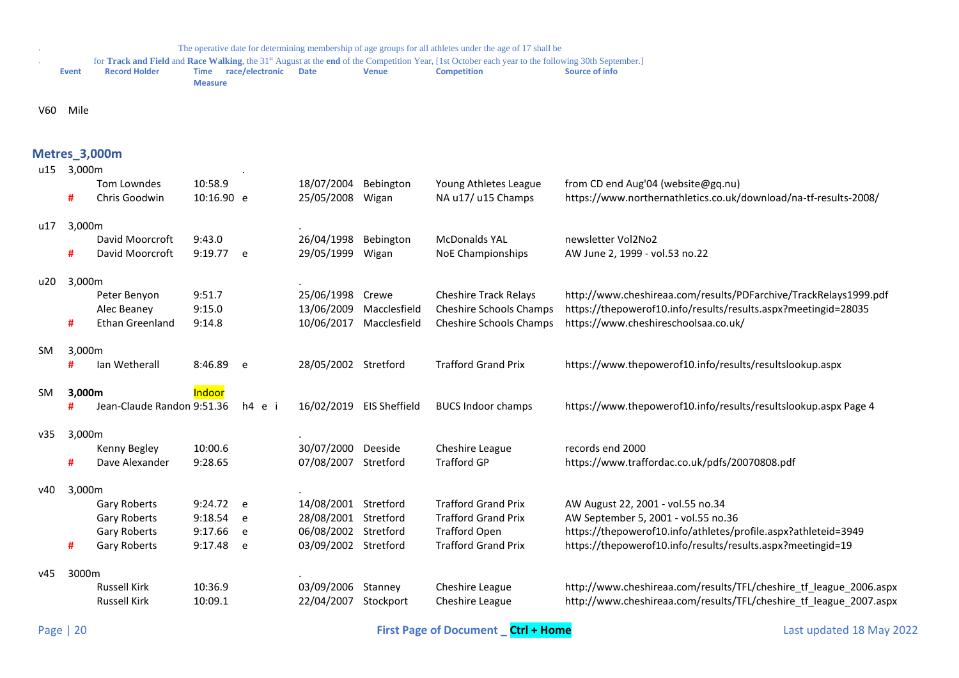. for **Track and Field** and **Race Walking**, the 31st August at the **end** of the Competition Year, [1st October each year to the following 30th September.]

| Event | <b>Record Holder</b> |                | Time race/electronic Date | Venue | <b>Competition</b> | Source of info |
|-------|----------------------|----------------|---------------------------|-------|--------------------|----------------|
|       |                      | <b>Measure</b> |                           |       |                    |                |

V60 Mile

## <span id="page-19-0"></span>**Metres\_3,000m**

| u15       | 3,000m |                              |                       |        |                          |                      |                                             |                                                                                                        |
|-----------|--------|------------------------------|-----------------------|--------|--------------------------|----------------------|---------------------------------------------|--------------------------------------------------------------------------------------------------------|
|           | #      | Tom Lowndes<br>Chris Goodwin | 10:58.9<br>10:16.90 e |        | 18/07/2004<br>25/05/2008 | Bebington<br>Wigan   | Young Athletes League<br>NA u17/ u15 Champs | from CD end Aug'04 (website@gq.nu)<br>https://www.northernathletics.co.uk/download/na-tf-results-2008/ |
| u17       | 3,000m |                              |                       |        |                          |                      |                                             |                                                                                                        |
|           |        | David Moorcroft              | 9:43.0                |        | 26/04/1998               | Bebington            | <b>McDonalds YAL</b>                        | newsletter Vol2No2                                                                                     |
|           | #      | David Moorcroft              | 9:19.77 e             |        | 29/05/1999               | Wigan                | <b>NoE Championships</b>                    | AW June 2, 1999 - vol.53 no.22                                                                         |
| u20       | 3,000m |                              |                       |        |                          |                      |                                             |                                                                                                        |
|           |        | Peter Benyon                 | 9:51.7                |        | 25/06/1998               | Crewe                | <b>Cheshire Track Relays</b>                | http://www.cheshireaa.com/results/PDFarchive/TrackRelays1999.pdf                                       |
|           |        | Alec Beaney                  | 9:15.0                |        | 13/06/2009               | Macclesfield         | Cheshire Schools Champs                     | https://thepowerof10.info/results/results.aspx?meetingid=28035                                         |
|           | #      | <b>Ethan Greenland</b>       | 9:14.8                |        | 10/06/2017               | Macclesfield         | Cheshire Schools Champs                     | https://www.cheshireschoolsaa.co.uk/                                                                   |
| SM        | 3,000m |                              |                       |        |                          |                      |                                             |                                                                                                        |
|           | #      | Ian Wetherall                | 8:46.89               | e      | 28/05/2002 Stretford     |                      | <b>Trafford Grand Prix</b>                  | https://www.thepowerof10.info/results/resultslookup.aspx                                               |
| <b>SM</b> | 3,000m |                              | Indoor                |        |                          |                      |                                             |                                                                                                        |
|           | #      | Jean-Claude Randon 9:51.36   |                       | h4 e i | 16/02/2019               | <b>EIS Sheffield</b> | <b>BUCS Indoor champs</b>                   | https://www.thepowerof10.info/results/resultslookup.aspx Page 4                                        |
| v35       | 3,000m |                              |                       |        |                          |                      |                                             |                                                                                                        |
|           |        | Kenny Begley                 | 10:00.6               |        | 30/07/2000               | Deeside              | Cheshire League                             | records end 2000                                                                                       |
|           | #      | Dave Alexander               | 9:28.65               |        | 07/08/2007               | Stretford            | <b>Trafford GP</b>                          | https://www.traffordac.co.uk/pdfs/20070808.pdf                                                         |
| v40       | 3,000m |                              |                       |        |                          |                      |                                             |                                                                                                        |
|           |        | <b>Gary Roberts</b>          | 9:24.72 e             |        | 14/08/2001               | Stretford            | <b>Trafford Grand Prix</b>                  | AW August 22, 2001 - vol.55 no.34                                                                      |
|           |        | Gary Roberts                 | 9:18.54               | e      | 28/08/2001               | Stretford            | <b>Trafford Grand Prix</b>                  | AW September 5, 2001 - vol.55 no.36                                                                    |
|           |        | <b>Gary Roberts</b>          | 9:17.66               | e      | 06/08/2002               | Stretford            | <b>Trafford Open</b>                        | https://thepowerof10.info/athletes/profile.aspx?athleteid=3949                                         |
|           | #      | Gary Roberts                 | 9:17.48               | e      | 03/09/2002 Stretford     |                      | <b>Trafford Grand Prix</b>                  | https://thepowerof10.info/results/results.aspx?meetingid=19                                            |
| v45       | 3000m  |                              |                       |        |                          |                      |                                             |                                                                                                        |
|           |        | <b>Russell Kirk</b>          | 10:36.9               |        | 03/09/2006               | Stanney              | Cheshire League                             | http://www.cheshireaa.com/results/TFL/cheshire tf league 2006.aspx                                     |
|           |        | <b>Russell Kirk</b>          | 10:09.1               |        | 22/04/2007               | Stockport            | Cheshire League                             | http://www.cheshireaa.com/results/TFL/cheshire tf league 2007.aspx                                     |
|           |        |                              |                       |        |                          |                      |                                             |                                                                                                        |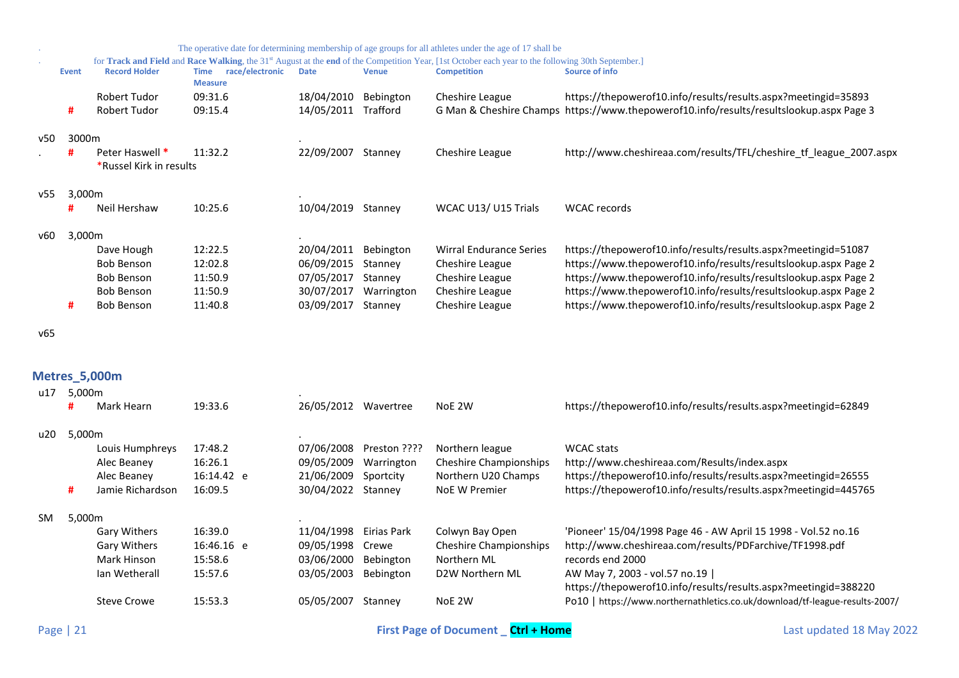|     |        |                         |                                                  |             |              | The operative date for determining membership of age groups for all athletes under the age of 17 shall be                                                      |                                                                                         |
|-----|--------|-------------------------|--------------------------------------------------|-------------|--------------|----------------------------------------------------------------------------------------------------------------------------------------------------------------|-----------------------------------------------------------------------------------------|
|     |        |                         |                                                  |             |              | for Track and Field and Race Walking, the 31 <sup>st</sup> August at the end of the Competition Year, [1st October each year to the following 30th September.] |                                                                                         |
|     | Event  | <b>Record Holder</b>    | race/electronic<br><b>Time</b><br><b>Measure</b> | <b>Date</b> | <b>Venue</b> | <b>Competition</b>                                                                                                                                             | Source of info                                                                          |
|     |        | <b>Robert Tudor</b>     | 09:31.6                                          | 18/04/2010  | Bebington    | Cheshire League                                                                                                                                                | https://thepowerof10.info/results/results.aspx?meetingid=35893                          |
|     | #      | <b>Robert Tudor</b>     | 09:15.4                                          | 14/05/2011  | Trafford     |                                                                                                                                                                | G Man & Cheshire Champs https://www.thepowerof10.info/results/resultslookup.aspx Page 3 |
| v50 | 3000m  |                         |                                                  |             |              |                                                                                                                                                                |                                                                                         |
|     | Ħ      | Peter Haswell *         | 11:32.2                                          | 22/09/2007  | Stanney      | Cheshire League                                                                                                                                                | http://www.cheshireaa.com/results/TFL/cheshire_tf_league_2007.aspx                      |
|     |        | *Russel Kirk in results |                                                  |             |              |                                                                                                                                                                |                                                                                         |
| v55 | 3,000m |                         |                                                  |             |              |                                                                                                                                                                |                                                                                         |
|     | #      | Neil Hershaw            | 10:25.6                                          | 10/04/2019  | Stanney      | WCAC U13/ U15 Trials                                                                                                                                           | <b>WCAC</b> records                                                                     |
| v60 | 3,000m |                         |                                                  |             |              |                                                                                                                                                                |                                                                                         |
|     |        | Dave Hough              | 12:22.5                                          | 20/04/2011  | Bebington    | <b>Wirral Endurance Series</b>                                                                                                                                 | https://thepowerof10.info/results/results.aspx?meetingid=51087                          |
|     |        | <b>Bob Benson</b>       | 12:02.8                                          | 06/09/2015  | Stanney      | Cheshire League                                                                                                                                                | https://www.thepowerof10.info/results/resultslookup.aspx Page 2                         |
|     |        | <b>Bob Benson</b>       | 11:50.9                                          | 07/05/2017  | Stanney      | Cheshire League                                                                                                                                                | https://www.thepowerof10.info/results/resultslookup.aspx Page 2                         |
|     |        | <b>Bob Benson</b>       | 11:50.9                                          | 30/07/2017  | Warrington   | Cheshire League                                                                                                                                                | https://www.thepowerof10.info/results/resultslookup.aspx Page 2                         |
|     | #      | <b>Bob Benson</b>       | 11:40.8                                          | 03/09/2017  | Stanney      | Cheshire League                                                                                                                                                | https://www.thepowerof10.info/results/resultslookup.aspx Page 2                         |
| v65 |        |                         |                                                  |             |              |                                                                                                                                                                |                                                                                         |
|     |        |                         |                                                  |             |              |                                                                                                                                                                |                                                                                         |
|     |        | <b>Metres_5,000m</b>    |                                                  |             |              |                                                                                                                                                                |                                                                                         |
| u17 | 5,000m |                         |                                                  |             |              |                                                                                                                                                                |                                                                                         |
|     | #      | Mark Hearn              | 19:33.6                                          | 26/05/2012  | Wavertree    | NoE 2W                                                                                                                                                         | https://thepowerof10.info/results/results.aspx?meetingid=62849                          |

<span id="page-20-0"></span>

| u20 | 5.000m |                     |            |                        |              |                               |                                                                             |
|-----|--------|---------------------|------------|------------------------|--------------|-------------------------------|-----------------------------------------------------------------------------|
|     |        | Louis Humphreys     | 17:48.2    | 07/06/2008             | Preston ???? | Northern league               | <b>WCAC</b> stats                                                           |
|     |        | Alec Beaney         | 16:26.1    | 09/05/2009             | Warrington   | <b>Cheshire Championships</b> | http://www.cheshireaa.com/Results/index.aspx                                |
|     |        | Alec Beaney         | 16:14.42 e | 21/06/2009             | Sportcity    | Northern U20 Champs           | https://thepowerof10.info/results/results.aspx?meetingid=26555              |
|     | #      | Jamie Richardson    | 16:09.5    | 30/04/2022             | Stannev      | NoE W Premier                 | https://thepowerof10.info/results/results.aspx?meetingid=445765             |
| SM  | 5,000m |                     |            |                        |              |                               |                                                                             |
|     |        | <b>Gary Withers</b> | 16:39.0    | 11/04/1998 Eirias Park |              | Colwyn Bay Open               | 'Pioneer' 15/04/1998 Page 46 - AW April 15 1998 - Vol.52 no.16              |
|     |        | <b>Gary Withers</b> | 16:46.16 e | 09/05/1998             | Crewe        | <b>Cheshire Championships</b> | http://www.cheshireaa.com/results/PDFarchive/TF1998.pdf                     |
|     |        | Mark Hinson         | 15:58.6    | 03/06/2000             | Bebington    | Northern ML                   | records end 2000                                                            |
|     |        | lan Wetherall       | 15:57.6    | 03/05/2003             | Bebington    | D2W Northern ML               | AW May 7, 2003 - vol.57 no.19                                               |
|     |        |                     |            |                        |              |                               | https://thepowerof10.info/results/results.aspx?meetingid=388220             |
|     |        | Steve Crowe         | 15:53.3    | 05/05/2007             | Stanney      | NoE 2W                        | Po10   https://www.northernathletics.co.uk/download/tf-league-results-2007/ |
|     |        |                     |            |                        |              |                               |                                                                             |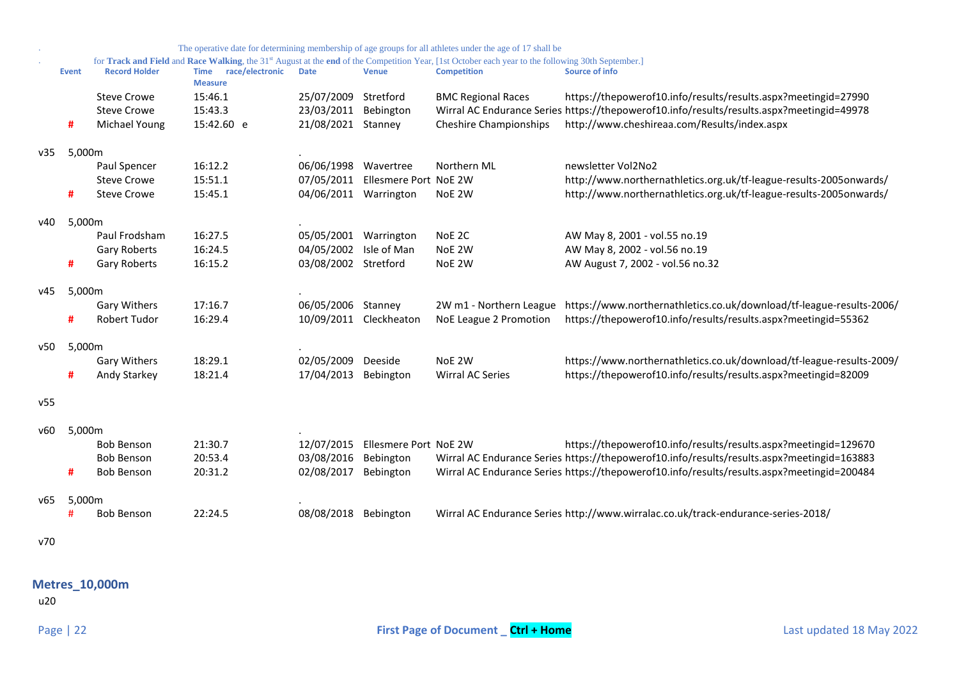| https://thepowerof10.info/results/results.aspx?meetingid=27990<br>Wirral AC Endurance Series https://thepowerof10.info/results/results.aspx?meetingid=49978<br>http://www.northernathletics.org.uk/tf-league-results-2005onwards/<br>http://www.northernathletics.org.uk/tf-league-results-2005onwards/ |
|---------------------------------------------------------------------------------------------------------------------------------------------------------------------------------------------------------------------------------------------------------------------------------------------------------|
|                                                                                                                                                                                                                                                                                                         |
|                                                                                                                                                                                                                                                                                                         |
|                                                                                                                                                                                                                                                                                                         |
|                                                                                                                                                                                                                                                                                                         |
|                                                                                                                                                                                                                                                                                                         |
|                                                                                                                                                                                                                                                                                                         |
|                                                                                                                                                                                                                                                                                                         |
|                                                                                                                                                                                                                                                                                                         |
|                                                                                                                                                                                                                                                                                                         |
|                                                                                                                                                                                                                                                                                                         |
|                                                                                                                                                                                                                                                                                                         |
|                                                                                                                                                                                                                                                                                                         |
|                                                                                                                                                                                                                                                                                                         |
| https://www.northernathletics.co.uk/download/tf-league-results-2006/                                                                                                                                                                                                                                    |
|                                                                                                                                                                                                                                                                                                         |
|                                                                                                                                                                                                                                                                                                         |
| https://www.northernathletics.co.uk/download/tf-league-results-2009/                                                                                                                                                                                                                                    |
| https://thepowerof10.info/results/results.aspx?meetingid=82009                                                                                                                                                                                                                                          |
|                                                                                                                                                                                                                                                                                                         |
|                                                                                                                                                                                                                                                                                                         |
| https://thepowerof10.info/results/results.aspx?meetingid=129670                                                                                                                                                                                                                                         |
| Wirral AC Endurance Series https://thepowerof10.info/results/results.aspx?meetingid=163883                                                                                                                                                                                                              |
| Wirral AC Endurance Series https://thepowerof10.info/results/results.aspx?meetingid=200484                                                                                                                                                                                                              |
|                                                                                                                                                                                                                                                                                                         |
|                                                                                                                                                                                                                                                                                                         |
|                                                                                                                                                                                                                                                                                                         |
| https://thepowerof10.info/results/results.aspx?meetingid=55362                                                                                                                                                                                                                                          |

<span id="page-21-0"></span>**Metres\_10,000m**

u20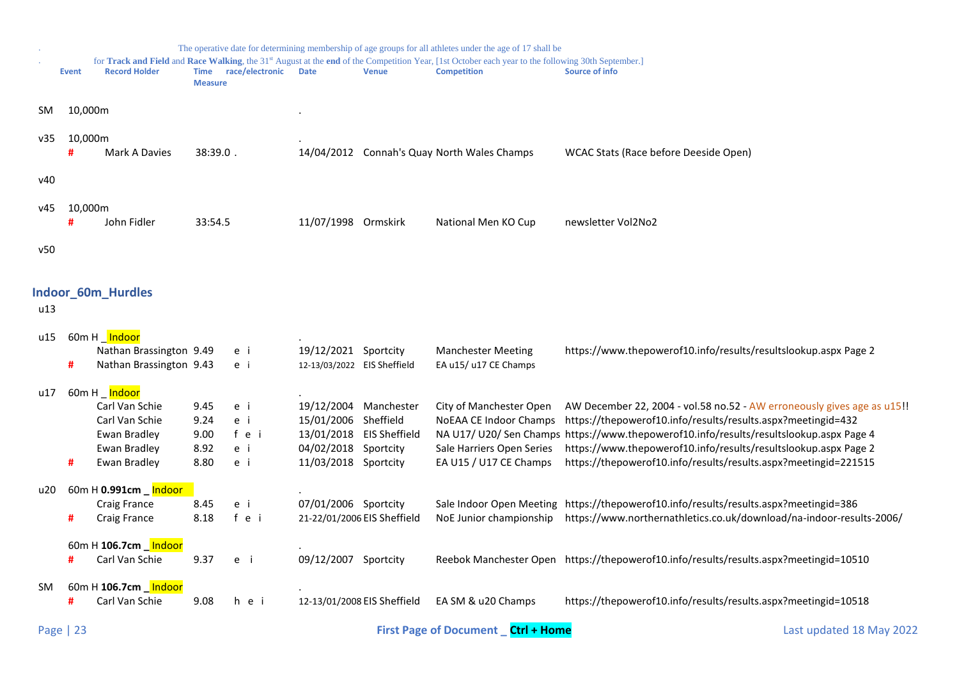<span id="page-22-0"></span>

|     |              |                                                                 |                               |                 |                                               |                             | The operative date for determining membership of age groups for all athletes under the age of 17 shall be<br>for Track and Field and Race Walking, the 31 <sup>st</sup> August at the end of the Competition Year, [1st October each year to the following 30th September.] |                                                                                                                                                            |
|-----|--------------|-----------------------------------------------------------------|-------------------------------|-----------------|-----------------------------------------------|-----------------------------|-----------------------------------------------------------------------------------------------------------------------------------------------------------------------------------------------------------------------------------------------------------------------------|------------------------------------------------------------------------------------------------------------------------------------------------------------|
|     | <b>Event</b> | <b>Record Holder</b>                                            | <b>Time</b><br><b>Measure</b> | race/electronic | <b>Date</b>                                   | <b>Venue</b>                | <b>Competition</b>                                                                                                                                                                                                                                                          | Source of info                                                                                                                                             |
| SM. | 10,000m      |                                                                 |                               |                 |                                               |                             |                                                                                                                                                                                                                                                                             |                                                                                                                                                            |
| v35 | 10,000m<br># | Mark A Davies                                                   | 38:39.0.                      |                 |                                               |                             | 14/04/2012 Connah's Quay North Wales Champs                                                                                                                                                                                                                                 | WCAC Stats (Race before Deeside Open)                                                                                                                      |
| v40 |              |                                                                 |                               |                 |                                               |                             |                                                                                                                                                                                                                                                                             |                                                                                                                                                            |
| v45 | 10,000m<br>Ħ | John Fidler                                                     | 33:54.5                       |                 | 11/07/1998 Ormskirk                           |                             | National Men KO Cup                                                                                                                                                                                                                                                         | newsletter Vol2No2                                                                                                                                         |
| v50 |              |                                                                 |                               |                 |                                               |                             |                                                                                                                                                                                                                                                                             |                                                                                                                                                            |
| u13 |              | <b>Indoor_60m_Hurdles</b>                                       |                               |                 |                                               |                             |                                                                                                                                                                                                                                                                             |                                                                                                                                                            |
| u15 |              | 60m H _ Indoor<br>Nathan Brassington 9.49                       |                               |                 | 19/12/2021 Sportcity                          |                             | <b>Manchester Meeting</b>                                                                                                                                                                                                                                                   | https://www.thepowerof10.info/results/resultslookup.aspx Page 2                                                                                            |
|     | #            | Nathan Brassington 9.43                                         |                               | e i<br>e i      | 12-13/03/2022 EIS Sheffield                   |                             | EA u15/ u17 CE Champs                                                                                                                                                                                                                                                       |                                                                                                                                                            |
| u17 |              | 60m H _ <mark>Indoor</mark><br>Carl Van Schie<br>Carl Van Schie | 9.45<br>9.24                  | e i<br>e i      | 19/12/2004 Manchester<br>15/01/2006 Sheffield |                             | City of Manchester Open<br>NoEAA CE Indoor Champs                                                                                                                                                                                                                           | AW December 22, 2004 - vol.58 no.52 - AW erroneously gives age as u15!!<br>https://thepowerof10.info/results/results.aspx?meetingid=432                    |
|     |              | Ewan Bradley<br>Ewan Bradley                                    | 9.00<br>8.92                  | fei<br>e i      | 04/02/2018 Sportcity                          | 13/01/2018 EIS Sheffield    | Sale Harriers Open Series                                                                                                                                                                                                                                                   | NA U17/ U20/ Sen Champs https://www.thepowerof10.info/results/resultslookup.aspx Page 4<br>https://www.thepowerof10.info/results/resultslookup.aspx Page 2 |
|     | #            | Ewan Bradley                                                    | 8.80                          | e i             | 11/03/2018 Sportcity                          |                             | EA U15 / U17 CE Champs                                                                                                                                                                                                                                                      | https://thepowerof10.info/results/results.aspx?meetingid=221515                                                                                            |
| u20 |              | 60m H 0.991cm _ Indoor<br>Craig France                          | 8.45                          | e i             | 07/01/2006 Sportcity                          |                             |                                                                                                                                                                                                                                                                             | Sale Indoor Open Meeting https://thepowerof10.info/results/results.aspx?meetingid=386                                                                      |
|     | #            | Craig France                                                    | 8.18                          | f e i           | 21-22/01/2006 EIS Sheffield                   |                             | NoE Junior championship                                                                                                                                                                                                                                                     | https://www.northernathletics.co.uk/download/na-indoor-results-2006/                                                                                       |
|     | #            | 60m H 106.7cm hndoor<br>Carl Van Schie                          | 9.37                          | e i             | 09/12/2007 Sportcity                          |                             |                                                                                                                                                                                                                                                                             | Reebok Manchester Open https://thepowerof10.info/results/results.aspx?meetingid=10510                                                                      |
| SM. |              | 60m H 106.7cm _ Indoor<br>Carl Van Schie                        | 9.08                          | hei             |                                               | 12-13/01/2008 EIS Sheffield | EA SM & u20 Champs                                                                                                                                                                                                                                                          | https://thepowerof10.info/results/results.aspx?meetingid=10518                                                                                             |
|     |              |                                                                 |                               |                 |                                               |                             |                                                                                                                                                                                                                                                                             |                                                                                                                                                            |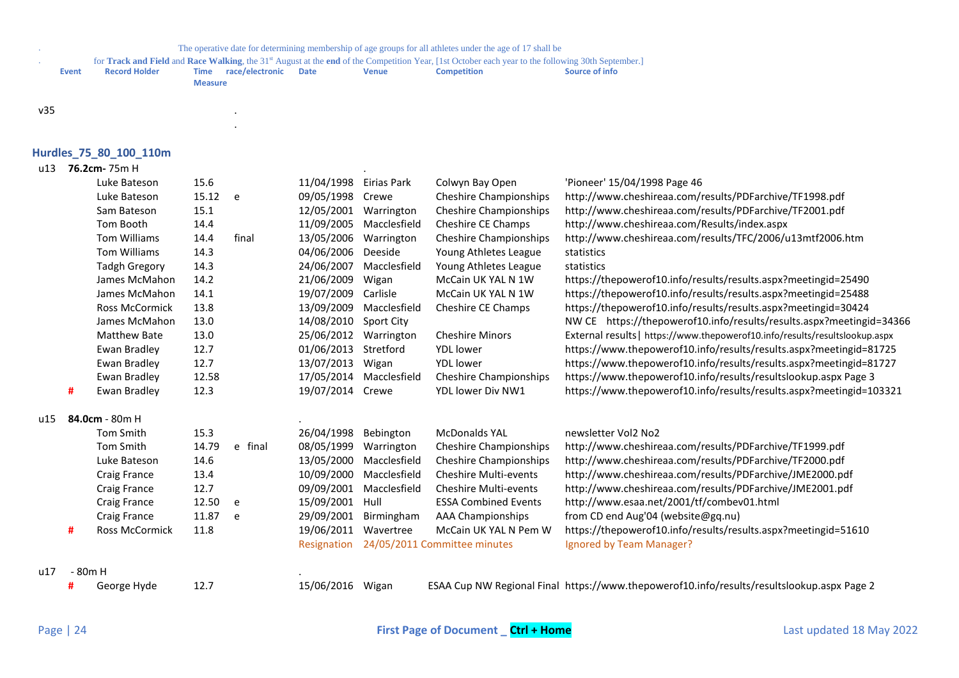for **Track and Field** and **Race Walking**, the 31<sup>st</sup> August at the **end** of the Competition Year, [1st October each year to the following 30th September.]<br>**Event Record Holder Time race/electronic Date Venue Co** 

.

| <b>Event</b> | <b>Record Holder</b> | Time           | race/electronic | Date | Venue | <b>Competition</b> | Source of info |
|--------------|----------------------|----------------|-----------------|------|-------|--------------------|----------------|
|              |                      | <b>Measure</b> |                 |      |       |                    |                |

#### $v35$

# <span id="page-23-0"></span>**Hurdles\_75\_80\_100\_110m**

### u13 **76.2cm-** 75m H .

|     |         | Luke Bateson          | 15.6  |         | 11/04/1998       | Eirias Park  | Colwyn Bay Open               | 'Pioneer' 15/04/1998 Page 46                                                |
|-----|---------|-----------------------|-------|---------|------------------|--------------|-------------------------------|-----------------------------------------------------------------------------|
|     |         | Luke Bateson          | 15.12 | e       | 09/05/1998       | Crewe        | <b>Cheshire Championships</b> | http://www.cheshireaa.com/results/PDFarchive/TF1998.pdf                     |
|     |         | Sam Bateson           | 15.1  |         | 12/05/2001       | Warrington   | <b>Cheshire Championships</b> | http://www.cheshireaa.com/results/PDFarchive/TF2001.pdf                     |
|     |         | Tom Booth             | 14.4  |         | 11/09/2005       | Macclesfield | Cheshire CE Champs            | http://www.cheshireaa.com/Results/index.aspx                                |
|     |         | Tom Williams          | 14.4  | final   | 13/05/2006       | Warrington   | <b>Cheshire Championships</b> | http://www.cheshireaa.com/results/TFC/2006/u13mtf2006.htm                   |
|     |         | Tom Williams          | 14.3  |         | 04/06/2006       | Deeside      | Young Athletes League         | statistics                                                                  |
|     |         | <b>Tadgh Gregory</b>  | 14.3  |         | 24/06/2007       | Macclesfield | Young Athletes League         | statistics                                                                  |
|     |         | James McMahon         | 14.2  |         | 21/06/2009       | Wigan        | McCain UK YAL N 1W            | https://thepowerof10.info/results/results.aspx?meetingid=25490              |
|     |         | James McMahon         | 14.1  |         | 19/07/2009       | Carlisle     | McCain UK YAL N 1W            | https://thepowerof10.info/results/results.aspx?meetingid=25488              |
|     |         | <b>Ross McCormick</b> | 13.8  |         | 13/09/2009       | Macclesfield | Cheshire CE Champs            | https://thepowerof10.info/results/results.aspx?meetingid=30424              |
|     |         | James McMahon         | 13.0  |         | 14/08/2010       | Sport City   |                               | NW CE https://thepowerof10.info/results/results.aspx?meetingid=34366        |
|     |         | <b>Matthew Bate</b>   | 13.0  |         | 25/06/2012       | Warrington   | <b>Cheshire Minors</b>        | External results   https://www.thepowerof10.info/results/resultslookup.aspx |
|     |         | Ewan Bradley          | 12.7  |         | 01/06/2013       | Stretford    | <b>YDL</b> lower              | https://www.thepowerof10.info/results/results.aspx?meetingid=81725          |
|     |         | Ewan Bradley          | 12.7  |         | 13/07/2013       | Wigan        | <b>YDL</b> lower              | https://www.thepowerof10.info/results/results.aspx?meetingid=81727          |
|     |         | Ewan Bradley          | 12.58 |         | 17/05/2014       | Macclesfield | <b>Cheshire Championships</b> | https://www.thepowerof10.info/results/resultslookup.aspx Page 3             |
|     | #       | Ewan Bradley          | 12.3  |         | 19/07/2014 Crewe |              | YDL lower Div NW1             | https://www.thepowerof10.info/results/results.aspx?meetingid=103321         |
| u15 |         | 84.0cm - 80m H        |       |         |                  |              |                               |                                                                             |
|     |         | <b>Tom Smith</b>      | 15.3  |         | 26/04/1998       | Bebington    | <b>McDonalds YAL</b>          | newsletter Vol2 No2                                                         |
|     |         | Tom Smith             | 14.79 | e final | 08/05/1999       | Warrington   | <b>Cheshire Championships</b> | http://www.cheshireaa.com/results/PDFarchive/TF1999.pdf                     |
|     |         | Luke Bateson          | 14.6  |         | 13/05/2000       | Macclesfield | Cheshire Championships        | http://www.cheshireaa.com/results/PDFarchive/TF2000.pdf                     |
|     |         | Craig France          | 13.4  |         | 10/09/2000       | Macclesfield | <b>Cheshire Multi-events</b>  | http://www.cheshireaa.com/results/PDFarchive/JME2000.pdf                    |
|     |         | Craig France          | 12.7  |         | 09/09/2001       | Macclesfield | Cheshire Multi-events         | http://www.cheshireaa.com/results/PDFarchive/JME2001.pdf                    |
|     |         | Craig France          | 12.50 | e       | 15/09/2001       | Hull         | <b>ESSA Combined Events</b>   | http://www.esaa.net/2001/tf/combev01.html                                   |
|     |         | Craig France          | 11.87 | e       | 29/09/2001       | Birmingham   | <b>AAA Championships</b>      | from CD end Aug'04 (website@gq.nu)                                          |
|     | #       | <b>Ross McCormick</b> | 11.8  |         | 19/06/2011       | Wavertree    | McCain UK YAL N Pem W         | https://thepowerof10.info/results/results.aspx?meetingid=51610              |
|     |         |                       |       |         | Resignation      |              | 24/05/2011 Committee minutes  | Ignored by Team Manager?                                                    |
| u17 | - 80m H |                       |       |         |                  |              |                               |                                                                             |

**#** George Hyde 12.7 15/06/2016 Wigan ESAA Cup NW Regional Final https://www.thepowerof10.info/results/resultslookup.aspx Page 2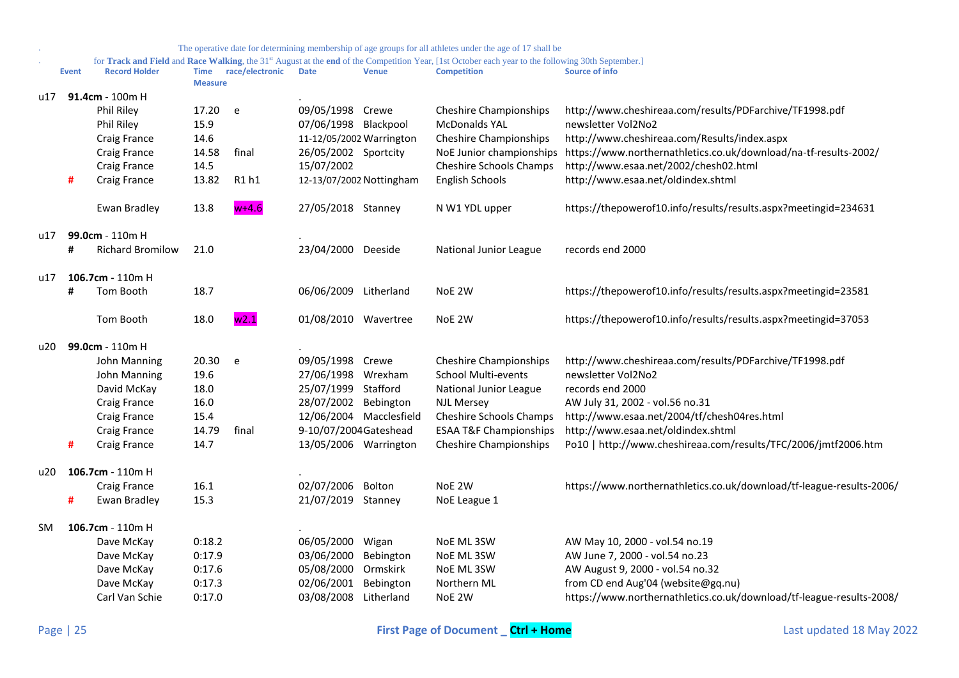|           |              |                         |                |                      |                          |                          | The operative date for determining membership of age groups for all athletes under the age of 17 shall be                                                                |                                                                      |
|-----------|--------------|-------------------------|----------------|----------------------|--------------------------|--------------------------|--------------------------------------------------------------------------------------------------------------------------------------------------------------------------|----------------------------------------------------------------------|
|           | <b>Event</b> | <b>Record Holder</b>    |                | Time race/electronic | <b>Date</b>              | <b>Venue</b>             | for Track and Field and Race Walking, the 31st August at the end of the Competition Year, [1st October each year to the following 30th September.]<br><b>Competition</b> | <b>Source of info</b>                                                |
|           |              |                         | <b>Measure</b> |                      |                          |                          |                                                                                                                                                                          |                                                                      |
| u17       |              | $91.4cm - 100m$ H       |                |                      |                          |                          |                                                                                                                                                                          |                                                                      |
|           |              | <b>Phil Riley</b>       | 17.20          | e                    | 09/05/1998 Crewe         |                          | <b>Cheshire Championships</b>                                                                                                                                            | http://www.cheshireaa.com/results/PDFarchive/TF1998.pdf              |
|           |              | Phil Riley              | 15.9           |                      | 07/06/1998 Blackpool     |                          | <b>McDonalds YAL</b>                                                                                                                                                     | newsletter Vol2No2                                                   |
|           |              | Craig France            | 14.6           |                      | 11-12/05/2002 Warrington |                          | <b>Cheshire Championships</b>                                                                                                                                            | http://www.cheshireaa.com/Results/index.aspx                         |
|           |              | Craig France            | 14.58          | final                | 26/05/2002 Sportcity     |                          | NoE Junior championships                                                                                                                                                 | https://www.northernathletics.co.uk/download/na-tf-results-2002/     |
|           |              | Craig France            | 14.5           |                      | 15/07/2002               |                          | Cheshire Schools Champs                                                                                                                                                  | http://www.esaa.net/2002/chesh02.html                                |
|           | #            | Craig France            | 13.82          | R1 h1                |                          | 12-13/07/2002 Nottingham | <b>English Schools</b>                                                                                                                                                   | http://www.esaa.net/oldindex.shtml                                   |
|           |              | Ewan Bradley            | 13.8           | $w+4.6$              | 27/05/2018 Stanney       |                          | N W1 YDL upper                                                                                                                                                           | https://thepowerof10.info/results/results.aspx?meetingid=234631      |
| u17       |              | 99.0cm - 110m H         |                |                      |                          |                          |                                                                                                                                                                          |                                                                      |
|           | #            | <b>Richard Bromilow</b> | 21.0           |                      | 23/04/2000 Deeside       |                          | National Junior League                                                                                                                                                   | records end 2000                                                     |
| u17       |              | 106.7cm - 110m H        |                |                      |                          |                          |                                                                                                                                                                          |                                                                      |
|           | #            | Tom Booth               | 18.7           |                      | 06/06/2009 Litherland    |                          | NoE 2W                                                                                                                                                                   | https://thepowerof10.info/results/results.aspx?meetingid=23581       |
|           |              | Tom Booth               | 18.0           | w2.1                 | 01/08/2010 Wavertree     |                          | NoE 2W                                                                                                                                                                   | https://thepowerof10.info/results/results.aspx?meetingid=37053       |
| u20       |              | 99.0cm - 110m H         |                |                      |                          |                          |                                                                                                                                                                          |                                                                      |
|           |              | John Manning            | 20.30          | e                    | 09/05/1998 Crewe         |                          | <b>Cheshire Championships</b>                                                                                                                                            | http://www.cheshireaa.com/results/PDFarchive/TF1998.pdf              |
|           |              | John Manning            | 19.6           |                      | 27/06/1998 Wrexham       |                          | <b>School Multi-events</b>                                                                                                                                               | newsletter Vol2No2                                                   |
|           |              | David McKay             | 18.0           |                      | 25/07/1999 Stafford      |                          | National Junior League                                                                                                                                                   | records end 2000                                                     |
|           |              | Craig France            | 16.0           |                      | 28/07/2002 Bebington     |                          | <b>NJL Mersey</b>                                                                                                                                                        | AW July 31, 2002 - vol.56 no.31                                      |
|           |              | <b>Craig France</b>     | 15.4           |                      |                          | 12/06/2004 Macclesfield  | Cheshire Schools Champs                                                                                                                                                  | http://www.esaa.net/2004/tf/chesh04res.html                          |
|           |              | <b>Craig France</b>     | 14.79          | final                | 9-10/07/2004 Gateshead   |                          | <b>ESAA T&amp;F Championships</b>                                                                                                                                        | http://www.esaa.net/oldindex.shtml                                   |
|           | #            | Craig France            | 14.7           |                      | 13/05/2006 Warrington    |                          | Cheshire Championships                                                                                                                                                   | Po10   http://www.cheshireaa.com/results/TFC/2006/jmtf2006.htm       |
| u20       |              | 106.7cm - $110m$ H      |                |                      |                          |                          |                                                                                                                                                                          |                                                                      |
|           |              | Craig France            | 16.1           |                      | 02/07/2006               | Bolton                   | NoE 2W                                                                                                                                                                   | https://www.northernathletics.co.uk/download/tf-league-results-2006/ |
|           | #            | Ewan Bradley            | 15.3           |                      | 21/07/2019 Stanney       |                          | NoE League 1                                                                                                                                                             |                                                                      |
| <b>SM</b> |              | 106.7cm - 110m H        |                |                      |                          |                          |                                                                                                                                                                          |                                                                      |
|           |              | Dave McKay              | 0:18.2         |                      | 06/05/2000               | Wigan                    | NoE ML 3SW                                                                                                                                                               | AW May 10, 2000 - vol.54 no.19                                       |
|           |              | Dave McKay              | 0:17.9         |                      | 03/06/2000               | Bebington                | NoE ML 3SW                                                                                                                                                               | AW June 7, 2000 - vol.54 no.23                                       |
|           |              | Dave McKay              | 0:17.6         |                      | 05/08/2000               | Ormskirk                 | NoE ML 3SW                                                                                                                                                               | AW August 9, 2000 - vol.54 no.32                                     |
|           |              | Dave McKay              | 0:17.3         |                      | 02/06/2001               | Bebington                | Northern ML                                                                                                                                                              | from CD end Aug'04 (website@gq.nu)                                   |
|           |              | Carl Van Schie          | 0:17.0         |                      | 03/08/2008 Litherland    |                          | NoE 2W                                                                                                                                                                   | https://www.northernathletics.co.uk/download/tf-league-results-2008/ |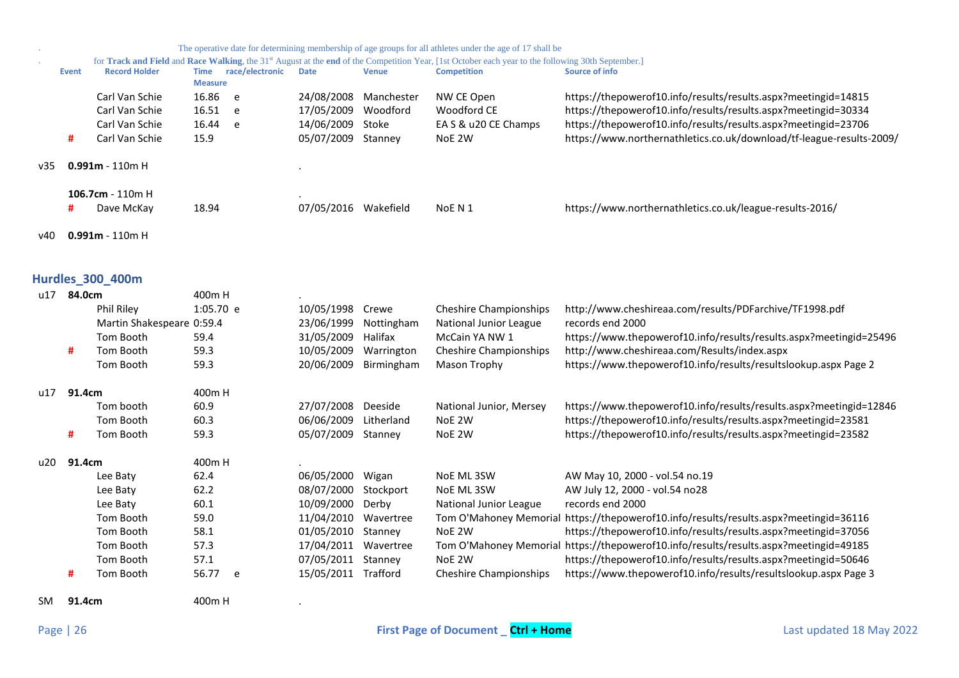<span id="page-25-0"></span>

|     |            |                           |                         |                 |                       |              | The operative date for determining membership of age groups for all athletes under the age of 17 shall be                                                                |                                                                                       |
|-----|------------|---------------------------|-------------------------|-----------------|-----------------------|--------------|--------------------------------------------------------------------------------------------------------------------------------------------------------------------------|---------------------------------------------------------------------------------------|
|     | Event      | <b>Record Holder</b>      | <b>Time</b>             | race/electronic | <b>Date</b>           | <b>Venue</b> | for Track and Field and Race Walking, the 31st August at the end of the Competition Year, [1st October each year to the following 30th September.]<br><b>Competition</b> | <b>Source of info</b>                                                                 |
|     |            | Carl Van Schie            | <b>Measure</b><br>16.86 | e               | 24/08/2008 Manchester |              | NW CE Open                                                                                                                                                               | https://thepowerof10.info/results/results.aspx?meetingid=14815                        |
|     |            | Carl Van Schie            | 16.51                   | e               | 17/05/2009            | Woodford     | Woodford CE                                                                                                                                                              | https://thepowerof10.info/results/results.aspx?meetingid=30334                        |
|     |            | Carl Van Schie            | 16.44                   | e               | 14/06/2009            | Stoke        | EA S & u20 CE Champs                                                                                                                                                     | https://thepowerof10.info/results/results.aspx?meetingid=23706                        |
|     | #          | Carl Van Schie            | 15.9                    |                 | 05/07/2009 Stanney    |              | NoE 2W                                                                                                                                                                   | https://www.northernathletics.co.uk/download/tf-league-results-2009/                  |
| v35 |            | $0.991m - 110m$ H         |                         |                 |                       |              |                                                                                                                                                                          |                                                                                       |
|     |            | 106.7cm - 110m H          |                         |                 |                       |              |                                                                                                                                                                          |                                                                                       |
|     | #          | Dave McKay                | 18.94                   |                 | 07/05/2016 Wakefield  |              | NoE N 1                                                                                                                                                                  | https://www.northernathletics.co.uk/league-results-2016/                              |
| v40 |            | $0.991m - 110m$ H         |                         |                 |                       |              |                                                                                                                                                                          |                                                                                       |
|     |            | Hurdles_300_400m          |                         |                 |                       |              |                                                                                                                                                                          |                                                                                       |
|     | u17 84.0cm |                           | 400m H                  |                 |                       |              |                                                                                                                                                                          |                                                                                       |
|     |            | Phil Riley                | 1:05.70 e               |                 | 10/05/1998            | Crewe        | <b>Cheshire Championships</b>                                                                                                                                            | http://www.cheshireaa.com/results/PDFarchive/TF1998.pdf                               |
|     |            | Martin Shakespeare 0:59.4 |                         |                 | 23/06/1999            | Nottingham   | National Junior League                                                                                                                                                   | records end 2000                                                                      |
|     |            | Tom Booth                 | 59.4                    |                 | 31/05/2009            | Halifax      | McCain YA NW 1                                                                                                                                                           | https://www.thepowerof10.info/results/results.aspx?meetingid=25496                    |
|     | #          | Tom Booth                 | 59.3                    |                 | 10/05/2009            | Warrington   | <b>Cheshire Championships</b>                                                                                                                                            | http://www.cheshireaa.com/Results/index.aspx                                          |
|     |            | Tom Booth                 | 59.3                    |                 | 20/06/2009 Birmingham |              | Mason Trophy                                                                                                                                                             | https://www.thepowerof10.info/results/resultslookup.aspx Page 2                       |
| u17 | 91.4cm     |                           | 400mH                   |                 |                       |              |                                                                                                                                                                          |                                                                                       |
|     |            | Tom booth                 | 60.9                    |                 | 27/07/2008            | Deeside      | National Junior, Mersey                                                                                                                                                  | https://www.thepowerof10.info/results/results.aspx?meetingid=12846                    |
|     |            | Tom Booth                 | 60.3                    |                 | 06/06/2009            | Litherland   | NoE 2W                                                                                                                                                                   | https://thepowerof10.info/results/results.aspx?meetingid=23581                        |
|     | #          | Tom Booth                 | 59.3                    |                 | 05/07/2009 Stanney    |              | NoE 2W                                                                                                                                                                   | https://thepowerof10.info/results/results.aspx?meetingid=23582                        |
| u20 | 91.4cm     |                           | 400mH                   |                 |                       |              |                                                                                                                                                                          |                                                                                       |
|     |            | Lee Baty                  | 62.4                    |                 | 06/05/2000            | Wigan        | NoE ML 3SW                                                                                                                                                               | AW May 10, 2000 - vol.54 no.19                                                        |
|     |            | Lee Baty                  | 62.2                    |                 | 08/07/2000            | Stockport    | NoE ML 3SW                                                                                                                                                               | AW July 12, 2000 - vol.54 no28                                                        |
|     |            | Lee Baty                  | 60.1                    |                 | 10/09/2000            | Derby        | National Junior League                                                                                                                                                   | records end 2000                                                                      |
|     |            | Tom Booth                 | 59.0                    |                 | 11/04/2010 Wavertree  |              |                                                                                                                                                                          | Tom O'Mahoney Memorial https://thepowerof10.info/results/results.aspx?meetingid=36116 |
|     |            | Tom Booth                 | 58.1                    |                 | 01/05/2010 Stanney    |              | NoE 2W                                                                                                                                                                   | https://thepowerof10.info/results/results.aspx?meetingid=37056                        |
|     |            | Tom Booth                 | 57.3                    |                 | 17/04/2011 Wavertree  |              |                                                                                                                                                                          | Tom O'Mahoney Memorial https://thepowerof10.info/results/results.aspx?meetingid=49185 |
|     |            | Tom Booth                 | 57.1                    |                 | 07/05/2011 Stanney    |              | NoE 2W                                                                                                                                                                   | https://thepowerof10.info/results/results.aspx?meetingid=50646                        |
|     | #          | Tom Booth                 | 56.77                   | e               | 15/05/2011 Trafford   |              | <b>Cheshire Championships</b>                                                                                                                                            | https://www.thepowerof10.info/results/resultslookup.aspx Page 3                       |
| SM. | 91.4cm     |                           | 400m H                  |                 |                       |              |                                                                                                                                                                          |                                                                                       |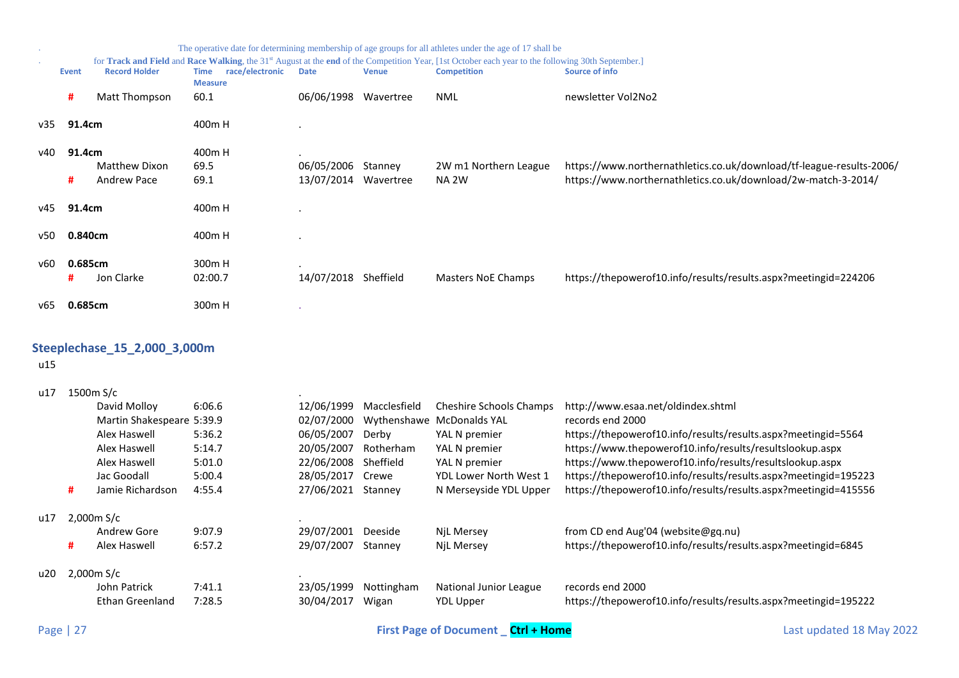|     |         |                              |                                                  |                      |              | The operative date for determining membership of age groups for all athletes under the age of 17 shall be                                                      |                                                                      |
|-----|---------|------------------------------|--------------------------------------------------|----------------------|--------------|----------------------------------------------------------------------------------------------------------------------------------------------------------------|----------------------------------------------------------------------|
|     |         |                              |                                                  |                      |              | for Track and Field and Race Walking, the 31 <sup>st</sup> August at the end of the Competition Year, [1st October each year to the following 30th September.] |                                                                      |
|     | Event   | <b>Record Holder</b>         | race/electronic<br><b>Time</b><br><b>Measure</b> | <b>Date</b>          | <b>Venue</b> | <b>Competition</b>                                                                                                                                             | Source of info                                                       |
|     | #       | Matt Thompson                | 60.1                                             | 06/06/1998 Wavertree |              | NML                                                                                                                                                            | newsletter Vol2No2                                                   |
| v35 | 91.4cm  |                              | 400m H                                           |                      |              |                                                                                                                                                                |                                                                      |
| v40 | 91.4cm  |                              | 400m H                                           |                      |              |                                                                                                                                                                |                                                                      |
|     |         | Matthew Dixon                | 69.5                                             | 06/05/2006           | Stanney      | 2W m1 Northern League                                                                                                                                          | https://www.northernathletics.co.uk/download/tf-league-results-2006/ |
|     | #       | <b>Andrew Pace</b>           | 69.1                                             | 13/07/2014 Wavertree |              | NA 2W                                                                                                                                                          | https://www.northernathletics.co.uk/download/2w-match-3-2014/        |
| v45 | 91.4cm  |                              | 400m H                                           |                      |              |                                                                                                                                                                |                                                                      |
| v50 | 0.840cm |                              | 400m H                                           |                      |              |                                                                                                                                                                |                                                                      |
| v60 | 0.685cm |                              | 300 <sub>m</sub> H                               |                      |              |                                                                                                                                                                |                                                                      |
|     | #       | Jon Clarke                   | 02:00.7                                          | 14/07/2018 Sheffield |              | Masters NoE Champs                                                                                                                                             | https://thepowerof10.info/results/results.aspx?meetingid=224206      |
| v65 | 0.685cm |                              | 300m H                                           |                      |              |                                                                                                                                                                |                                                                      |
|     |         | Steeplechase_15_2,000_3,000m |                                                  |                      |              |                                                                                                                                                                |                                                                      |
|     |         |                              |                                                  |                      |              |                                                                                                                                                                |                                                                      |
| u15 |         |                              |                                                  |                      |              |                                                                                                                                                                |                                                                      |

<span id="page-26-0"></span>u17 1500m S/c .

|           |   | David Molloy              | 6:06.6 | 12/06/1999 | Macclesfield | <b>Cheshire Schools Champs</b>            | http://www.esaa.net/oldindex.shtml                              |
|-----------|---|---------------------------|--------|------------|--------------|-------------------------------------------|-----------------------------------------------------------------|
|           |   | Martin Shakespeare 5:39.9 |        | 02/07/2000 |              | Wythenshawe McDonalds YAL                 | records end 2000                                                |
|           |   | Alex Haswell              | 5:36.2 | 06/05/2007 | Derby        | YAL N premier                             | https://thepowerof10.info/results/results.aspx?meetingid=5564   |
|           |   | Alex Haswell              | 5:14.7 | 20/05/2007 | Rotherham    | YAL N premier                             | https://www.thepowerof10.info/results/resultslookup.aspx        |
|           |   | Alex Haswell              | 5:01.0 | 22/06/2008 | Sheffield    | YAL N premier                             | https://www.thepowerof10.info/results/resultslookup.aspx        |
|           |   | Jac Goodall               | 5:00.4 | 28/05/2017 | Crewe        | YDL Lower North West 1                    | https://thepowerof10.info/results/results.aspx?meetingid=195223 |
|           | # | Jamie Richardson          | 4:55.4 | 27/06/2021 | Stanney      | N Merseyside YDL Upper                    | https://thepowerof10.info/results/results.aspx?meetingid=415556 |
| u17       |   | 2,000m S/c                |        |            |              |                                           |                                                                 |
|           |   | Andrew Gore               | 9:07.9 | 29/07/2001 | Deeside      | NjL Mersey                                | from CD end Aug'04 (website@gq.nu)                              |
|           | # | Alex Haswell              | 6:57.2 | 29/07/2007 | Stanney      | NjL Mersey                                | https://thepowerof10.info/results/results.aspx?meetingid=6845   |
| u20       |   | 2,000m S/c                |        |            |              |                                           |                                                                 |
|           |   | John Patrick              | 7:41.1 | 23/05/1999 | Nottingham   | National Junior League                    | records end 2000                                                |
|           |   | Ethan Greenland           | 7:28.5 | 30/04/2017 | Wigan        | <b>YDL Upper</b>                          | https://thepowerof10.info/results/results.aspx?meetingid=195222 |
| Page   27 |   |                           |        |            |              | <b>First Page of Document</b> Ctrl + Home | Last updated 18 May 2022                                        |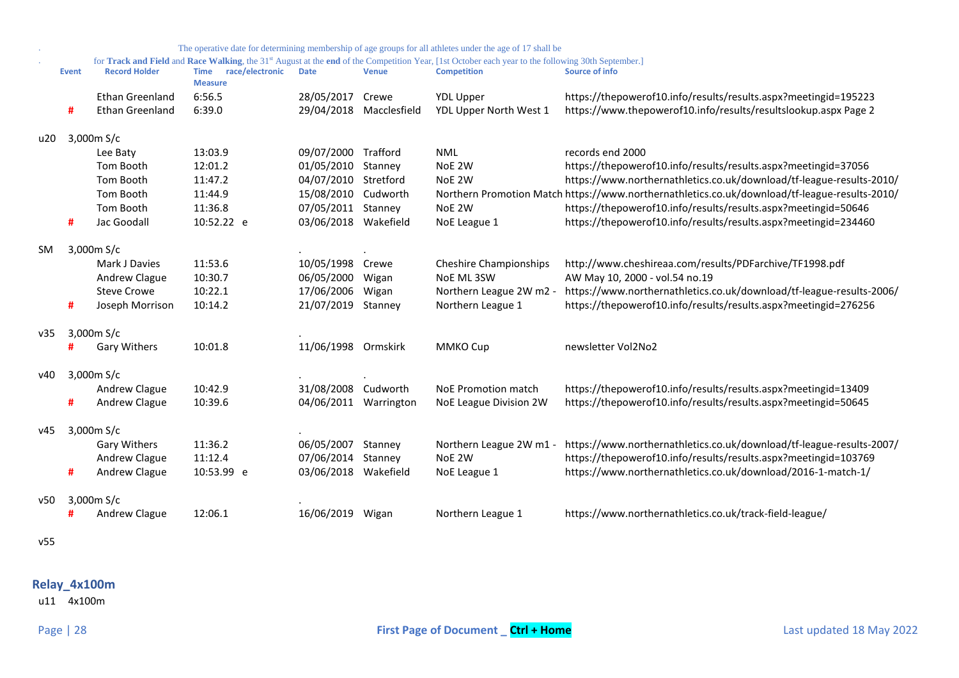|     |              |                        |                               |                      |              | The operative date for determining membership of age groups for all athletes under the age of 17 shall be                                                      |                                                                                               |
|-----|--------------|------------------------|-------------------------------|----------------------|--------------|----------------------------------------------------------------------------------------------------------------------------------------------------------------|-----------------------------------------------------------------------------------------------|
|     |              |                        | race/electronic               |                      |              | for Track and Field and Race Walking, the 31 <sup>st</sup> August at the end of the Competition Year, [1st October each year to the following 30th September.] | <b>Source of info</b>                                                                         |
|     | <b>Event</b> | <b>Record Holder</b>   | <b>Time</b><br><b>Measure</b> | <b>Date</b>          | <b>Venue</b> | <b>Competition</b>                                                                                                                                             |                                                                                               |
|     |              | Ethan Greenland        | 6:56.5                        | 28/05/2017           | Crewe        | <b>YDL Upper</b>                                                                                                                                               | https://thepowerof10.info/results/results.aspx?meetingid=195223                               |
|     | #            | <b>Ethan Greenland</b> | 6:39.0                        | 29/04/2018           | Macclesfield | YDL Upper North West 1                                                                                                                                         | https://www.thepowerof10.info/results/resultslookup.aspx Page 2                               |
| u20 |              | 3,000m S/c             |                               |                      |              |                                                                                                                                                                |                                                                                               |
|     |              | Lee Baty               | 13:03.9                       | 09/07/2000           | Trafford     | <b>NML</b>                                                                                                                                                     | records end 2000                                                                              |
|     |              | Tom Booth              | 12:01.2                       | 01/05/2010           | Stanney      | NoE 2W                                                                                                                                                         | https://thepowerof10.info/results/results.aspx?meetingid=37056                                |
|     |              | Tom Booth              | 11:47.2                       | 04/07/2010 Stretford |              | NoE 2W                                                                                                                                                         | https://www.northernathletics.co.uk/download/tf-league-results-2010/                          |
|     |              | Tom Booth              | 11:44.9                       | 15/08/2010           | Cudworth     |                                                                                                                                                                | Northern Promotion Match https://www.northernathletics.co.uk/download/tf-league-results-2010/ |
|     |              | Tom Booth              | 11:36.8                       | 07/05/2011           | Stanney      | NoE 2W                                                                                                                                                         | https://thepowerof10.info/results/results.aspx?meetingid=50646                                |
|     | #            | Jac Goodall            | 10:52.22 e                    | 03/06/2018           | Wakefield    | NoE League 1                                                                                                                                                   | https://thepowerof10.info/results/results.aspx?meetingid=234460                               |
| SM  |              | 3,000m S/c             |                               |                      |              |                                                                                                                                                                |                                                                                               |
|     |              | Mark J Davies          | 11:53.6                       | 10/05/1998           | Crewe        | <b>Cheshire Championships</b>                                                                                                                                  | http://www.cheshireaa.com/results/PDFarchive/TF1998.pdf                                       |
|     |              | Andrew Clague          | 10:30.7                       | 06/05/2000           | Wigan        | NoE ML 3SW                                                                                                                                                     | AW May 10, 2000 - vol.54 no.19                                                                |
|     |              | <b>Steve Crowe</b>     | 10:22.1                       | 17/06/2006           | Wigan        | Northern League 2W m2 -                                                                                                                                        | https://www.northernathletics.co.uk/download/tf-league-results-2006/                          |
|     | #            | Joseph Morrison        | 10:14.2                       | 21/07/2019           | Stanney      | Northern League 1                                                                                                                                              | https://thepowerof10.info/results/results.aspx?meetingid=276256                               |
| v35 |              | 3,000m S/c             |                               |                      |              |                                                                                                                                                                |                                                                                               |
|     |              | Gary Withers           | 10:01.8                       | 11/06/1998 Ormskirk  |              | MMKO Cup                                                                                                                                                       | newsletter Vol2No2                                                                            |
| v40 |              | 3,000 $m S/c$          |                               |                      |              |                                                                                                                                                                |                                                                                               |
|     |              | Andrew Clague          | 10:42.9                       | 31/08/2008           | Cudworth     | NoE Promotion match                                                                                                                                            | https://thepowerof10.info/results/results.aspx?meetingid=13409                                |
|     | #            | Andrew Clague          | 10:39.6                       | 04/06/2011           | Warrington   | NoE League Division 2W                                                                                                                                         | https://thepowerof10.info/results/results.aspx?meetingid=50645                                |
| v45 |              | 3,000m S/c             |                               |                      |              |                                                                                                                                                                |                                                                                               |
|     |              | <b>Gary Withers</b>    | 11:36.2                       | 06/05/2007           | Stanney      | Northern League 2W m1 -                                                                                                                                        | https://www.northernathletics.co.uk/download/tf-league-results-2007/                          |
|     |              | Andrew Clague          | 11:12.4                       | 07/06/2014           | Stanney      | NoE 2W                                                                                                                                                         | https://thepowerof10.info/results/results.aspx?meetingid=103769                               |
|     | #            | Andrew Clague          | 10:53.99 e                    | 03/06/2018 Wakefield |              | NoE League 1                                                                                                                                                   | https://www.northernathletics.co.uk/download/2016-1-match-1/                                  |
| v50 |              | 3,000m S/c             |                               |                      |              |                                                                                                                                                                |                                                                                               |
|     |              | Andrew Clague          | 12:06.1                       | 16/06/2019           | Wigan        | Northern League 1                                                                                                                                              | https://www.northernathletics.co.uk/track-field-league/                                       |
|     |              |                        |                               |                      |              |                                                                                                                                                                |                                                                                               |

v55

# <span id="page-27-0"></span>**Relay\_4x100m**

u11 4x100m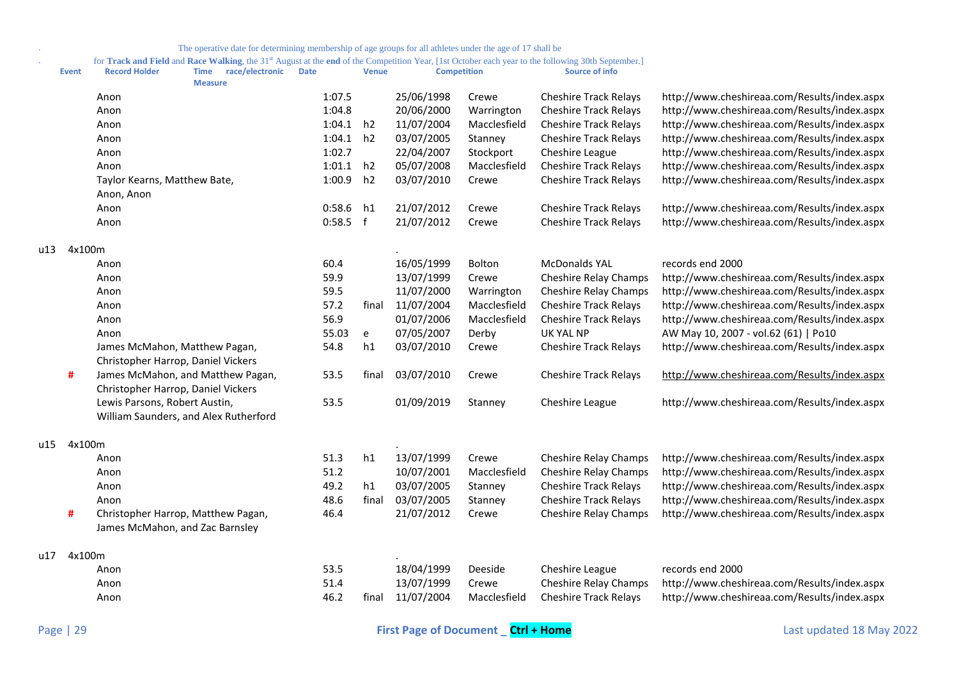. for **Track and Field** and **Race Walking**, the 31st August at the **end** of the Competition Year, [1st October each year to the following 30th September.]

|     | <b>Event</b> | <b>Record Holder</b>                                                    | Time<br><b>Measure</b> | race/electronic | <b>Date</b> |            | <b>Venue</b> | <b>Competition</b> |               | <b>Source of info</b>        |                                              |
|-----|--------------|-------------------------------------------------------------------------|------------------------|-----------------|-------------|------------|--------------|--------------------|---------------|------------------------------|----------------------------------------------|
|     |              | Anon                                                                    |                        |                 |             | 1:07.5     |              | 25/06/1998         | Crewe         | <b>Cheshire Track Relays</b> | http://www.cheshireaa.com/Results/index.aspx |
|     |              | Anon                                                                    |                        |                 |             | 1:04.8     |              | 20/06/2000         | Warrington    | <b>Cheshire Track Relays</b> | http://www.cheshireaa.com/Results/index.aspx |
|     |              | Anon                                                                    |                        |                 |             | 1:04.1     | h2           | 11/07/2004         | Macclesfield  | <b>Cheshire Track Relays</b> | http://www.cheshireaa.com/Results/index.aspx |
|     |              | Anon                                                                    |                        |                 |             | 1:04.1     | h2           | 03/07/2005         | Stanney       | <b>Cheshire Track Relays</b> | http://www.cheshireaa.com/Results/index.aspx |
|     |              | Anon                                                                    |                        |                 |             | 1:02.7     |              | 22/04/2007         | Stockport     | Cheshire League              | http://www.cheshireaa.com/Results/index.aspx |
|     |              | Anon                                                                    |                        |                 |             | 1:01.1     | h2           | 05/07/2008         | Macclesfield  | <b>Cheshire Track Relays</b> | http://www.cheshireaa.com/Results/index.aspx |
|     |              | Taylor Kearns, Matthew Bate,                                            |                        |                 |             | 1:00.9     | h2           | 03/07/2010         | Crewe         | <b>Cheshire Track Relays</b> | http://www.cheshireaa.com/Results/index.aspx |
|     |              | Anon, Anon                                                              |                        |                 |             |            |              |                    |               |                              |                                              |
|     |              | Anon                                                                    |                        |                 |             | 0:58.6     | h1           | 21/07/2012         | Crewe         | <b>Cheshire Track Relays</b> | http://www.cheshireaa.com/Results/index.aspx |
|     |              | Anon                                                                    |                        |                 |             | $0:58.5$ f |              | 21/07/2012         | Crewe         | <b>Cheshire Track Relays</b> | http://www.cheshireaa.com/Results/index.aspx |
| u13 | 4x100m       |                                                                         |                        |                 |             |            |              |                    |               |                              |                                              |
|     |              | Anon                                                                    |                        |                 |             | 60.4       |              | 16/05/1999         | <b>Bolton</b> | <b>McDonalds YAL</b>         | records end 2000                             |
|     |              | Anon                                                                    |                        |                 |             | 59.9       |              | 13/07/1999         | Crewe         | <b>Cheshire Relay Champs</b> | http://www.cheshireaa.com/Results/index.aspx |
|     |              | Anon                                                                    |                        |                 |             | 59.5       |              | 11/07/2000         | Warrington    | <b>Cheshire Relay Champs</b> | http://www.cheshireaa.com/Results/index.aspx |
|     |              | Anon                                                                    |                        |                 |             | 57.2       | final        | 11/07/2004         | Macclesfield  | <b>Cheshire Track Relays</b> | http://www.cheshireaa.com/Results/index.aspx |
|     |              | Anon                                                                    |                        |                 |             | 56.9       |              | 01/07/2006         | Macclesfield  | <b>Cheshire Track Relays</b> | http://www.cheshireaa.com/Results/index.aspx |
|     |              | Anon                                                                    |                        |                 |             | 55.03      | e            | 07/05/2007         | Derby         | <b>UK YAL NP</b>             | AW May 10, 2007 - vol.62 (61)   Po10         |
|     |              | James McMahon, Matthew Pagan,<br>Christopher Harrop, Daniel Vickers     |                        |                 |             | 54.8       | h1           | 03/07/2010         | Crewe         | <b>Cheshire Track Relays</b> | http://www.cheshireaa.com/Results/index.aspx |
|     | #            | James McMahon, and Matthew Pagan,<br>Christopher Harrop, Daniel Vickers |                        |                 |             | 53.5       | final        | 03/07/2010         | Crewe         | <b>Cheshire Track Relays</b> | http://www.cheshireaa.com/Results/index.aspx |
|     |              | Lewis Parsons, Robert Austin,                                           |                        |                 |             | 53.5       |              | 01/09/2019         | Stanney       | Cheshire League              | http://www.cheshireaa.com/Results/index.aspx |
|     |              | William Saunders, and Alex Rutherford                                   |                        |                 |             |            |              |                    |               |                              |                                              |
| u15 | 4x100m       |                                                                         |                        |                 |             |            |              |                    |               |                              |                                              |
|     |              | Anon                                                                    |                        |                 |             | 51.3       | h1           | 13/07/1999         | Crewe         | Cheshire Relay Champs        | http://www.cheshireaa.com/Results/index.aspx |
|     |              | Anon                                                                    |                        |                 |             | 51.2       |              | 10/07/2001         | Macclesfield  | <b>Cheshire Relay Champs</b> | http://www.cheshireaa.com/Results/index.aspx |
|     |              | Anon                                                                    |                        |                 |             | 49.2       | h1           | 03/07/2005         | Stanney       | <b>Cheshire Track Relays</b> | http://www.cheshireaa.com/Results/index.aspx |
|     |              | Anon                                                                    |                        |                 |             | 48.6       | final        | 03/07/2005         | Stanney       | <b>Cheshire Track Relays</b> | http://www.cheshireaa.com/Results/index.aspx |
|     | #            | Christopher Harrop, Matthew Pagan,<br>James McMahon, and Zac Barnsley   |                        |                 |             | 46.4       |              | 21/07/2012         | Crewe         | <b>Cheshire Relay Champs</b> | http://www.cheshireaa.com/Results/index.aspx |
| u17 | 4x100m       |                                                                         |                        |                 |             |            |              |                    |               |                              |                                              |
|     |              | Anon                                                                    |                        |                 |             | 53.5       |              | 18/04/1999         | Deeside       | Cheshire League              | records end 2000                             |
|     |              | Anon                                                                    |                        |                 |             | 51.4       |              | 13/07/1999         | Crewe         | Cheshire Relay Champs        | http://www.cheshireaa.com/Results/index.aspx |
|     |              | Anon                                                                    |                        |                 |             | 46.2       | final        | 11/07/2004         | Macclesfield  | <b>Cheshire Track Relays</b> | http://www.cheshireaa.com/Results/index.aspx |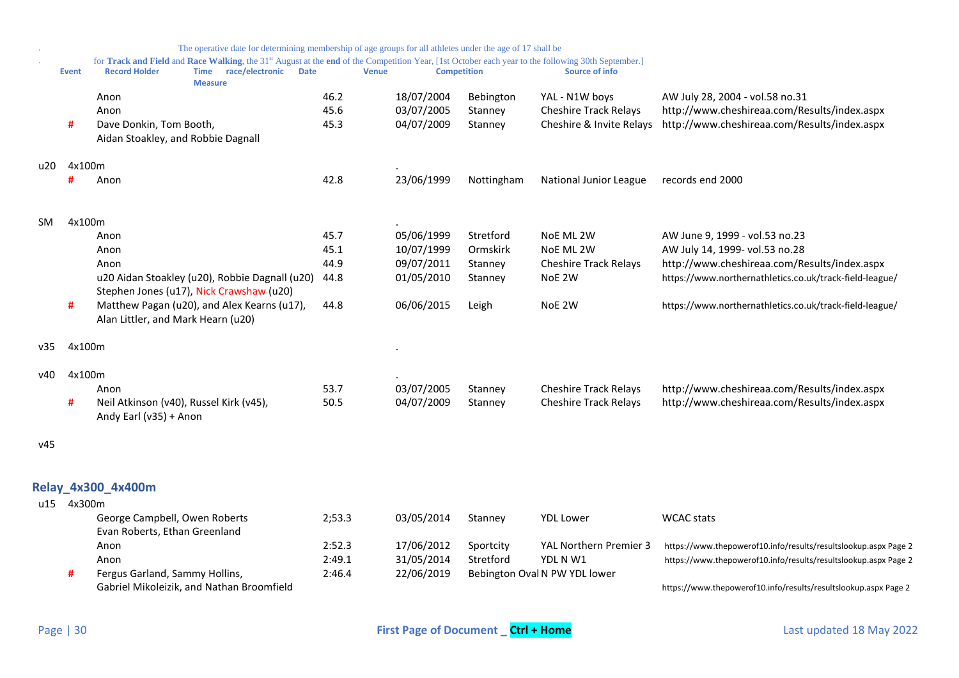<span id="page-29-0"></span>

|     |            |                                                                   | The operative date for determining membership of age groups for all athletes under the age of 17 shall be |             |              |                      |                                                                                                                                                                      |                                                                 |
|-----|------------|-------------------------------------------------------------------|-----------------------------------------------------------------------------------------------------------|-------------|--------------|----------------------|----------------------------------------------------------------------------------------------------------------------------------------------------------------------|-----------------------------------------------------------------|
|     | Event      | <b>Record Holder</b>                                              | Time race/electronic                                                                                      | <b>Date</b> | <b>Venue</b> | <b>Competition</b>   | for Track and Field and Race Walking, the 31st August at the end of the Competition Year, [1st October each year to the following 30th September.]<br>Source of info |                                                                 |
|     |            |                                                                   | <b>Measure</b>                                                                                            | 46.2        | 18/07/2004   |                      |                                                                                                                                                                      | AW July 28, 2004 - vol.58 no.31                                 |
|     |            | Anon<br>Anon                                                      |                                                                                                           | 45.6        | 03/07/2005   | Bebington<br>Stanney | YAL - N1W boys<br><b>Cheshire Track Relays</b>                                                                                                                       | http://www.cheshireaa.com/Results/index.aspx                    |
|     | #          | Dave Donkin, Tom Booth,                                           |                                                                                                           | 45.3        | 04/07/2009   |                      | Cheshire & Invite Relays                                                                                                                                             | http://www.cheshireaa.com/Results/index.aspx                    |
|     |            | Aidan Stoakley, and Robbie Dagnall                                |                                                                                                           |             |              | Stanney              |                                                                                                                                                                      |                                                                 |
| u20 | 4x100m     |                                                                   |                                                                                                           |             |              |                      |                                                                                                                                                                      |                                                                 |
|     | #          | Anon                                                              |                                                                                                           | 42.8        | 23/06/1999   | Nottingham           | National Junior League                                                                                                                                               | records end 2000                                                |
| SM. | 4x100m     |                                                                   |                                                                                                           |             |              |                      |                                                                                                                                                                      |                                                                 |
|     |            | Anon                                                              |                                                                                                           | 45.7        | 05/06/1999   | Stretford            | NoE ML 2W                                                                                                                                                            | AW June 9, 1999 - vol.53 no.23                                  |
|     |            | Anon                                                              |                                                                                                           | 45.1        | 10/07/1999   | Ormskirk             | NoE ML 2W                                                                                                                                                            | AW July 14, 1999- vol.53 no.28                                  |
|     |            | Anon                                                              |                                                                                                           | 44.9        | 09/07/2011   | Stanney              | <b>Cheshire Track Relays</b>                                                                                                                                         | http://www.cheshireaa.com/Results/index.aspx                    |
|     |            | u20 Aidan Stoakley (u20), Robbie Dagnall (u20)                    |                                                                                                           | 44.8        | 01/05/2010   | Stanney              | NoE 2W                                                                                                                                                               | https://www.northernathletics.co.uk/track-field-league/         |
|     |            | Stephen Jones (u17), Nick Crawshaw (u20)                          |                                                                                                           |             |              |                      |                                                                                                                                                                      |                                                                 |
|     | #          | Alan Littler, and Mark Hearn (u20)                                | Matthew Pagan (u20), and Alex Kearns (u17),                                                               | 44.8        | 06/06/2015   | Leigh                | NoE 2W                                                                                                                                                               | https://www.northernathletics.co.uk/track-field-league/         |
| v35 | 4x100m     |                                                                   |                                                                                                           |             |              |                      |                                                                                                                                                                      |                                                                 |
| v40 | 4x100m     |                                                                   |                                                                                                           |             |              |                      |                                                                                                                                                                      |                                                                 |
|     |            | Anon                                                              |                                                                                                           | 53.7        | 03/07/2005   | Stanney              | <b>Cheshire Track Relays</b>                                                                                                                                         | http://www.cheshireaa.com/Results/index.aspx                    |
|     | #          | Neil Atkinson (v40), Russel Kirk (v45),<br>Andy Earl (v35) + Anon |                                                                                                           | 50.5        | 04/07/2009   | Stanney              | <b>Cheshire Track Relays</b>                                                                                                                                         | http://www.cheshireaa.com/Results/index.aspx                    |
| v45 |            |                                                                   |                                                                                                           |             |              |                      |                                                                                                                                                                      |                                                                 |
|     |            | Relay_4x300_4x400m                                                |                                                                                                           |             |              |                      |                                                                                                                                                                      |                                                                 |
|     | u15 4x300m |                                                                   |                                                                                                           |             |              |                      |                                                                                                                                                                      |                                                                 |
|     |            | George Campbell, Owen Roberts<br>Evan Roberts, Ethan Greenland    |                                                                                                           | 2:53.3      | 03/05/2014   | Stanney              | <b>YDL Lower</b>                                                                                                                                                     | <b>WCAC</b> stats                                               |
|     |            | Anon                                                              |                                                                                                           | 2:52.3      | 17/06/2012   | Sportcity            | YAL Northern Premier 3                                                                                                                                               | https://www.thepowerof10.info/results/resultslookup.aspx Page 2 |
|     |            | Anon                                                              |                                                                                                           | 2:49.1      | 31/05/2014   | Stretford            | YDL N W1                                                                                                                                                             | https://www.thepowerof10.info/results/resultslookup.aspx Page 2 |
|     | #          | Fergus Garland, Sammy Hollins,                                    |                                                                                                           | 2:46.4      | 22/06/2019   |                      | Bebington Oval N PW YDL lower                                                                                                                                        |                                                                 |
|     |            | Gabriel Mikoleizik, and Nathan Broomfield                         |                                                                                                           |             |              |                      |                                                                                                                                                                      | https://www.thepowerof10.info/results/resultslookup.aspx Page 2 |
|     |            |                                                                   |                                                                                                           |             |              |                      |                                                                                                                                                                      |                                                                 |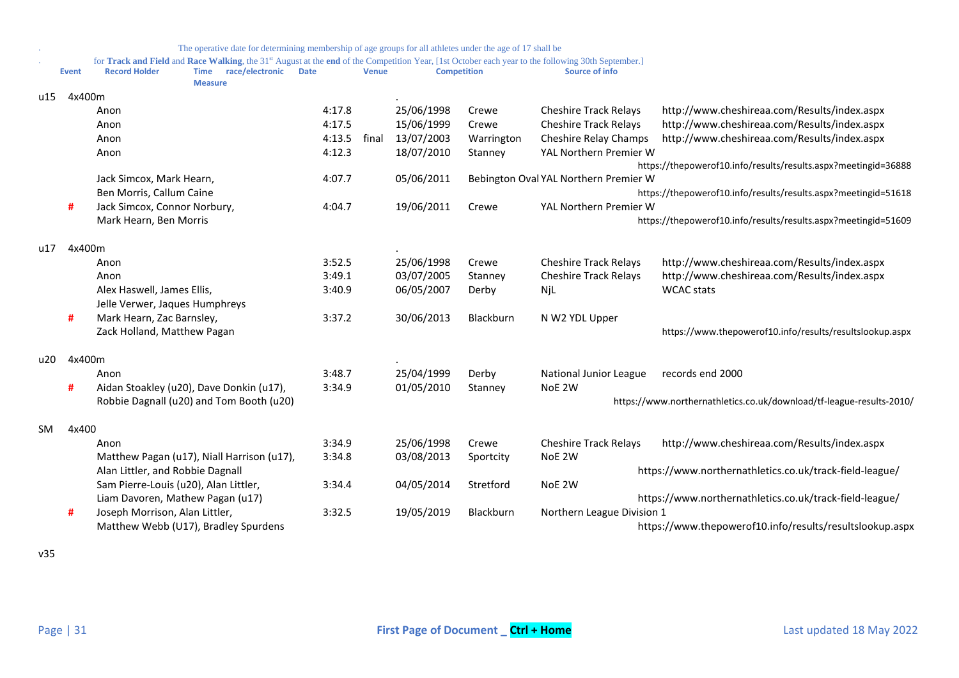|     |              | The operative date for determining membership of age groups for all athletes under the age of 17 shall be                                                      |             |              |            |                    |                                       |                                                                      |
|-----|--------------|----------------------------------------------------------------------------------------------------------------------------------------------------------------|-------------|--------------|------------|--------------------|---------------------------------------|----------------------------------------------------------------------|
|     |              | for Track and Field and Race Walking, the 31 <sup>st</sup> August at the end of the Competition Year, [1st October each year to the following 30th September.] |             |              |            |                    |                                       |                                                                      |
|     | <b>Event</b> | race/electronic<br><b>Record Holder</b><br><b>Time</b><br><b>Measure</b>                                                                                       | <b>Date</b> | <b>Venue</b> |            | <b>Competition</b> | Source of info                        |                                                                      |
| u15 | 4x400m       |                                                                                                                                                                |             |              |            |                    |                                       |                                                                      |
|     |              | Anon                                                                                                                                                           | 4:17.8      |              | 25/06/1998 | Crewe              | <b>Cheshire Track Relays</b>          | http://www.cheshireaa.com/Results/index.aspx                         |
|     |              | Anon                                                                                                                                                           | 4:17.5      |              | 15/06/1999 | Crewe              | <b>Cheshire Track Relays</b>          | http://www.cheshireaa.com/Results/index.aspx                         |
|     |              | Anon                                                                                                                                                           | 4:13.5      | final        | 13/07/2003 | Warrington         | <b>Cheshire Relay Champs</b>          | http://www.cheshireaa.com/Results/index.aspx                         |
|     |              | Anon                                                                                                                                                           | 4:12.3      |              | 18/07/2010 | Stanney            | YAL Northern Premier W                |                                                                      |
|     |              |                                                                                                                                                                |             |              |            |                    |                                       | https://thepowerof10.info/results/results.aspx?meetingid=36888       |
|     |              | Jack Simcox, Mark Hearn,                                                                                                                                       | 4:07.7      |              | 05/06/2011 |                    | Bebington Oval YAL Northern Premier W |                                                                      |
|     |              | Ben Morris, Callum Caine                                                                                                                                       |             |              |            |                    |                                       | https://thepowerof10.info/results/results.aspx?meetingid=51618       |
|     | #            | Jack Simcox, Connor Norbury,                                                                                                                                   | 4:04.7      |              | 19/06/2011 | Crewe              | YAL Northern Premier W                |                                                                      |
|     |              | Mark Hearn, Ben Morris                                                                                                                                         |             |              |            |                    |                                       | https://thepowerof10.info/results/results.aspx?meetingid=51609       |
| u17 | 4x400m       |                                                                                                                                                                |             |              |            |                    |                                       |                                                                      |
|     |              | Anon                                                                                                                                                           | 3:52.5      |              | 25/06/1998 | Crewe              | <b>Cheshire Track Relays</b>          | http://www.cheshireaa.com/Results/index.aspx                         |
|     |              | Anon                                                                                                                                                           | 3:49.1      |              | 03/07/2005 | Stanney            | <b>Cheshire Track Relays</b>          | http://www.cheshireaa.com/Results/index.aspx                         |
|     |              | Alex Haswell, James Ellis,                                                                                                                                     | 3:40.9      |              | 06/05/2007 | Derby              | NjL                                   | <b>WCAC</b> stats                                                    |
|     |              | Jelle Verwer, Jaques Humphreys                                                                                                                                 |             |              |            |                    |                                       |                                                                      |
|     | #            | Mark Hearn, Zac Barnsley,                                                                                                                                      | 3:37.2      |              | 30/06/2013 | Blackburn          | N W2 YDL Upper                        |                                                                      |
|     |              | Zack Holland, Matthew Pagan                                                                                                                                    |             |              |            |                    |                                       | https://www.thepowerof10.info/results/resultslookup.aspx             |
| u20 | 4x400m       |                                                                                                                                                                |             |              |            |                    |                                       |                                                                      |
|     |              | Anon                                                                                                                                                           | 3:48.7      |              | 25/04/1999 | Derby              | National Junior League                | records end 2000                                                     |
|     | #            | Aidan Stoakley (u20), Dave Donkin (u17),                                                                                                                       | 3:34.9      |              | 01/05/2010 | Stanney            | NoE 2W                                |                                                                      |
|     |              | Robbie Dagnall (u20) and Tom Booth (u20)                                                                                                                       |             |              |            |                    |                                       | https://www.northernathletics.co.uk/download/tf-league-results-2010/ |
| SM. | 4x400        |                                                                                                                                                                |             |              |            |                    |                                       |                                                                      |
|     |              | Anon                                                                                                                                                           | 3:34.9      |              | 25/06/1998 | Crewe              | <b>Cheshire Track Relays</b>          | http://www.cheshireaa.com/Results/index.aspx                         |
|     |              | Matthew Pagan (u17), Niall Harrison (u17),                                                                                                                     | 3:34.8      |              | 03/08/2013 | Sportcity          | NoE 2W                                |                                                                      |
|     |              | Alan Littler, and Robbie Dagnall                                                                                                                               |             |              |            |                    |                                       | https://www.northernathletics.co.uk/track-field-league/              |
|     |              | Sam Pierre-Louis (u20), Alan Littler,                                                                                                                          | 3:34.4      |              | 04/05/2014 | Stretford          | NoE 2W                                |                                                                      |
|     |              | Liam Davoren, Mathew Pagan (u17)                                                                                                                               |             |              |            |                    |                                       | https://www.northernathletics.co.uk/track-field-league/              |
|     | #            | Joseph Morrison, Alan Littler,                                                                                                                                 | 3:32.5      |              | 19/05/2019 | Blackburn          | Northern League Division 1            |                                                                      |
|     |              | Matthew Webb (U17), Bradley Spurdens                                                                                                                           |             |              |            |                    |                                       | https://www.thepowerof10.info/results/resultslookup.aspx             |

v35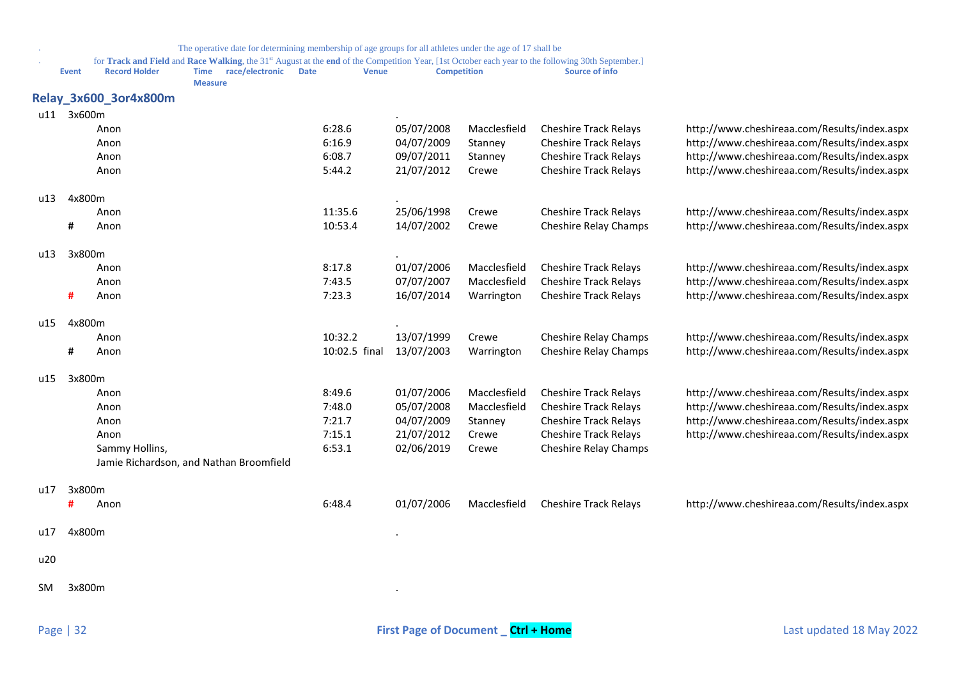<span id="page-31-0"></span>

|     |              |                       | The operative date for determining membership of age groups for all athletes under the age of 17 shall be |                             |            |                    |                                                                                                                                                                                  |                                              |
|-----|--------------|-----------------------|-----------------------------------------------------------------------------------------------------------|-----------------------------|------------|--------------------|----------------------------------------------------------------------------------------------------------------------------------------------------------------------------------|----------------------------------------------|
|     | <b>Event</b> | <b>Record Holder</b>  | <b>Time</b><br>race/electronic<br><b>Measure</b>                                                          | <b>Date</b><br><b>Venue</b> |            | <b>Competition</b> | for Track and Field and Race Walking, the 31 <sup>st</sup> August at the end of the Competition Year, [1st October each year to the following 30th September.]<br>Source of info |                                              |
|     |              | Relay_3x600_3or4x800m |                                                                                                           |                             |            |                    |                                                                                                                                                                                  |                                              |
|     | u11 3x600m   |                       |                                                                                                           |                             |            |                    |                                                                                                                                                                                  |                                              |
|     |              | Anon                  |                                                                                                           | 6:28.6                      | 05/07/2008 | Macclesfield       | <b>Cheshire Track Relays</b>                                                                                                                                                     | http://www.cheshireaa.com/Results/index.aspx |
|     |              | Anon                  |                                                                                                           | 6:16.9                      | 04/07/2009 | Stanney            | <b>Cheshire Track Relays</b>                                                                                                                                                     | http://www.cheshireaa.com/Results/index.aspx |
|     |              | Anon                  |                                                                                                           | 6:08.7                      | 09/07/2011 | Stanney            | <b>Cheshire Track Relays</b>                                                                                                                                                     | http://www.cheshireaa.com/Results/index.aspx |
|     |              | Anon                  |                                                                                                           | 5:44.2                      | 21/07/2012 | Crewe              | <b>Cheshire Track Relays</b>                                                                                                                                                     | http://www.cheshireaa.com/Results/index.aspx |
| u13 | 4x800m       |                       |                                                                                                           |                             |            |                    |                                                                                                                                                                                  |                                              |
|     |              | Anon                  |                                                                                                           | 11:35.6                     | 25/06/1998 | Crewe              | <b>Cheshire Track Relays</b>                                                                                                                                                     | http://www.cheshireaa.com/Results/index.aspx |
|     | #            | Anon                  |                                                                                                           | 10:53.4                     | 14/07/2002 | Crewe              | Cheshire Relay Champs                                                                                                                                                            | http://www.cheshireaa.com/Results/index.aspx |
| u13 | 3x800m       |                       |                                                                                                           |                             |            |                    |                                                                                                                                                                                  |                                              |
|     |              | Anon                  |                                                                                                           | 8:17.8                      | 01/07/2006 | Macclesfield       | <b>Cheshire Track Relays</b>                                                                                                                                                     | http://www.cheshireaa.com/Results/index.aspx |
|     |              | Anon                  |                                                                                                           | 7:43.5                      | 07/07/2007 | Macclesfield       | <b>Cheshire Track Relays</b>                                                                                                                                                     | http://www.cheshireaa.com/Results/index.aspx |
|     | #            | Anon                  |                                                                                                           | 7:23.3                      | 16/07/2014 | Warrington         | <b>Cheshire Track Relays</b>                                                                                                                                                     | http://www.cheshireaa.com/Results/index.aspx |
| u15 | 4x800m       |                       |                                                                                                           |                             |            |                    |                                                                                                                                                                                  |                                              |
|     |              | Anon                  |                                                                                                           | 10:32.2                     | 13/07/1999 | Crewe              | Cheshire Relay Champs                                                                                                                                                            | http://www.cheshireaa.com/Results/index.aspx |
|     | #            | Anon                  |                                                                                                           | 10:02.5 final               | 13/07/2003 | Warrington         | Cheshire Relay Champs                                                                                                                                                            | http://www.cheshireaa.com/Results/index.aspx |
| u15 | 3x800m       |                       |                                                                                                           |                             |            |                    |                                                                                                                                                                                  |                                              |
|     |              | Anon                  |                                                                                                           | 8:49.6                      | 01/07/2006 | Macclesfield       | <b>Cheshire Track Relays</b>                                                                                                                                                     | http://www.cheshireaa.com/Results/index.aspx |
|     |              | Anon                  |                                                                                                           | 7:48.0                      | 05/07/2008 | Macclesfield       | <b>Cheshire Track Relays</b>                                                                                                                                                     | http://www.cheshireaa.com/Results/index.aspx |
|     |              | Anon                  |                                                                                                           | 7:21.7                      | 04/07/2009 | Stanney            | <b>Cheshire Track Relays</b>                                                                                                                                                     | http://www.cheshireaa.com/Results/index.aspx |
|     |              | Anon                  |                                                                                                           | 7:15.1                      | 21/07/2012 | Crewe              | <b>Cheshire Track Relays</b>                                                                                                                                                     | http://www.cheshireaa.com/Results/index.aspx |
|     |              | Sammy Hollins,        |                                                                                                           | 6:53.1                      | 02/06/2019 | Crewe              | Cheshire Relay Champs                                                                                                                                                            |                                              |
|     |              |                       | Jamie Richardson, and Nathan Broomfield                                                                   |                             |            |                    |                                                                                                                                                                                  |                                              |
| u17 | 3x800m       |                       |                                                                                                           |                             |            |                    |                                                                                                                                                                                  |                                              |
|     |              | Anon                  |                                                                                                           | 6:48.4                      | 01/07/2006 | Macclesfield       | <b>Cheshire Track Relays</b>                                                                                                                                                     | http://www.cheshireaa.com/Results/index.aspx |
| u17 | 4x800m       |                       |                                                                                                           |                             |            |                    |                                                                                                                                                                                  |                                              |
| u20 |              |                       |                                                                                                           |                             |            |                    |                                                                                                                                                                                  |                                              |
|     |              |                       |                                                                                                           |                             |            |                    |                                                                                                                                                                                  |                                              |
| SM. | 3x800m       |                       |                                                                                                           |                             |            |                    |                                                                                                                                                                                  |                                              |
|     |              |                       |                                                                                                           |                             |            |                    |                                                                                                                                                                                  |                                              |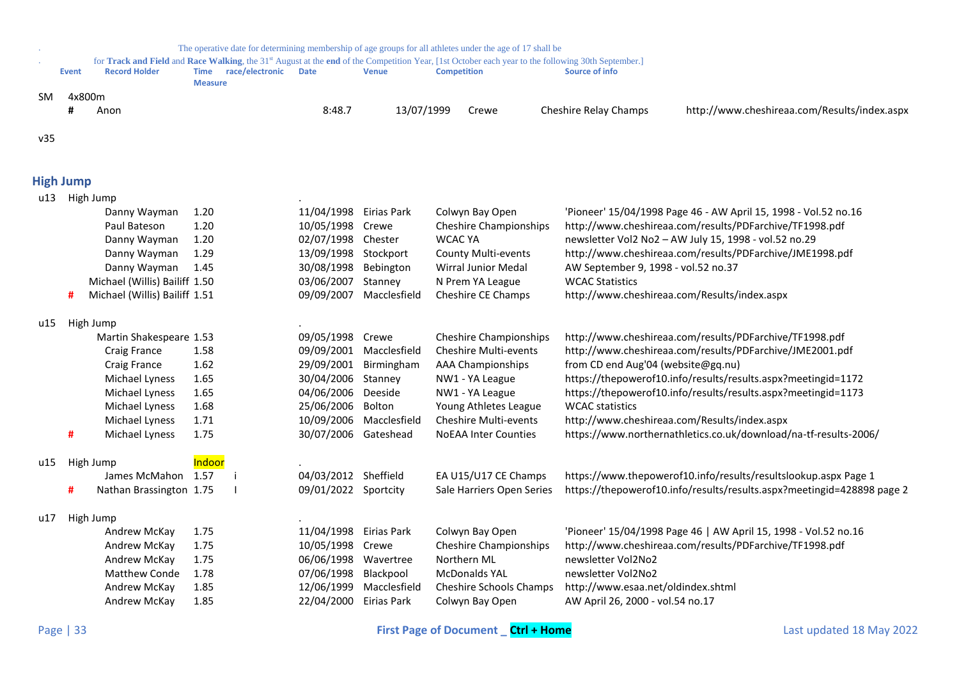<span id="page-32-0"></span>

|     |                  |                               |                               |                 |                        |                         | The operative date for determining membership of age groups for all athletes under the age of 17 shall be                                                                            |                                     |                                                                        |
|-----|------------------|-------------------------------|-------------------------------|-----------------|------------------------|-------------------------|--------------------------------------------------------------------------------------------------------------------------------------------------------------------------------------|-------------------------------------|------------------------------------------------------------------------|
|     | <b>Event</b>     | <b>Record Holder</b>          | <b>Time</b><br><b>Measure</b> | race/electronic | <b>Date</b>            | <b>Venue</b>            | for Track and Field and Race Walking, the 31 <sup>st</sup> August at the end of the Competition Year, [1st October each year to the following 30th September.]<br><b>Competition</b> | <b>Source of info</b>               |                                                                        |
| SM. | 4x800m           |                               |                               |                 |                        |                         |                                                                                                                                                                                      |                                     |                                                                        |
|     |                  | Anon                          |                               |                 | 8:48.7                 | 13/07/1999              | Crewe                                                                                                                                                                                | <b>Cheshire Relay Champs</b>        | http://www.cheshireaa.com/Results/index.aspx                           |
|     |                  |                               |                               |                 |                        |                         |                                                                                                                                                                                      |                                     |                                                                        |
| v35 |                  |                               |                               |                 |                        |                         |                                                                                                                                                                                      |                                     |                                                                        |
|     | <b>High Jump</b> |                               |                               |                 |                        |                         |                                                                                                                                                                                      |                                     |                                                                        |
| u13 |                  | High Jump                     |                               |                 |                        |                         |                                                                                                                                                                                      |                                     |                                                                        |
|     |                  | Danny Wayman                  | 1.20                          |                 | 11/04/1998 Eirias Park |                         | Colwyn Bay Open                                                                                                                                                                      |                                     | 'Pioneer' 15/04/1998 Page 46 - AW April 15, 1998 - Vol.52 no.16        |
|     |                  | Paul Bateson                  | 1.20                          |                 | 10/05/1998 Crewe       |                         | <b>Cheshire Championships</b>                                                                                                                                                        |                                     | http://www.cheshireaa.com/results/PDFarchive/TF1998.pdf                |
|     |                  | Danny Wayman                  | 1.20                          |                 | 02/07/1998 Chester     |                         | <b>WCAC YA</b>                                                                                                                                                                       |                                     | newsletter Vol2 No2 - AW July 15, 1998 - vol.52 no.29                  |
|     |                  | Danny Wayman                  | 1.29                          |                 | 13/09/1998 Stockport   |                         | <b>County Multi-events</b>                                                                                                                                                           |                                     | http://www.cheshireaa.com/results/PDFarchive/JME1998.pdf               |
|     |                  | Danny Wayman                  | 1.45                          |                 | 30/08/1998 Bebington   |                         | <b>Wirral Junior Medal</b>                                                                                                                                                           | AW September 9, 1998 - vol.52 no.37 |                                                                        |
|     |                  | Michael (Willis) Bailiff 1.50 |                               |                 | 03/06/2007 Stanney     |                         | N Prem YA League                                                                                                                                                                     | <b>WCAC Statistics</b>              |                                                                        |
|     | #                | Michael (Willis) Bailiff 1.51 |                               |                 |                        | 09/09/2007 Macclesfield | Cheshire CE Champs                                                                                                                                                                   |                                     | http://www.cheshireaa.com/Results/index.aspx                           |
| u15 |                  | High Jump                     |                               |                 |                        |                         |                                                                                                                                                                                      |                                     |                                                                        |
|     |                  | Martin Shakespeare 1.53       |                               |                 | 09/05/1998 Crewe       |                         | <b>Cheshire Championships</b>                                                                                                                                                        |                                     | http://www.cheshireaa.com/results/PDFarchive/TF1998.pdf                |
|     |                  | Craig France                  | 1.58                          |                 |                        | 09/09/2001 Macclesfield | Cheshire Multi-events                                                                                                                                                                |                                     | http://www.cheshireaa.com/results/PDFarchive/JME2001.pdf               |
|     |                  | Craig France                  | 1.62                          |                 | 29/09/2001 Birmingham  |                         | <b>AAA Championships</b>                                                                                                                                                             | from CD end Aug'04 (website@gq.nu)  |                                                                        |
|     |                  | Michael Lyness                | 1.65                          |                 | 30/04/2006 Stanney     |                         | NW1 - YA League                                                                                                                                                                      |                                     | https://thepowerof10.info/results/results.aspx?meetingid=1172          |
|     |                  | Michael Lyness                | 1.65                          |                 | 04/06/2006 Deeside     |                         | NW1 - YA League                                                                                                                                                                      |                                     | https://thepowerof10.info/results/results.aspx?meetingid=1173          |
|     |                  | Michael Lyness                | 1.68                          |                 | 25/06/2006 Bolton      |                         | Young Athletes League                                                                                                                                                                | <b>WCAC</b> statistics              |                                                                        |
|     |                  | Michael Lyness                | 1.71                          |                 |                        | 10/09/2006 Macclesfield | <b>Cheshire Multi-events</b>                                                                                                                                                         |                                     | http://www.cheshireaa.com/Results/index.aspx                           |
|     | #                | Michael Lyness                | 1.75                          |                 | 30/07/2006 Gateshead   |                         | <b>NoEAA Inter Counties</b>                                                                                                                                                          |                                     | https://www.northernathletics.co.uk/download/na-tf-results-2006/       |
| u15 |                  | High Jump                     | Indoor                        |                 |                        |                         |                                                                                                                                                                                      |                                     |                                                                        |
|     |                  | James McMahon 1.57            | j.                            |                 | 04/03/2012 Sheffield   |                         | EA U15/U17 CE Champs                                                                                                                                                                 |                                     | https://www.thepowerof10.info/results/resultslookup.aspx Page 1        |
|     | #                | Nathan Brassington 1.75       |                               |                 | 09/01/2022 Sportcity   |                         | Sale Harriers Open Series                                                                                                                                                            |                                     | https://thepowerof10.info/results/results.aspx?meetingid=428898 page 2 |
| u17 |                  | High Jump                     |                               |                 |                        |                         |                                                                                                                                                                                      |                                     |                                                                        |
|     |                  | Andrew McKay                  | 1.75                          |                 | 11/04/1998 Eirias Park |                         | Colwyn Bay Open                                                                                                                                                                      |                                     | 'Pioneer' 15/04/1998 Page 46   AW April 15, 1998 - Vol.52 no.16        |
|     |                  | Andrew McKay                  | 1.75                          |                 | 10/05/1998 Crewe       |                         | <b>Cheshire Championships</b>                                                                                                                                                        |                                     | http://www.cheshireaa.com/results/PDFarchive/TF1998.pdf                |
|     |                  | Andrew McKay                  | 1.75                          |                 | 06/06/1998 Wavertree   |                         | Northern ML                                                                                                                                                                          | newsletter Vol2No2                  |                                                                        |
|     |                  | <b>Matthew Conde</b>          | 1.78                          |                 | 07/06/1998 Blackpool   |                         | <b>McDonalds YAL</b>                                                                                                                                                                 | newsletter Vol2No2                  |                                                                        |
|     |                  | Andrew McKay                  | 1.85                          |                 |                        | 12/06/1999 Macclesfield | Cheshire Schools Champs                                                                                                                                                              | http://www.esaa.net/oldindex.shtml  |                                                                        |
|     |                  | Andrew McKay                  | 1.85                          |                 | 22/04/2000 Eirias Park |                         | Colwyn Bay Open                                                                                                                                                                      | AW April 26, 2000 - vol.54 no.17    |                                                                        |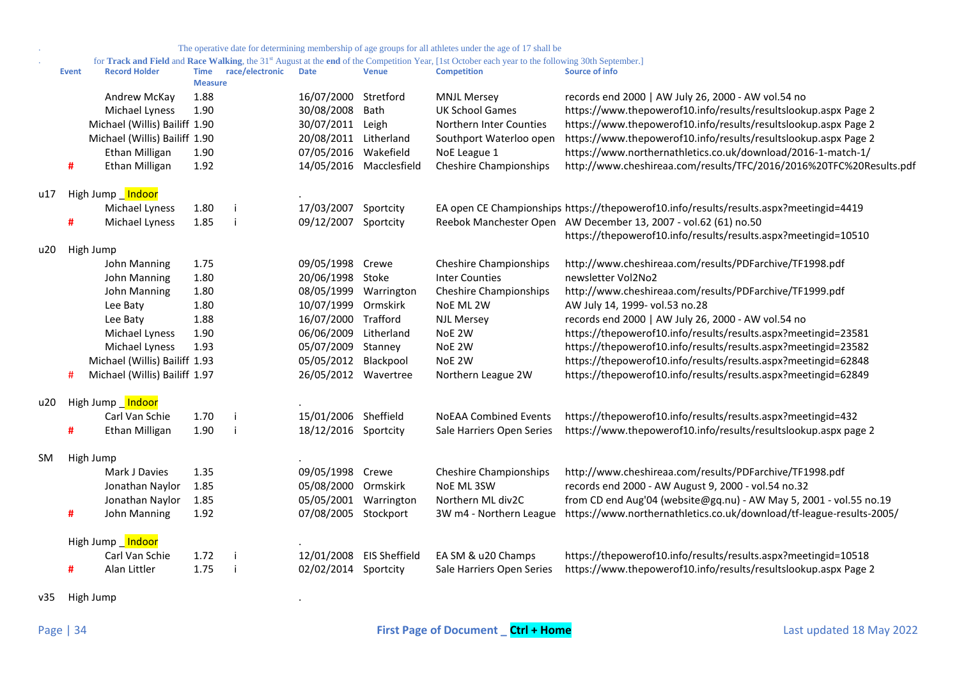|  |  | The operative date for determining membership of age groups for all athletes under the age of 17 shall be |  |
|--|--|-----------------------------------------------------------------------------------------------------------|--|
|  |  |                                                                                                           |  |

. for **Track and Field** and **Race Walking**, the 31st August at the **end** of the Competition Year, [1st October each year to the following 30th September.]

|           | <b>Event</b> | <b>Record Holder</b>          | <b>Time</b><br><b>Measure</b> | race/electronic | <b>Date</b>          | <b>Venue</b>         | <b>Competition</b>            | Source of info                                                                         |
|-----------|--------------|-------------------------------|-------------------------------|-----------------|----------------------|----------------------|-------------------------------|----------------------------------------------------------------------------------------|
|           |              | Andrew McKay                  | 1.88                          |                 | 16/07/2000           | Stretford            | <b>MNJL Mersey</b>            | records end 2000   AW July 26, 2000 - AW vol.54 no                                     |
|           |              | Michael Lyness                | 1.90                          |                 | 30/08/2008           | Bath                 | <b>UK School Games</b>        | https://www.thepowerof10.info/results/resultslookup.aspx Page 2                        |
|           |              | Michael (Willis) Bailiff 1.90 |                               |                 | 30/07/2011           | Leigh                | Northern Inter Counties       | https://www.thepowerof10.info/results/resultslookup.aspx Page 2                        |
|           |              | Michael (Willis) Bailiff 1.90 |                               |                 | 20/08/2011           | Litherland           | Southport Waterloo open       | https://www.thepowerof10.info/results/resultslookup.aspx Page 2                        |
|           |              | Ethan Milligan                | 1.90                          |                 | 07/05/2016           | Wakefield            | NoE League 1                  | https://www.northernathletics.co.uk/download/2016-1-match-1/                           |
|           | #            | Ethan Milligan                | 1.92                          |                 | 14/05/2016           | Macclesfield         | <b>Cheshire Championships</b> | http://www.cheshireaa.com/results/TFC/2016/2016%20TFC%20Results.pdf                    |
| u17       |              | High Jump Indoor              |                               |                 |                      |                      |                               |                                                                                        |
|           |              | Michael Lyness                | 1.80                          |                 | 17/03/2007           | Sportcity            |                               | EA open CE Championships https://thepowerof10.info/results/results.aspx?meetingid=4419 |
|           | #            | Michael Lyness                | 1.85                          |                 | 09/12/2007           | Sportcity            |                               | Reebok Manchester Open AW December 13, 2007 - vol.62 (61) no.50                        |
|           |              |                               |                               |                 |                      |                      |                               | https://thepowerof10.info/results/results.aspx?meetingid=10510                         |
| u20       |              | High Jump                     |                               |                 |                      |                      |                               |                                                                                        |
|           |              | John Manning                  | 1.75                          |                 | 09/05/1998 Crewe     |                      | <b>Cheshire Championships</b> | http://www.cheshireaa.com/results/PDFarchive/TF1998.pdf                                |
|           |              | John Manning                  | 1.80                          |                 | 20/06/1998 Stoke     |                      | <b>Inter Counties</b>         | newsletter Vol2No2                                                                     |
|           |              | John Manning                  | 1.80                          |                 | 08/05/1999           | Warrington           | <b>Cheshire Championships</b> | http://www.cheshireaa.com/results/PDFarchive/TF1999.pdf                                |
|           |              | Lee Baty                      | 1.80                          |                 | 10/07/1999           | Ormskirk             | NoE ML 2W                     | AW July 14, 1999- vol.53 no.28                                                         |
|           |              | Lee Baty                      | 1.88                          |                 | 16/07/2000           | Trafford             | <b>NJL Mersey</b>             | records end 2000   AW July 26, 2000 - AW vol.54 no                                     |
|           |              | Michael Lyness                | 1.90                          |                 | 06/06/2009           | Litherland           | NoE 2W                        | https://thepowerof10.info/results/results.aspx?meetingid=23581                         |
|           |              | Michael Lyness                | 1.93                          |                 | 05/07/2009           | Stanney              | NoE 2W                        | https://thepowerof10.info/results/results.aspx?meetingid=23582                         |
|           |              | Michael (Willis) Bailiff 1.93 |                               |                 | 05/05/2012           | Blackpool            | NoE 2W                        | https://thepowerof10.info/results/results.aspx?meetingid=62848                         |
|           | #            | Michael (Willis) Bailiff 1.97 |                               |                 | 26/05/2012 Wavertree |                      | Northern League 2W            | https://thepowerof10.info/results/results.aspx?meetingid=62849                         |
| u20       |              | High Jump Indoor              |                               |                 |                      |                      |                               |                                                                                        |
|           |              | Carl Van Schie                | 1.70                          |                 | 15/01/2006 Sheffield |                      | <b>NoEAA Combined Events</b>  | https://thepowerof10.info/results/results.aspx?meetingid=432                           |
|           | #            | Ethan Milligan                | 1.90                          |                 | 18/12/2016 Sportcity |                      | Sale Harriers Open Series     | https://www.thepowerof10.info/results/resultslookup.aspx page 2                        |
| <b>SM</b> |              | High Jump                     |                               |                 |                      |                      |                               |                                                                                        |
|           |              | Mark J Davies                 | 1.35                          |                 | 09/05/1998 Crewe     |                      | <b>Cheshire Championships</b> | http://www.cheshireaa.com/results/PDFarchive/TF1998.pdf                                |
|           |              | Jonathan Naylor               | 1.85                          |                 | 05/08/2000           | Ormskirk             | NoE ML 3SW                    | records end 2000 - AW August 9, 2000 - vol.54 no.32                                    |
|           |              | Jonathan Naylor               | 1.85                          |                 | 05/05/2001           | Warrington           | Northern ML div2C             | from CD end Aug'04 (website@gq.nu) - AW May 5, 2001 - vol.55 no.19                     |
|           | #            | John Manning                  | 1.92                          |                 | 07/08/2005 Stockport |                      | 3W m4 - Northern League       | https://www.northernathletics.co.uk/download/tf-league-results-2005/                   |
|           |              | High Jump Indoor              |                               |                 |                      |                      |                               |                                                                                        |
|           |              | Carl Van Schie                | 1.72                          |                 | 12/01/2008           | <b>EIS Sheffield</b> | EA SM & u20 Champs            | https://thepowerof10.info/results/results.aspx?meetingid=10518                         |
|           | #            | Alan Littler                  | 1.75                          |                 | 02/02/2014 Sportcity |                      | Sale Harriers Open Series     | https://www.thepowerof10.info/results/resultslookup.aspx Page 2                        |
|           |              |                               |                               |                 |                      |                      |                               |                                                                                        |

v35 High Jump .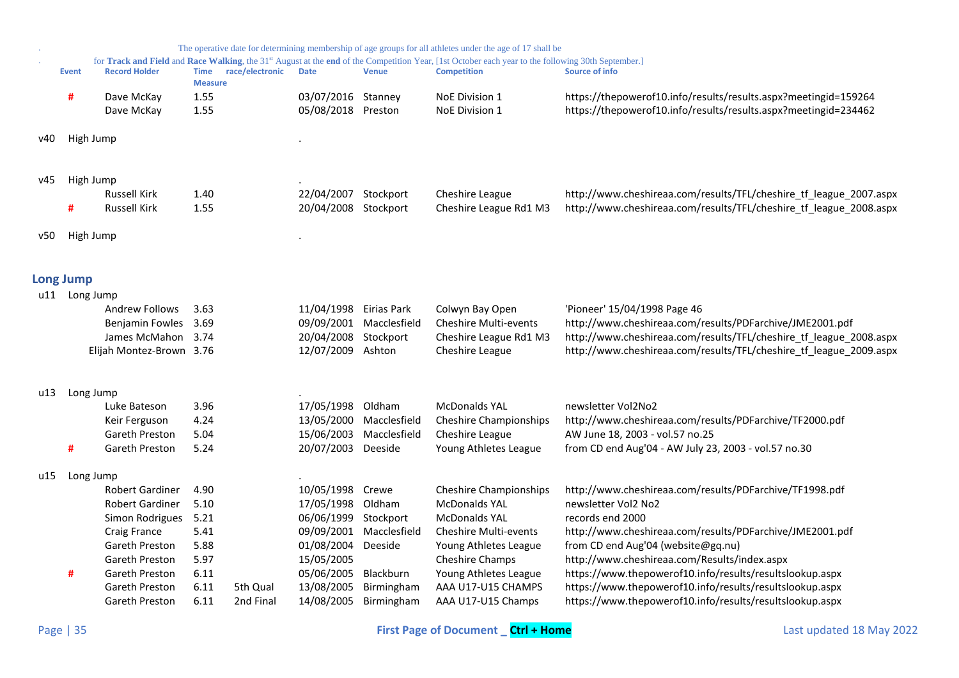<span id="page-34-0"></span>

|     |                  |                          |                               |                 |                                          |                         | The operative date for determining membership of age groups for all athletes under the age of 17 shall be                                                                            |                                                                                                                                    |
|-----|------------------|--------------------------|-------------------------------|-----------------|------------------------------------------|-------------------------|--------------------------------------------------------------------------------------------------------------------------------------------------------------------------------------|------------------------------------------------------------------------------------------------------------------------------------|
|     | <b>Event</b>     | <b>Record Holder</b>     | <b>Time</b><br><b>Measure</b> | race/electronic | <b>Date</b>                              | <b>Venue</b>            | for Track and Field and Race Walking, the 31 <sup>st</sup> August at the end of the Competition Year, [1st October each year to the following 30th September.]<br><b>Competition</b> | <b>Source of info</b>                                                                                                              |
|     | #                | Dave McKay<br>Dave McKay | 1.55<br>1.55                  |                 | 03/07/2016 Stanney<br>05/08/2018 Preston |                         | NoE Division 1<br>NoE Division 1                                                                                                                                                     | https://thepowerof10.info/results/results.aspx?meetingid=159264<br>https://thepowerof10.info/results/results.aspx?meetingid=234462 |
| v40 | High Jump        |                          |                               |                 |                                          |                         |                                                                                                                                                                                      |                                                                                                                                    |
| v45 | High Jump        |                          |                               |                 |                                          |                         |                                                                                                                                                                                      |                                                                                                                                    |
|     |                  | <b>Russell Kirk</b>      | 1.40                          |                 | 22/04/2007 Stockport                     |                         | Cheshire League                                                                                                                                                                      | http://www.cheshireaa.com/results/TFL/cheshire_tf_league_2007.aspx                                                                 |
|     | #                | <b>Russell Kirk</b>      | 1.55                          |                 | 20/04/2008 Stockport                     |                         | Cheshire League Rd1 M3                                                                                                                                                               | http://www.cheshireaa.com/results/TFL/cheshire_tf_league_2008.aspx                                                                 |
| v50 | High Jump        |                          |                               |                 |                                          |                         |                                                                                                                                                                                      |                                                                                                                                    |
|     | <b>Long Jump</b> |                          |                               |                 |                                          |                         |                                                                                                                                                                                      |                                                                                                                                    |
|     | u11 Long Jump    |                          |                               |                 |                                          |                         |                                                                                                                                                                                      |                                                                                                                                    |
|     |                  | <b>Andrew Follows</b>    | 3.63                          |                 | 11/04/1998                               | Eirias Park             | Colwyn Bay Open                                                                                                                                                                      | 'Pioneer' 15/04/1998 Page 46                                                                                                       |
|     |                  | Benjamin Fowles          | 3.69                          |                 |                                          | 09/09/2001 Macclesfield | Cheshire Multi-events                                                                                                                                                                | http://www.cheshireaa.com/results/PDFarchive/JME2001.pdf                                                                           |
|     |                  | James McMahon            | 3.74                          |                 | 20/04/2008                               | Stockport               | Cheshire League Rd1 M3                                                                                                                                                               | http://www.cheshireaa.com/results/TFL/cheshire_tf_league_2008.aspx                                                                 |
|     |                  | Elijah Montez-Brown 3.76 |                               |                 | 12/07/2009                               | Ashton                  | Cheshire League                                                                                                                                                                      | http://www.cheshireaa.com/results/TFL/cheshire_tf_league_2009.aspx                                                                 |
| u13 | Long Jump        |                          |                               |                 |                                          |                         |                                                                                                                                                                                      |                                                                                                                                    |
|     |                  | Luke Bateson             | 3.96                          |                 | 17/05/1998                               | Oldham                  | <b>McDonalds YAL</b>                                                                                                                                                                 | newsletter Vol2No2                                                                                                                 |
|     |                  | Keir Ferguson            | 4.24                          |                 | 13/05/2000                               | Macclesfield            | <b>Cheshire Championships</b>                                                                                                                                                        | http://www.cheshireaa.com/results/PDFarchive/TF2000.pdf                                                                            |
|     |                  | Gareth Preston           | 5.04                          |                 | 15/06/2003                               | Macclesfield            | Cheshire League                                                                                                                                                                      | AW June 18, 2003 - vol.57 no.25                                                                                                    |
|     | #                | Gareth Preston           | 5.24                          |                 | 20/07/2003                               | Deeside                 | Young Athletes League                                                                                                                                                                | from CD end Aug'04 - AW July 23, 2003 - vol.57 no.30                                                                               |
| u15 | Long Jump        |                          |                               |                 |                                          |                         |                                                                                                                                                                                      |                                                                                                                                    |
|     |                  | Robert Gardiner          | 4.90                          |                 | 10/05/1998                               | Crewe                   | <b>Cheshire Championships</b>                                                                                                                                                        | http://www.cheshireaa.com/results/PDFarchive/TF1998.pdf                                                                            |
|     |                  | Robert Gardiner          | 5.10                          |                 | 17/05/1998                               | Oldham                  | <b>McDonalds YAL</b>                                                                                                                                                                 | newsletter Vol2 No2                                                                                                                |
|     |                  | Simon Rodrigues          | 5.21                          |                 | 06/06/1999                               | Stockport               | <b>McDonalds YAL</b>                                                                                                                                                                 | records end 2000                                                                                                                   |
|     |                  | Craig France             | 5.41                          |                 | 09/09/2001                               | Macclesfield            | <b>Cheshire Multi-events</b>                                                                                                                                                         | http://www.cheshireaa.com/results/PDFarchive/JME2001.pdf                                                                           |
|     |                  | Gareth Preston           | 5.88                          |                 | 01/08/2004                               | Deeside                 | Young Athletes League                                                                                                                                                                | from CD end Aug'04 (website@gq.nu)                                                                                                 |
|     |                  | Gareth Preston           | 5.97                          |                 | 15/05/2005                               |                         | Cheshire Champs                                                                                                                                                                      | http://www.cheshireaa.com/Results/index.aspx                                                                                       |
|     | #                | Gareth Preston           | 6.11                          |                 | 05/06/2005                               | Blackburn               | Young Athletes League                                                                                                                                                                | https://www.thepowerof10.info/results/resultslookup.aspx                                                                           |
|     |                  | Gareth Preston           | 6.11                          | 5th Qual        | 13/08/2005                               | Birmingham              | AAA U17-U15 CHAMPS                                                                                                                                                                   | https://www.thepowerof10.info/results/resultslookup.aspx                                                                           |
|     |                  | Gareth Preston           | 6.11                          | 2nd Final       | 14/08/2005                               | Birmingham              | AAA U17-U15 Champs                                                                                                                                                                   | https://www.thepowerof10.info/results/resultslookup.aspx                                                                           |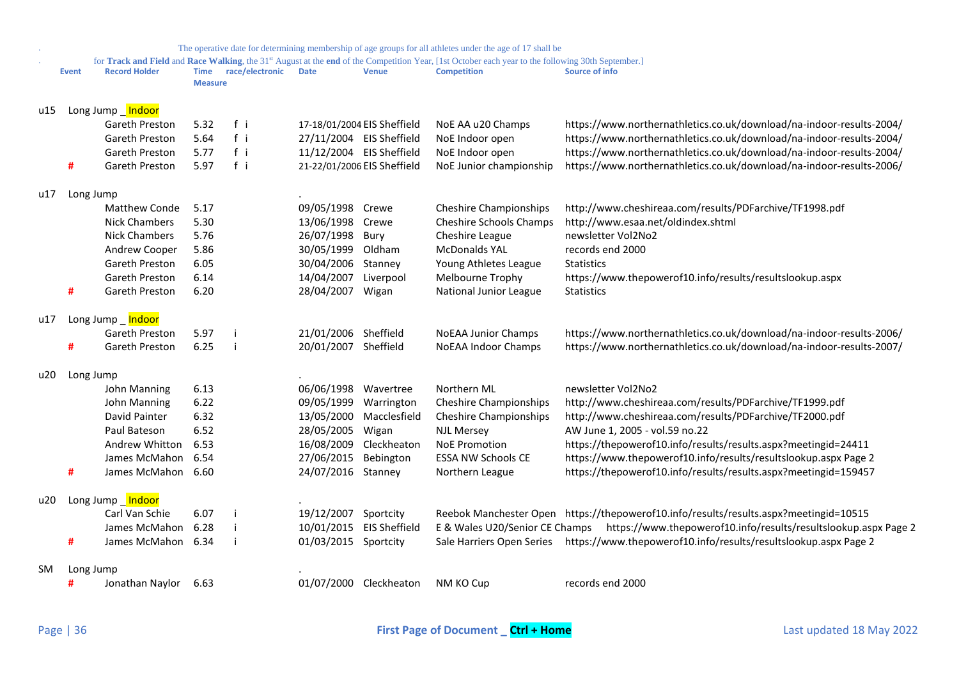|     |              |                      |                        |                 |                          |                             | The operative date for determining membership of age groups for all athletes under the age of 17 shall be                                                                            |                                                                                                |
|-----|--------------|----------------------|------------------------|-----------------|--------------------------|-----------------------------|--------------------------------------------------------------------------------------------------------------------------------------------------------------------------------------|------------------------------------------------------------------------------------------------|
|     | <b>Event</b> | <b>Record Holder</b> | Time<br><b>Measure</b> | race/electronic | <b>Date</b>              | <b>Venue</b>                | for Track and Field and Race Walking, the 31 <sup>st</sup> August at the end of the Competition Year, [1st October each year to the following 30th September.]<br><b>Competition</b> | <b>Source of info</b>                                                                          |
| u15 |              | Long Jump _Indoor    |                        |                 |                          |                             |                                                                                                                                                                                      |                                                                                                |
|     |              | Gareth Preston       | 5.32                   | $f$ i           |                          | 17-18/01/2004 EIS Sheffield | NoE AA u20 Champs                                                                                                                                                                    | https://www.northernathletics.co.uk/download/na-indoor-results-2004/                           |
|     |              | Gareth Preston       | 5.64                   | fi              |                          | 27/11/2004 EIS Sheffield    | NoE Indoor open                                                                                                                                                                      | https://www.northernathletics.co.uk/download/na-indoor-results-2004/                           |
|     |              | Gareth Preston       | 5.77                   | fi              | 11/12/2004 EIS Sheffield |                             | NoE Indoor open                                                                                                                                                                      | https://www.northernathletics.co.uk/download/na-indoor-results-2004/                           |
|     | #            | Gareth Preston       | 5.97                   | fi              |                          | 21-22/01/2006 EIS Sheffield | NoE Junior championship                                                                                                                                                              | https://www.northernathletics.co.uk/download/na-indoor-results-2006/                           |
| u17 | Long Jump    |                      |                        |                 |                          |                             |                                                                                                                                                                                      |                                                                                                |
|     |              | Matthew Conde        | 5.17                   |                 | 09/05/1998               | Crewe                       | <b>Cheshire Championships</b>                                                                                                                                                        | http://www.cheshireaa.com/results/PDFarchive/TF1998.pdf                                        |
|     |              | <b>Nick Chambers</b> | 5.30                   |                 | 13/06/1998               | Crewe                       | Cheshire Schools Champs                                                                                                                                                              | http://www.esaa.net/oldindex.shtml                                                             |
|     |              | Nick Chambers        | 5.76                   |                 | 26/07/1998 Bury          |                             | Cheshire League                                                                                                                                                                      | newsletter Vol2No2                                                                             |
|     |              | Andrew Cooper        | 5.86                   |                 | 30/05/1999               | Oldham                      | <b>McDonalds YAL</b>                                                                                                                                                                 | records end 2000                                                                               |
|     |              | Gareth Preston       | 6.05                   |                 | 30/04/2006               | Stanney                     | Young Athletes League                                                                                                                                                                | <b>Statistics</b>                                                                              |
|     |              | Gareth Preston       | 6.14                   |                 | 14/04/2007               | Liverpool                   | Melbourne Trophy                                                                                                                                                                     | https://www.thepowerof10.info/results/resultslookup.aspx                                       |
|     | #            | Gareth Preston       | 6.20                   |                 | 28/04/2007               | Wigan                       | National Junior League                                                                                                                                                               | <b>Statistics</b>                                                                              |
| u17 |              | Long Jump _ Indoor   |                        |                 |                          |                             |                                                                                                                                                                                      |                                                                                                |
|     |              | Gareth Preston       | 5.97                   |                 | 21/01/2006 Sheffield     |                             | <b>NoEAA Junior Champs</b>                                                                                                                                                           | https://www.northernathletics.co.uk/download/na-indoor-results-2006/                           |
|     |              | Gareth Preston       | 6.25                   |                 | 20/01/2007 Sheffield     |                             | <b>NoEAA Indoor Champs</b>                                                                                                                                                           | https://www.northernathletics.co.uk/download/na-indoor-results-2007/                           |
| u20 | Long Jump    |                      |                        |                 |                          |                             |                                                                                                                                                                                      |                                                                                                |
|     |              | John Manning         | 6.13                   |                 | 06/06/1998               | Wavertree                   | Northern ML                                                                                                                                                                          | newsletter Vol2No2                                                                             |
|     |              | John Manning         | 6.22                   |                 | 09/05/1999               | Warrington                  | <b>Cheshire Championships</b>                                                                                                                                                        | http://www.cheshireaa.com/results/PDFarchive/TF1999.pdf                                        |
|     |              | David Painter        | 6.32                   |                 | 13/05/2000               | Macclesfield                | <b>Cheshire Championships</b>                                                                                                                                                        | http://www.cheshireaa.com/results/PDFarchive/TF2000.pdf                                        |
|     |              | Paul Bateson         | 6.52                   |                 | 28/05/2005               | Wigan                       | <b>NJL Mersey</b>                                                                                                                                                                    | AW June 1, 2005 - vol.59 no.22                                                                 |
|     |              | Andrew Whitton       | 6.53                   |                 | 16/08/2009               | Cleckheaton                 | <b>NoE Promotion</b>                                                                                                                                                                 | https://thepowerof10.info/results/results.aspx?meetingid=24411                                 |
|     |              | James McMahon        | 6.54                   |                 | 27/06/2015               | Bebington                   | <b>ESSA NW Schools CE</b>                                                                                                                                                            | https://www.thepowerof10.info/results/resultslookup.aspx Page 2                                |
|     | #            | James McMahon        | 6.60                   |                 | 24/07/2016 Stanney       |                             | Northern League                                                                                                                                                                      | https://thepowerof10.info/results/results.aspx?meetingid=159457                                |
| u20 |              | Long Jump Indoor     |                        |                 |                          |                             |                                                                                                                                                                                      |                                                                                                |
|     |              | Carl Van Schie       | 6.07                   |                 | 19/12/2007               | Sportcity                   |                                                                                                                                                                                      | Reebok Manchester Open https://thepowerof10.info/results/results.aspx?meetingid=10515          |
|     |              | James McMahon        | 6.28                   |                 | 10/01/2015               | <b>EIS Sheffield</b>        |                                                                                                                                                                                      | E & Wales U20/Senior CE Champs https://www.thepowerof10.info/results/resultslookup.aspx Page 2 |
|     | #            | James McMahon        | 6.34                   |                 | 01/03/2015               | Sportcity                   |                                                                                                                                                                                      | Sale Harriers Open Series https://www.thepowerof10.info/results/resultslookup.aspx Page 2      |
| SM. | Long Jump    |                      |                        |                 |                          |                             |                                                                                                                                                                                      |                                                                                                |
|     | #            | Jonathan Naylor      | 6.63                   |                 |                          | 01/07/2000 Cleckheaton      | NM KO Cup                                                                                                                                                                            | records end 2000                                                                               |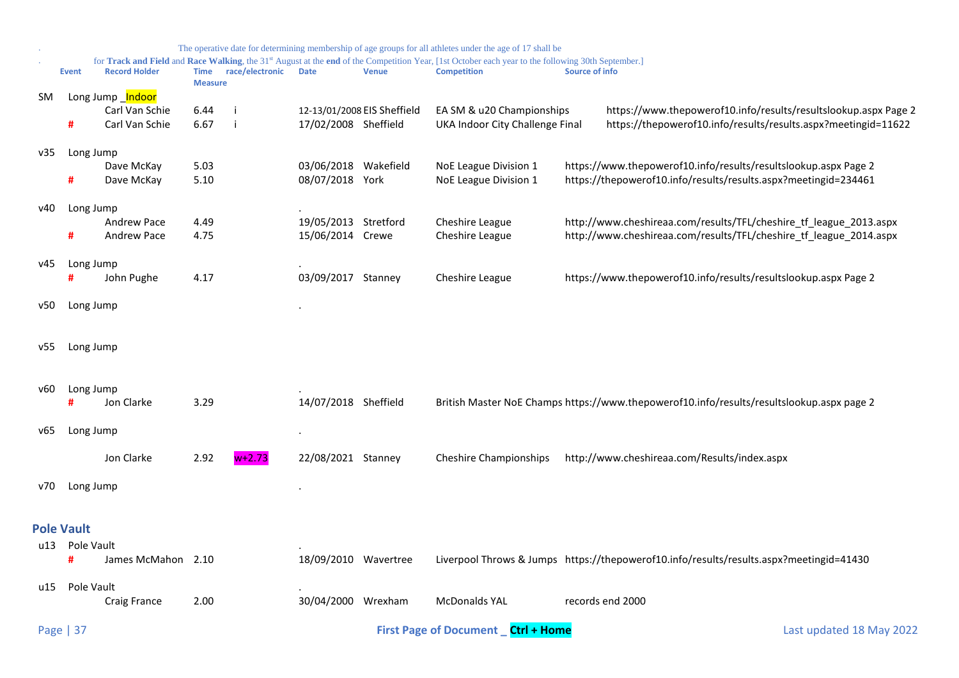<span id="page-36-0"></span>

|     |                   |                      |                        |                 |                      |                             | The operative date for determining membership of age groups for all athletes under the age of 17 shall be                                                                            |                                                                                           |
|-----|-------------------|----------------------|------------------------|-----------------|----------------------|-----------------------------|--------------------------------------------------------------------------------------------------------------------------------------------------------------------------------------|-------------------------------------------------------------------------------------------|
|     | <b>Event</b>      | <b>Record Holder</b> | Time<br><b>Measure</b> | race/electronic | <b>Date</b>          | <b>Venue</b>                | for Track and Field and Race Walking, the 31 <sup>st</sup> August at the end of the Competition Year, [1st October each year to the following 30th September.]<br><b>Competition</b> | Source of info                                                                            |
| SM. |                   | Long Jump _Indoor    |                        |                 |                      |                             |                                                                                                                                                                                      |                                                                                           |
|     |                   | Carl Van Schie       | 6.44                   |                 |                      | 12-13/01/2008 EIS Sheffield | EA SM & u20 Championships                                                                                                                                                            | https://www.thepowerof10.info/results/resultslookup.aspx Page 2                           |
|     | #                 | Carl Van Schie       | 6.67                   |                 | 17/02/2008 Sheffield |                             | UKA Indoor City Challenge Final                                                                                                                                                      | https://thepowerof10.info/results/results.aspx?meetingid=11622                            |
| v35 | Long Jump         |                      |                        |                 |                      |                             |                                                                                                                                                                                      |                                                                                           |
|     |                   | Dave McKay           | 5.03                   |                 | 03/06/2018 Wakefield |                             | NoE League Division 1                                                                                                                                                                | https://www.thepowerof10.info/results/resultslookup.aspx Page 2                           |
|     | #                 | Dave McKay           | 5.10                   |                 | 08/07/2018 York      |                             | NoE League Division 1                                                                                                                                                                | https://thepowerof10.info/results/results.aspx?meetingid=234461                           |
| v40 | Long Jump         |                      |                        |                 |                      |                             |                                                                                                                                                                                      |                                                                                           |
|     |                   | Andrew Pace          | 4.49                   |                 | 19/05/2013           | Stretford                   | Cheshire League                                                                                                                                                                      | http://www.cheshireaa.com/results/TFL/cheshire_tf_league_2013.aspx                        |
|     | #                 | <b>Andrew Pace</b>   | 4.75                   |                 | 15/06/2014 Crewe     |                             | Cheshire League                                                                                                                                                                      | http://www.cheshireaa.com/results/TFL/cheshire_tf_league_2014.aspx                        |
| v45 | Long Jump         |                      |                        |                 |                      |                             |                                                                                                                                                                                      |                                                                                           |
|     | #                 | John Pughe           | 4.17                   |                 | 03/09/2017           | Stanney                     | Cheshire League                                                                                                                                                                      | https://www.thepowerof10.info/results/resultslookup.aspx Page 2                           |
| v50 | Long Jump         |                      |                        |                 |                      |                             |                                                                                                                                                                                      |                                                                                           |
| v55 | Long Jump         |                      |                        |                 |                      |                             |                                                                                                                                                                                      |                                                                                           |
|     |                   |                      |                        |                 |                      |                             |                                                                                                                                                                                      |                                                                                           |
| v60 | Long Jump         |                      |                        |                 |                      |                             |                                                                                                                                                                                      |                                                                                           |
|     | Ħ                 | Jon Clarke           | 3.29                   |                 | 14/07/2018 Sheffield |                             |                                                                                                                                                                                      | British Master NoE Champs https://www.thepowerof10.info/results/resultslookup.aspx page 2 |
| v65 | Long Jump         |                      |                        |                 |                      |                             |                                                                                                                                                                                      |                                                                                           |
|     |                   | Jon Clarke           | 2.92                   | $w+2.73$        | 22/08/2021 Stanney   |                             | <b>Cheshire Championships</b>                                                                                                                                                        | http://www.cheshireaa.com/Results/index.aspx                                              |
| v70 | Long Jump         |                      |                        |                 |                      |                             |                                                                                                                                                                                      |                                                                                           |
|     |                   |                      |                        |                 |                      |                             |                                                                                                                                                                                      |                                                                                           |
|     | <b>Pole Vault</b> |                      |                        |                 |                      |                             |                                                                                                                                                                                      |                                                                                           |
| u13 | Pole Vault        |                      |                        |                 |                      |                             |                                                                                                                                                                                      |                                                                                           |
|     | #                 | James McMahon 2.10   |                        |                 | 18/09/2010 Wavertree |                             |                                                                                                                                                                                      | Liverpool Throws & Jumps https://thepowerof10.info/results/results.aspx?meetingid=41430   |
| u15 | Pole Vault        |                      |                        |                 |                      |                             |                                                                                                                                                                                      |                                                                                           |
|     |                   | Craig France         | 2.00                   |                 | 30/04/2000 Wrexham   |                             | <b>McDonalds YAL</b>                                                                                                                                                                 | records end 2000                                                                          |
|     | Page   37         |                      |                        |                 |                      |                             | First Page of Document _ Ctrl + Home                                                                                                                                                 | Last updated 18 May 2022                                                                  |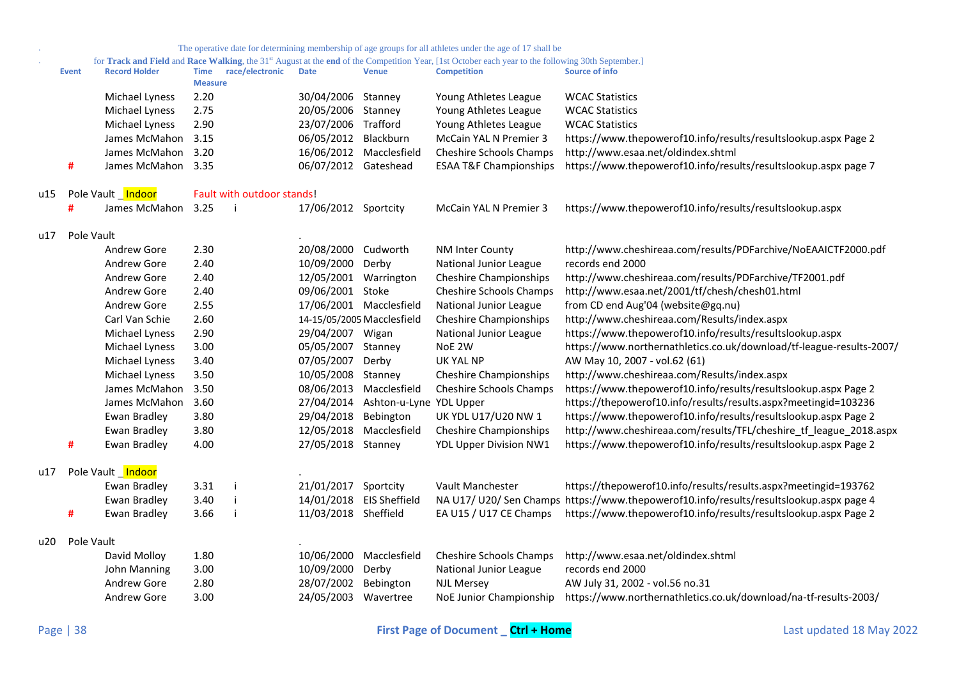|     |              |                      |                               |                            |                       |                                    | The operative date for determining membership of age groups for all athletes under the age of 17 shall be                                                                |                                                                                         |
|-----|--------------|----------------------|-------------------------------|----------------------------|-----------------------|------------------------------------|--------------------------------------------------------------------------------------------------------------------------------------------------------------------------|-----------------------------------------------------------------------------------------|
|     | <b>Event</b> | <b>Record Holder</b> | <b>Time</b><br><b>Measure</b> | race/electronic            | <b>Date</b>           | <b>Venue</b>                       | for Track and Field and Race Walking, the 31st August at the end of the Competition Year, [1st October each year to the following 30th September.]<br><b>Competition</b> | Source of info                                                                          |
|     |              | Michael Lyness       | 2.20                          |                            | 30/04/2006 Stanney    |                                    | Young Athletes League                                                                                                                                                    | <b>WCAC Statistics</b>                                                                  |
|     |              | Michael Lyness       | 2.75                          |                            | 20/05/2006 Stanney    |                                    | Young Athletes League                                                                                                                                                    | <b>WCAC Statistics</b>                                                                  |
|     |              | Michael Lyness       | 2.90                          |                            | 23/07/2006 Trafford   |                                    | Young Athletes League                                                                                                                                                    | <b>WCAC Statistics</b>                                                                  |
|     |              | James McMahon 3.15   |                               |                            | 06/05/2012 Blackburn  |                                    | McCain YAL N Premier 3                                                                                                                                                   | https://www.thepowerof10.info/results/resultslookup.aspx Page 2                         |
|     |              | James McMahon        | 3.20                          |                            |                       | 16/06/2012 Macclesfield            | Cheshire Schools Champs                                                                                                                                                  | http://www.esaa.net/oldindex.shtml                                                      |
|     | #            | James McMahon 3.35   |                               |                            | 06/07/2012 Gateshead  |                                    | <b>ESAA T&amp;F Championships</b>                                                                                                                                        | https://www.thepowerof10.info/results/resultslookup.aspx page 7                         |
| u15 |              | Pole Vault Indoor    |                               | Fault with outdoor stands! |                       |                                    |                                                                                                                                                                          |                                                                                         |
|     | #            | James McMahon 3.25   |                               | - i                        | 17/06/2012 Sportcity  |                                    | McCain YAL N Premier 3                                                                                                                                                   | https://www.thepowerof10.info/results/resultslookup.aspx                                |
| u17 | Pole Vault   |                      |                               |                            |                       |                                    |                                                                                                                                                                          |                                                                                         |
|     |              | Andrew Gore          | 2.30                          |                            | 20/08/2000 Cudworth   |                                    | NM Inter County                                                                                                                                                          | http://www.cheshireaa.com/results/PDFarchive/NoEAAICTF2000.pdf                          |
|     |              | Andrew Gore          | 2.40                          |                            | 10/09/2000 Derby      |                                    | National Junior League                                                                                                                                                   | records end 2000                                                                        |
|     |              | Andrew Gore          | 2.40                          |                            | 12/05/2001 Warrington |                                    | <b>Cheshire Championships</b>                                                                                                                                            | http://www.cheshireaa.com/results/PDFarchive/TF2001.pdf                                 |
|     |              | Andrew Gore          | 2.40                          |                            | 09/06/2001 Stoke      |                                    | Cheshire Schools Champs                                                                                                                                                  | http://www.esaa.net/2001/tf/chesh/chesh01.html                                          |
|     |              | Andrew Gore          | 2.55                          |                            |                       | 17/06/2001 Macclesfield            | National Junior League                                                                                                                                                   | from CD end Aug'04 (website@gq.nu)                                                      |
|     |              | Carl Van Schie       | 2.60                          |                            |                       | 14-15/05/2005 Macclesfield         | <b>Cheshire Championships</b>                                                                                                                                            | http://www.cheshireaa.com/Results/index.aspx                                            |
|     |              | Michael Lyness       | 2.90                          |                            | 29/04/2007 Wigan      |                                    | National Junior League                                                                                                                                                   | https://www.thepowerof10.info/results/resultslookup.aspx                                |
|     |              | Michael Lyness       | 3.00                          |                            | 05/05/2007 Stanney    |                                    | NoE 2W                                                                                                                                                                   | https://www.northernathletics.co.uk/download/tf-league-results-2007/                    |
|     |              | Michael Lyness       | 3.40                          |                            | 07/05/2007 Derby      |                                    | UK YAL NP                                                                                                                                                                | AW May 10, 2007 - vol.62 (61)                                                           |
|     |              | Michael Lyness       | 3.50                          |                            | 10/05/2008 Stanney    |                                    | <b>Cheshire Championships</b>                                                                                                                                            | http://www.cheshireaa.com/Results/index.aspx                                            |
|     |              | James McMahon        | 3.50                          |                            |                       | 08/06/2013 Macclesfield            | Cheshire Schools Champs                                                                                                                                                  | https://www.thepowerof10.info/results/resultslookup.aspx Page 2                         |
|     |              | James McMahon 3.60   |                               |                            |                       | 27/04/2014 Ashton-u-Lyne YDL Upper |                                                                                                                                                                          | https://thepowerof10.info/results/results.aspx?meetingid=103236                         |
|     |              | Ewan Bradley         | 3.80                          |                            | 29/04/2018            | Bebington                          | UK YDL U17/U20 NW 1                                                                                                                                                      | https://www.thepowerof10.info/results/resultslookup.aspx Page 2                         |
|     |              | Ewan Bradley         | 3.80                          |                            |                       | 12/05/2018 Macclesfield            | <b>Cheshire Championships</b>                                                                                                                                            | http://www.cheshireaa.com/results/TFL/cheshire_tf_league_2018.aspx                      |
|     | #            | Ewan Bradley         | 4.00                          |                            | 27/05/2018 Stanney    |                                    | YDL Upper Division NW1                                                                                                                                                   | https://www.thepowerof10.info/results/resultslookup.aspx Page 2                         |
| u17 |              | Pole Vault Indoor    |                               |                            |                       |                                    |                                                                                                                                                                          |                                                                                         |
|     |              | Ewan Bradley         | 3.31                          |                            | 21/01/2017 Sportcity  |                                    | Vault Manchester                                                                                                                                                         | https://thepowerof10.info/results/results.aspx?meetingid=193762                         |
|     |              | Ewan Bradley         | 3.40                          |                            |                       | 14/01/2018 EIS Sheffield           |                                                                                                                                                                          | NA U17/ U20/ Sen Champs https://www.thepowerof10.info/results/resultslookup.aspx page 4 |
|     | #            | Ewan Bradley         | 3.66                          |                            | 11/03/2018 Sheffield  |                                    | EA U15 / U17 CE Champs                                                                                                                                                   | https://www.thepowerof10.info/results/resultslookup.aspx Page 2                         |
| u20 | Pole Vault   |                      |                               |                            |                       |                                    |                                                                                                                                                                          |                                                                                         |
|     |              | David Molloy         | 1.80                          |                            |                       | 10/06/2000 Macclesfield            | Cheshire Schools Champs                                                                                                                                                  | http://www.esaa.net/oldindex.shtml                                                      |
|     |              | John Manning         | 3.00                          |                            | 10/09/2000            | Derby                              | National Junior League                                                                                                                                                   | records end 2000                                                                        |
|     |              | Andrew Gore          | 2.80                          |                            | 28/07/2002            | Bebington                          | <b>NJL Mersey</b>                                                                                                                                                        | AW July 31, 2002 - vol.56 no.31                                                         |
|     |              | Andrew Gore          | 3.00                          |                            | 24/05/2003 Wavertree  |                                    | NoE Junior Championship                                                                                                                                                  | https://www.northernathletics.co.uk/download/na-tf-results-2003/                        |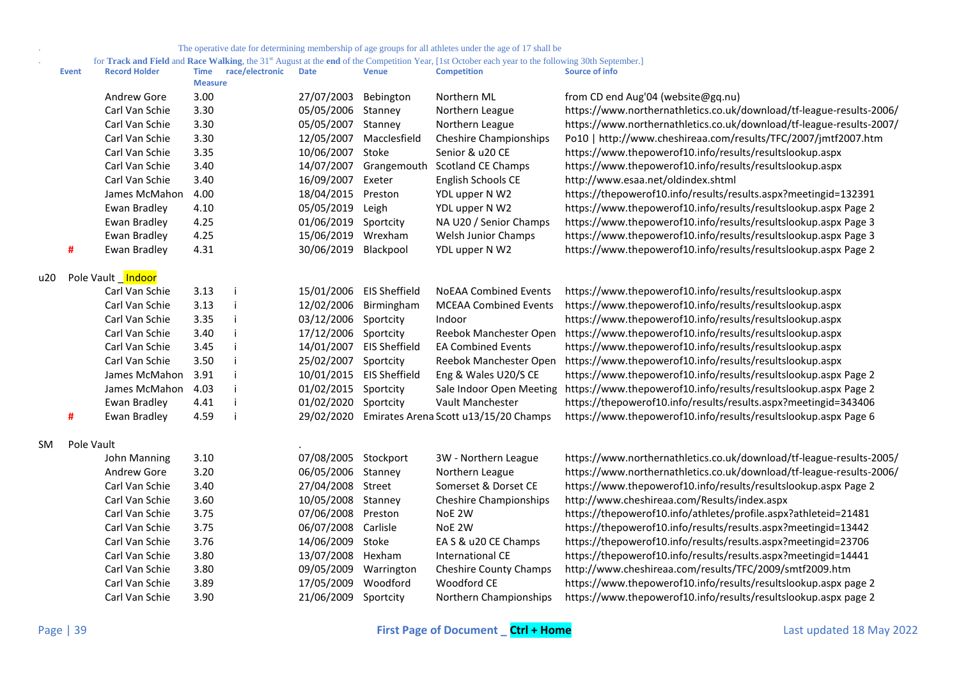. for **Track and Field** and **Race Walking**, the 31st August at the **end** of the Competition Year, [1st October each year to the following 30th September.]

|     | <b>Event</b> | <b>Record Holder</b> | <b>Time</b><br><b>Measure</b> | race/electronic | <b>Date</b> | <b>Venue</b>         | <b>Competition</b>                    | <b>Source of info</b>                                                                    |
|-----|--------------|----------------------|-------------------------------|-----------------|-------------|----------------------|---------------------------------------|------------------------------------------------------------------------------------------|
|     |              | Andrew Gore          | 3.00                          |                 | 27/07/2003  | Bebington            | Northern ML                           | from CD end Aug'04 (website@gq.nu)                                                       |
|     |              | Carl Van Schie       | 3.30                          |                 | 05/05/2006  | Stanney              | Northern League                       | https://www.northernathletics.co.uk/download/tf-league-results-2006/                     |
|     |              | Carl Van Schie       | 3.30                          |                 | 05/05/2007  | Stanney              | Northern League                       | https://www.northernathletics.co.uk/download/tf-league-results-2007/                     |
|     |              | Carl Van Schie       | 3.30                          |                 | 12/05/2007  | Macclesfield         | <b>Cheshire Championships</b>         | Po10   http://www.cheshireaa.com/results/TFC/2007/jmtf2007.htm                           |
|     |              | Carl Van Schie       | 3.35                          |                 | 10/06/2007  | Stoke                | Senior & u20 CE                       | https://www.thepowerof10.info/results/resultslookup.aspx                                 |
|     |              | Carl Van Schie       | 3.40                          |                 | 14/07/2007  | Grangemouth          | Scotland CE Champs                    | https://www.thepowerof10.info/results/resultslookup.aspx                                 |
|     |              | Carl Van Schie       | 3.40                          |                 | 16/09/2007  | Exeter               | English Schools CE                    | http://www.esaa.net/oldindex.shtml                                                       |
|     |              | James McMahon        | 4.00                          |                 | 18/04/2015  | Preston              | YDL upper N W2                        | https://thepowerof10.info/results/results.aspx?meetingid=132391                          |
|     |              | Ewan Bradley         | 4.10                          |                 | 05/05/2019  | Leigh                | YDL upper N W2                        | https://www.thepowerof10.info/results/resultslookup.aspx Page 2                          |
|     |              | Ewan Bradley         | 4.25                          |                 | 01/06/2019  | Sportcity            | NA U20 / Senior Champs                | https://www.thepowerof10.info/results/resultslookup.aspx Page 3                          |
|     |              | Ewan Bradley         | 4.25                          |                 | 15/06/2019  | Wrexham              | Welsh Junior Champs                   | https://www.thepowerof10.info/results/resultslookup.aspx Page 3                          |
|     | #            | Ewan Bradley         | 4.31                          |                 | 30/06/2019  | Blackpool            | YDL upper N W2                        | https://www.thepowerof10.info/results/resultslookup.aspx Page 2                          |
| u20 |              | Pole Vault Indoor    |                               |                 |             |                      |                                       |                                                                                          |
|     |              | Carl Van Schie       | 3.13                          |                 | 15/01/2006  | <b>EIS Sheffield</b> | <b>NoEAA Combined Events</b>          | https://www.thepowerof10.info/results/resultslookup.aspx                                 |
|     |              | Carl Van Schie       | 3.13                          |                 | 12/02/2006  | Birmingham           | <b>MCEAA Combined Events</b>          | https://www.thepowerof10.info/results/resultslookup.aspx                                 |
|     |              | Carl Van Schie       | 3.35                          |                 | 03/12/2006  | Sportcity            | Indoor                                | https://www.thepowerof10.info/results/resultslookup.aspx                                 |
|     |              | Carl Van Schie       | 3.40                          |                 | 17/12/2006  | Sportcity            | Reebok Manchester Open                | https://www.thepowerof10.info/results/resultslookup.aspx                                 |
|     |              | Carl Van Schie       | 3.45                          |                 | 14/01/2007  | <b>EIS Sheffield</b> | <b>EA Combined Events</b>             | https://www.thepowerof10.info/results/resultslookup.aspx                                 |
|     |              | Carl Van Schie       | 3.50                          |                 | 25/02/2007  | Sportcity            | Reebok Manchester Open                | https://www.thepowerof10.info/results/resultslookup.aspx                                 |
|     |              | James McMahon        | 3.91                          |                 | 10/01/2015  | <b>EIS Sheffield</b> | Eng & Wales U20/S CE                  | https://www.thepowerof10.info/results/resultslookup.aspx Page 2                          |
|     |              | James McMahon        | 4.03                          |                 | 01/02/2015  | Sportcity            |                                       | Sale Indoor Open Meeting https://www.thepowerof10.info/results/resultslookup.aspx Page 2 |
|     |              | Ewan Bradley         | 4.41                          |                 | 01/02/2020  | Sportcity            | Vault Manchester                      | https://thepowerof10.info/results/results.aspx?meetingid=343406                          |
|     | #            | Ewan Bradley         | 4.59                          |                 | 29/02/2020  |                      | Emirates Arena Scott u13/15/20 Champs | https://www.thepowerof10.info/results/resultslookup.aspx Page 6                          |
| SM  | Pole Vault   |                      |                               |                 |             |                      |                                       |                                                                                          |
|     |              | John Manning         | 3.10                          |                 | 07/08/2005  | Stockport            | 3W - Northern League                  | https://www.northernathletics.co.uk/download/tf-league-results-2005/                     |
|     |              | Andrew Gore          | 3.20                          |                 | 06/05/2006  | Stanney              | Northern League                       | https://www.northernathletics.co.uk/download/tf-league-results-2006/                     |
|     |              | Carl Van Schie       | 3.40                          |                 | 27/04/2008  | Street               | Somerset & Dorset CE                  | https://www.thepowerof10.info/results/resultslookup.aspx Page 2                          |
|     |              | Carl Van Schie       | 3.60                          |                 | 10/05/2008  | Stanney              | <b>Cheshire Championships</b>         | http://www.cheshireaa.com/Results/index.aspx                                             |
|     |              | Carl Van Schie       | 3.75                          |                 | 07/06/2008  | Preston              | NoE 2W                                | https://thepowerof10.info/athletes/profile.aspx?athleteid=21481                          |
|     |              | Carl Van Schie       | 3.75                          |                 | 06/07/2008  | Carlisle             | NoE 2W                                | https://thepowerof10.info/results/results.aspx?meetingid=13442                           |
|     |              | Carl Van Schie       | 3.76                          |                 | 14/06/2009  | Stoke                | EA S & u20 CE Champs                  | https://thepowerof10.info/results/results.aspx?meetingid=23706                           |
|     |              | Carl Van Schie       | 3.80                          |                 | 13/07/2008  | Hexham               | International CE                      | https://thepowerof10.info/results/results.aspx?meetingid=14441                           |
|     |              | Carl Van Schie       | 3.80                          |                 | 09/05/2009  | Warrington           | <b>Cheshire County Champs</b>         | http://www.cheshireaa.com/results/TFC/2009/smtf2009.htm                                  |
|     |              | Carl Van Schie       | 3.89                          |                 | 17/05/2009  | Woodford             | Woodford CE                           | https://www.thepowerof10.info/results/resultslookup.aspx page 2                          |
|     |              | Carl Van Schie       | 3.90                          |                 | 21/06/2009  | Sportcity            | Northern Championships                | https://www.thepowerof10.info/results/resultslookup.aspx page 2                          |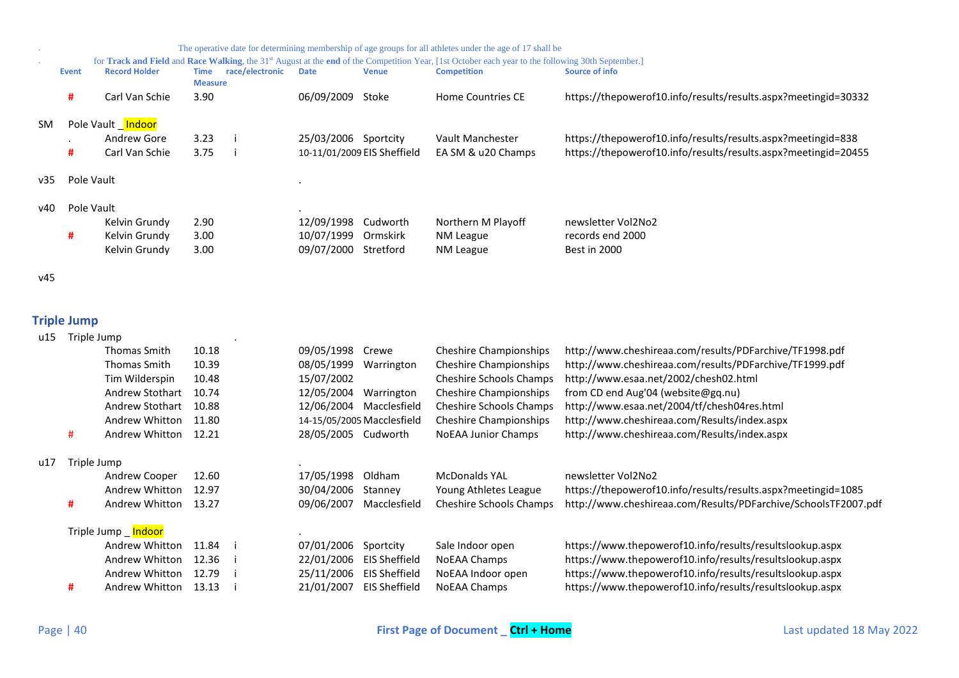|           |       | The operative date for determining membership of age groups for all athletes under the age of 17 shall be |                |                 |                      |                             |                                                                                                                                                                |                                                                |  |  |  |  |
|-----------|-------|-----------------------------------------------------------------------------------------------------------|----------------|-----------------|----------------------|-----------------------------|----------------------------------------------------------------------------------------------------------------------------------------------------------------|----------------------------------------------------------------|--|--|--|--|
|           |       |                                                                                                           |                |                 |                      |                             | for Track and Field and Race Walking, the 31 <sup>st</sup> August at the end of the Competition Year, [1st October each year to the following 30th September.] |                                                                |  |  |  |  |
|           | Event | <b>Record Holder</b>                                                                                      | <b>Time</b>    | race/electronic | <b>Date</b>          | <b>Venue</b>                | <b>Competition</b>                                                                                                                                             | Source of info                                                 |  |  |  |  |
|           |       |                                                                                                           | <b>Measure</b> |                 |                      |                             |                                                                                                                                                                |                                                                |  |  |  |  |
|           | #     | Carl Van Schie                                                                                            | 3.90           |                 | 06/09/2009           | Stoke                       | <b>Home Countries CE</b>                                                                                                                                       | https://thepowerof10.info/results/results.aspx?meetingid=30332 |  |  |  |  |
|           |       |                                                                                                           |                |                 |                      |                             |                                                                                                                                                                |                                                                |  |  |  |  |
| <b>SM</b> |       | Pole Vault Indoor                                                                                         |                |                 |                      |                             |                                                                                                                                                                |                                                                |  |  |  |  |
|           |       | Andrew Gore                                                                                               | 3.23           |                 | 25/03/2006 Sportcity |                             | Vault Manchester                                                                                                                                               | https://thepowerof10.info/results/results.aspx?meetingid=838   |  |  |  |  |
|           | #     | Carl Van Schie                                                                                            | 3.75           |                 |                      | 10-11/01/2009 EIS Sheffield | EA SM & u20 Champs                                                                                                                                             | https://thepowerof10.info/results/results.aspx?meetingid=20455 |  |  |  |  |
|           |       |                                                                                                           |                |                 |                      |                             |                                                                                                                                                                |                                                                |  |  |  |  |
| v35       |       | Pole Vault                                                                                                |                |                 |                      |                             |                                                                                                                                                                |                                                                |  |  |  |  |
|           |       |                                                                                                           |                |                 |                      |                             |                                                                                                                                                                |                                                                |  |  |  |  |
| v40       |       | Pole Vault                                                                                                |                |                 |                      |                             |                                                                                                                                                                |                                                                |  |  |  |  |
|           |       | Kelvin Grundy                                                                                             | 2.90           |                 | 12/09/1998           | Cudworth                    | Northern M Playoff                                                                                                                                             | newsletter Vol2No2                                             |  |  |  |  |
|           |       |                                                                                                           |                |                 |                      |                             |                                                                                                                                                                |                                                                |  |  |  |  |
|           | #     | Kelvin Grundy                                                                                             | 3.00           |                 | 10/07/1999           | Ormskirk                    | NM League                                                                                                                                                      | records end 2000                                               |  |  |  |  |
|           |       | Kelvin Grundy                                                                                             | 3.00           |                 | 09/07/2000           | Stretford                   | NM League                                                                                                                                                      | Best in 2000                                                   |  |  |  |  |
|           |       |                                                                                                           |                |                 |                      |                             |                                                                                                                                                                |                                                                |  |  |  |  |
| v45       |       |                                                                                                           |                |                 |                      |                             |                                                                                                                                                                |                                                                |  |  |  |  |
|           |       |                                                                                                           |                |                 |                      |                             |                                                                                                                                                                |                                                                |  |  |  |  |
|           |       |                                                                                                           |                |                 |                      |                             |                                                                                                                                                                |                                                                |  |  |  |  |

## <span id="page-39-0"></span>**Triple Jump**

| u15 | Triple Jump |                      |       |            |                            |                                |                                                                |
|-----|-------------|----------------------|-------|------------|----------------------------|--------------------------------|----------------------------------------------------------------|
|     |             | Thomas Smith         | 10.18 | 09/05/1998 | Crewe                      | <b>Cheshire Championships</b>  | http://www.cheshireaa.com/results/PDFarchive/TF1998.pdf        |
|     |             | Thomas Smith         | 10.39 | 08/05/1999 | Warrington                 | <b>Cheshire Championships</b>  | http://www.cheshireaa.com/results/PDFarchive/TF1999.pdf        |
|     |             | Tim Wilderspin       | 10.48 | 15/07/2002 |                            | <b>Cheshire Schools Champs</b> | http://www.esaa.net/2002/chesh02.html                          |
|     |             | Andrew Stothart      | 10.74 | 12/05/2004 | Warrington                 | <b>Cheshire Championships</b>  | from CD end Aug'04 (website@gq.nu)                             |
|     |             | Andrew Stothart      | 10.88 | 12/06/2004 | Macclesfield               | <b>Cheshire Schools Champs</b> | http://www.esaa.net/2004/tf/chesh04res.html                    |
|     |             | Andrew Whitton       | 11.80 |            | 14-15/05/2005 Macclesfield | <b>Cheshire Championships</b>  | http://www.cheshireaa.com/Results/index.aspx                   |
|     | #           | Andrew Whitton       | 12.21 | 28/05/2005 | Cudworth                   | <b>NoEAA Junior Champs</b>     | http://www.cheshireaa.com/Results/index.aspx                   |
| u17 | Triple Jump |                      |       |            |                            |                                |                                                                |
|     |             | Andrew Cooper        | 12.60 | 17/05/1998 | Oldham                     | <b>McDonalds YAL</b>           | newsletter Vol2No2                                             |
|     |             | Andrew Whitton       | 12.97 | 30/04/2006 | Stanney                    | Young Athletes League          | https://thepowerof10.info/results/results.aspx?meetingid=1085  |
|     | #           | Andrew Whitton       | 13.27 | 09/06/2007 | Macclesfield               | <b>Cheshire Schools Champs</b> | http://www.cheshireaa.com/Results/PDFarchive/SchoolsTF2007.pdf |
|     |             | Triple Jump _ Indoor |       |            |                            |                                |                                                                |
|     |             | Andrew Whitton       | 11.84 | 07/01/2006 | Sportcity                  | Sale Indoor open               | https://www.thepowerof10.info/results/resultslookup.aspx       |
|     |             | Andrew Whitton       | 12.36 | 22/01/2006 | <b>EIS Sheffield</b>       | NoEAA Champs                   | https://www.thepowerof10.info/results/resultslookup.aspx       |
|     |             | Andrew Whitton       | 12.79 | 25/11/2006 | EIS Sheffield              | NoEAA Indoor open              | https://www.thepowerof10.info/results/resultslookup.aspx       |
|     | #           | Andrew Whitton       | 13.13 | 21/01/2007 | <b>EIS Sheffield</b>       | NoEAA Champs                   | https://www.thepowerof10.info/results/resultslookup.aspx       |
|     |             |                      |       |            |                            |                                |                                                                |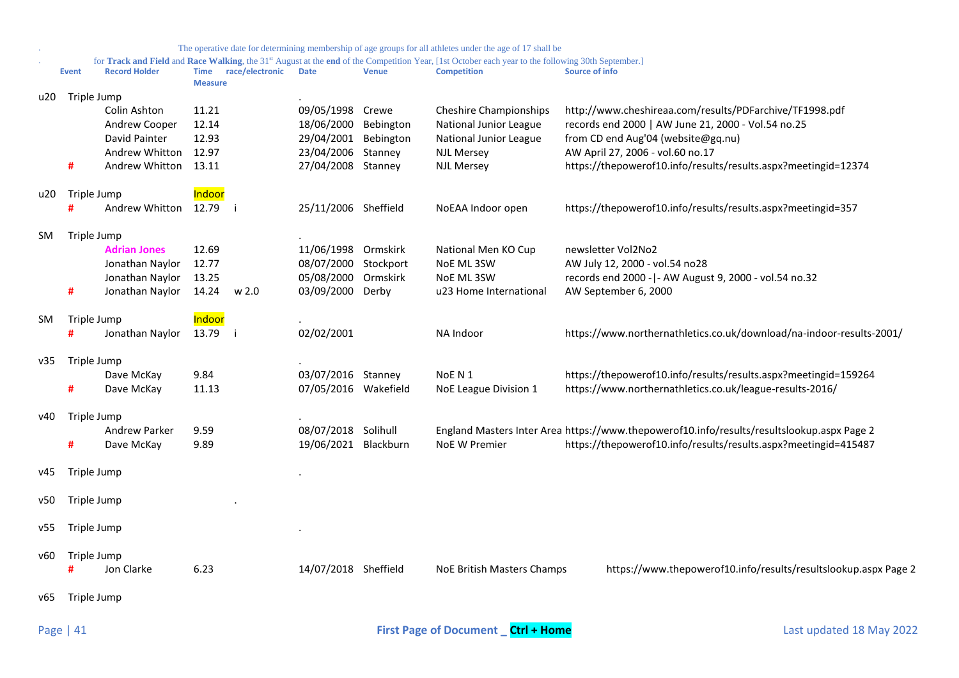|     |                  |                                                                                    |                                           |                 |                                                                                                              |              | The operative date for determining membership of age groups for all athletes under the age of 17 shall be                                                                            |                                                                                                                                                                                                                                                           |
|-----|------------------|------------------------------------------------------------------------------------|-------------------------------------------|-----------------|--------------------------------------------------------------------------------------------------------------|--------------|--------------------------------------------------------------------------------------------------------------------------------------------------------------------------------------|-----------------------------------------------------------------------------------------------------------------------------------------------------------------------------------------------------------------------------------------------------------|
|     | <b>Event</b>     | <b>Record Holder</b>                                                               | <b>Time</b><br><b>Measure</b>             | race/electronic | <b>Date</b>                                                                                                  | <b>Venue</b> | for Track and Field and Race Walking, the 31 <sup>st</sup> August at the end of the Competition Year, [1st October each year to the following 30th September.]<br><b>Competition</b> | Source of info                                                                                                                                                                                                                                            |
| u20 | Triple Jump<br># | Colin Ashton<br>Andrew Cooper<br>David Painter<br>Andrew Whitton<br>Andrew Whitton | 11.21<br>12.14<br>12.93<br>12.97<br>13.11 |                 | 09/05/1998 Crewe<br>18/06/2000 Bebington<br>29/04/2001 Bebington<br>23/04/2006 Stanney<br>27/04/2008 Stanney |              | <b>Cheshire Championships</b><br>National Junior League<br>National Junior League<br><b>NJL Mersey</b><br><b>NJL Mersey</b>                                                          | http://www.cheshireaa.com/results/PDFarchive/TF1998.pdf<br>records end 2000   AW June 21, 2000 - Vol.54 no.25<br>from CD end Aug'04 (website@gq.nu)<br>AW April 27, 2006 - vol.60 no.17<br>https://thepowerof10.info/results/results.aspx?meetingid=12374 |
| u20 | Triple Jump<br># | Andrew Whitton                                                                     | Indoor<br>12.79                           | Ξi              | 25/11/2006 Sheffield                                                                                         |              | NoEAA Indoor open                                                                                                                                                                    | https://thepowerof10.info/results/results.aspx?meetingid=357                                                                                                                                                                                              |
| SM. | Triple Jump<br># | <b>Adrian Jones</b><br>Jonathan Naylor<br>Jonathan Naylor<br>Jonathan Naylor       | 12.69<br>12.77<br>13.25<br>14.24          | w 2.0           | 11/06/1998 Ormskirk<br>08/07/2000 Stockport<br>05/08/2000 Ormskirk<br>03/09/2000 Derby                       |              | National Men KO Cup<br>NoE ML 3SW<br>NoE ML 3SW<br>u23 Home International                                                                                                            | newsletter Vol2No2<br>AW July 12, 2000 - vol.54 no28<br>records end 2000 -   - AW August 9, 2000 - vol.54 no.32<br>AW September 6, 2000                                                                                                                   |
| SM. | Triple Jump<br># | Jonathan Naylor                                                                    | Indoor<br>13.79                           | -i              | 02/02/2001                                                                                                   |              | NA Indoor                                                                                                                                                                            | https://www.northernathletics.co.uk/download/na-indoor-results-2001/                                                                                                                                                                                      |
| v35 | Triple Jump<br># | Dave McKay<br>Dave McKay                                                           | 9.84<br>11.13                             |                 | 03/07/2016 Stanney<br>07/05/2016 Wakefield                                                                   |              | NoE N 1<br>NoE League Division 1                                                                                                                                                     | https://thepowerof10.info/results/results.aspx?meetingid=159264<br>https://www.northernathletics.co.uk/league-results-2016/                                                                                                                               |
| v40 | Triple Jump<br># | Andrew Parker<br>Dave McKay                                                        | 9.59<br>9.89                              |                 | 08/07/2018 Solihull<br>19/06/2021 Blackburn                                                                  |              | <b>NoE W Premier</b>                                                                                                                                                                 | England Masters Inter Area https://www.thepowerof10.info/results/resultslookup.aspx Page 2<br>https://thepowerof10.info/results/results.aspx?meetingid=415487                                                                                             |
| v45 | Triple Jump      |                                                                                    |                                           |                 |                                                                                                              |              |                                                                                                                                                                                      |                                                                                                                                                                                                                                                           |
| v50 | Triple Jump      |                                                                                    |                                           |                 |                                                                                                              |              |                                                                                                                                                                                      |                                                                                                                                                                                                                                                           |
| v55 | Triple Jump      |                                                                                    |                                           |                 |                                                                                                              |              |                                                                                                                                                                                      |                                                                                                                                                                                                                                                           |
| v60 | Triple Jump<br># | Jon Clarke                                                                         | 6.23                                      |                 | 14/07/2018 Sheffield                                                                                         |              | NoE British Masters Champs                                                                                                                                                           | https://www.thepowerof10.info/results/resultslookup.aspx Page 2                                                                                                                                                                                           |
| v65 | Triple Jump      |                                                                                    |                                           |                 |                                                                                                              |              |                                                                                                                                                                                      |                                                                                                                                                                                                                                                           |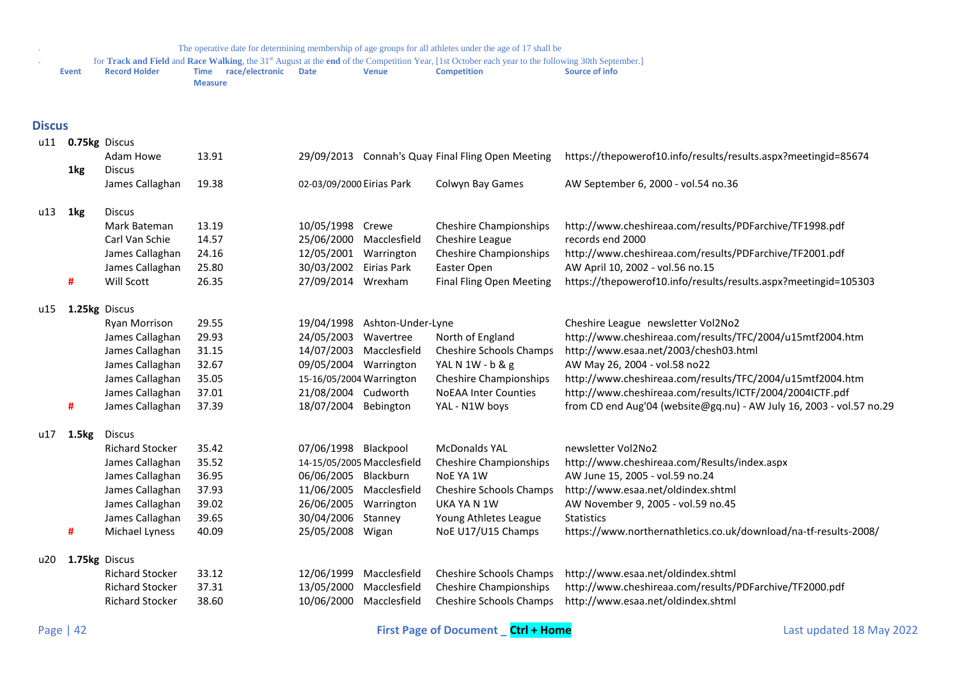<span id="page-41-0"></span>

|               | <b>Event</b>  | <b>Record Holder</b>               | race/electronic<br><b>Time</b> | <b>Date</b>               | <b>Venue</b>                          | <b>Competition</b>                                | <b>Source of info</b>                                                 |
|---------------|---------------|------------------------------------|--------------------------------|---------------------------|---------------------------------------|---------------------------------------------------|-----------------------------------------------------------------------|
|               |               |                                    | <b>Measure</b>                 |                           |                                       |                                                   |                                                                       |
|               |               |                                    |                                |                           |                                       |                                                   |                                                                       |
| <b>Discus</b> |               |                                    |                                |                           |                                       |                                                   |                                                                       |
| u11           | 0.75kg Discus |                                    |                                |                           |                                       |                                                   |                                                                       |
|               |               | Adam Howe                          | 13.91                          |                           |                                       | 29/09/2013 Connah's Quay Final Fling Open Meeting | https://thepowerof10.info/results/results.aspx?meetingid=85674        |
|               | 1kg           | <b>Discus</b>                      |                                |                           |                                       |                                                   |                                                                       |
|               |               | James Callaghan                    | 19.38                          | 02-03/09/2000 Eirias Park |                                       | Colwyn Bay Games                                  | AW September 6, 2000 - vol.54 no.36                                   |
|               |               |                                    |                                |                           |                                       |                                                   |                                                                       |
| u13           | 1kg           | <b>Discus</b>                      |                                |                           |                                       |                                                   |                                                                       |
|               |               | Mark Bateman                       | 13.19                          | 10/05/1998 Crewe          |                                       | <b>Cheshire Championships</b>                     | http://www.cheshireaa.com/results/PDFarchive/TF1998.pdf               |
|               |               | Carl Van Schie                     | 14.57                          |                           | 25/06/2000 Macclesfield               | Cheshire League                                   | records end 2000                                                      |
|               |               | James Callaghan                    | 24.16                          | 12/05/2001                | Warrington                            | <b>Cheshire Championships</b>                     | http://www.cheshireaa.com/results/PDFarchive/TF2001.pdf               |
|               |               | James Callaghan                    | 25.80                          | 30/03/2002 Eirias Park    |                                       | Easter Open                                       | AW April 10, 2002 - vol.56 no.15                                      |
|               | #             | Will Scott                         | 26.35                          | 27/09/2014 Wrexham        |                                       | <b>Final Fling Open Meeting</b>                   | https://thepowerof10.info/results/results.aspx?meetingid=105303       |
| u15           | 1.25kg Discus |                                    |                                |                           |                                       |                                                   |                                                                       |
|               |               | Ryan Morrison                      | 29.55                          | 19/04/1998                | Ashton-Under-Lyne                     |                                                   | Cheshire League newsletter Vol2No2                                    |
|               |               | James Callaghan                    | 29.93                          | 24/05/2003                | Wavertree                             | North of England                                  | http://www.cheshireaa.com/results/TFC/2004/u15mtf2004.htm             |
|               |               | James Callaghan                    | 31.15                          |                           | 14/07/2003 Macclesfield               | Cheshire Schools Champs                           | http://www.esaa.net/2003/chesh03.html                                 |
|               |               | James Callaghan                    | 32.67                          | 09/05/2004 Warrington     |                                       | YAL N 1W - b & g                                  | AW May 26, 2004 - vol.58 no22                                         |
|               |               | James Callaghan                    | 35.05                          | 15-16/05/2004 Warrington  |                                       | Cheshire Championships                            | http://www.cheshireaa.com/results/TFC/2004/u15mtf2004.htm             |
|               |               | James Callaghan                    | 37.01                          | 21/08/2004 Cudworth       |                                       | <b>NoEAA Inter Counties</b>                       | http://www.cheshireaa.com/results/ICTF/2004/2004ICTF.pdf              |
|               | #             | James Callaghan                    | 37.39                          | 18/07/2004 Bebington      |                                       | YAL - N1W boys                                    | from CD end Aug'04 (website@gq.nu) - AW July 16, 2003 - vol.57 no.29  |
|               |               |                                    |                                |                           |                                       |                                                   |                                                                       |
| u17           | 1.5kg         | <b>Discus</b>                      |                                |                           |                                       |                                                   |                                                                       |
|               |               | <b>Richard Stocker</b>             | 35.42                          | 07/06/1998 Blackpool      |                                       | <b>McDonalds YAL</b>                              | newsletter Vol2No2                                                    |
|               |               | James Callaghan                    | 35.52                          |                           | 14-15/05/2005 Macclesfield            | <b>Cheshire Championships</b>                     | http://www.cheshireaa.com/Results/index.aspx                          |
|               |               | James Callaghan                    | 36.95                          | 06/06/2005 Blackburn      |                                       | NoE YA 1W                                         | AW June 15, 2005 - vol.59 no.24<br>http://www.esaa.net/oldindex.shtml |
|               |               | James Callaghan<br>James Callaghan | 37.93<br>39.02                 | 26/06/2005                | 11/06/2005 Macclesfield<br>Warrington | Cheshire Schools Champs<br>UKA YA N 1W            | AW November 9, 2005 - vol.59 no.45                                    |
|               |               | James Callaghan                    | 39.65                          | 30/04/2006                | Stanney                               | Young Athletes League                             | <b>Statistics</b>                                                     |
|               | #             | Michael Lyness                     | 40.09                          | 25/05/2008 Wigan          |                                       | NoE U17/U15 Champs                                | https://www.northernathletics.co.uk/download/na-tf-results-2008/      |
|               |               |                                    |                                |                           |                                       |                                                   |                                                                       |
| u20           | 1.75kg Discus |                                    |                                |                           |                                       |                                                   |                                                                       |
|               |               | <b>Richard Stocker</b>             | 33.12                          | 12/06/1999                | Macclesfield                          | Cheshire Schools Champs                           | http://www.esaa.net/oldindex.shtml                                    |
|               |               | <b>Richard Stocker</b>             | 37.31                          | 13/05/2000                | Macclesfield                          | <b>Cheshire Championships</b>                     | http://www.cheshireaa.com/results/PDFarchive/TF2000.pdf               |
|               |               | <b>Richard Stocker</b>             | 38.60                          |                           | 10/06/2000 Macclesfield               | Cheshire Schools Champs                           | http://www.esaa.net/oldindex.shtml                                    |
|               |               |                                    |                                |                           |                                       |                                                   |                                                                       |

. The operative date for determining membership of age groups for all athletes under the age of 17 shall be for **Track and Field** and **Race Walking**, the 31<sup>st</sup> August at the **end** of the Competition Year, [1st October each year to the following 30th September.]<br>**Record Holder Time race/electronic Date Venue Competitio**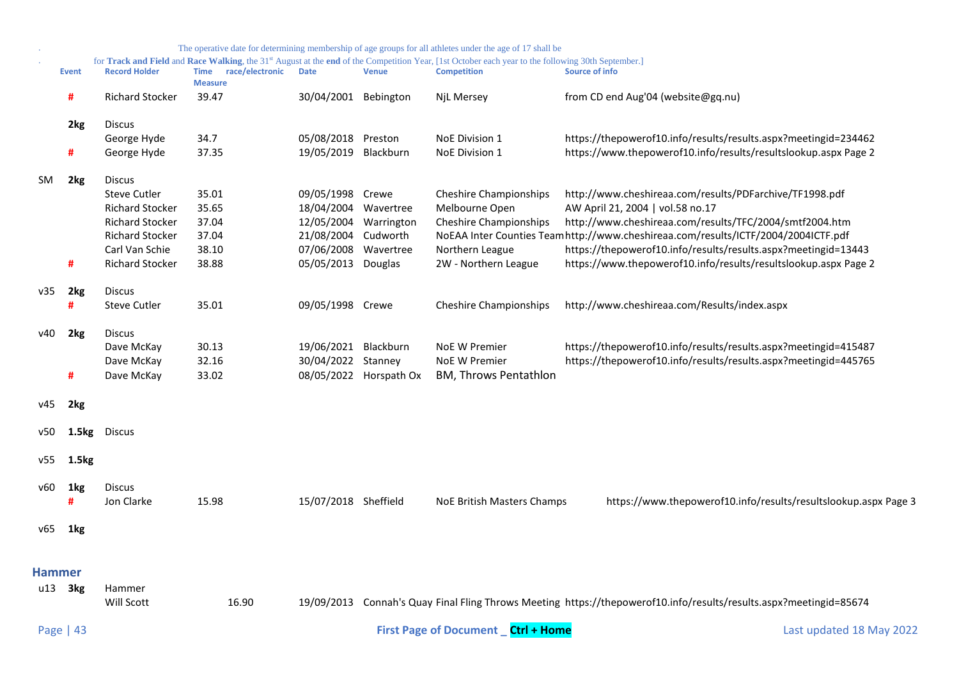<span id="page-42-0"></span>

|        |              |                        |                                        |                      |                        | The operative date for determining membership of age groups for all athletes under the age of 17 shall be                                                                            |                                                                                                                    |
|--------|--------------|------------------------|----------------------------------------|----------------------|------------------------|--------------------------------------------------------------------------------------------------------------------------------------------------------------------------------------|--------------------------------------------------------------------------------------------------------------------|
|        | <b>Event</b> | <b>Record Holder</b>   | Time race/electronic<br><b>Measure</b> | <b>Date</b>          | <b>Venue</b>           | for Track and Field and Race Walking, the 31 <sup>st</sup> August at the end of the Competition Year, [1st October each year to the following 30th September.]<br><b>Competition</b> | <b>Source of info</b>                                                                                              |
|        | #            | <b>Richard Stocker</b> | 39.47                                  | 30/04/2001 Bebington |                        | NjL Mersey                                                                                                                                                                           | from CD end Aug'04 (website@gq.nu)                                                                                 |
|        | 2kg          | <b>Discus</b>          |                                        |                      |                        |                                                                                                                                                                                      |                                                                                                                    |
|        |              | George Hyde            | 34.7                                   | 05/08/2018 Preston   |                        | NoE Division 1                                                                                                                                                                       | https://thepowerof10.info/results/results.aspx?meetingid=234462                                                    |
|        | #            | George Hyde            | 37.35                                  | 19/05/2019 Blackburn |                        | <b>NoE Division 1</b>                                                                                                                                                                | https://www.thepowerof10.info/results/resultslookup.aspx Page 2                                                    |
| SM     | 2kg          | <b>Discus</b>          |                                        |                      |                        |                                                                                                                                                                                      |                                                                                                                    |
|        |              | <b>Steve Cutler</b>    | 35.01                                  | 09/05/1998           | Crewe                  | <b>Cheshire Championships</b>                                                                                                                                                        | http://www.cheshireaa.com/results/PDFarchive/TF1998.pdf                                                            |
|        |              | <b>Richard Stocker</b> | 35.65                                  | 18/04/2004 Wavertree |                        | Melbourne Open                                                                                                                                                                       | AW April 21, 2004   vol.58 no.17                                                                                   |
|        |              | <b>Richard Stocker</b> | 37.04                                  |                      | 12/05/2004 Warrington  | <b>Cheshire Championships</b>                                                                                                                                                        | http://www.cheshireaa.com/results/TFC/2004/smtf2004.htm                                                            |
|        |              | <b>Richard Stocker</b> | 37.04                                  | 21/08/2004           | Cudworth               |                                                                                                                                                                                      | NoEAA Inter Counties Teamhttp://www.cheshireaa.com/results/ICTF/2004/2004ICTF.pdf                                  |
|        |              | Carl Van Schie         | 38.10                                  | 07/06/2008           | Wavertree              | Northern League                                                                                                                                                                      | https://thepowerof10.info/results/results.aspx?meetingid=13443                                                     |
|        | #            | <b>Richard Stocker</b> | 38.88                                  | 05/05/2013 Douglas   |                        | 2W - Northern League                                                                                                                                                                 | https://www.thepowerof10.info/results/resultslookup.aspx Page 2                                                    |
| v35    | 2kg          | <b>Discus</b>          |                                        |                      |                        |                                                                                                                                                                                      |                                                                                                                    |
|        | #            | <b>Steve Cutler</b>    | 35.01                                  | 09/05/1998 Crewe     |                        | <b>Cheshire Championships</b>                                                                                                                                                        | http://www.cheshireaa.com/Results/index.aspx                                                                       |
| v40    | 2kg          | <b>Discus</b>          |                                        |                      |                        |                                                                                                                                                                                      |                                                                                                                    |
|        |              | Dave McKay             | 30.13                                  | 19/06/2021 Blackburn |                        | <b>NoE W Premier</b>                                                                                                                                                                 | https://thepowerof10.info/results/results.aspx?meetingid=415487                                                    |
|        |              | Dave McKay             | 32.16                                  | 30/04/2022 Stanney   |                        | NoE W Premier                                                                                                                                                                        | https://thepowerof10.info/results/results.aspx?meetingid=445765                                                    |
|        | #            | Dave McKay             | 33.02                                  |                      | 08/05/2022 Horspath Ox | <b>BM, Throws Pentathlon</b>                                                                                                                                                         |                                                                                                                    |
| v45    | 2kg          |                        |                                        |                      |                        |                                                                                                                                                                                      |                                                                                                                    |
| v50    | 1.5kg        | <b>Discus</b>          |                                        |                      |                        |                                                                                                                                                                                      |                                                                                                                    |
| v55    | 1.5kg        |                        |                                        |                      |                        |                                                                                                                                                                                      |                                                                                                                    |
| v60    | 1kg<br>#     | Discus<br>Jon Clarke   | 15.98                                  | 15/07/2018 Sheffield |                        | NoE British Masters Champs                                                                                                                                                           | https://www.thepowerof10.info/results/resultslookup.aspx Page 3                                                    |
| v65    | 1kg          |                        |                                        |                      |                        |                                                                                                                                                                                      |                                                                                                                    |
|        |              |                        |                                        |                      |                        |                                                                                                                                                                                      |                                                                                                                    |
| Hammer |              |                        |                                        |                      |                        |                                                                                                                                                                                      |                                                                                                                    |
|        |              |                        |                                        |                      |                        |                                                                                                                                                                                      |                                                                                                                    |
| u13    | 3kg          | Hammer<br>Will Scott   | 16.90                                  |                      |                        |                                                                                                                                                                                      | 19/09/2013 Connah's Quay Final Fling Throws Meeting https://thepowerof10.info/results/results.aspx?meetingid=85674 |
|        | Page   43    |                        |                                        |                      |                        | <b>First Page of Document</b> Ctrl + Home                                                                                                                                            | Last updated 18 May 2022                                                                                           |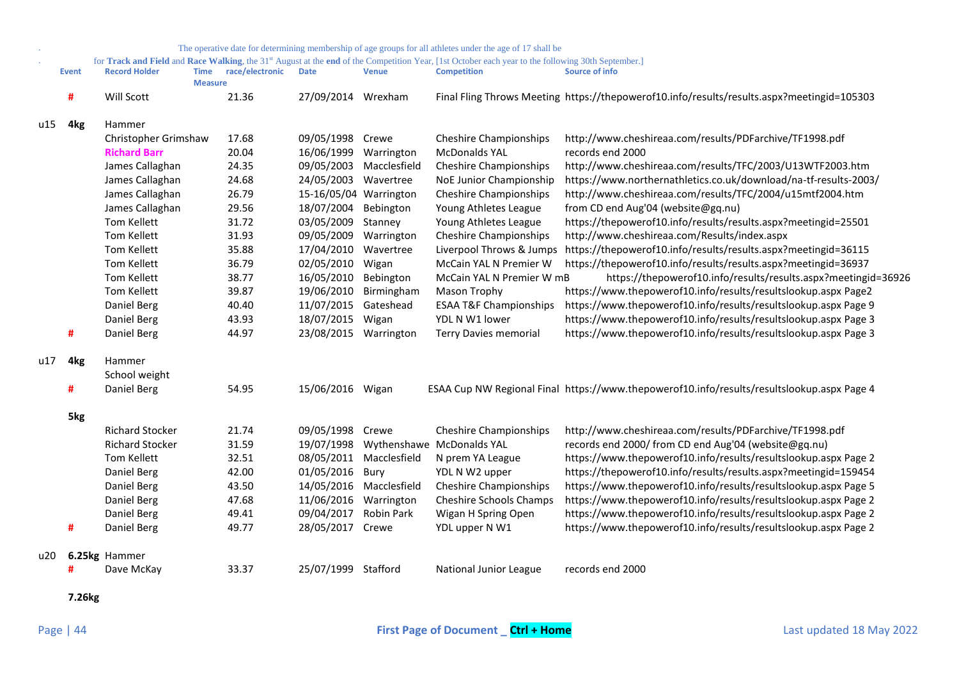|     |                 |                        |                               |                 |                        |              | The operative date for determining membership of age groups for all athletes under the age of 17 shall be                                          |                                                                                            |
|-----|-----------------|------------------------|-------------------------------|-----------------|------------------------|--------------|----------------------------------------------------------------------------------------------------------------------------------------------------|--------------------------------------------------------------------------------------------|
|     |                 |                        |                               |                 |                        |              | for Track and Field and Race Walking, the 31st August at the end of the Competition Year, [1st October each year to the following 30th September.] |                                                                                            |
|     | <b>Event</b>    | <b>Record Holder</b>   | <b>Time</b><br><b>Measure</b> | race/electronic | <b>Date</b>            | <b>Venue</b> | <b>Competition</b>                                                                                                                                 | <b>Source of info</b>                                                                      |
|     | #               | Will Scott             |                               | 21.36           | 27/09/2014 Wrexham     |              |                                                                                                                                                    | Final Fling Throws Meeting https://thepowerof10.info/results/results.aspx?meetingid=105303 |
| u15 | 4 <sub>kg</sub> | Hammer                 |                               |                 |                        |              |                                                                                                                                                    |                                                                                            |
|     |                 | Christopher Grimshaw   |                               | 17.68           | 09/05/1998 Crewe       |              | <b>Cheshire Championships</b>                                                                                                                      | http://www.cheshireaa.com/results/PDFarchive/TF1998.pdf                                    |
|     |                 | <b>Richard Barr</b>    |                               | 20.04           | 16/06/1999             | Warrington   | <b>McDonalds YAL</b>                                                                                                                               | records end 2000                                                                           |
|     |                 | James Callaghan        |                               | 24.35           | 09/05/2003             | Macclesfield | <b>Cheshire Championships</b>                                                                                                                      | http://www.cheshireaa.com/results/TFC/2003/U13WTF2003.htm                                  |
|     |                 | James Callaghan        |                               | 24.68           | 24/05/2003 Wavertree   |              | NoE Junior Championship                                                                                                                            | https://www.northernathletics.co.uk/download/na-tf-results-2003/                           |
|     |                 | James Callaghan        |                               | 26.79           | 15-16/05/04 Warrington |              | <b>Cheshire Championships</b>                                                                                                                      | http://www.cheshireaa.com/results/TFC/2004/u15mtf2004.htm                                  |
|     |                 | James Callaghan        |                               | 29.56           | 18/07/2004             | Bebington    | Young Athletes League                                                                                                                              | from CD end Aug'04 (website@gq.nu)                                                         |
|     |                 | Tom Kellett            |                               | 31.72           | 03/05/2009             | Stanney      | Young Athletes League                                                                                                                              | https://thepowerof10.info/results/results.aspx?meetingid=25501                             |
|     |                 | <b>Tom Kellett</b>     |                               | 31.93           | 09/05/2009             | Warrington   | <b>Cheshire Championships</b>                                                                                                                      | http://www.cheshireaa.com/Results/index.aspx                                               |
|     |                 | Tom Kellett            |                               | 35.88           | 17/04/2010             | Wavertree    |                                                                                                                                                    | Liverpool Throws & Jumps https://thepowerof10.info/results/results.aspx?meetingid=36115    |
|     |                 | <b>Tom Kellett</b>     |                               | 36.79           | 02/05/2010             | Wigan        | McCain YAL N Premier W                                                                                                                             | https://thepowerof10.info/results/results.aspx?meetingid=36937                             |
|     |                 | Tom Kellett            |                               | 38.77           | 16/05/2010             | Bebington    | McCain YAL N Premier W mB                                                                                                                          | https://thepowerof10.info/results/results.aspx?meetingid=36926                             |
|     |                 | <b>Tom Kellett</b>     |                               | 39.87           | 19/06/2010             | Birmingham   | Mason Trophy                                                                                                                                       | https://www.thepowerof10.info/results/resultslookup.aspx Page2                             |
|     |                 | Daniel Berg            |                               | 40.40           | 11/07/2015             | Gateshead    | <b>ESAA T&amp;F Championships</b>                                                                                                                  | https://www.thepowerof10.info/results/resultslookup.aspx Page 9                            |
|     |                 | Daniel Berg            |                               | 43.93           | 18/07/2015             | Wigan        | YDL N W1 lower                                                                                                                                     | https://www.thepowerof10.info/results/resultslookup.aspx Page 3                            |
|     | #               | Daniel Berg            |                               | 44.97           | 23/08/2015             | Warrington   | <b>Terry Davies memorial</b>                                                                                                                       | https://www.thepowerof10.info/results/resultslookup.aspx Page 3                            |
| u17 | 4 <sub>kg</sub> | Hammer                 |                               |                 |                        |              |                                                                                                                                                    |                                                                                            |
|     |                 | School weight          |                               |                 |                        |              |                                                                                                                                                    |                                                                                            |
|     | #               | Daniel Berg            |                               | 54.95           | 15/06/2016 Wigan       |              |                                                                                                                                                    | ESAA Cup NW Regional Final https://www.thepowerof10.info/results/resultslookup.aspx Page 4 |
|     | 5kg             |                        |                               |                 |                        |              |                                                                                                                                                    |                                                                                            |
|     |                 | <b>Richard Stocker</b> |                               | 21.74           | 09/05/1998 Crewe       |              | <b>Cheshire Championships</b>                                                                                                                      | http://www.cheshireaa.com/results/PDFarchive/TF1998.pdf                                    |
|     |                 | <b>Richard Stocker</b> |                               | 31.59           | 19/07/1998             |              | Wythenshawe McDonalds YAL                                                                                                                          | records end 2000/ from CD end Aug'04 (website@gq.nu)                                       |
|     |                 | <b>Tom Kellett</b>     |                               | 32.51           | 08/05/2011             | Macclesfield | N prem YA League                                                                                                                                   | https://www.thepowerof10.info/results/resultslookup.aspx Page 2                            |
|     |                 | Daniel Berg            |                               | 42.00           | 01/05/2016             | Bury         | YDL N W2 upper                                                                                                                                     | https://thepowerof10.info/results/results.aspx?meetingid=159454                            |
|     |                 | Daniel Berg            |                               | 43.50           | 14/05/2016             | Macclesfield | <b>Cheshire Championships</b>                                                                                                                      | https://www.thepowerof10.info/results/resultslookup.aspx Page 5                            |
|     |                 | Daniel Berg            |                               | 47.68           | 11/06/2016             | Warrington   | <b>Cheshire Schools Champs</b>                                                                                                                     | https://www.thepowerof10.info/results/resultslookup.aspx Page 2                            |
|     |                 | Daniel Berg            |                               | 49.41           | 09/04/2017             | Robin Park   | Wigan H Spring Open                                                                                                                                | https://www.thepowerof10.info/results/resultslookup.aspx Page 2                            |
|     | #               | Daniel Berg            |                               | 49.77           | 28/05/2017             | Crewe        | YDL upper N W1                                                                                                                                     | https://www.thepowerof10.info/results/resultslookup.aspx Page 2                            |
| u20 |                 | 6.25kg Hammer          |                               |                 |                        |              |                                                                                                                                                    |                                                                                            |
|     |                 | Dave McKay             |                               | 33.37           | 25/07/1999 Stafford    |              | National Junior League                                                                                                                             | records end 2000                                                                           |

**7.26kg**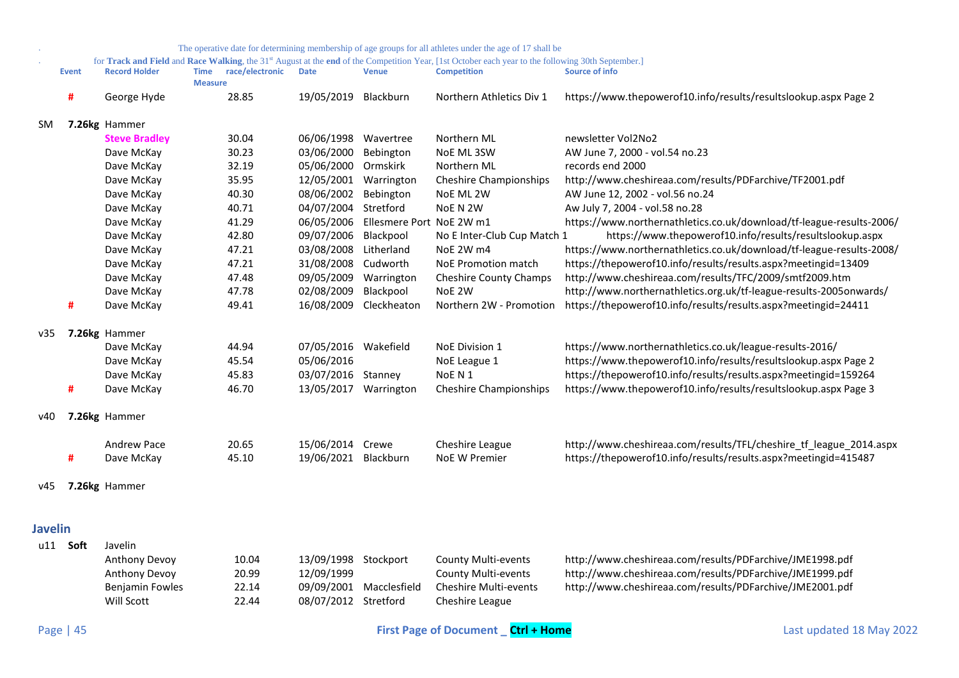<span id="page-44-0"></span>

|           |              |                      |                               |                 |                       |                         | The operative date for determining membership of age groups for all athletes under the age of 17 shall be                                                                            |                                                                      |
|-----------|--------------|----------------------|-------------------------------|-----------------|-----------------------|-------------------------|--------------------------------------------------------------------------------------------------------------------------------------------------------------------------------------|----------------------------------------------------------------------|
|           | <b>Event</b> | <b>Record Holder</b> | <b>Time</b><br><b>Measure</b> | race/electronic | <b>Date</b>           | <b>Venue</b>            | for Track and Field and Race Walking, the 31 <sup>st</sup> August at the end of the Competition Year, [1st October each year to the following 30th September.]<br><b>Competition</b> | Source of info                                                       |
|           | #            | George Hyde          |                               | 28.85           | 19/05/2019            | Blackburn               | Northern Athletics Div 1                                                                                                                                                             | https://www.thepowerof10.info/results/resultslookup.aspx Page 2      |
| <b>SM</b> |              | 7.26kg Hammer        |                               |                 |                       |                         |                                                                                                                                                                                      |                                                                      |
|           |              | <b>Steve Bradley</b> |                               | 30.04           | 06/06/1998            | Wavertree               | Northern ML                                                                                                                                                                          | newsletter Vol2No2                                                   |
|           |              | Dave McKay           |                               | 30.23           | 03/06/2000            | Bebington               | NoE ML 3SW                                                                                                                                                                           | AW June 7, 2000 - vol.54 no.23                                       |
|           |              | Dave McKay           |                               | 32.19           | 05/06/2000            | Ormskirk                | Northern ML                                                                                                                                                                          | records end 2000                                                     |
|           |              | Dave McKay           |                               | 35.95           | 12/05/2001 Warrington |                         | <b>Cheshire Championships</b>                                                                                                                                                        | http://www.cheshireaa.com/results/PDFarchive/TF2001.pdf              |
|           |              | Dave McKay           |                               | 40.30           | 08/06/2002            | Bebington               | NoE ML 2W                                                                                                                                                                            | AW June 12, 2002 - vol.56 no.24                                      |
|           |              | Dave McKay           |                               | 40.71           | 04/07/2004            | Stretford               | NoE N 2W                                                                                                                                                                             | Aw July 7, 2004 - vol.58 no.28                                       |
|           |              | Dave McKay           |                               | 41.29           | 06/05/2006            | <b>Ellesmere Port</b>   | NoE 2W m1                                                                                                                                                                            | https://www.northernathletics.co.uk/download/tf-league-results-2006/ |
|           |              | Dave McKay           |                               | 42.80           | 09/07/2006            | Blackpool               | No E Inter-Club Cup Match 1                                                                                                                                                          | https://www.thepowerof10.info/results/resultslookup.aspx             |
|           |              | Dave McKay           |                               | 47.21           | 03/08/2008            | Litherland              | NoE 2W m4                                                                                                                                                                            | https://www.northernathletics.co.uk/download/tf-league-results-2008/ |
|           |              | Dave McKay           |                               | 47.21           | 31/08/2008            | Cudworth                | NoE Promotion match                                                                                                                                                                  | https://thepowerof10.info/results/results.aspx?meetingid=13409       |
|           |              | Dave McKay           |                               | 47.48           | 09/05/2009            | Warrington              | Cheshire County Champs                                                                                                                                                               | http://www.cheshireaa.com/results/TFC/2009/smtf2009.htm              |
|           |              | Dave McKay           |                               | 47.78           | 02/08/2009            | Blackpool               | NoE 2W                                                                                                                                                                               | http://www.northernathletics.org.uk/tf-league-results-2005onwards/   |
|           | #            | Dave McKay           |                               | 49.41           | 16/08/2009            | Cleckheaton             | Northern 2W - Promotion                                                                                                                                                              | https://thepowerof10.info/results/results.aspx?meetingid=24411       |
| v35       |              | 7.26kg Hammer        |                               |                 |                       |                         |                                                                                                                                                                                      |                                                                      |
|           |              | Dave McKay           |                               | 44.94           | 07/05/2016 Wakefield  |                         | <b>NoE Division 1</b>                                                                                                                                                                | https://www.northernathletics.co.uk/league-results-2016/             |
|           |              | Dave McKay           |                               | 45.54           | 05/06/2016            |                         | NoE League 1                                                                                                                                                                         | https://www.thepowerof10.info/results/resultslookup.aspx Page 2      |
|           |              | Dave McKay           |                               | 45.83           | 03/07/2016 Stanney    |                         | NoE N 1                                                                                                                                                                              | https://thepowerof10.info/results/results.aspx?meetingid=159264      |
|           | #            | Dave McKay           |                               | 46.70           | 13/05/2017 Warrington |                         | <b>Cheshire Championships</b>                                                                                                                                                        | https://www.thepowerof10.info/results/resultslookup.aspx Page 3      |
| v40       |              | 7.26kg Hammer        |                               |                 |                       |                         |                                                                                                                                                                                      |                                                                      |
|           |              | <b>Andrew Pace</b>   |                               | 20.65           | 15/06/2014 Crewe      |                         | Cheshire League                                                                                                                                                                      | http://www.cheshireaa.com/results/TFL/cheshire_tf_league_2014.aspx   |
|           | #            | Dave McKay           |                               | 45.10           | 19/06/2021 Blackburn  |                         | NoE W Premier                                                                                                                                                                        | https://thepowerof10.info/results/results.aspx?meetingid=415487      |
| v45       |              | 7.26kg Hammer        |                               |                 |                       |                         |                                                                                                                                                                                      |                                                                      |
| Javelin   |              |                      |                               |                 |                       |                         |                                                                                                                                                                                      |                                                                      |
|           |              |                      |                               |                 |                       |                         |                                                                                                                                                                                      |                                                                      |
|           | u11 Soft     | Javelin              |                               |                 |                       |                         |                                                                                                                                                                                      |                                                                      |
|           |              | Anthony Devoy        |                               | 10.04           | 13/09/1998 Stockport  |                         | <b>County Multi-events</b>                                                                                                                                                           | http://www.cheshireaa.com/results/PDFarchive/JME1998.pdf             |
|           |              | Anthony Devoy        |                               | 20.99           | 12/09/1999            |                         | <b>County Multi-events</b>                                                                                                                                                           | http://www.cheshireaa.com/results/PDFarchive/JME1999.pdf             |
|           |              | Benjamin Fowles      |                               | 22.14           |                       | 09/09/2001 Macclesfield | Cheshire Multi-events                                                                                                                                                                | http://www.cheshireaa.com/results/PDFarchive/JME2001.pdf             |
|           |              | Will Scott           |                               | 22.44           | 08/07/2012 Stretford  |                         | Cheshire League                                                                                                                                                                      |                                                                      |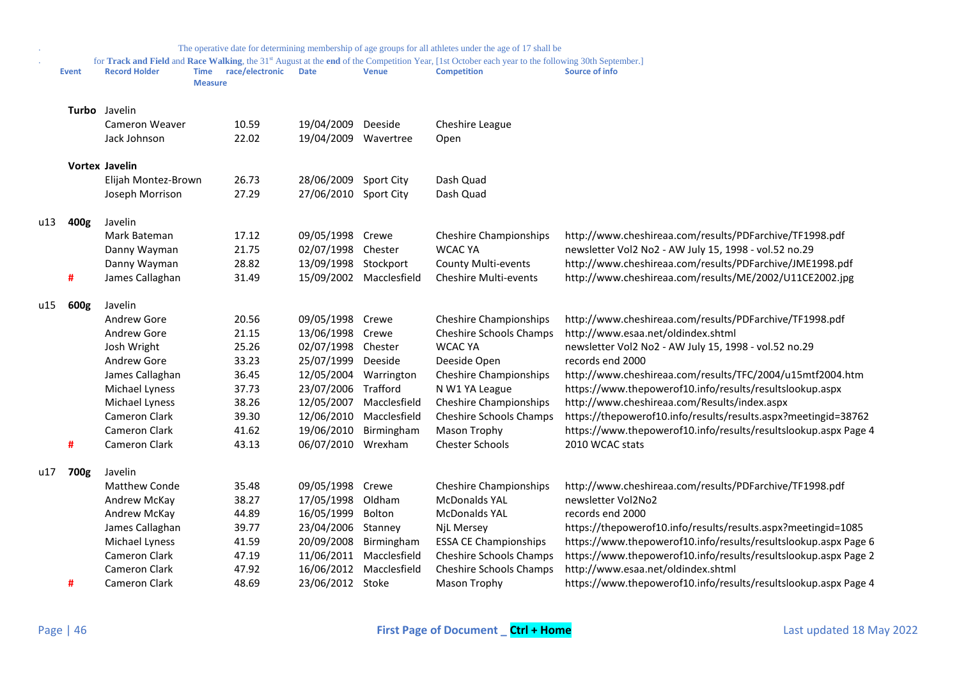|     |              |                       |                               |                 |                  |                         | The operative date for determining membership of age groups for all athletes under the age of 17 shall be                                                                |                                                                 |
|-----|--------------|-----------------------|-------------------------------|-----------------|------------------|-------------------------|--------------------------------------------------------------------------------------------------------------------------------------------------------------------------|-----------------------------------------------------------------|
|     | <b>Event</b> | <b>Record Holder</b>  | <b>Time</b><br><b>Measure</b> | race/electronic | <b>Date</b>      | <b>Venue</b>            | for Track and Field and Race Walking, the 31st August at the end of the Competition Year, [1st October each year to the following 30th September.]<br><b>Competition</b> | Source of info                                                  |
|     |              | <b>Turbo</b> Javelin  |                               |                 |                  |                         |                                                                                                                                                                          |                                                                 |
|     |              | Cameron Weaver        |                               | 10.59           | 19/04/2009       | Deeside                 | Cheshire League                                                                                                                                                          |                                                                 |
|     |              | Jack Johnson          |                               | 22.02           | 19/04/2009       | Wavertree               | Open                                                                                                                                                                     |                                                                 |
|     |              | <b>Vortex Javelin</b> |                               |                 |                  |                         |                                                                                                                                                                          |                                                                 |
|     |              | Elijah Montez-Brown   |                               | 26.73           | 28/06/2009       | Sport City              | Dash Quad                                                                                                                                                                |                                                                 |
|     |              | Joseph Morrison       |                               | 27.29           | 27/06/2010       | Sport City              | Dash Quad                                                                                                                                                                |                                                                 |
| u13 | 400g         | Javelin               |                               |                 |                  |                         |                                                                                                                                                                          |                                                                 |
|     |              | Mark Bateman          |                               | 17.12           | 09/05/1998       | Crewe                   | <b>Cheshire Championships</b>                                                                                                                                            | http://www.cheshireaa.com/results/PDFarchive/TF1998.pdf         |
|     |              | Danny Wayman          |                               | 21.75           | 02/07/1998       | Chester                 | <b>WCAC YA</b>                                                                                                                                                           | newsletter Vol2 No2 - AW July 15, 1998 - vol.52 no.29           |
|     |              | Danny Wayman          |                               | 28.82           | 13/09/1998       | Stockport               | <b>County Multi-events</b>                                                                                                                                               | http://www.cheshireaa.com/results/PDFarchive/JME1998.pdf        |
|     | #            | James Callaghan       |                               | 31.49           |                  | 15/09/2002 Macclesfield | <b>Cheshire Multi-events</b>                                                                                                                                             | http://www.cheshireaa.com/results/ME/2002/U11CE2002.jpg         |
| u15 | 600g         | Javelin               |                               |                 |                  |                         |                                                                                                                                                                          |                                                                 |
|     |              | Andrew Gore           |                               | 20.56           | 09/05/1998       | Crewe                   | <b>Cheshire Championships</b>                                                                                                                                            | http://www.cheshireaa.com/results/PDFarchive/TF1998.pdf         |
|     |              | Andrew Gore           |                               | 21.15           | 13/06/1998       | Crewe                   | Cheshire Schools Champs                                                                                                                                                  | http://www.esaa.net/oldindex.shtml                              |
|     |              | Josh Wright           |                               | 25.26           | 02/07/1998       | Chester                 | <b>WCAC YA</b>                                                                                                                                                           | newsletter Vol2 No2 - AW July 15, 1998 - vol.52 no.29           |
|     |              | Andrew Gore           |                               | 33.23           | 25/07/1999       | Deeside                 | Deeside Open                                                                                                                                                             | records end 2000                                                |
|     |              | James Callaghan       |                               | 36.45           | 12/05/2004       | Warrington              | <b>Cheshire Championships</b>                                                                                                                                            | http://www.cheshireaa.com/results/TFC/2004/u15mtf2004.htm       |
|     |              | Michael Lyness        |                               | 37.73           | 23/07/2006       | Trafford                | N W1 YA League                                                                                                                                                           | https://www.thepowerof10.info/results/resultslookup.aspx        |
|     |              | Michael Lyness        |                               | 38.26           | 12/05/2007       | Macclesfield            | <b>Cheshire Championships</b>                                                                                                                                            | http://www.cheshireaa.com/Results/index.aspx                    |
|     |              | Cameron Clark         |                               | 39.30           | 12/06/2010       | Macclesfield            | Cheshire Schools Champs                                                                                                                                                  | https://thepowerof10.info/results/results.aspx?meetingid=38762  |
|     |              | <b>Cameron Clark</b>  |                               | 41.62           | 19/06/2010       | Birmingham              | Mason Trophy                                                                                                                                                             | https://www.thepowerof10.info/results/resultslookup.aspx Page 4 |
|     | #            | <b>Cameron Clark</b>  |                               | 43.13           | 06/07/2010       | Wrexham                 | <b>Chester Schools</b>                                                                                                                                                   | 2010 WCAC stats                                                 |
| u17 | 700g         | Javelin               |                               |                 |                  |                         |                                                                                                                                                                          |                                                                 |
|     |              | Matthew Conde         |                               | 35.48           | 09/05/1998       | Crewe                   | <b>Cheshire Championships</b>                                                                                                                                            | http://www.cheshireaa.com/results/PDFarchive/TF1998.pdf         |
|     |              | Andrew McKay          |                               | 38.27           | 17/05/1998       | Oldham                  | <b>McDonalds YAL</b>                                                                                                                                                     | newsletter Vol2No2                                              |
|     |              | Andrew McKay          |                               | 44.89           | 16/05/1999       | Bolton                  | <b>McDonalds YAL</b>                                                                                                                                                     | records end 2000                                                |
|     |              | James Callaghan       |                               | 39.77           | 23/04/2006       | Stanney                 | NjL Mersey                                                                                                                                                               | https://thepowerof10.info/results/results.aspx?meetingid=1085   |
|     |              | Michael Lyness        |                               | 41.59           | 20/09/2008       | Birmingham              | <b>ESSA CE Championships</b>                                                                                                                                             | https://www.thepowerof10.info/results/resultslookup.aspx Page 6 |
|     |              | Cameron Clark         |                               | 47.19           | 11/06/2011       | Macclesfield            | Cheshire Schools Champs                                                                                                                                                  | https://www.thepowerof10.info/results/resultslookup.aspx Page 2 |
|     |              | Cameron Clark         |                               | 47.92           | 16/06/2012       | Macclesfield            | Cheshire Schools Champs                                                                                                                                                  | http://www.esaa.net/oldindex.shtml                              |
|     | #            | Cameron Clark         |                               | 48.69           | 23/06/2012 Stoke |                         | Mason Trophy                                                                                                                                                             | https://www.thepowerof10.info/results/resultslookup.aspx Page 4 |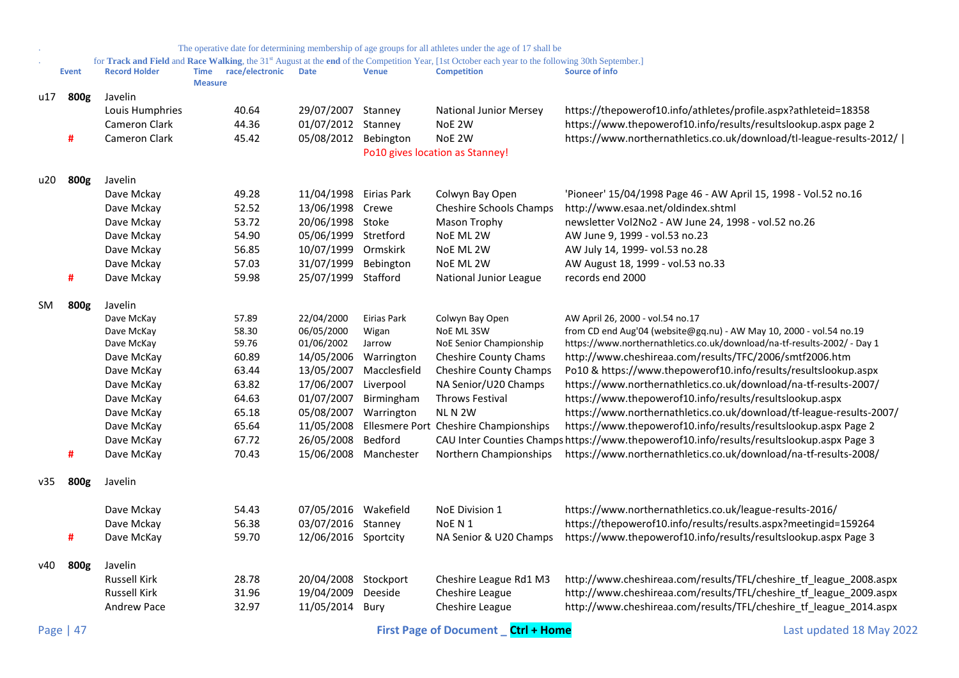|     |              |                      |                |                 |                        |                       | The operative date for determining membership of age groups for all athletes under the age of 17 shall be                                                                            |                                                                                           |
|-----|--------------|----------------------|----------------|-----------------|------------------------|-----------------------|--------------------------------------------------------------------------------------------------------------------------------------------------------------------------------------|-------------------------------------------------------------------------------------------|
|     | <b>Event</b> | <b>Record Holder</b> | <b>Time</b>    | race/electronic | <b>Date</b>            | <b>Venue</b>          | for Track and Field and Race Walking, the 31 <sup>st</sup> August at the end of the Competition Year, [1st October each year to the following 30th September.]<br><b>Competition</b> | Source of info                                                                            |
|     |              |                      | <b>Measure</b> |                 |                        |                       |                                                                                                                                                                                      |                                                                                           |
| u17 | 800g         | Javelin              |                |                 |                        |                       |                                                                                                                                                                                      |                                                                                           |
|     |              | Louis Humphries      |                | 40.64           | 29/07/2007             | Stanney               | <b>National Junior Mersey</b>                                                                                                                                                        | https://thepowerof10.info/athletes/profile.aspx?athleteid=18358                           |
|     |              | Cameron Clark        |                | 44.36           | 01/07/2012 Stanney     |                       | NoE 2W                                                                                                                                                                               | https://www.thepowerof10.info/results/resultslookup.aspx page 2                           |
|     | #            | Cameron Clark        |                | 45.42           | 05/08/2012             | Bebington             | NoE 2W                                                                                                                                                                               | https://www.northernathletics.co.uk/download/tl-league-results-2012/                      |
|     |              |                      |                |                 |                        |                       | Po10 gives location as Stanney!                                                                                                                                                      |                                                                                           |
| u20 | 800g         | Javelin              |                |                 |                        |                       |                                                                                                                                                                                      |                                                                                           |
|     |              | Dave Mckay           |                | 49.28           | 11/04/1998 Eirias Park |                       | Colwyn Bay Open                                                                                                                                                                      | 'Pioneer' 15/04/1998 Page 46 - AW April 15, 1998 - Vol.52 no.16                           |
|     |              | Dave Mckay           |                | 52.52           | 13/06/1998 Crewe       |                       | Cheshire Schools Champs                                                                                                                                                              | http://www.esaa.net/oldindex.shtml                                                        |
|     |              | Dave Mckay           |                | 53.72           | 20/06/1998 Stoke       |                       | Mason Trophy                                                                                                                                                                         | newsletter Vol2No2 - AW June 24, 1998 - vol.52 no.26                                      |
|     |              | Dave Mckay           |                | 54.90           | 05/06/1999 Stretford   |                       | NoE ML 2W                                                                                                                                                                            | AW June 9, 1999 - vol.53 no.23                                                            |
|     |              | Dave Mckay           |                | 56.85           | 10/07/1999 Ormskirk    |                       | NoE ML 2W                                                                                                                                                                            | AW July 14, 1999- vol.53 no.28                                                            |
|     |              | Dave Mckay           |                | 57.03           | 31/07/1999             | Bebington             | NoE ML 2W                                                                                                                                                                            | AW August 18, 1999 - vol.53 no.33                                                         |
|     | #            | Dave Mckay           |                | 59.98           | 25/07/1999 Stafford    |                       | National Junior League                                                                                                                                                               | records end 2000                                                                          |
| SM. | 800g         | Javelin              |                |                 |                        |                       |                                                                                                                                                                                      |                                                                                           |
|     |              | Dave McKay           |                | 57.89           | 22/04/2000             | Eirias Park           | Colwyn Bay Open                                                                                                                                                                      | AW April 26, 2000 - vol.54 no.17                                                          |
|     |              | Dave McKay           |                | 58.30           | 06/05/2000             | Wigan                 | NoE ML 3SW                                                                                                                                                                           | from CD end Aug'04 (website@gq.nu) - AW May 10, 2000 - vol.54 no.19                       |
|     |              | Dave McKay           |                | 59.76           | 01/06/2002             | Jarrow                | NoE Senior Championship                                                                                                                                                              | https://www.northernathletics.co.uk/download/na-tf-results-2002/ - Day 1                  |
|     |              | Dave McKay           |                | 60.89           | 14/05/2006 Warrington  |                       | <b>Cheshire County Chams</b>                                                                                                                                                         | http://www.cheshireaa.com/results/TFC/2006/smtf2006.htm                                   |
|     |              | Dave McKay           |                | 63.44           | 13/05/2007             | Macclesfield          | <b>Cheshire County Champs</b>                                                                                                                                                        | Po10 & https://www.thepowerof10.info/results/resultslookup.aspx                           |
|     |              | Dave McKay           |                | 63.82           | 17/06/2007 Liverpool   |                       | NA Senior/U20 Champs                                                                                                                                                                 | https://www.northernathletics.co.uk/download/na-tf-results-2007/                          |
|     |              | Dave McKay           |                | 64.63           | 01/07/2007             | Birmingham            | Throws Festival                                                                                                                                                                      | https://www.thepowerof10.info/results/resultslookup.aspx                                  |
|     |              | Dave McKay           |                | 65.18           | 05/08/2007             | Warrington            | NLN <sub>2W</sub>                                                                                                                                                                    | https://www.northernathletics.co.uk/download/tf-league-results-2007/                      |
|     |              | Dave McKay           |                | 65.64           | 11/05/2008             |                       | Ellesmere Port Cheshire Championships                                                                                                                                                | https://www.thepowerof10.info/results/resultslookup.aspx Page 2                           |
|     |              | Dave McKay           |                | 67.72           | 26/05/2008             | Bedford               |                                                                                                                                                                                      | CAU Inter Counties Champs https://www.thepowerof10.info/results/resultslookup.aspx Page 3 |
|     | #            | Dave McKay           |                | 70.43           |                        | 15/06/2008 Manchester | Northern Championships                                                                                                                                                               | https://www.northernathletics.co.uk/download/na-tf-results-2008/                          |
| v35 | 800g         | Javelin              |                |                 |                        |                       |                                                                                                                                                                                      |                                                                                           |
|     |              | Dave Mckay           |                | 54.43           | 07/05/2016 Wakefield   |                       | NoE Division 1                                                                                                                                                                       | https://www.northernathletics.co.uk/league-results-2016/                                  |
|     |              | Dave Mckay           |                | 56.38           | 03/07/2016 Stanney     |                       | NoE N 1                                                                                                                                                                              | https://thepowerof10.info/results/results.aspx?meetingid=159264                           |
|     | #            |                      |                | 59.70           |                        |                       |                                                                                                                                                                                      | https://www.thepowerof10.info/results/resultslookup.aspx Page 3                           |
|     |              | Dave McKay           |                |                 | 12/06/2016 Sportcity   |                       | NA Senior & U20 Champs                                                                                                                                                               |                                                                                           |
| v40 | 800g         | Javelin              |                |                 |                        |                       |                                                                                                                                                                                      |                                                                                           |
|     |              | <b>Russell Kirk</b>  |                | 28.78           | 20/04/2008 Stockport   |                       | Cheshire League Rd1 M3                                                                                                                                                               | http://www.cheshireaa.com/results/TFL/cheshire_tf_league_2008.aspx                        |
|     |              | <b>Russell Kirk</b>  |                | 31.96           | 19/04/2009             | Deeside               | Cheshire League                                                                                                                                                                      | http://www.cheshireaa.com/results/TFL/cheshire_tf_league_2009.aspx                        |
|     |              | <b>Andrew Pace</b>   |                | 32.97           | 11/05/2014 Bury        |                       | Cheshire League                                                                                                                                                                      | http://www.cheshireaa.com/results/TFL/cheshire_tf_league_2014.aspx                        |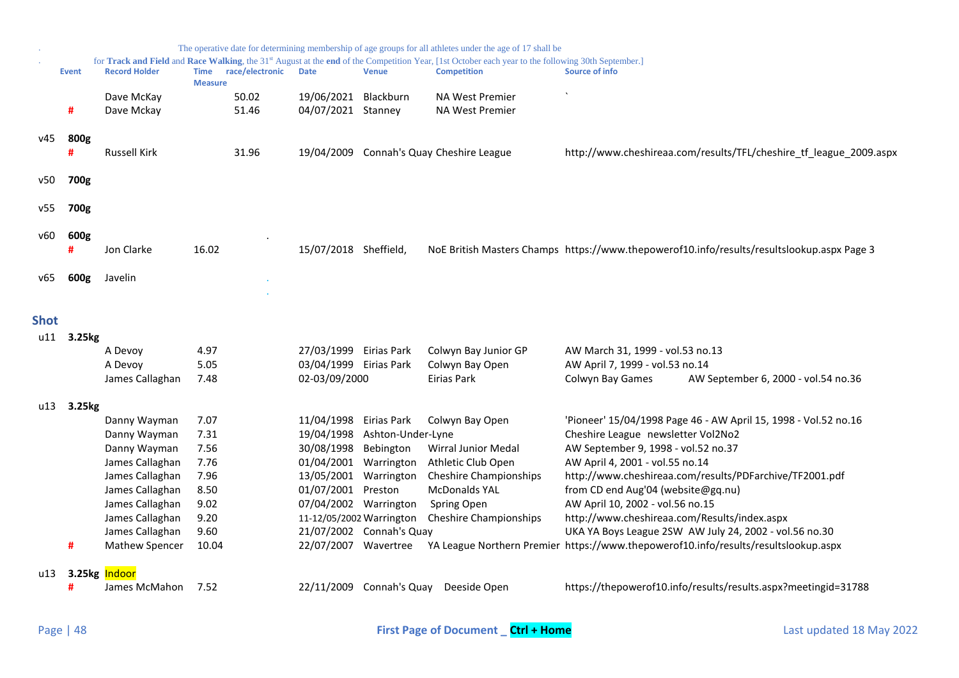<span id="page-47-0"></span>

|             |              |                                    |                               |                 |                                                   |                          | The operative date for determining membership of age groups for all athletes under the age of 17 shall be                                                                |                                                                                            |
|-------------|--------------|------------------------------------|-------------------------------|-----------------|---------------------------------------------------|--------------------------|--------------------------------------------------------------------------------------------------------------------------------------------------------------------------|--------------------------------------------------------------------------------------------|
|             | <b>Event</b> | <b>Record Holder</b>               | <b>Time</b><br><b>Measure</b> | race/electronic | <b>Date</b>                                       | <b>Venue</b>             | for Track and Field and Race Walking, the 31st August at the end of the Competition Year, [1st October each year to the following 30th September.]<br><b>Competition</b> | <b>Source of info</b>                                                                      |
|             | #            | Dave McKay<br>Dave Mckay           |                               | 50.02<br>51.46  | 19/06/2021<br>04/07/2021 Stanney                  | Blackburn                | <b>NA West Premier</b><br><b>NA West Premier</b>                                                                                                                         |                                                                                            |
| v45         | 800g         | <b>Russell Kirk</b>                |                               | 31.96           |                                                   |                          | 19/04/2009 Connah's Quay Cheshire League                                                                                                                                 | http://www.cheshireaa.com/results/TFL/cheshire_tf_league_2009.aspx                         |
| v50         | 700g         |                                    |                               |                 |                                                   |                          |                                                                                                                                                                          |                                                                                            |
| v55         | 700g         |                                    |                               |                 |                                                   |                          |                                                                                                                                                                          |                                                                                            |
| v60         | 600g<br>#    | Jon Clarke                         | 16.02                         |                 | 15/07/2018 Sheffield,                             |                          |                                                                                                                                                                          | NoE British Masters Champs https://www.thepowerof10.info/results/resultslookup.aspx Page 3 |
| v65         | 600g         | Javelin                            |                               |                 |                                                   |                          |                                                                                                                                                                          |                                                                                            |
| <b>Shot</b> |              |                                    |                               |                 |                                                   |                          |                                                                                                                                                                          |                                                                                            |
| u11         | 3.25kg       |                                    |                               |                 |                                                   |                          |                                                                                                                                                                          |                                                                                            |
|             |              | A Devoy                            | 4.97                          |                 | 27/03/1999 Eirias Park                            |                          | Colwyn Bay Junior GP                                                                                                                                                     | AW March 31, 1999 - vol.53 no.13                                                           |
|             |              | A Devoy                            | 5.05                          |                 | 03/04/1999 Eirias Park                            |                          | Colwyn Bay Open                                                                                                                                                          | AW April 7, 1999 - vol.53 no.14                                                            |
|             |              | James Callaghan                    | 7.48                          |                 | 02-03/09/2000                                     |                          | Eirias Park                                                                                                                                                              | Colwyn Bay Games<br>AW September 6, 2000 - vol.54 no.36                                    |
| u13         | 3.25kg       |                                    |                               |                 |                                                   |                          |                                                                                                                                                                          |                                                                                            |
|             |              | Danny Wayman                       | 7.07                          |                 | 11/04/1998                                        | Eirias Park              | Colwyn Bay Open                                                                                                                                                          | 'Pioneer' 15/04/1998 Page 46 - AW April 15, 1998 - Vol.52 no.16                            |
|             |              | Danny Wayman                       | 7.31                          |                 | 19/04/1998                                        | Ashton-Under-Lyne        |                                                                                                                                                                          | Cheshire League newsletter Vol2No2                                                         |
|             |              | Danny Wayman                       | 7.56                          |                 | 30/08/1998                                        | Bebington                | Wirral Junior Medal                                                                                                                                                      | AW September 9, 1998 - vol.52 no.37                                                        |
|             |              | James Callaghan                    | 7.76                          |                 | 01/04/2001                                        | Warrington               | Athletic Club Open                                                                                                                                                       | AW April 4, 2001 - vol.55 no.14                                                            |
|             |              | James Callaghan                    | 7.96                          |                 | 13/05/2001                                        | Warrington               | <b>Cheshire Championships</b>                                                                                                                                            | http://www.cheshireaa.com/results/PDFarchive/TF2001.pdf                                    |
|             |              | James Callaghan                    | 8.50                          |                 | 01/07/2001                                        | Preston                  | <b>McDonalds YAL</b>                                                                                                                                                     | from CD end Aug'04 (website@gq.nu)                                                         |
|             |              | James Callaghan                    | 9.02<br>9.20                  |                 | 07/04/2002 Warrington<br>11-12/05/2002 Warrington |                          | Spring Open<br><b>Cheshire Championships</b>                                                                                                                             | AW April 10, 2002 - vol.56 no.15<br>http://www.cheshireaa.com/Results/index.aspx           |
|             |              | James Callaghan<br>James Callaghan | 9.60                          |                 |                                                   | 21/07/2002 Connah's Quay |                                                                                                                                                                          | UKA YA Boys League 2SW AW July 24, 2002 - vol.56 no.30                                     |
|             | #            | Mathew Spencer                     | 10.04                         |                 | 22/07/2007 Wavertree                              |                          |                                                                                                                                                                          | YA League Northern Premier https://www.thepowerof10.info/results/resultslookup.aspx        |
| u13         | $3.25$ kg    | Indoor                             |                               |                 |                                                   |                          |                                                                                                                                                                          |                                                                                            |
|             | #            | James McMahon                      | 7.52                          |                 |                                                   |                          | 22/11/2009 Connah's Quay Deeside Open                                                                                                                                    | https://thepowerof10.info/results/results.aspx?meetingid=31788                             |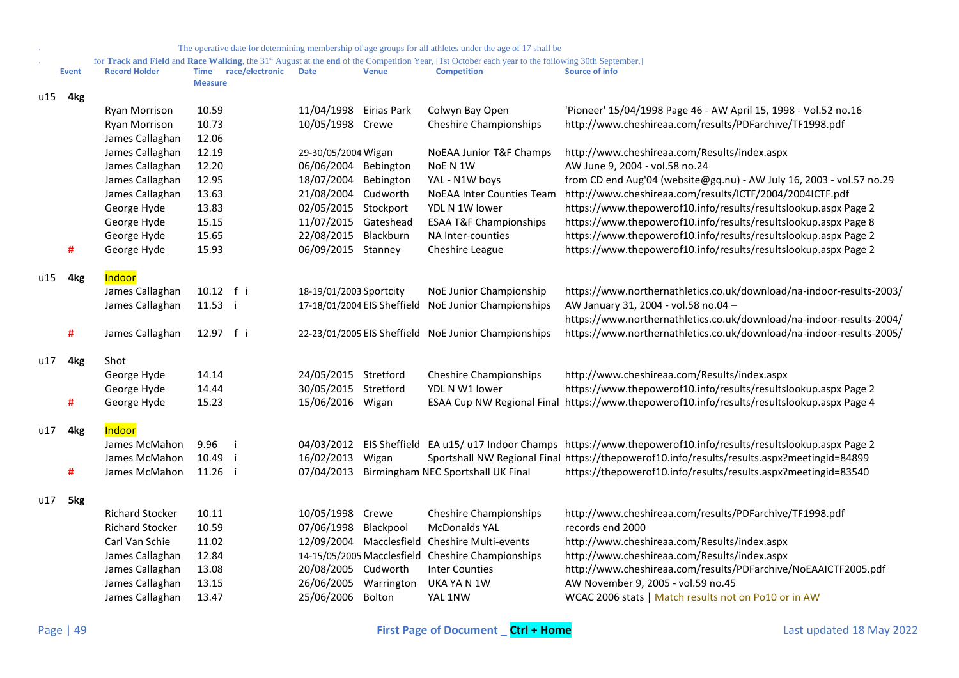|     |              |                        |                               |                 |                         |              | The operative date for determining membership of age groups for all athletes under the age of 17 shall be                                          |                                                                                                                    |
|-----|--------------|------------------------|-------------------------------|-----------------|-------------------------|--------------|----------------------------------------------------------------------------------------------------------------------------------------------------|--------------------------------------------------------------------------------------------------------------------|
|     |              |                        |                               |                 |                         |              | for Track and Field and Race Walking, the 31st August at the end of the Competition Year, [1st October each year to the following 30th September.] |                                                                                                                    |
|     | <b>Event</b> | <b>Record Holder</b>   | <b>Time</b><br><b>Measure</b> | race/electronic | <b>Date</b>             | <b>Venue</b> | <b>Competition</b>                                                                                                                                 | <b>Source of info</b>                                                                                              |
|     |              |                        |                               |                 |                         |              |                                                                                                                                                    |                                                                                                                    |
| u15 | 4kg          | <b>Ryan Morrison</b>   | 10.59                         |                 | 11/04/1998 Eirias Park  |              | Colwyn Bay Open                                                                                                                                    | 'Pioneer' 15/04/1998 Page 46 - AW April 15, 1998 - Vol.52 no.16                                                    |
|     |              | <b>Ryan Morrison</b>   | 10.73                         |                 | 10/05/1998 Crewe        |              | <b>Cheshire Championships</b>                                                                                                                      | http://www.cheshireaa.com/results/PDFarchive/TF1998.pdf                                                            |
|     |              | James Callaghan        | 12.06                         |                 |                         |              |                                                                                                                                                    |                                                                                                                    |
|     |              | James Callaghan        | 12.19                         |                 | 29-30/05/2004 Wigan     |              | NoEAA Junior T&F Champs                                                                                                                            | http://www.cheshireaa.com/Results/index.aspx                                                                       |
|     |              | James Callaghan        | 12.20                         |                 | 06/06/2004              | Bebington    | NoE N 1W                                                                                                                                           | AW June 9, 2004 - vol.58 no.24                                                                                     |
|     |              | James Callaghan        | 12.95                         |                 | 18/07/2004              | Bebington    | YAL - N1W boys                                                                                                                                     | from CD end Aug'04 (website@gq.nu) - AW July 16, 2003 - vol.57 no.29                                               |
|     |              | James Callaghan        | 13.63                         |                 | 21/08/2004 Cudworth     |              | <b>NoEAA Inter Counties Team</b>                                                                                                                   | http://www.cheshireaa.com/results/ICTF/2004/2004ICTF.pdf                                                           |
|     |              | George Hyde            | 13.83                         |                 | 02/05/2015 Stockport    |              | YDL N 1W lower                                                                                                                                     | https://www.thepowerof10.info/results/resultslookup.aspx Page 2                                                    |
|     |              | George Hyde            | 15.15                         |                 | 11/07/2015 Gateshead    |              | <b>ESAA T&amp;F Championships</b>                                                                                                                  | https://www.thepowerof10.info/results/resultslookup.aspx Page 8                                                    |
|     |              | George Hyde            | 15.65                         |                 | 22/08/2015              | Blackburn    | NA Inter-counties                                                                                                                                  | https://www.thepowerof10.info/results/resultslookup.aspx Page 2                                                    |
|     | #            | George Hyde            | 15.93                         |                 | 06/09/2015 Stanney      |              | Cheshire League                                                                                                                                    | https://www.thepowerof10.info/results/resultslookup.aspx Page 2                                                    |
|     |              |                        |                               |                 |                         |              |                                                                                                                                                    |                                                                                                                    |
| u15 | 4kg          | Indoor                 |                               |                 |                         |              |                                                                                                                                                    |                                                                                                                    |
|     |              | James Callaghan        | 10.12 f i                     |                 | 18-19/01/2003 Sportcity |              | NoE Junior Championship                                                                                                                            | https://www.northernathletics.co.uk/download/na-indoor-results-2003/                                               |
|     |              | James Callaghan        | 11.53 i                       |                 |                         |              | 17-18/01/2004 EIS Sheffield NoE Junior Championships                                                                                               | AW January 31, 2004 - vol.58 no.04 -                                                                               |
|     |              |                        |                               |                 |                         |              |                                                                                                                                                    | https://www.northernathletics.co.uk/download/na-indoor-results-2004/                                               |
|     | #            | James Callaghan        | 12.97 f i                     |                 |                         |              | 22-23/01/2005 EIS Sheffield NoE Junior Championships                                                                                               | https://www.northernathletics.co.uk/download/na-indoor-results-2005/                                               |
|     |              |                        |                               |                 |                         |              |                                                                                                                                                    |                                                                                                                    |
| u17 | 4kg          | Shot                   |                               |                 |                         |              |                                                                                                                                                    |                                                                                                                    |
|     |              | George Hyde            | 14.14                         |                 | 24/05/2015 Stretford    |              | <b>Cheshire Championships</b>                                                                                                                      | http://www.cheshireaa.com/Results/index.aspx                                                                       |
|     |              | George Hyde            | 14.44                         |                 | 30/05/2015 Stretford    |              | YDL N W1 lower                                                                                                                                     | https://www.thepowerof10.info/results/resultslookup.aspx Page 2                                                    |
|     | #            | George Hyde            | 15.23                         |                 | 15/06/2016 Wigan        |              | <b>ESAA Cup NW Regional Final</b>                                                                                                                  | https://www.thepowerof10.info/results/resultslookup.aspx Page 4                                                    |
|     |              |                        |                               |                 |                         |              |                                                                                                                                                    |                                                                                                                    |
| u17 | 4kg          | Indoor                 |                               |                 |                         |              |                                                                                                                                                    |                                                                                                                    |
|     |              | James McMahon          | 9.96                          |                 |                         |              |                                                                                                                                                    | 04/03/2012 EIS Sheffield EA u15/ u17 Indoor Champs https://www.thepowerof10.info/results/resultslookup.aspx Page 2 |
|     |              | James McMahon          | 10.49                         |                 | 16/02/2013              | Wigan        |                                                                                                                                                    | Sportshall NW Regional Final https://thepowerof10.info/results/results.aspx?meetingid=84899                        |
|     | #            | James McMahon          | 11.26 i                       |                 | 07/04/2013              |              | Birmingham NEC Sportshall UK Final                                                                                                                 | https://thepowerof10.info/results/results.aspx?meetingid=83540                                                     |
|     |              |                        |                               |                 |                         |              |                                                                                                                                                    |                                                                                                                    |
| u17 | 5kg          |                        |                               |                 |                         |              |                                                                                                                                                    |                                                                                                                    |
|     |              | <b>Richard Stocker</b> | 10.11                         |                 | 10/05/1998              | Crewe        | <b>Cheshire Championships</b>                                                                                                                      | http://www.cheshireaa.com/results/PDFarchive/TF1998.pdf                                                            |
|     |              | <b>Richard Stocker</b> | 10.59                         |                 | 07/06/1998 Blackpool    |              | <b>McDonalds YAL</b>                                                                                                                               | records end 2000                                                                                                   |
|     |              | Carl Van Schie         | 11.02                         |                 |                         |              | 12/09/2004 Macclesfield Cheshire Multi-events                                                                                                      | http://www.cheshireaa.com/Results/index.aspx                                                                       |
|     |              | James Callaghan        | 12.84                         |                 |                         |              | 14-15/05/2005 Macclesfield Cheshire Championships                                                                                                  | http://www.cheshireaa.com/Results/index.aspx                                                                       |
|     |              | James Callaghan        | 13.08                         |                 | 20/08/2005 Cudworth     |              | <b>Inter Counties</b>                                                                                                                              | http://www.cheshireaa.com/results/PDFarchive/NoEAAICTF2005.pdf                                                     |
|     |              | James Callaghan        | 13.15                         |                 | 26/06/2005 Warrington   |              | UKA YA N 1W                                                                                                                                        | AW November 9, 2005 - vol.59 no.45                                                                                 |
|     |              | James Callaghan        | 13.47                         |                 | 25/06/2006 Bolton       |              | YAL 1NW                                                                                                                                            | WCAC 2006 stats   Match results not on Po10 or in AW                                                               |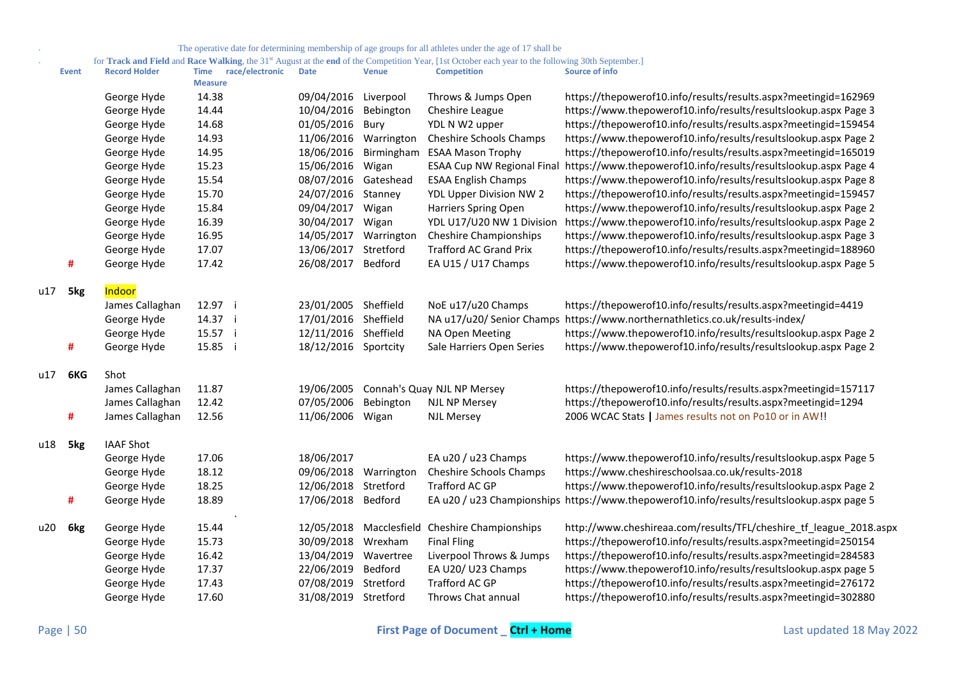for **Track and Field** and **Race Walking**, the 31<sup>st</sup> August at the **end** of the Competition Year, [1st October each year to the following 30th September.]

|      | <b>Event</b>    | <b>Record Holder</b> | <b>Time</b><br>race/electronic<br><b>Measure</b> | <b>Date</b>          | <b>Venue</b> | <b>Competition</b>                  | Source of info                                                                             |
|------|-----------------|----------------------|--------------------------------------------------|----------------------|--------------|-------------------------------------|--------------------------------------------------------------------------------------------|
|      |                 | George Hyde          | 14.38                                            | 09/04/2016 Liverpool |              | Throws & Jumps Open                 | https://thepowerof10.info/results/results.aspx?meetingid=162969                            |
|      |                 | George Hyde          | 14.44                                            | 10/04/2016           | Bebington    | Cheshire League                     | https://www.thepowerof10.info/results/resultslookup.aspx Page 3                            |
|      |                 | George Hyde          | 14.68                                            | 01/05/2016           | Bury         | YDL N W2 upper                      | https://thepowerof10.info/results/results.aspx?meetingid=159454                            |
|      |                 | George Hyde          | 14.93                                            | 11/06/2016           | Warrington   | Cheshire Schools Champs             | https://www.thepowerof10.info/results/resultslookup.aspx Page 2                            |
|      |                 | George Hyde          | 14.95                                            | 18/06/2016           | Birmingham   | <b>ESAA Mason Trophy</b>            | https://thepowerof10.info/results/results.aspx?meetingid=165019                            |
|      |                 | George Hyde          | 15.23                                            | 15/06/2016           | Wigan        | <b>ESAA Cup NW Regional Final</b>   | https://www.thepowerof10.info/results/resultslookup.aspx Page 4                            |
|      |                 | George Hyde          | 15.54                                            | 08/07/2016 Gateshead |              | <b>ESAA English Champs</b>          | https://www.thepowerof10.info/results/resultslookup.aspx Page 8                            |
|      |                 | George Hyde          | 15.70                                            | 24/07/2016           | Stanney      | YDL Upper Division NW 2             | https://thepowerof10.info/results/results.aspx?meetingid=159457                            |
|      |                 | George Hyde          | 15.84                                            | 09/04/2017           | Wigan        | Harriers Spring Open                | https://www.thepowerof10.info/results/resultslookup.aspx Page 2                            |
|      |                 | George Hyde          | 16.39                                            | 30/04/2017           | Wigan        | YDL U17/U20 NW 1 Division           | https://www.thepowerof10.info/results/resultslookup.aspx Page 2                            |
|      |                 | George Hyde          | 16.95                                            | 14/05/2017           | Warrington   | <b>Cheshire Championships</b>       | https://www.thepowerof10.info/results/resultslookup.aspx Page 3                            |
|      |                 | George Hyde          | 17.07                                            | 13/06/2017           | Stretford    | <b>Trafford AC Grand Prix</b>       | https://thepowerof10.info/results/results.aspx?meetingid=188960                            |
|      | #               | George Hyde          | 17.42                                            | 26/08/2017 Bedford   |              | EA U15 / U17 Champs                 | https://www.thepowerof10.info/results/resultslookup.aspx Page 5                            |
| u17  | 5kg             | Indoor               |                                                  |                      |              |                                     |                                                                                            |
|      |                 | James Callaghan      | 12.97 i                                          | 23/01/2005 Sheffield |              | NoE u17/u20 Champs                  | https://thepowerof10.info/results/results.aspx?meetingid=4419                              |
|      |                 | George Hyde          | 14.37 i                                          | 17/01/2016 Sheffield |              | NA u17/u20/ Senior Champs           | https://www.northernathletics.co.uk/results-index/                                         |
|      |                 | George Hyde          | 15.57 i                                          | 12/11/2016 Sheffield |              | NA Open Meeting                     | https://www.thepowerof10.info/results/resultslookup.aspx Page 2                            |
|      | #               | George Hyde          | 15.85 i                                          | 18/12/2016 Sportcity |              | Sale Harriers Open Series           | https://www.thepowerof10.info/results/resultslookup.aspx Page 2                            |
| u17  | 6KG             | Shot                 |                                                  |                      |              |                                     |                                                                                            |
|      |                 | James Callaghan      | 11.87                                            | 19/06/2005           |              | Connah's Quay NJL NP Mersey         | https://thepowerof10.info/results/results.aspx?meetingid=157117                            |
|      |                 | James Callaghan      | 12.42                                            | 07/05/2006           | Bebington    | <b>NJL NP Mersey</b>                | https://thepowerof10.info/results/results.aspx?meetingid=1294                              |
|      | #               | James Callaghan      | 12.56                                            | 11/06/2006           | Wigan        | <b>NJL Mersey</b>                   | 2006 WCAC Stats   James results not on Po10 or in AW!!                                     |
| u 18 | 5 <sub>kg</sub> | <b>IAAF Shot</b>     |                                                  |                      |              |                                     |                                                                                            |
|      |                 | George Hyde          | 17.06                                            | 18/06/2017           |              | EA u20 / u23 Champs                 | https://www.thepowerof10.info/results/resultslookup.aspx Page 5                            |
|      |                 | George Hyde          | 18.12                                            | 09/06/2018           | Warrington   | <b>Cheshire Schools Champs</b>      | https://www.cheshireschoolsaa.co.uk/results-2018                                           |
|      |                 | George Hyde          | 18.25                                            | 12/06/2018           | Stretford    | Trafford AC GP                      | https://www.thepowerof10.info/results/resultslookup.aspx Page 2                            |
|      | #               | George Hyde          | 18.89                                            | 17/06/2018           | Bedford      |                                     | EA u20 / u23 Championships https://www.thepowerof10.info/results/resultslookup.aspx page 5 |
| u20  | 6kg             | George Hyde          | 15.44                                            | 12/05/2018           |              | Macclesfield Cheshire Championships | http://www.cheshireaa.com/results/TFL/cheshire_tf_league_2018.aspx                         |
|      |                 | George Hyde          | 15.73                                            | 30/09/2018           | Wrexham      | <b>Final Fling</b>                  | https://thepowerof10.info/results/results.aspx?meetingid=250154                            |
|      |                 | George Hyde          | 16.42                                            | 13/04/2019           | Wavertree    | Liverpool Throws & Jumps            | https://thepowerof10.info/results/results.aspx?meetingid=284583                            |
|      |                 | George Hyde          | 17.37                                            | 22/06/2019           | Bedford      | EA U20/ U23 Champs                  | https://www.thepowerof10.info/results/resultslookup.aspx page 5                            |
|      |                 | George Hyde          | 17.43                                            | 07/08/2019           | Stretford    | Trafford AC GP                      | https://thepowerof10.info/results/results.aspx?meetingid=276172                            |
|      |                 | George Hyde          | 17.60                                            | 31/08/2019 Stretford |              | Throws Chat annual                  | https://thepowerof10.info/results/results.aspx?meetingid=302880                            |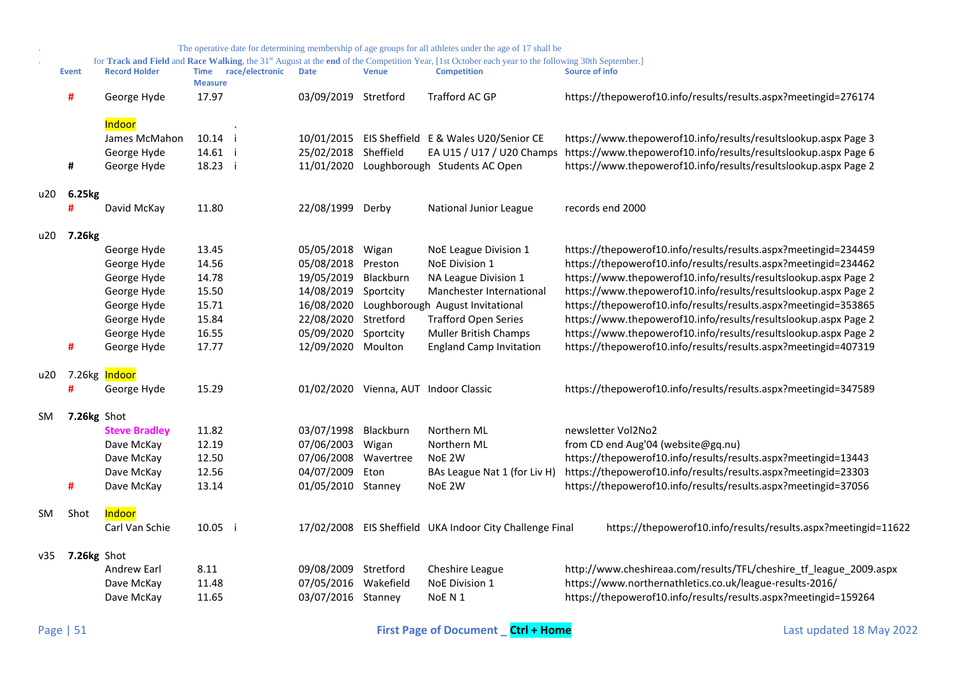|           |                    |                            |                               |                 |                      |              | The operative date for determining membership of age groups for all athletes under the age of 17 shall be                                                      |                                                                    |
|-----------|--------------------|----------------------------|-------------------------------|-----------------|----------------------|--------------|----------------------------------------------------------------------------------------------------------------------------------------------------------------|--------------------------------------------------------------------|
|           |                    |                            |                               |                 |                      |              | for Track and Field and Race Walking, the 31 <sup>st</sup> August at the end of the Competition Year, [1st October each year to the following 30th September.] |                                                                    |
|           | <b>Event</b>       | <b>Record Holder</b>       | <b>Time</b><br><b>Measure</b> | race/electronic | <b>Date</b>          | <b>Venue</b> | <b>Competition</b>                                                                                                                                             | <b>Source of info</b>                                              |
|           | #                  | George Hyde                | 17.97                         |                 | 03/09/2019 Stretford |              | Trafford AC GP                                                                                                                                                 | https://thepowerof10.info/results/results.aspx?meetingid=276174    |
|           |                    | Indoor                     |                               |                 |                      |              |                                                                                                                                                                |                                                                    |
|           |                    | James McMahon              | 10.14 i                       |                 |                      |              | 10/01/2015 EIS Sheffield E & Wales U20/Senior CE                                                                                                               | https://www.thepowerof10.info/results/resultslookup.aspx Page 3    |
|           |                    | George Hyde                | 14.61 i                       |                 | 25/02/2018           | Sheffield    | EA U15 / U17 / U20 Champs                                                                                                                                      | https://www.thepowerof10.info/results/resultslookup.aspx Page 6    |
|           | #                  | George Hyde                | 18.23 i                       |                 | 11/01/2020           |              | Loughborough Students AC Open                                                                                                                                  | https://www.thepowerof10.info/results/resultslookup.aspx Page 2    |
| u20       | 6.25kg             |                            |                               |                 |                      |              |                                                                                                                                                                |                                                                    |
|           | #                  | David McKay                | 11.80                         |                 | 22/08/1999 Derby     |              | National Junior League                                                                                                                                         | records end 2000                                                   |
| u20       | 7.26 <sub>kg</sub> |                            |                               |                 |                      |              |                                                                                                                                                                |                                                                    |
|           |                    | George Hyde                | 13.45                         |                 | 05/05/2018           | Wigan        | NoE League Division 1                                                                                                                                          | https://thepowerof10.info/results/results.aspx?meetingid=234459    |
|           |                    | George Hyde                | 14.56                         |                 | 05/08/2018           | Preston      | NoE Division 1                                                                                                                                                 | https://thepowerof10.info/results/results.aspx?meetingid=234462    |
|           |                    | George Hyde                | 14.78                         |                 | 19/05/2019           | Blackburn    | NA League Division 1                                                                                                                                           | https://www.thepowerof10.info/results/resultslookup.aspx Page 2    |
|           |                    | George Hyde                | 15.50                         |                 | 14/08/2019           | Sportcity    | Manchester International                                                                                                                                       | https://www.thepowerof10.info/results/resultslookup.aspx Page 2    |
|           |                    | George Hyde                | 15.71                         |                 | 16/08/2020           |              | Loughborough August Invitational                                                                                                                               | https://thepowerof10.info/results/results.aspx?meetingid=353865    |
|           |                    | George Hyde                | 15.84                         |                 | 22/08/2020           | Stretford    | <b>Trafford Open Series</b>                                                                                                                                    | https://www.thepowerof10.info/results/resultslookup.aspx Page 2    |
|           |                    | George Hyde                | 16.55                         |                 | 05/09/2020           | Sportcity    | Muller British Champs                                                                                                                                          | https://www.thepowerof10.info/results/resultslookup.aspx Page 2    |
|           | #                  | George Hyde                | 17.77                         |                 | 12/09/2020           | Moulton      | <b>England Camp Invitation</b>                                                                                                                                 | https://thepowerof10.info/results/results.aspx?meetingid=407319    |
| u20       |                    | 7.26kg <mark>Indoor</mark> |                               |                 |                      |              |                                                                                                                                                                |                                                                    |
|           | #                  | George Hyde                | 15.29                         |                 |                      |              | 01/02/2020 Vienna, AUT Indoor Classic                                                                                                                          | https://thepowerof10.info/results/results.aspx?meetingid=347589    |
| <b>SM</b> | 7.26kg Shot        |                            |                               |                 |                      |              |                                                                                                                                                                |                                                                    |
|           |                    | <b>Steve Bradley</b>       | 11.82                         |                 | 03/07/1998           | Blackburn    | Northern ML                                                                                                                                                    | newsletter Vol2No2                                                 |
|           |                    | Dave McKay                 | 12.19                         |                 | 07/06/2003           | Wigan        | Northern ML                                                                                                                                                    | from CD end Aug'04 (website@gq.nu)                                 |
|           |                    | Dave McKay                 | 12.50                         |                 | 07/06/2008           | Wavertree    | NoE 2W                                                                                                                                                         | https://thepowerof10.info/results/results.aspx?meetingid=13443     |
|           |                    | Dave McKay                 | 12.56                         |                 | 04/07/2009           | Eton         | BAs League Nat 1 (for Liv H)                                                                                                                                   | https://thepowerof10.info/results/results.aspx?meetingid=23303     |
|           | #                  | Dave McKay                 | 13.14                         |                 | 01/05/2010           | Stanney      | NoE 2W                                                                                                                                                         | https://thepowerof10.info/results/results.aspx?meetingid=37056     |
| <b>SM</b> | Shot               | Indoor                     |                               |                 |                      |              |                                                                                                                                                                |                                                                    |
|           |                    | Carl Van Schie             | 10.05 i                       |                 |                      |              | 17/02/2008 EIS Sheffield UKA Indoor City Challenge Final                                                                                                       | https://thepowerof10.info/results/results.aspx?meetingid=11622     |
| v35       | 7.26kg Shot        |                            |                               |                 |                      |              |                                                                                                                                                                |                                                                    |
|           |                    | <b>Andrew Earl</b>         | 8.11                          |                 | 09/08/2009           | Stretford    | Cheshire League                                                                                                                                                | http://www.cheshireaa.com/results/TFL/cheshire_tf_league_2009.aspx |
|           |                    | Dave McKay                 | 11.48                         |                 | 07/05/2016           | Wakefield    | NoE Division 1                                                                                                                                                 | https://www.northernathletics.co.uk/league-results-2016/           |
|           |                    | Dave McKay                 | 11.65                         |                 | 03/07/2016 Stanney   |              | NoE N 1                                                                                                                                                        | https://thepowerof10.info/results/results.aspx?meetingid=159264    |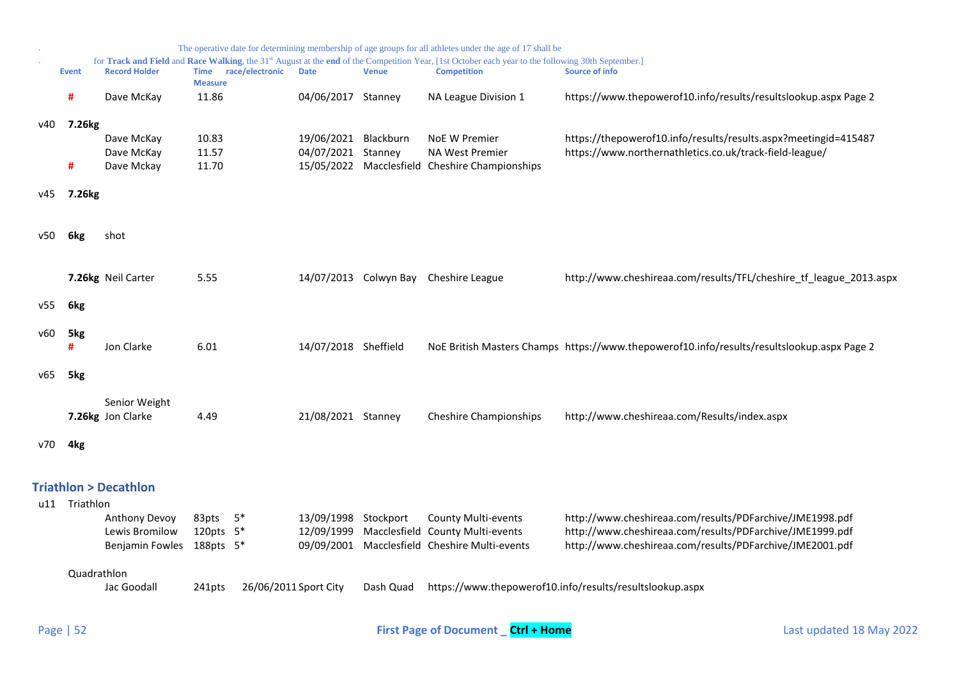<span id="page-51-0"></span>

|     |                    |                                    |                                                  |                                    |              | The operative date for determining membership of age groups for all athletes under the age of 17 shall be                                                                            |                                                                                                                      |
|-----|--------------------|------------------------------------|--------------------------------------------------|------------------------------------|--------------|--------------------------------------------------------------------------------------------------------------------------------------------------------------------------------------|----------------------------------------------------------------------------------------------------------------------|
|     | <b>Event</b>       | <b>Record Holder</b>               | race/electronic<br><b>Time</b><br><b>Measure</b> | <b>Date</b>                        | <b>Venue</b> | for Track and Field and Race Walking, the 31 <sup>st</sup> August at the end of the Competition Year, [1st October each year to the following 30th September.]<br><b>Competition</b> | <b>Source of info</b>                                                                                                |
|     | #                  | Dave McKay                         | 11.86                                            | 04/06/2017 Stanney                 |              | NA League Division 1                                                                                                                                                                 | https://www.thepowerof10.info/results/resultslookup.aspx Page 2                                                      |
| v40 | 7.26 <sub>kg</sub> |                                    |                                                  |                                    |              |                                                                                                                                                                                      |                                                                                                                      |
|     |                    | Dave McKay                         | 10.83                                            | 19/06/2021                         | Blackburn    | <b>NoE W Premier</b>                                                                                                                                                                 | https://thepowerof10.info/results/results.aspx?meetingid=415487                                                      |
|     |                    | Dave McKay                         | 11.57                                            | 04/07/2021                         | Stanney      | <b>NA West Premier</b>                                                                                                                                                               | https://www.northernathletics.co.uk/track-field-league/                                                              |
|     | #                  | Dave Mckay                         | 11.70                                            | 15/05/2022                         |              | Macclesfield Cheshire Championships                                                                                                                                                  |                                                                                                                      |
| v45 | 7.26kg             |                                    |                                                  |                                    |              |                                                                                                                                                                                      |                                                                                                                      |
| v50 | 6 <sub>kg</sub>    | shot                               |                                                  |                                    |              |                                                                                                                                                                                      |                                                                                                                      |
|     |                    | 7.26kg Neil Carter                 | 5.55                                             |                                    |              | 14/07/2013 Colwyn Bay Cheshire League                                                                                                                                                | http://www.cheshireaa.com/results/TFL/cheshire_tf_league_2013.aspx                                                   |
| v55 | 6kg                |                                    |                                                  |                                    |              |                                                                                                                                                                                      |                                                                                                                      |
| v60 | 5kg<br>#           | Jon Clarke                         | 6.01                                             | 14/07/2018 Sheffield               |              |                                                                                                                                                                                      | NoE British Masters Champs https://www.thepowerof10.info/results/resultslookup.aspx Page 2                           |
| v65 | 5kg                |                                    |                                                  |                                    |              |                                                                                                                                                                                      |                                                                                                                      |
|     |                    | Senior Weight<br>7.26kg Jon Clarke | 4.49                                             | 21/08/2021 Stanney                 |              | <b>Cheshire Championships</b>                                                                                                                                                        | http://www.cheshireaa.com/Results/index.aspx                                                                         |
| v70 | 4kg                |                                    |                                                  |                                    |              |                                                                                                                                                                                      |                                                                                                                      |
|     |                    | <b>Triathlon &gt; Decathlon</b>    |                                                  |                                    |              |                                                                                                                                                                                      |                                                                                                                      |
|     | u11 Triathlon      |                                    |                                                  |                                    |              |                                                                                                                                                                                      |                                                                                                                      |
|     |                    | Anthony Devoy<br>Lewis Bromilow    | $5*$<br>83pts<br>120pts 5*                       | 13/09/1998 Stockport<br>12/09/1999 |              | <b>County Multi-events</b><br>Macclesfield County Multi-events                                                                                                                       | http://www.cheshireaa.com/results/PDFarchive/JME1998.pdf<br>http://www.cheshireaa.com/results/PDFarchive/JME1999.pdf |
|     |                    | Benjamin Fowles 188pts 5*          |                                                  | 09/09/2001                         |              | Macclesfield Cheshire Multi-events                                                                                                                                                   | http://www.cheshireaa.com/results/PDFarchive/JME2001.pdf                                                             |
|     | Quadrathlon        |                                    |                                                  |                                    |              |                                                                                                                                                                                      |                                                                                                                      |
|     |                    | Jac Goodall                        | 26/06/2011 Sport City<br>241pts                  |                                    | Dash Quad    |                                                                                                                                                                                      | https://www.thepowerof10.info/results/resultslookup.aspx                                                             |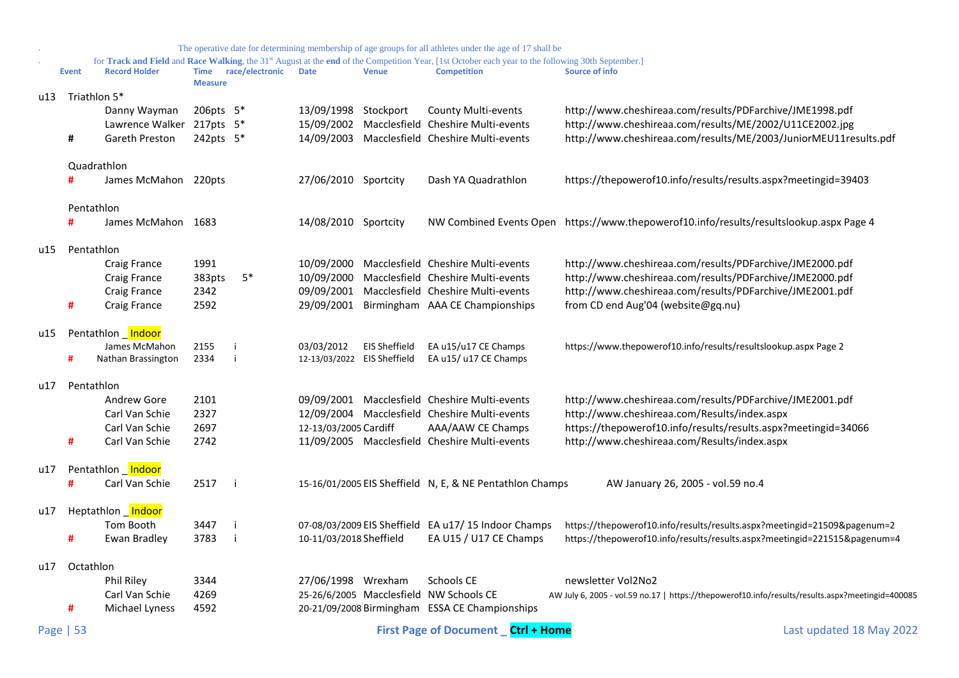|     | The operative date for determining membership of age groups for all athletes under the age of 17 shall be |                      |                |                      |                             |                      |                                                                                                                                                                                      |                                                                                                  |
|-----|-----------------------------------------------------------------------------------------------------------|----------------------|----------------|----------------------|-----------------------------|----------------------|--------------------------------------------------------------------------------------------------------------------------------------------------------------------------------------|--------------------------------------------------------------------------------------------------|
|     | <b>Event</b>                                                                                              | <b>Record Holder</b> | <b>Measure</b> | Time race/electronic | <b>Date</b>                 | <b>Venue</b>         | for Track and Field and Race Walking, the 31 <sup>st</sup> August at the end of the Competition Year, [1st October each year to the following 30th September.]<br><b>Competition</b> | <b>Source of info</b>                                                                            |
| u13 |                                                                                                           | Triathlon 5*         |                |                      |                             |                      |                                                                                                                                                                                      |                                                                                                  |
|     |                                                                                                           | Danny Wayman         | 206pts 5*      |                      | 13/09/1998 Stockport        |                      | <b>County Multi-events</b>                                                                                                                                                           | http://www.cheshireaa.com/results/PDFarchive/JME1998.pdf                                         |
|     |                                                                                                           | Lawrence Walker      | 217pts 5*      |                      |                             |                      | 15/09/2002 Macclesfield Cheshire Multi-events                                                                                                                                        | http://www.cheshireaa.com/results/ME/2002/U11CE2002.jpg                                          |
|     | #                                                                                                         | Gareth Preston       | 242pts 5*      |                      |                             |                      | 14/09/2003 Macclesfield Cheshire Multi-events                                                                                                                                        | http://www.cheshireaa.com/results/ME/2003/JuniorMEU11results.pdf                                 |
|     |                                                                                                           | Quadrathlon          |                |                      |                             |                      |                                                                                                                                                                                      |                                                                                                  |
|     |                                                                                                           | James McMahon 220pts |                |                      | 27/06/2010 Sportcity        |                      | Dash YA Quadrathlon                                                                                                                                                                  | https://thepowerof10.info/results/results.aspx?meetingid=39403                                   |
|     |                                                                                                           | Pentathlon           |                |                      |                             |                      |                                                                                                                                                                                      |                                                                                                  |
|     | #                                                                                                         | James McMahon 1683   |                |                      | 14/08/2010 Sportcity        |                      |                                                                                                                                                                                      | NW Combined Events Open https://www.thepowerof10.info/results/resultslookup.aspx Page 4          |
| u15 |                                                                                                           | Pentathlon           |                |                      |                             |                      |                                                                                                                                                                                      |                                                                                                  |
|     |                                                                                                           | Craig France         | 1991           |                      |                             |                      | 10/09/2000 Macclesfield Cheshire Multi-events                                                                                                                                        | http://www.cheshireaa.com/results/PDFarchive/JME2000.pdf                                         |
|     |                                                                                                           | Craig France         | 383pts         | $5*$                 | 10/09/2000                  |                      | Macclesfield Cheshire Multi-events                                                                                                                                                   | http://www.cheshireaa.com/results/PDFarchive/JME2000.pdf                                         |
|     |                                                                                                           | Craig France         | 2342           |                      | 09/09/2001                  |                      | Macclesfield Cheshire Multi-events                                                                                                                                                   | http://www.cheshireaa.com/results/PDFarchive/JME2001.pdf                                         |
|     | #                                                                                                         | Craig France         | 2592           |                      |                             |                      | 29/09/2001 Birmingham AAA CE Championships                                                                                                                                           | from CD end Aug'04 (website@gq.nu)                                                               |
| u15 |                                                                                                           | Pentathlon Indoor    |                |                      |                             |                      |                                                                                                                                                                                      |                                                                                                  |
|     |                                                                                                           | James McMahon        | 2155           | i                    | 03/03/2012                  | <b>EIS Sheffield</b> | EA u15/u17 CE Champs                                                                                                                                                                 | https://www.thepowerof10.info/results/resultslookup.aspx Page 2                                  |
|     | #                                                                                                         | Nathan Brassington   | 2334           | i                    | 12-13/03/2022 EIS Sheffield |                      | EA u15/ u17 CE Champs                                                                                                                                                                |                                                                                                  |
| u17 |                                                                                                           | Pentathlon           |                |                      |                             |                      |                                                                                                                                                                                      |                                                                                                  |
|     |                                                                                                           | Andrew Gore          | 2101           |                      |                             |                      | 09/09/2001 Macclesfield Cheshire Multi-events                                                                                                                                        | http://www.cheshireaa.com/results/PDFarchive/JME2001.pdf                                         |
|     |                                                                                                           | Carl Van Schie       | 2327           |                      |                             |                      | 12/09/2004 Macclesfield Cheshire Multi-events                                                                                                                                        | http://www.cheshireaa.com/Results/index.aspx                                                     |
|     |                                                                                                           | Carl Van Schie       | 2697           |                      | 12-13/03/2005 Cardiff       |                      | AAA/AAW CE Champs                                                                                                                                                                    | https://thepowerof10.info/results/results.aspx?meetingid=34066                                   |
|     | #                                                                                                         | Carl Van Schie       | 2742           |                      |                             |                      | 11/09/2005 Macclesfield Cheshire Multi-events                                                                                                                                        | http://www.cheshireaa.com/Results/index.aspx                                                     |
| u17 |                                                                                                           | Pentathlon Indoor    |                |                      |                             |                      |                                                                                                                                                                                      |                                                                                                  |
|     | #                                                                                                         | Carl Van Schie       | 2517 i         |                      |                             |                      | 15-16/01/2005 EIS Sheffield N, E, & NE Pentathlon Champs                                                                                                                             | AW January 26, 2005 - vol.59 no.4                                                                |
| u17 |                                                                                                           | Heptathlon Indoor    |                |                      |                             |                      |                                                                                                                                                                                      |                                                                                                  |
|     |                                                                                                           | Tom Booth            | 3447           | -i                   |                             |                      | 07-08/03/2009 EIS Sheffield EA u17/15 Indoor Champs                                                                                                                                  | https://thepowerof10.info/results/results.aspx?meetingid=21509&pagenum=2                         |
|     | #                                                                                                         | Ewan Bradley         | 3783           | -i                   | 10-11/03/2018 Sheffield     |                      | EA U15 / U17 CE Champs                                                                                                                                                               | https://thepowerof10.info/results/results.aspx?meetingid=221515&pagenum=4                        |
| u17 | Octathlon                                                                                                 |                      |                |                      |                             |                      |                                                                                                                                                                                      |                                                                                                  |
|     |                                                                                                           | Phil Riley           | 3344           |                      | 27/06/1998 Wrexham          |                      | Schools CE                                                                                                                                                                           | newsletter Vol2No2                                                                               |
|     |                                                                                                           | Carl Van Schie       | 4269           |                      |                             |                      | 25-26/6/2005 Macclesfield NW Schools CE                                                                                                                                              | AW July 6, 2005 - vol.59 no.17   https://thepowerof10.info/results/results.aspx?meetingid=400085 |
|     | #                                                                                                         | Michael Lyness       | 4592           |                      |                             |                      | 20-21/09/2008 Birmingham ESSA CE Championships                                                                                                                                       |                                                                                                  |
|     | Page   53                                                                                                 |                      |                |                      |                             |                      | First Page of Document Ctrl + Home                                                                                                                                                   | Last updated 18 May 2022                                                                         |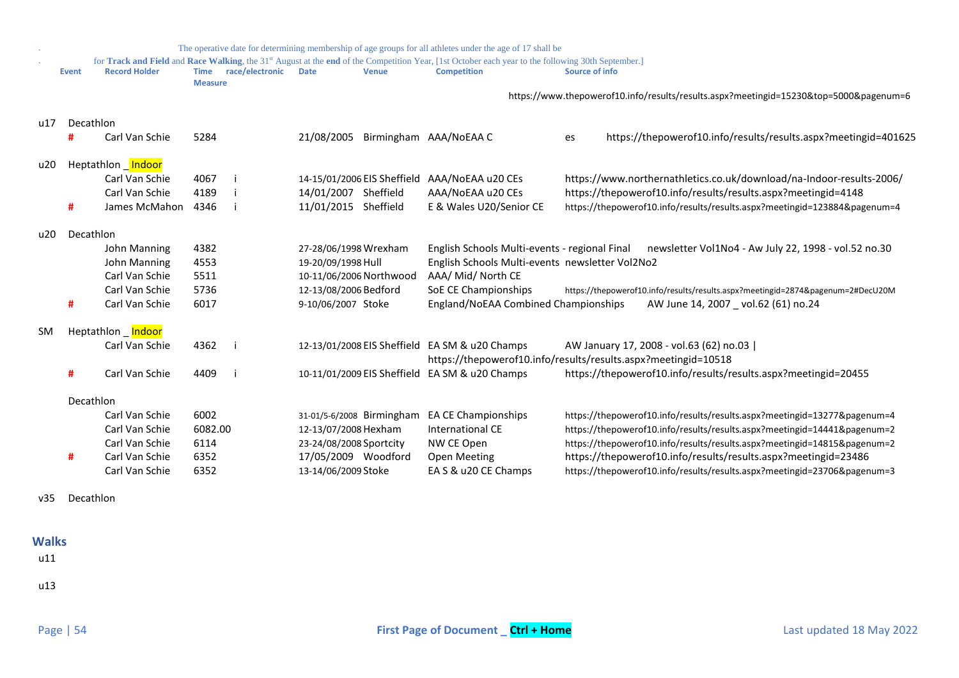| The operative date for determining membership of age groups for all athletes under the age of 17 shall be |                  |                      |                               |                 |                             |              |                                                                                                                                                                                      |                                                                                    |
|-----------------------------------------------------------------------------------------------------------|------------------|----------------------|-------------------------------|-----------------|-----------------------------|--------------|--------------------------------------------------------------------------------------------------------------------------------------------------------------------------------------|------------------------------------------------------------------------------------|
|                                                                                                           | <b>Event</b>     | <b>Record Holder</b> | <b>Time</b><br><b>Measure</b> | race/electronic | <b>Date</b>                 | <b>Venue</b> | for Track and Field and Race Walking, the 31 <sup>st</sup> August at the end of the Competition Year, [1st October each year to the following 30th September.]<br><b>Competition</b> | <b>Source of info</b>                                                              |
|                                                                                                           |                  |                      |                               |                 |                             |              |                                                                                                                                                                                      | https://www.thepowerof10.info/results/results.aspx?meetingid=15230⊤=5000&pagenum=6 |
| u17                                                                                                       | Decathlon        |                      |                               |                 |                             |              |                                                                                                                                                                                      |                                                                                    |
|                                                                                                           | Ħ                | Carl Van Schie       | 5284                          |                 | 21/08/2005                  |              | Birmingham AAA/NoEAA C                                                                                                                                                               | https://thepowerof10.info/results/results.aspx?meetingid=401625<br>es              |
| u20                                                                                                       |                  | Heptathlon Indoor    |                               |                 |                             |              |                                                                                                                                                                                      |                                                                                    |
|                                                                                                           |                  | Carl Van Schie       | 4067                          |                 | 14-15/01/2006 EIS Sheffield |              | AAA/NoEAA u20 CEs                                                                                                                                                                    | https://www.northernathletics.co.uk/download/na-Indoor-results-2006/               |
|                                                                                                           |                  | Carl Van Schie       | 4189                          |                 | 14/01/2007 Sheffield        |              | AAA/NoEAA u20 CEs                                                                                                                                                                    | https://thepowerof10.info/results/results.aspx?meetingid=4148                      |
|                                                                                                           | #                | James McMahon        | 4346                          |                 | 11/01/2015 Sheffield        |              | E & Wales U20/Senior CE                                                                                                                                                              | https://thepowerof10.info/results/results.aspx?meetingid=123884&pagenum=4          |
| u20                                                                                                       | Decathlon        |                      |                               |                 |                             |              |                                                                                                                                                                                      |                                                                                    |
|                                                                                                           |                  | John Manning         | 4382                          |                 | 27-28/06/1998 Wrexham       |              | English Schools Multi-events - regional Final                                                                                                                                        | newsletter Vol1No4 - Aw July 22, 1998 - vol.52 no.30                               |
|                                                                                                           |                  | John Manning         | 4553                          |                 | 19-20/09/1998 Hull          |              | English Schools Multi-events newsletter Vol2No2                                                                                                                                      |                                                                                    |
|                                                                                                           |                  | Carl Van Schie       | 5511                          |                 | 10-11/06/2006 Northwood     |              | AAA/ Mid/ North CE                                                                                                                                                                   |                                                                                    |
|                                                                                                           |                  | Carl Van Schie       | 5736                          |                 | 12-13/08/2006 Bedford       |              | SoE CE Championships                                                                                                                                                                 | https://thepowerof10.info/results/results.aspx?meetingid=2874&pagenum=2#DecU20M    |
|                                                                                                           | #                | Carl Van Schie       | 6017                          |                 | 9-10/06/2007 Stoke          |              | England/NoEAA Combined Championships                                                                                                                                                 | AW June 14, 2007 vol.62 (61) no.24                                                 |
| SM                                                                                                        |                  | Heptathlon Indoor    |                               |                 |                             |              |                                                                                                                                                                                      |                                                                                    |
|                                                                                                           |                  | Carl Van Schie       | 4362                          |                 |                             |              | 12-13/01/2008 EIS Sheffield EA SM & u20 Champs                                                                                                                                       | AW January 17, 2008 - vol.63 (62) no.03                                            |
|                                                                                                           |                  |                      |                               |                 |                             |              |                                                                                                                                                                                      | https://thepowerof10.info/results/results.aspx?meetingid=10518                     |
|                                                                                                           | #                | Carl Van Schie       | 4409                          |                 |                             |              | 10-11/01/2009 EIS Sheffield EA SM & u20 Champs                                                                                                                                       | https://thepowerof10.info/results/results.aspx?meetingid=20455                     |
|                                                                                                           | <b>Decathlon</b> |                      |                               |                 |                             |              |                                                                                                                                                                                      |                                                                                    |
|                                                                                                           |                  | Carl Van Schie       | 6002                          |                 | 31-01/5-6/2008 Birmingham   |              | EA CE Championships                                                                                                                                                                  | https://thepowerof10.info/results/results.aspx?meetingid=13277&pagenum=4           |
|                                                                                                           |                  | Carl Van Schie       | 6082.00                       |                 | 12-13/07/2008 Hexham        |              | International CE                                                                                                                                                                     | https://thepowerof10.info/results/results.aspx?meetingid=14441&pagenum=2           |
|                                                                                                           |                  | Carl Van Schie       | 6114                          |                 | 23-24/08/2008 Sportcity     |              | NW CE Open                                                                                                                                                                           | https://thepowerof10.info/results/results.aspx?meetingid=14815&pagenum=2           |
|                                                                                                           | #                | Carl Van Schie       | 6352                          |                 | 17/05/2009 Woodford         |              | <b>Open Meeting</b>                                                                                                                                                                  | https://thepowerof10.info/results/results.aspx?meetingid=23486                     |
|                                                                                                           |                  | Carl Van Schie       | 6352                          |                 | 13-14/06/2009 Stoke         |              | EA S & u20 CE Champs                                                                                                                                                                 | https://thepowerof10.info/results/results.aspx?meetingid=23706&pagenum=3           |
|                                                                                                           |                  |                      |                               |                 |                             |              |                                                                                                                                                                                      |                                                                                    |

v35 Decathlon

<span id="page-53-0"></span>**Walks**

u11

u13